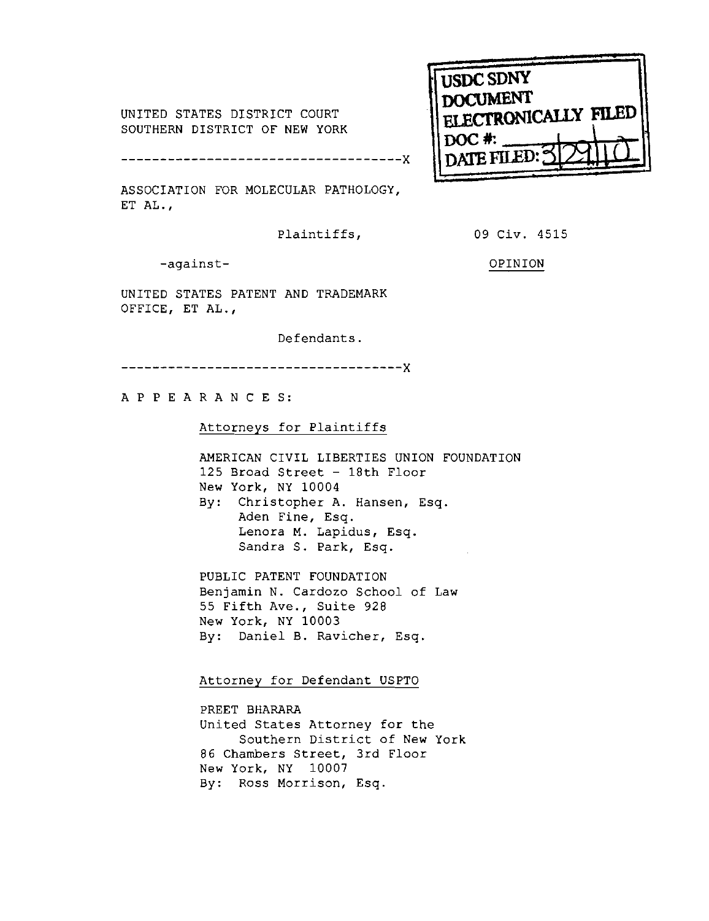UNITED STATES DISTRICT COURT SOUTHERN DISTRICT OF NEW YORK

 $- - Y$ \_\_\_\_\_\_\_\_\_\_\_\_\_\_\_\_\_

ASSOCIATION FOR MOLECULAR PATHOLOGY, ET AL.,

Plaintiffs, 09 Civ. 4515

ELECTRONICALLY FILED

**USDC SDNY DOCUMENT** 

DOC # nate fil

-against- OPINION

UNITED STATES PATENT AND TRADEMARK OFFICE, ET AL.,

Defendants

.------------------------------------X

APPEARANCES:

Attorneys for Plaintiffs

AMERICAN CIVIL LIBERTIES UNION FOUNDATION 125 Broad Street - 18th Floor New York, NY 10004 By: Christopher A. Hansen, Esq. Aden Fine, Esq. Lenora M. Lapidus, Esq. Sandra S. Park, Esq.

PUBLIC PATENT FOUNDATION Benjamin N. Cardozo School of Law 55 Fifth Ave., Suite 928 New York, NY 10003 By: Daniel B. Ravicher, Esq.

Attorney for Defendant USPTO

PREET BHARARA United States Attorney for the Southern District of New York 86 Chambers Street, 3rd Floor New York, NY 10007 By: Ross Morrison, Esq.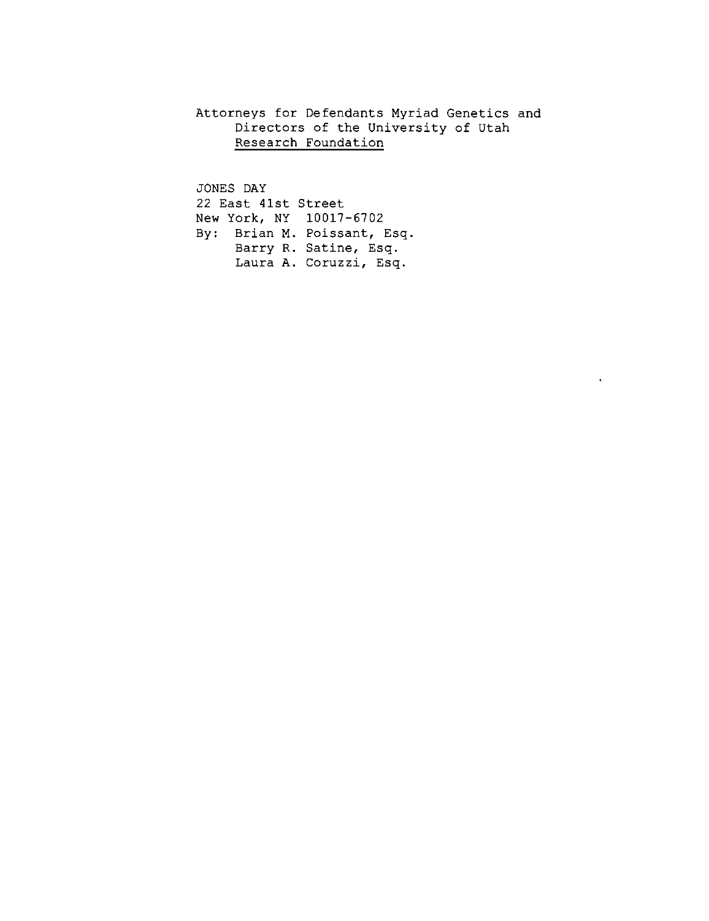Attorneys for Defendants Myriad Genetics and Directors of the University of Utah Research Foundation

 $\bullet$  .

JONES DAY 22 East 41st Street New York, NY 10017-6702 By: Brian M. Poissant, Esq. Barry R. Satine, Esq. Laura A. Coruzzi, Esq.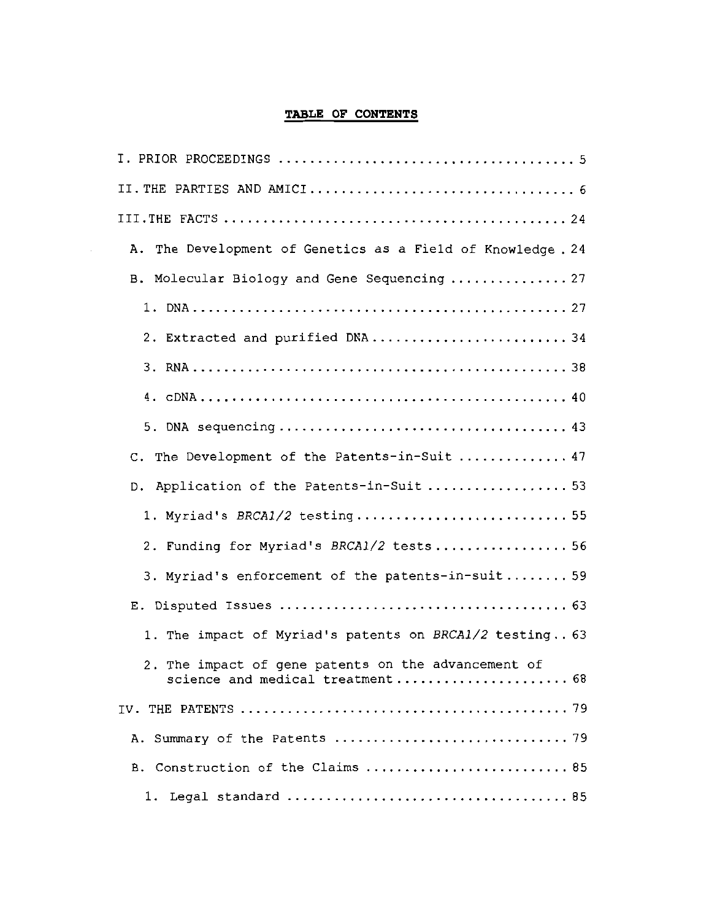# TABLE OF CONTENTS

 $\bar{z}$ 

| A. The Development of Genetics as a Field of Knowledge . 24                             |
|-----------------------------------------------------------------------------------------|
| B. Molecular Biology and Gene Sequencing  27                                            |
|                                                                                         |
| 2. Extracted and purified DNA34                                                         |
|                                                                                         |
|                                                                                         |
|                                                                                         |
| C. The Development of the Patents-in-Suit  47                                           |
| D. Application of the Patents-in-Suit  53                                               |
| 1. Myriad's BRCA1/2 testing 55                                                          |
| 2. Funding for Myriad's BRCA1/2 tests 56                                                |
| 3. Myriad's enforcement of the patents-in-suit 59                                       |
|                                                                                         |
| 1. The impact of Myriad's patents on BRCA1/2 testing 63                                 |
| 2. The impact of gene patents on the advancement of<br>science and medical treatment 68 |
|                                                                                         |
|                                                                                         |
| B. Construction of the Claims  85                                                       |
| . 85<br>1. Legal standard                                                               |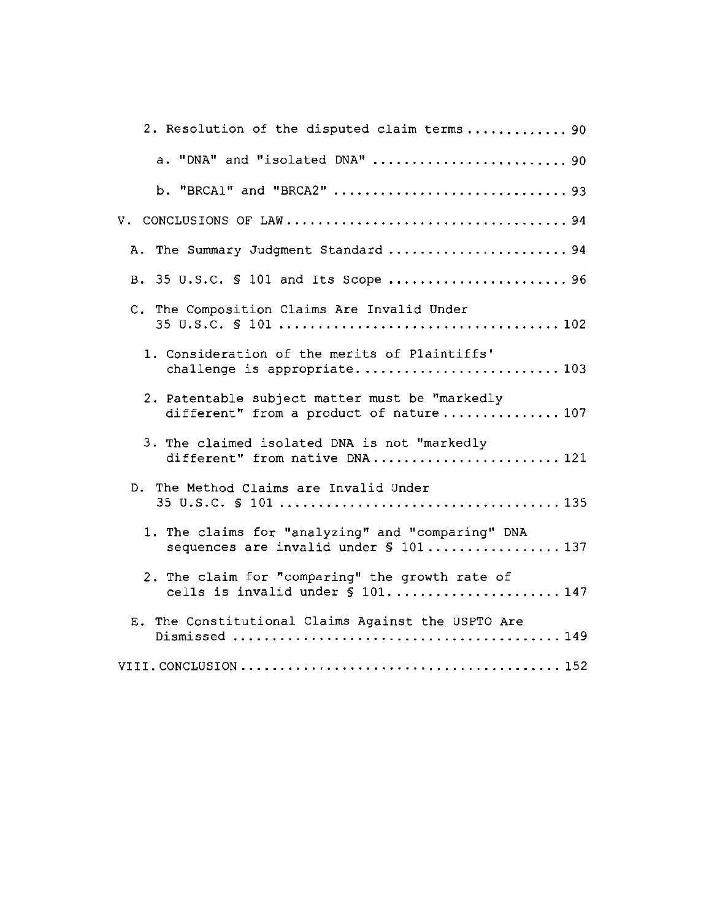| 2. Resolution of the disputed claim terms 90                                                |
|---------------------------------------------------------------------------------------------|
| a. "DNA" and "isolated DNA"  90                                                             |
| b. "BRCA1" and "BRCA2"  93                                                                  |
|                                                                                             |
| A. The Summary Judgment Standard  94                                                        |
| B. 35 U.S.C. § 101 and Its Scope  96                                                        |
| C. The Composition Claims Are Invalid Under                                                 |
| 1. Consideration of the merits of Plaintiffs'<br>challenge is appropriate 103               |
| 2. Patentable subject matter must be "markedly<br>different" from a product of nature 107   |
| 3. The claimed isolated DNA is not "markedly<br>different" from native DNA 121              |
| D. The Method Claims are Invalid Under                                                      |
| 1. The claims for "analyzing" and "comparing" DNA<br>sequences are invalid under \$ 101 137 |
| 2. The claim for "comparing" the growth rate of<br>cells is invalid under § 101 147         |
| E. The Constitutional Claims Against the USPTO Are                                          |
|                                                                                             |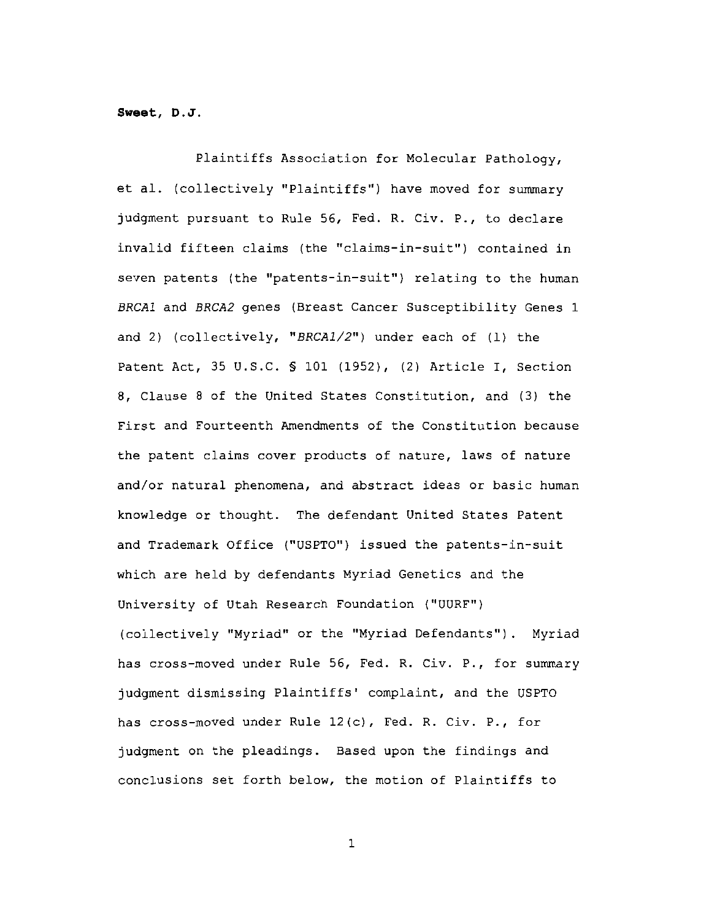Sweet, D.J.

Plaintiffs Association for Molecular Pathology, et al. (collectively "Plaintiffs") have moved for summary judgment pursuant to Rule 56, Fed. R. Civ. P., to declare invalid fifteen claims (the "claims-in-suit") contained in seven patents (the "patents-in-suit") relating to the human BRCAl and BRCA2 genes (Breast Cancer Susceptibility Genes 1 and 2) (collectively, "BRCA1/2") under each of (1) the Patent Act, 35 U.S.C. § 101 (1952), (2) Article I, Section 8, Clause 8 of the United States Constitution, and (3) the First and Fourteenth Amendments of the Constitution because the patent claims cover products of nature, laws of nature and/or natural phenomena, and abstract ideas or basic human knowledge or thought. The defendant United States Patent and Trademark Office ("USPTO") issued the patents-in-suit which are held by defendants Myriad Genetics and the University of Utah Research Foundation ("UURF") (collectively "Myriad" or the "Myriad Defendants"). Myriad has cross-moved under Rule 56, Fed. R. Civ. P., for summary judgment dismissing Plaintiffs' complaint, and the USPTO has cross-moved under Rule 12(c), Fed. R. Civ. P., for judgment on the pleadings. Based upon the findings and conclusions set forth below, the motion of Plaintiffs to

 $\mathbf{1}$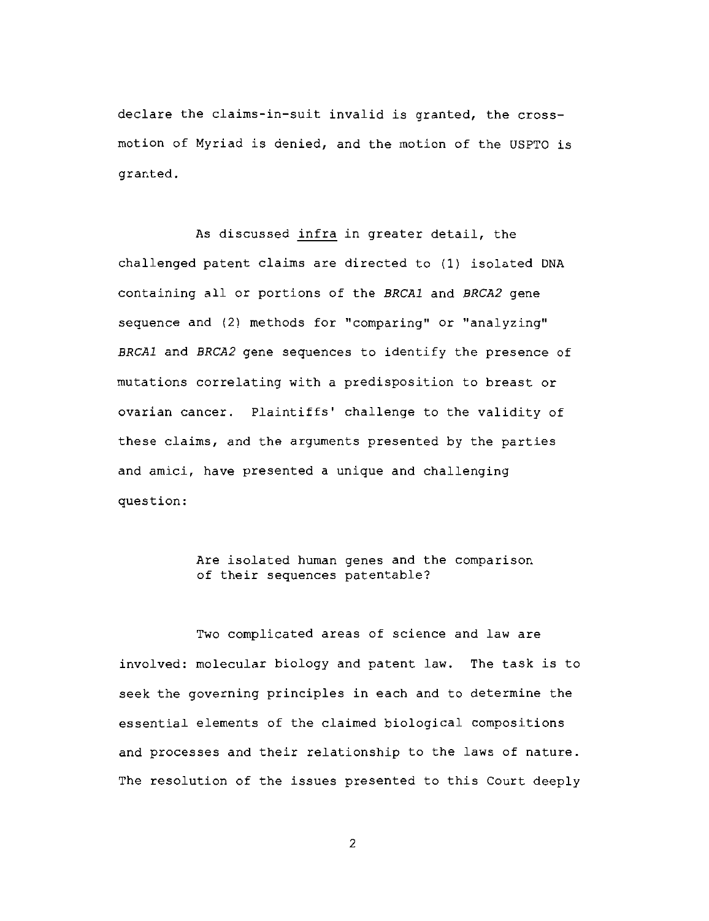declare the claims-in-suit invalid is granted, the crossmotion of Myriad is denied, and the motion of the USPTO is granted.

As discussed infra in greater detail, the challenged patent claims are directed to (1) isolated DNA containing all or portions of the BRCA1 and BRCA2 gene sequence and (2) methods for "comparing" or "analyzing" BRCA1 and BRCA2 gene sequences to identify the presence of mutations correlating with a predisposition to breast or ovarian cancer. Plaintiffs' challenge to the validity of these claims, and the arguments presented by the parties and amici, have presented a unique and challenging question:

## Are isolated human genes and the comparison of their sequences patentable?

Two complicated areas of science and law are involved: molecular biology and patent law. The task is to seek the governing principles in each and to determine the essential elements of the claimed biological compositions and processes and their relationship to the laws of nature. The resolution of the issues presented to this Court deeply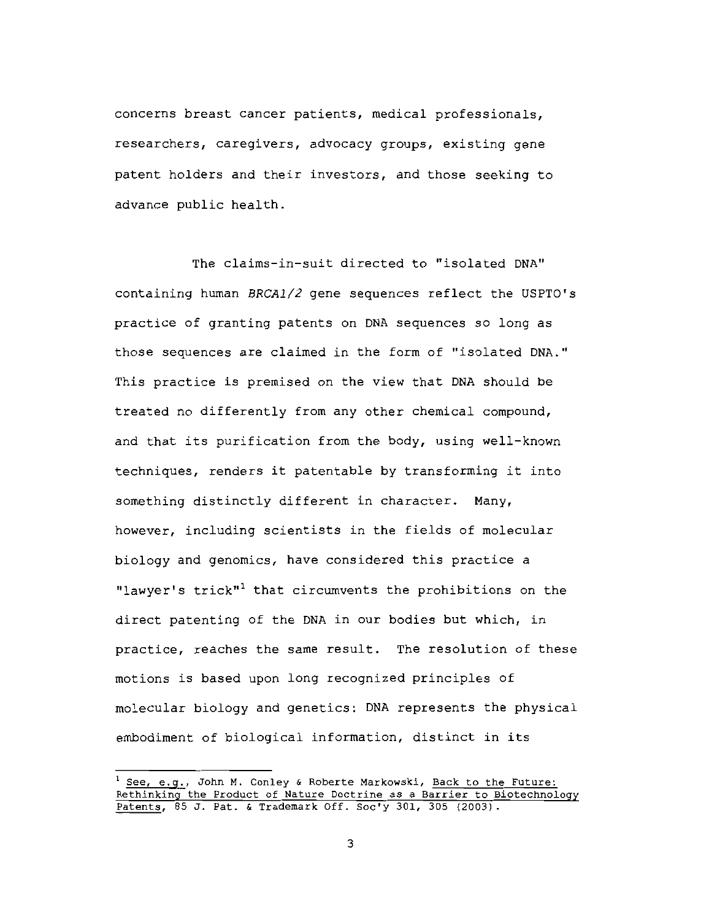concerns breast cancer patients, medical professionals, researchers, caregivers, advocacy groups, existing gene patent holders and their investors, and those seeking to advance public health.

The claims-in-suit directed to "isolated DNA" containing human BRCA1/2 gene sequences reflect the USPTO's practice of granting patents on DNA sequences so long as those sequences are claimed in the form of "isolated DNA." This practice is premised on the view that DNA should be treated no differently from any other chemical compound, and that its purification from the body, using well-known techniques, renders it patentable by transforming it into something distinctly different in character. Many, however, including scientists in the fields of molecular biology and genomics, have considered this practice a "lawyer's trick"<sup>1</sup> that circumvents the prohibitions on the direct patenting of the DNA in our bodies but which, in practice, reaches the same result. The resolution of these motions is based upon long recognized principles of molecular biology and genetics: DNA represents the physical embodiment of biological information, distinct in its

<sup>&</sup>lt;sup>1</sup> See, e.g., John M. Conley & Roberte Markowski, Back to the Future: Rethinking the Product of Nature Doctrine as a Barrier to Biotechnology Patents, 85 J. Pat. & Trademark Off. Soc'y 301, 305 (2003).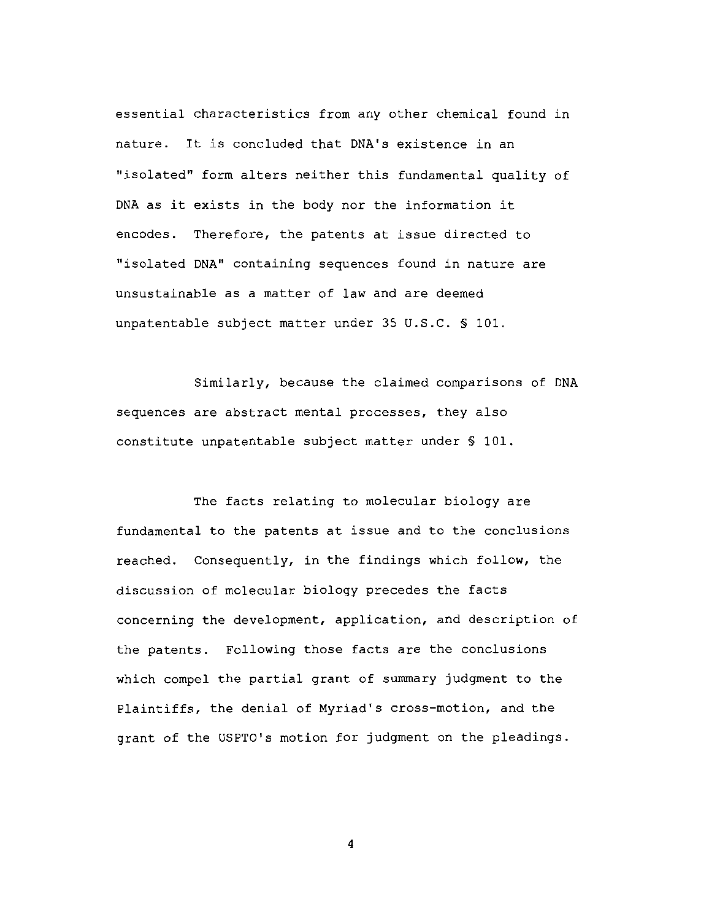essential characteristics from any other chemical found in nature. It is concluded that DNA's existence in an "isolated" form alters neither this fundamental quality of DNA as it exists in the body nor the information it encodes. Therefore, the patents at issue directed to "isolated DNA" containing sequences found in nature are unsustainable as a matter of law and are deemed unpatentable subject matter under 35 U.S.C. § 101.

Similarly, because the claimed comparisons of DNA sequences are abstract mental processes, they also constitute unpatentable subject matter under \$ 101.

The facts relating to molecular biology are fundamental to the patents at issue and to the conclusions reached. Consequently, in the findings which follow, the discussion of molecular biology precedes the facts concerning the development, application, and description of the patents. Following those facts are the conclusions which compel the partial grant of summary judgment to the Plaintiffs, the denial of Myriad's cross-motion, and the grant of the USPTO's motion for judgment on the pleadings.

 $\overline{\mathbf{4}}$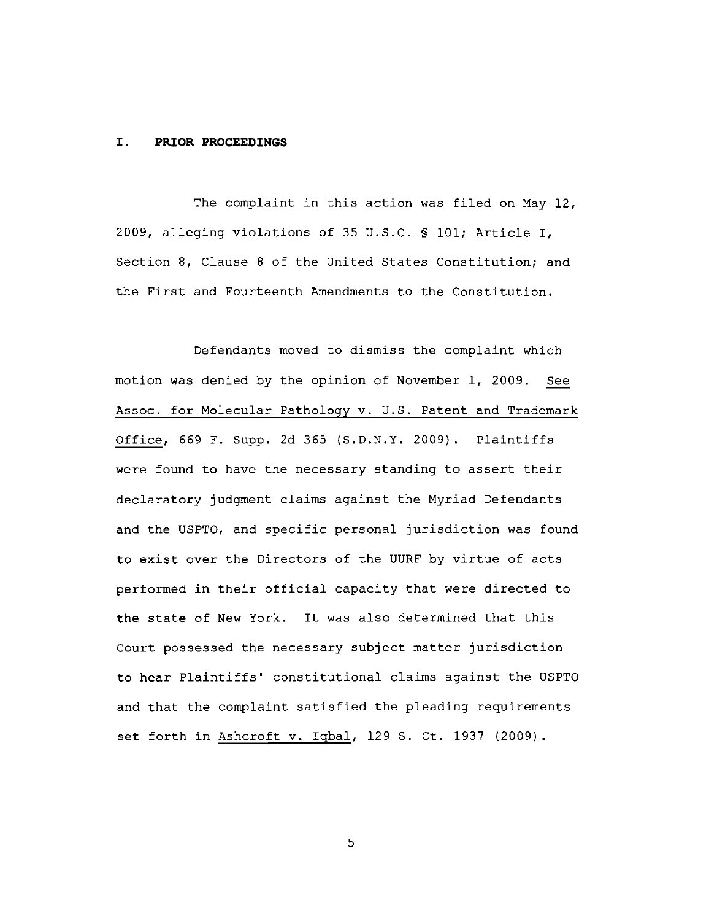#### I. PRIOR PROCEEDINGS

The complaint in this action was filed on May 12, 2009, alleging violations of 35 U.S.C. § 101; Article I, Section 8, Clause 8 of the United States Constitution; and the First and Fourteenth Amendments to the Constitution.

Defendants moved to dismiss the complaint which motion was denied by the opinion of November 1, 2009. See Assoc. for Molecular Pathology v. U.S. Patent and Trademark Office, 669 F. Supp. 2d 365 (S.D.N.Y. 2009). Plaintiffs were found to have the necessary standing to assert their declaratory judgment claims against the Myriad Defendants and the USPTO, and specific personal jurisdiction was found to exist over the Directors of the UURF by virtue of acts performed in their official capacity that were directed to the state of New York. It was also determined that this Court possessed the necessary subject matter jurisdiction to hear Plaintiffs' constitutional claims against the USPTO and that the complaint satisfied the pleading requirements set forth in Ashcroft v. Iqbal, 129 S. Ct. 1937 (2009).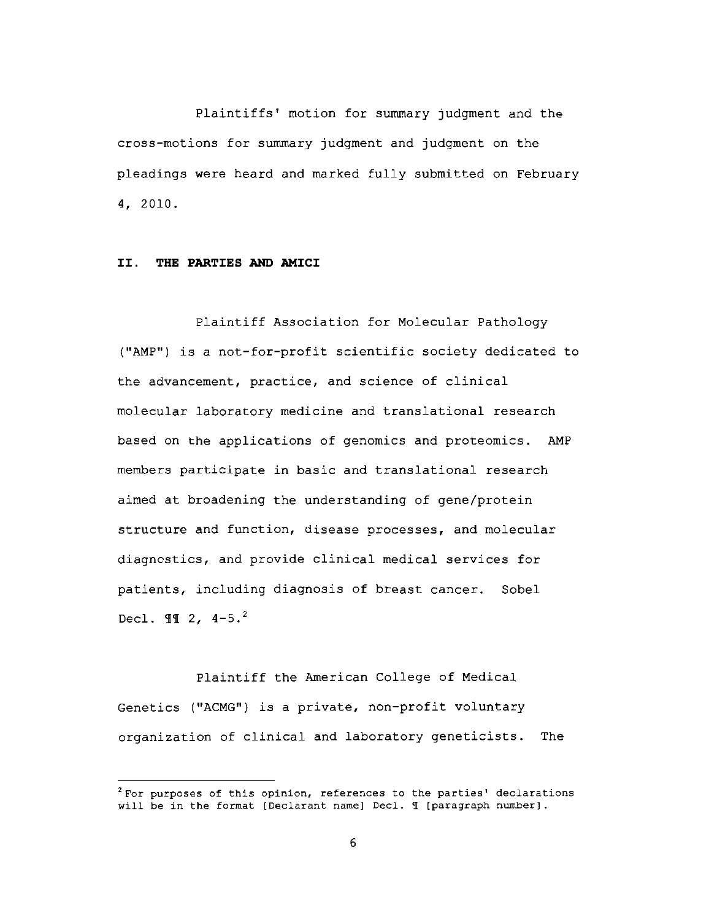Plaintiffs' motion for summary judgment and the cross-motions for summary judgment and judgment on the pleadings were heard and marked fully submitted on February 4, 2010.

#### II. THE PARTIES AND AMICI

Plaintiff Association for Molecular Pathology ("AMP") is a not-for-profit scientific society dedicated to the advancement, practice, and science of clinical molecular laboratory medicine and translational research based on the applications of genomics and proteomics. AMP members participate in basic and translational research aimed at broadening the understanding of gene/protein structure and function, disease processes, and molecular diagnostics, and provide clinical medical services for patients, including diagnosis of breast cancer. Sobel Decl.  $\P\P$  2, 4-5.<sup>2</sup>

Plaintiff the American College of Medical Genetics ("ACMG") is a private, non-profit voluntary organization of clinical and laboratory geneticists. The

<sup>&</sup>lt;sup>2</sup> For purposes of this opinion, references to the parties' declarations will be in the format [Declarant name] Decl. I [paragraph number].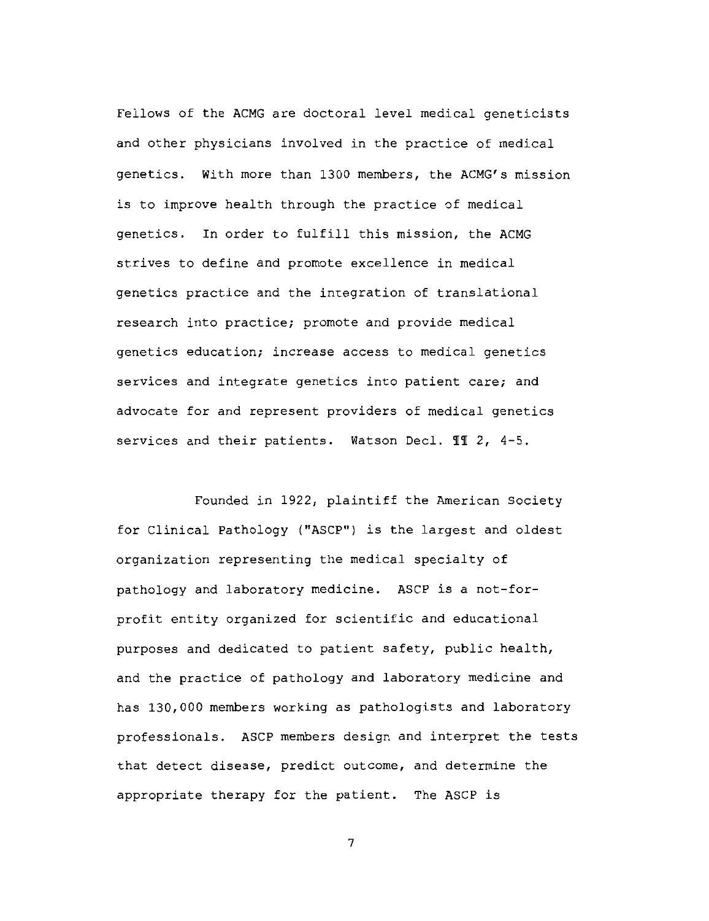Fellows of the ACMG are doctoral level medical geneticists and other physicians involved in the practice of medical genetics. With more than 1300 members, the ACMG's mission is to improve health through the practice of medical genetics. In order to fulfill this mission, the ACMG strives to define and promote excellence in medical genetics practice and the integration of translational research into practice; promote and provide medical genetics education; increase access to medical genetics services and integrate genetics into patient care; and advocate for and represent providers of medical genetics services and their patients. Watson Decl. II 2, 4-5.

Founded in 1922, plaintiff the American Society for Clinical Pathology ("ASCP") is the largest and oldest organization representing the medical specialty of pathology and laboratory medicine. ASCP is a not-forprofit entity organized for scientific and educational purposes and dedicated to patient safety, public health, and the practice of pathology and laboratory medicine and has 130,000 members working as pathologists and laboratory professionals. ASCP members design and interpret the tests that detect disease, predict outcome, and determine the appropriate therapy for the patient. The ASCP is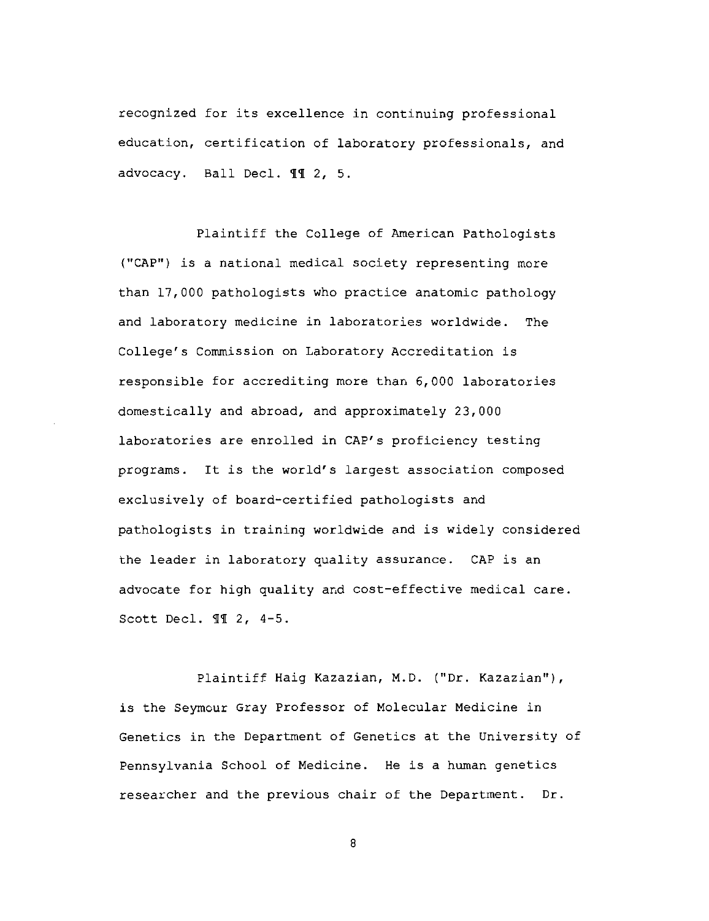recognized for its excellence in continuing professional education, certification of laboratory professionals, and advocacy. Ball Decl. 11 2, 5.

Plaintiff the College of American Pathologists ("CAP") is a national medical society representing more than 17,000 pathologists who practice anatomic pathology and laboratory medicine in laboratories worldwide. The College's Commission on Laboratory Accreditation is responsible for accrediting more than 6,000 laboratories domestically and abroad, and approximately 23,000 laboratories are enrolled in CAP's proficiency testing programs. It is the world's largest association composed exclusively of board-certified pathologists and pathologists in training worldwide and is widely considered the leader in laboratory quality assurance. CAP is an advocate for high quality and cost-effective medical care. Scott Decl. II 2, 4-5.

Plaintiff Haig Kazazian, M.D. ("Dr. Kazazian"), is the Seymour Gray Professor of Molecular Medicine in Genetics in the Department of Genetics at the University of Pennsylvania School of Medicine. He is a human genetics researcher and the previous chair of the Department. Dr.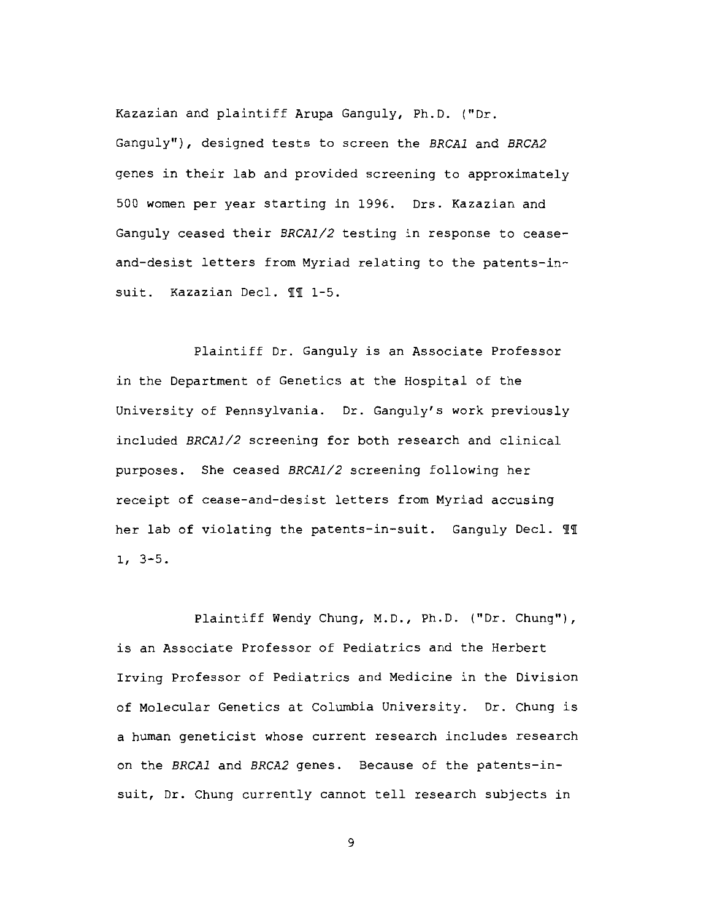Kazazian and plaintiff Arupa Ganguly, Ph.D. ("Dr. Ganguly"), designed tests to screen the BRCA1 and BRCA2 genes in their lab and provided screening to approximately 500 women per year starting in 1996. Drs. Kazazian and Ganguly ceased their BRCA1/2 testing in response to ceaseand-desist letters from Myriad relating to the patents-insuit. Kazazian Decl. II 1-5.

Plaintiff Dr. Ganguly is an Associate Professor in the Department of Genetics at the Hospital of the University of Pennsylvania. Dr. Ganguly's work previously included BRCA1/2 screening for both research and clinical purposes. She ceased BRCA1/2 screening following her receipt of cease-and-desist letters from Myriad accusing her lab of violating the patents-in-suit. Ganguly Decl. II  $1, 3-5.$ 

Plaintiff Wendy Chung, M.D., Ph.D. ("Dr. Chung"), is an Associate Professor of Pediatrics and the Herbert Irving Professor of Pediatrics and Medicine in the Division of Molecular Genetics at Columbia University. Dr. Chung is a human geneticist whose current research includes research on the BRCA1 and BRCA2 genes. Because of the patents-insuit, Dr. Chung currently cannot tell research subjects in

 $\mathbf{9}$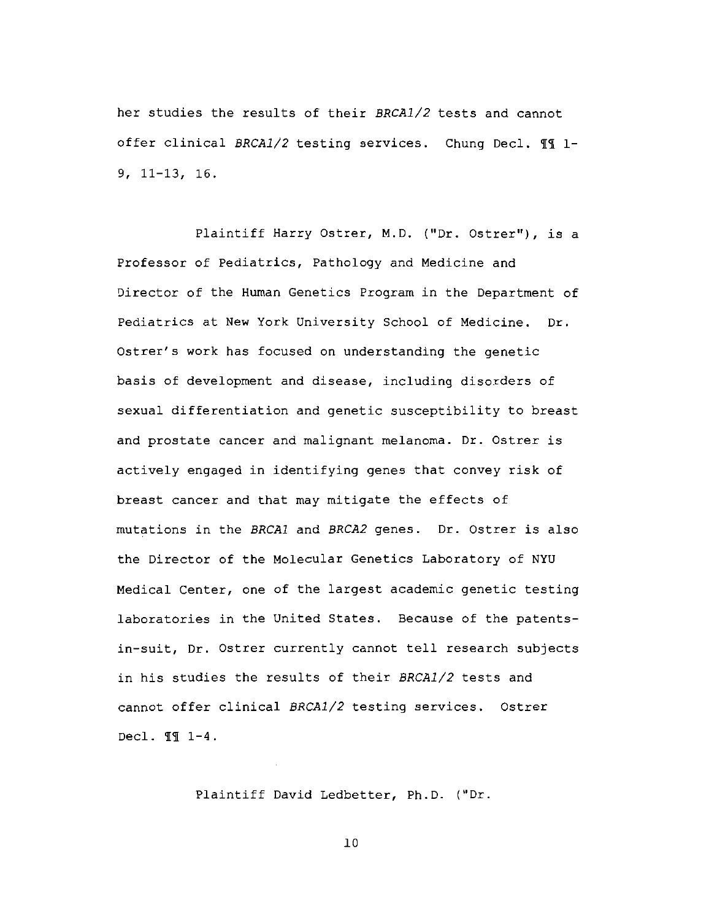her studies the results of their BRCA1/2 tests and cannot offer clinical BRCA1/2 testing services. Chung Decl. 11 1- $9, 11-13, 16.$ 

Plaintiff Harry Ostrer, M.D. ("Dr. Ostrer"), is a Professor of Pediatrics, Pathology and Medicine and Director of the Human Genetics Program in the Department of Pediatrics at New York University School of Medicine. Dr. Ostrer's work has focused on understanding the genetic basis of development and disease, including disorders of sexual differentiation and genetic susceptibility to breast and prostate cancer and malignant melanoma. Dr. Ostrer is actively engaged in identifying genes that convey risk of breast cancer and that may mitigate the effects of mutations in the BRCA1 and BRCA2 genes. Dr. Ostrer is also the Director of the Molecular Genetics Laboratory of NYU Medical Center, one of the largest academic genetic testing laboratories in the United States. Because of the patentsin-suit, Dr. Ostrer currently cannot tell research subjects in his studies the results of their BRCA1/2 tests and cannot offer clinical BRCA1/2 testing services. Ostrer Decl. 11 1-4.

Plaintiff David Ledbetter, Ph.D. ("Dr.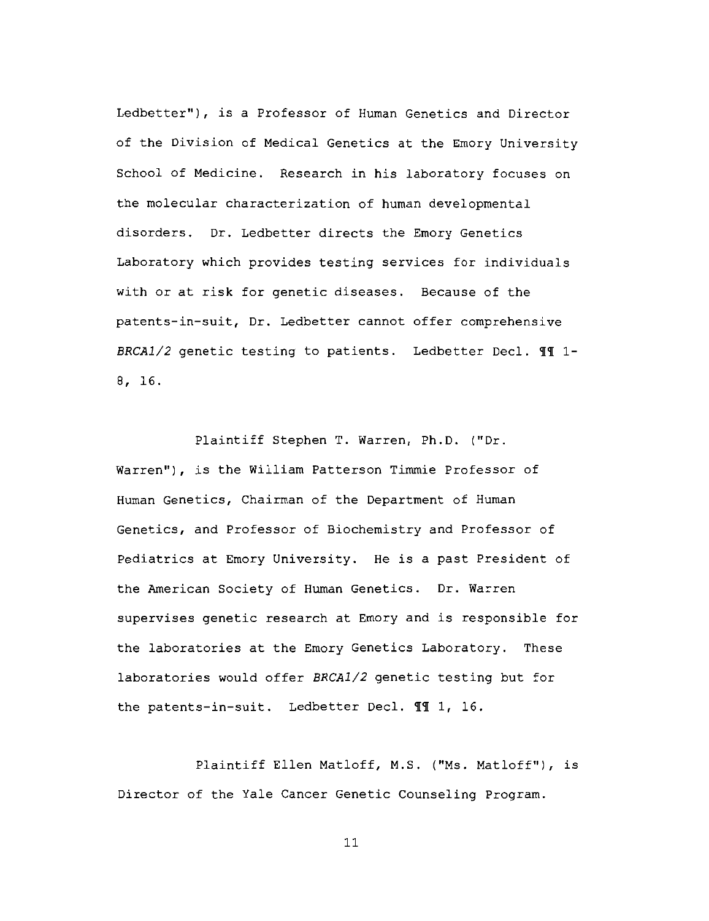Ledbetter"), is a Professor of Human Genetics and Director of the Division of Medical Genetics at the Emory University School of Medicine. Research in his laboratory focuses on the molecular characterization of human developmental disorders. Dr. Ledbetter directs the Emory Genetics Laboratory which provides testing services for individuals with or at risk for genetic diseases. Because of the patents-in-suit, Dr. Ledbetter cannot offer comprehensive BRCA1/2 genetic testing to patients. Ledbetter Decl. II 1- $8, 16.$ 

Plaintiff Stephen T. Warren, Ph.D. ("Dr. Warren"), is the William Patterson Timmie Professor of Human Genetics, Chairman of the Department of Human Genetics, and Professor of Biochemistry and Professor of Pediatrics at Emory University. He is a past President of the American Society of Human Genetics. Dr. Warren supervises genetic research at Emory and is responsible for the laboratories at the Emory Genetics Laboratory. These laboratories would offer BRCA1/2 genetic testing but for the patents-in-suit. Ledbetter Decl. II 1, 16.

Plaintiff Ellen Matloff, M.S. ("Ms. Matloff"), is Director of the Yale Cancer Genetic Counseling Program.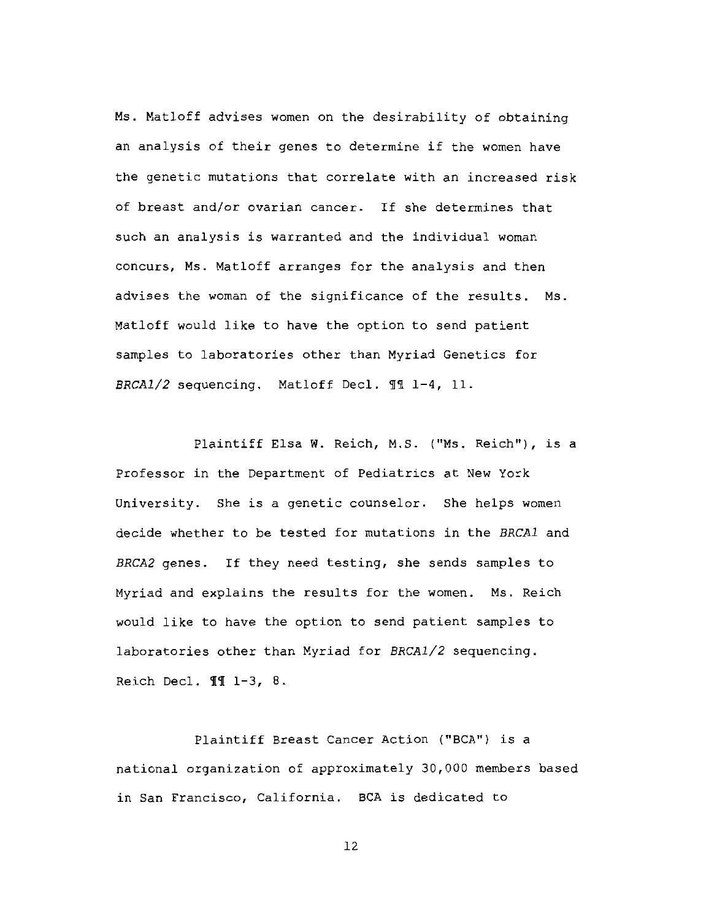Ms. Matloff advises women on the desirability of obtaining an analysis of their genes to determine if the women have the genetic mutations that correlate with an increased risk of breast and/or ovarian cancer. If she determines that such an analysis is warranted and the individual woman concurs, Ms. Matloff arranges for the analysis and then advises the woman of the significance of the results. Ms. Matloff would like to have the option to send patient samples to laboratories other than Myriad Genetics for BRCA1/2 sequencing. Matloff Decl. 11 1-4, 11.

Plaintiff Elsa W. Reich, M.S. ("Ms. Reich"), is a Professor in the Department of Pediatrics at New York University. She is a genetic counselor. She helps women decide whether to be tested for mutations in the BRCA1 and BRCA2 genes. If they need testing, she sends samples to Myriad and explains the results for the women. Ms. Reich would like to have the option to send patient samples to laboratories other than Myriad for BRCA1/2 sequencing. Reich Decl. II 1-3, 8.

Plaintiff Breast Cancer Action ("BCA") is a national organization of approximately 30,000 members based in San Francisco, California. BCA is dedicated to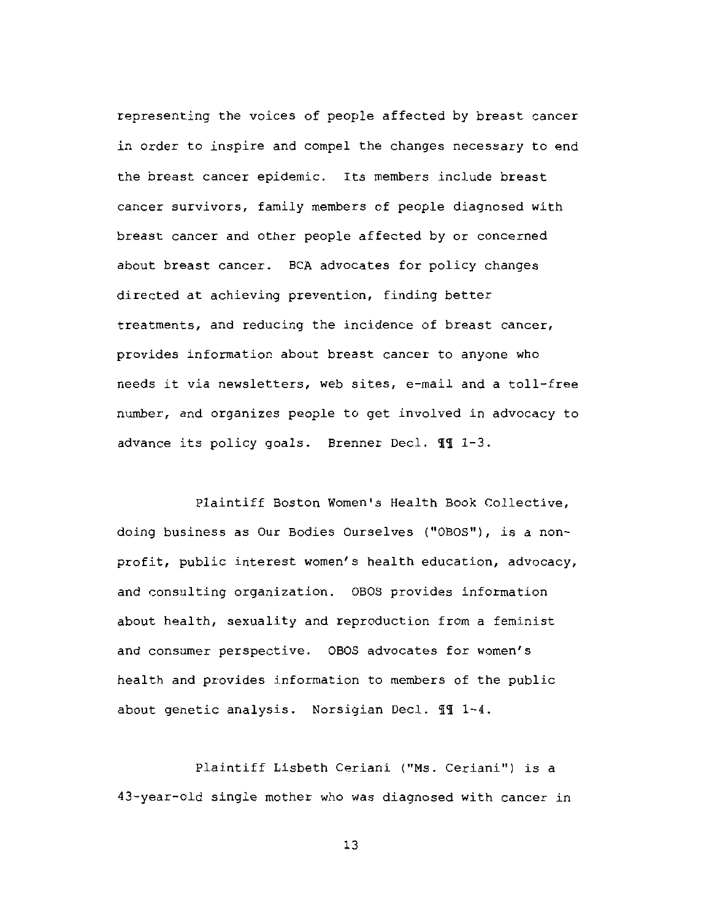representing the voices of people affected by breast cancer in order to inspire and compel the changes necessary to end the breast cancer epidemic. Its members include breast cancer survivors, family members of people diagnosed with breast cancer and other people affected by or concerned about breast cancer. BCA advocates for policy changes directed at achieving prevention, finding better treatments, and reducing the incidence of breast cancer, provides information about breast cancer to anyone who needs it via newsletters, web sites, e-mail and a toll-free number, and organizes people to get involved in advocacy to advance its policy goals. Brenner Decl. II 1-3.

Plaintiff Boston Women's Health Book Collective, doing business as Our Bodies Ourselves ("OBOS"), is a nonprofit, public interest women's health education, advocacy, and consulting organization. OBOS provides information about health, sexuality and reproduction from a feminist and consumer perspective. OBOS advocates for women's health and provides information to members of the public about genetic analysis. Norsigian Decl. II 1-4.

Plaintiff Lisbeth Ceriani ("Ms. Ceriani") is a 43-year-old single mother who was diagnosed with cancer in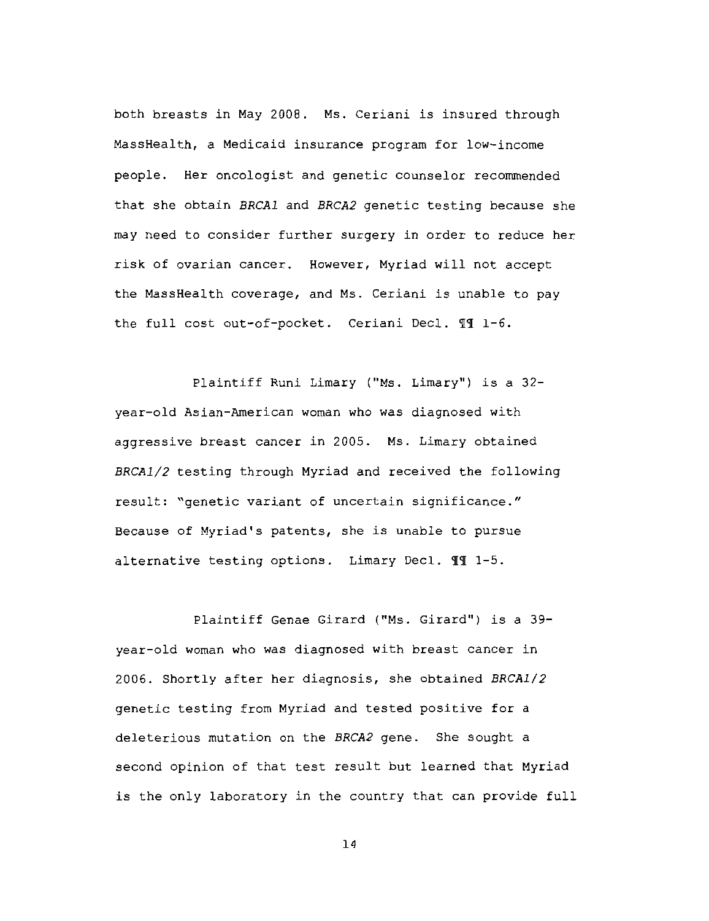both breasts in May 2008. Ms. Ceriani is insured through MassHealth, a Medicaid insurance program for low-income people. Her oncologist and genetic counselor recommended that she obtain BRCA1 and BRCA2 genetic testing because she may need to consider further surgery in order to reduce her risk of ovarian cancer. However, Myriad will not accept the MassHealth coverage, and Ms. Ceriani is unable to pay the full cost out-of-pocket. Ceriani Decl. 11 1-6.

Plaintiff Runi Limary ("Ms. Limary") is a 32year-old Asian-American woman who was diagnosed with aggressive breast cancer in 2005. Ms. Limary obtained BRCA1/2 testing through Myriad and received the following result: "genetic variant of uncertain significance." Because of Myriad's patents, she is unable to pursue alternative testing options. Limary Decl. II 1-5.

Plaintiff Genae Girard ("Ms. Girard") is a 39year-old woman who was diagnosed with breast cancer in 2006. Shortly after her diagnosis, she obtained BRCA1/2 genetic testing from Myriad and tested positive for a deleterious mutation on the BRCA2 gene. She sought a second opinion of that test result but learned that Myriad is the only laboratory in the country that can provide full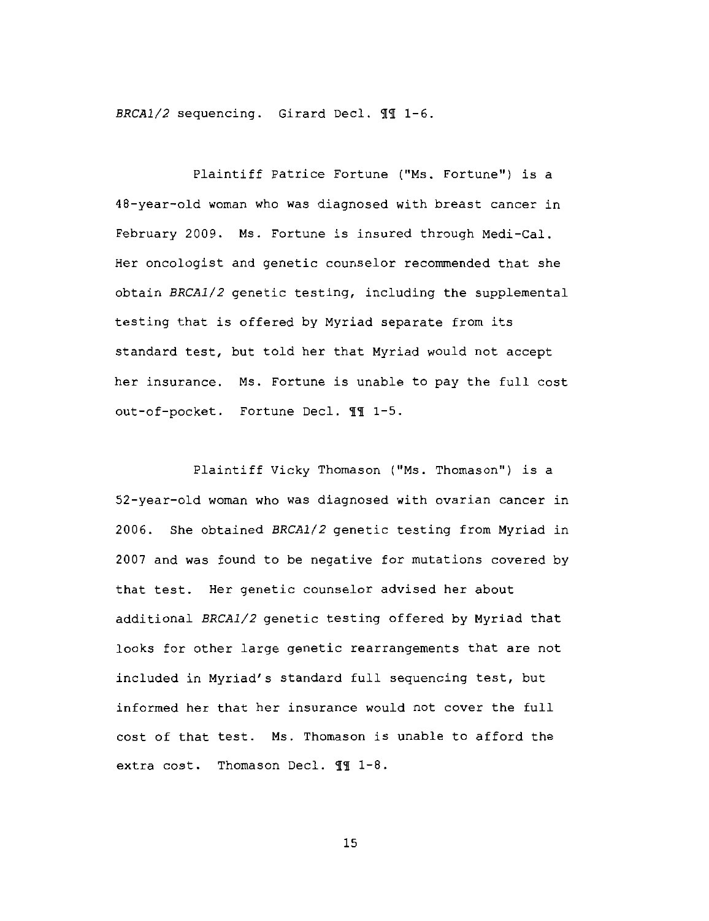BRCA1/2 sequencing. Girard Decl. II 1-6.

Plaintiff Patrice Fortune ("Ms. Fortune") is a 48-year-old woman who was diagnosed with breast cancer in February 2009. Ms. Fortune is insured through Medi-Cal. Her oncologist and genetic counselor recommended that she obtain BRCA1/2 genetic testing, including the supplemental testing that is offered by Myriad separate from its standard test, but told her that Myriad would not accept her insurance. Ms. Fortune is unable to pay the full cost out-of-pocket. Fortune Decl. 11 1-5.

Plaintiff Vicky Thomason ("Ms. Thomason") is a 52-year-old woman who was diagnosed with ovarian cancer in 2006. She obtained BRCA1/2 genetic testing from Myriad in 2007 and was found to be negative for mutations covered by that test. Her genetic counselor advised her about additional BRCA1/2 genetic testing offered by Myriad that looks for other large genetic rearrangements that are not included in Myriad's standard full sequencing test, but informed her that her insurance would not cover the full cost of that test. Ms. Thomason is unable to afford the extra cost. Thomason Decl. II 1-8.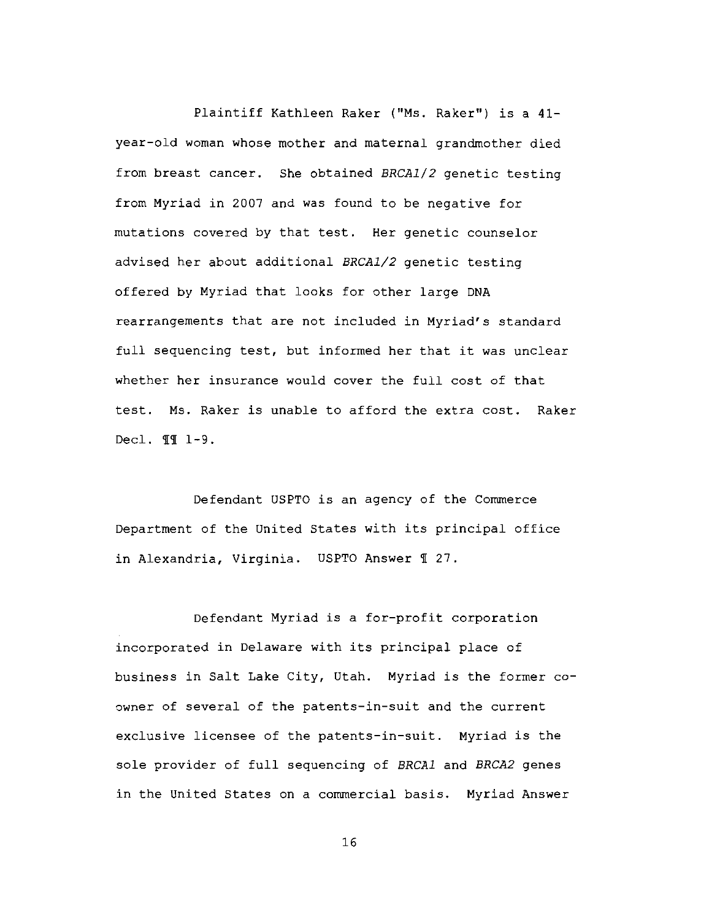Plaintiff Kathleen Raker ("Ms. Raker") is a 41year-old woman whose mother and maternal grandmother died from breast cancer. She obtained BRCA1/2 genetic testing from Myriad in 2007 and was found to be negative for mutations covered by that test. Her genetic counselor advised her about additional BRCA1/2 genetic testing offered by Myriad that looks for other large DNA rearrangements that are not included in Myriad's standard full sequencing test, but informed her that it was unclear whether her insurance would cover the full cost of that test. Ms. Raker is unable to afford the extra cost. Raker Decl.  $\P\P$   $1-9$ .

Defendant USPTO is an agency of the Commerce Department of the United States with its principal office in Alexandria, Virginia. USPTO Answer 1 27.

Defendant Myriad is a for-profit corporation incorporated in Delaware with its principal place of business in Salt Lake City, Utah. Myriad is the former coowner of several of the patents-in-suit and the current exclusive licensee of the patents-in-suit. Myriad is the sole provider of full sequencing of BRCA1 and BRCA2 genes in the United States on a commercial basis. Myriad Answer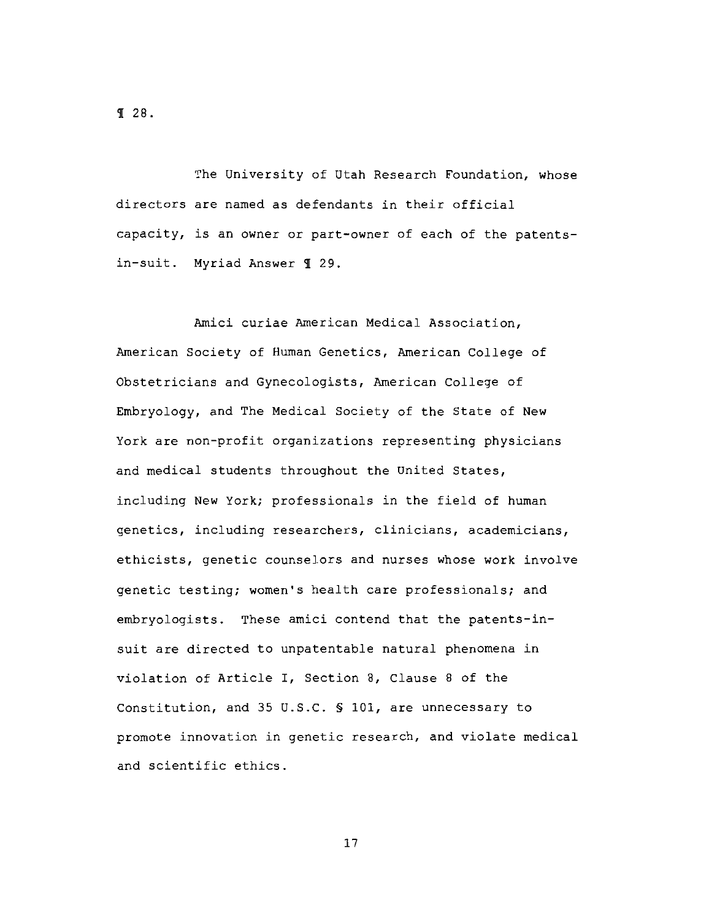**T** 28.

The University of Utah Research Foundation, whose directors are named as defendants in their official capacity, is an owner or part-owner of each of the patentsin-suit. Myriad Answer 1 29.

Amici curiae American Medical Association, American Society of Human Genetics, American College of Obstetricians and Gynecologists, American College of Embryology, and The Medical Society of the State of New York are non-profit organizations representing physicians and medical students throughout the United States, including New York; professionals in the field of human genetics, including researchers, clinicians, academicians, ethicists, genetic counselors and nurses whose work involve genetic testing; women's health care professionals; and embryologists. These amici contend that the patents-insuit are directed to unpatentable natural phenomena in violation of Article I, Section 8, Clause 8 of the Constitution, and 35 U.S.C. § 101, are unnecessary to promote innovation in genetic research, and violate medical and scientific ethics.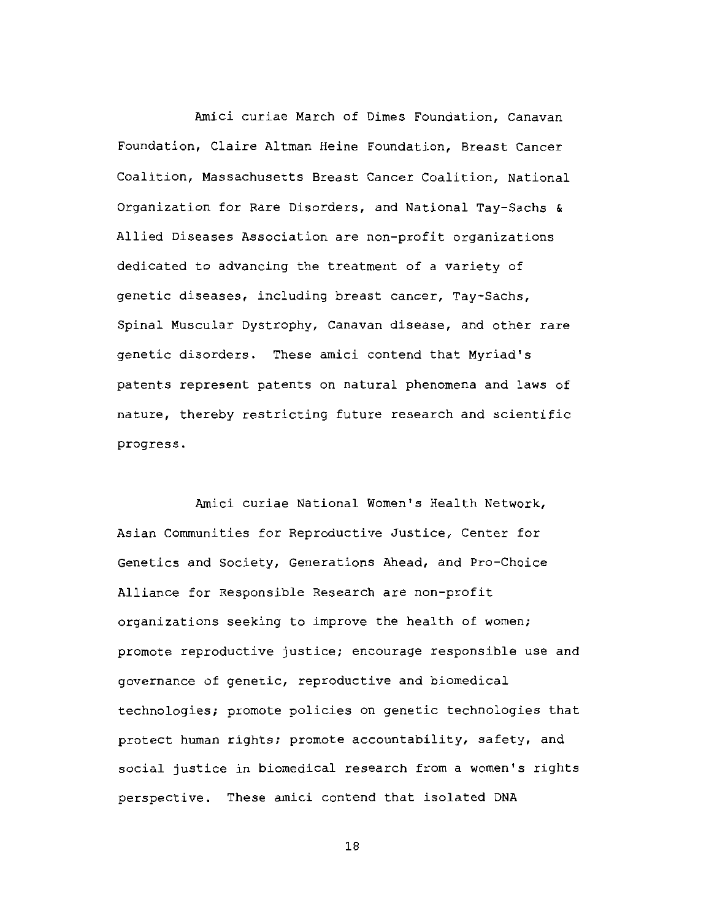Amici curiae March of Dimes Foundation, Canavan Foundation, Claire Altman Heine Foundation, Breast Cancer Coalition, Massachusetts Breast Cancer Coalition, National Organization for Rare Disorders, and National Tay-Sachs & Allied Diseases Association are non-profit organizations dedicated to advancing the treatment of a variety of genetic diseases, including breast cancer, Tay-Sachs, Spinal Muscular Dystrophy, Canavan disease, and other rare genetic disorders. These amici contend that Myriad's patents represent patents on natural phenomena and laws of nature, thereby restricting future research and scientific progress.

Amici curiae National Women's Health Network, Asian Communities for Reproductive Justice, Center for Genetics and Society, Generations Ahead, and Pro-Choice Alliance for Responsible Research are non-profit organizations seeking to improve the health of women; promote reproductive justice; encourage responsible use and governance of genetic, reproductive and biomedical technologies; promote policies on genetic technologies that protect human rights; promote accountability, safety, and social justice in biomedical research from a women's rights perspective. These amici contend that isolated DNA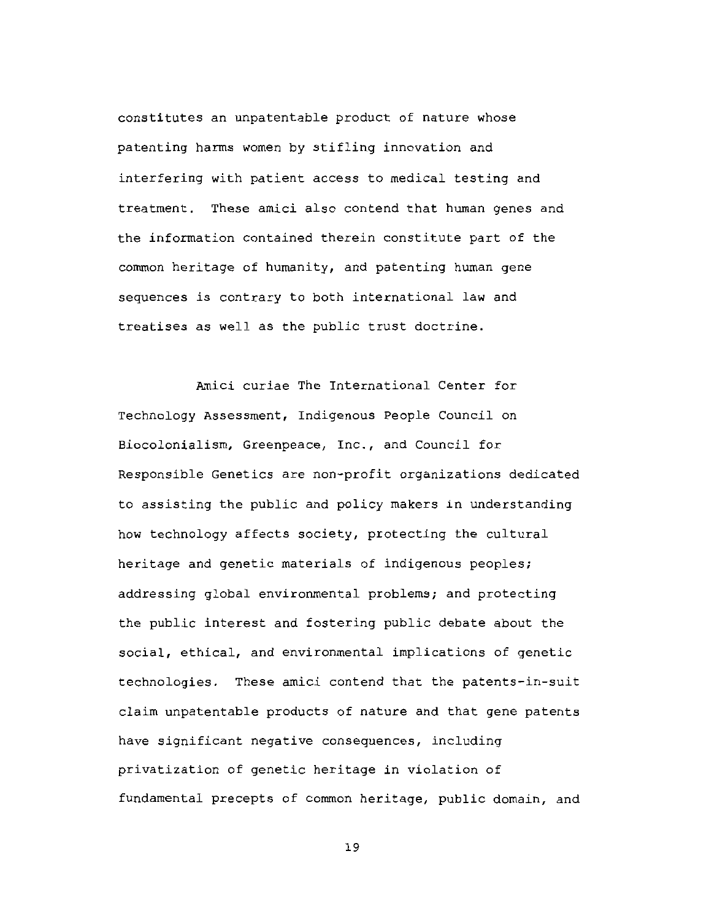constitutes an unpatentable product of nature whose patenting harms women by stifling innovation and interfering with patient access to medical testing and treatment. These amici also contend that human genes and the information contained therein constitute part of the common heritage of humanity, and patenting human gene sequences is contrary to both international law and treatises as well as the public trust doctrine.

Amici curiae The International Center for Technology Assessment, Indigenous People Council on Biocolonialism, Greenpeace, Inc., and Council for Responsible Genetics are non-profit organizations dedicated to assisting the public and policy makers in understanding how technology affects society, protecting the cultural heritage and genetic materials of indigenous peoples; addressing global environmental problems; and protecting the public interest and fostering public debate about the social, ethical, and environmental implications of genetic technologies. These amici contend that the patents-in-suit claim unpatentable products of nature and that gene patents have significant negative consequences, including privatization of genetic heritage in violation of fundamental precepts of common heritage, public domain, and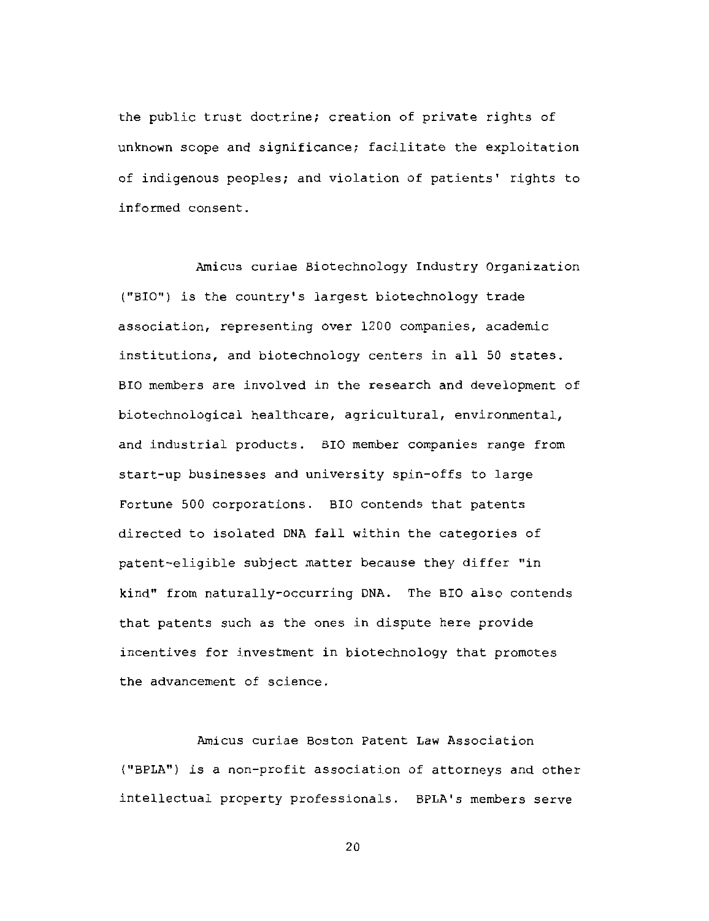the public trust doctrine; creation of private rights of unknown scope and significance; facilitate the exploitation of indigenous peoples; and violation of patients' rights to informed consent.

Amicus curiae Biotechnology Industry Organization ("BIO") is the country's largest biotechnology trade association, representing over 1200 companies, academic institutions, and biotechnology centers in all 50 states. BIO members are involved in the research and development of biotechnological healthcare, agricultural, environmental, and industrial products. BIO member companies range from start-up businesses and university spin-offs to large Fortune 500 corporations. BIO contends that patents directed to isolated DNA fall within the categories of patent-eligible subject matter because they differ "in kind" from naturally-occurring DNA. The BIO also contends that patents such as the ones in dispute here provide incentives for investment in biotechnology that promotes the advancement of science.

Amicus curiae Boston Patent Law Association ("BPLA") is a non-profit association of attorneys and other intellectual property professionals. BPLA's members serve

 $20<sub>o</sub>$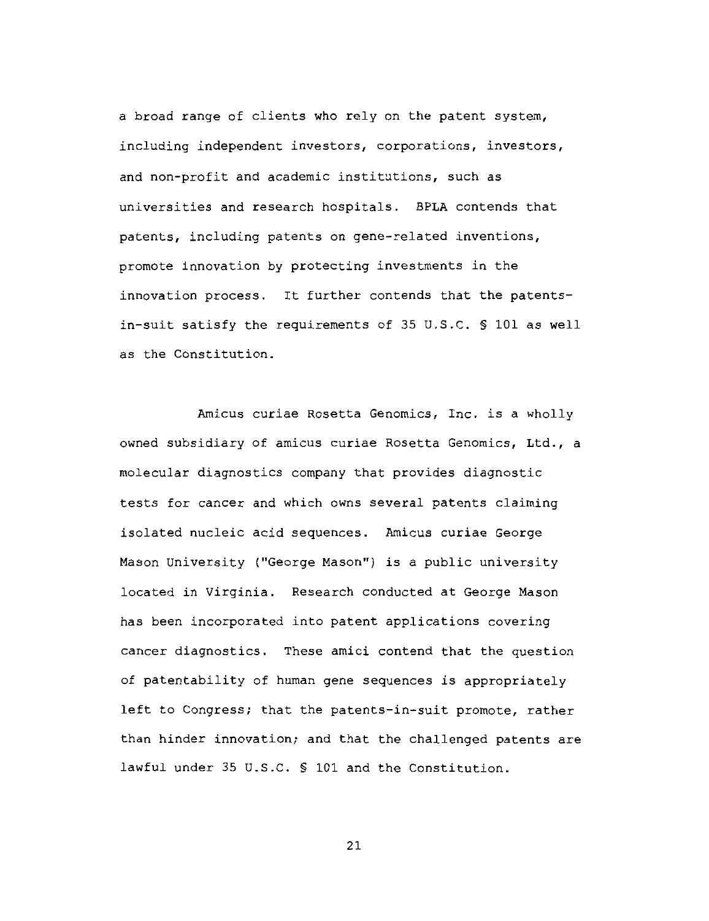a broad range of clients who rely on the patent system, including independent investors, corporations, investors, and non-profit and academic institutions, such as universities and research hospitals. BPLA contends that patents, including patents on gene-related inventions, promote innovation by protecting investments in the innovation process. It further contends that the patentsin-suit satisfy the requirements of 35 U.S.C. § 101 as well as the Constitution.

Amicus curiae Rosetta Genomics, Inc. is a wholly owned subsidiary of amicus curiae Rosetta Genomics, Ltd., a molecular diagnostics company that provides diagnostic tests for cancer and which owns several patents claiming isolated nucleic acid sequences. Amicus curiae George Mason University ("George Mason") is a public university located in Virginia. Research conducted at George Mason has been incorporated into patent applications covering cancer diagnostics. These amici contend that the question of patentability of human gene sequences is appropriately left to Congress; that the patents-in-suit promote, rather than hinder innovation; and that the challenged patents are lawful under 35 U.S.C. § 101 and the Constitution.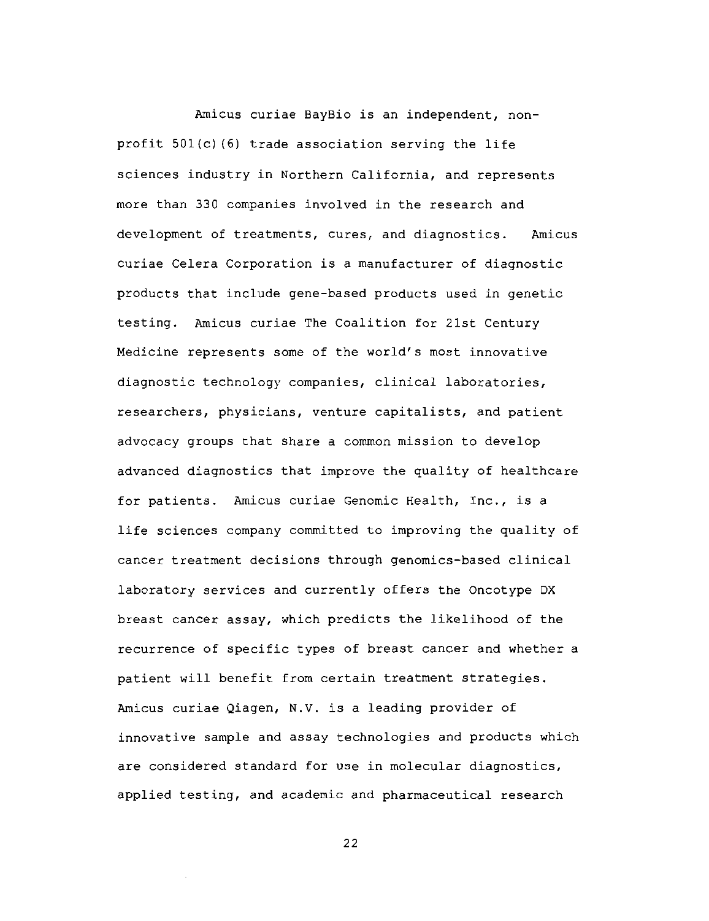Amicus curiae BayBio is an independent, nonprofit 501(c)(6) trade association serving the life sciences industry in Northern California, and represents more than 330 companies involved in the research and development of treatments, cures, and diagnostics. Amicus curiae Celera Corporation is a manufacturer of diagnostic products that include gene-based products used in genetic testing. Amicus curiae The Coalition for 21st Century Medicine represents some of the world's most innovative diagnostic technology companies, clinical laboratories, researchers, physicians, venture capitalists, and patient advocacy groups that share a common mission to develop advanced diagnostics that improve the quality of healthcare for patients. Amicus curiae Genomic Health, Inc., is a life sciences company committed to improving the quality of cancer treatment decisions through genomics-based clinical laboratory services and currently offers the Oncotype DX breast cancer assay, which predicts the likelihood of the recurrence of specific types of breast cancer and whether a patient will benefit from certain treatment strategies. Amicus curiae Qiagen, N.V. is a leading provider of innovative sample and assay technologies and products which are considered standard for use in molecular diagnostics, applied testing, and academic and pharmaceutical research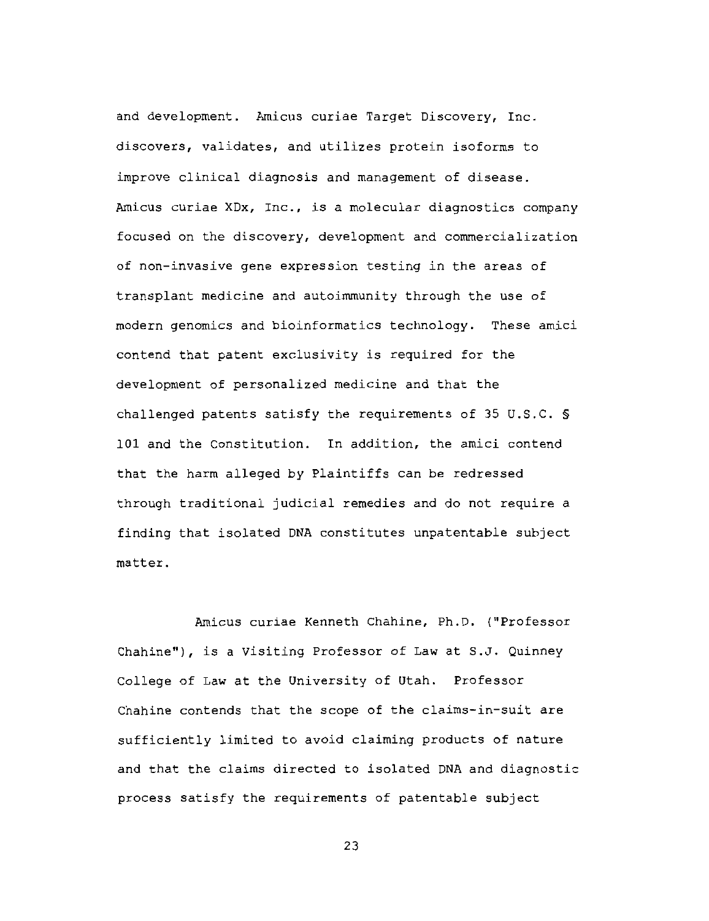and development. Amicus curiae Target Discovery, Inc. discovers, validates, and utilizes protein isoforms to improve clinical diagnosis and management of disease. Amicus curiae XDx, Inc., is a molecular diagnostics company focused on the discovery, development and commercialization of non-invasive gene expression testing in the areas of transplant medicine and autoimmunity through the use of modern genomics and bioinformatics technology. These amici contend that patent exclusivity is required for the development of personalized medicine and that the challenged patents satisfy the requirements of 35 U.S.C. § 101 and the Constitution. In addition, the amici contend that the harm alleged by Plaintiffs can be redressed through traditional judicial remedies and do not require a finding that isolated DNA constitutes unpatentable subject matter.

Amicus curiae Kenneth Chahine, Ph.D. ("Professor Chahine"), is a Visiting Professor of Law at S.J. Quinney College of Law at the University of Utah. Professor Chahine contends that the scope of the claims-in-suit are sufficiently limited to avoid claiming products of nature and that the claims directed to isolated DNA and diagnostic process satisfy the requirements of patentable subject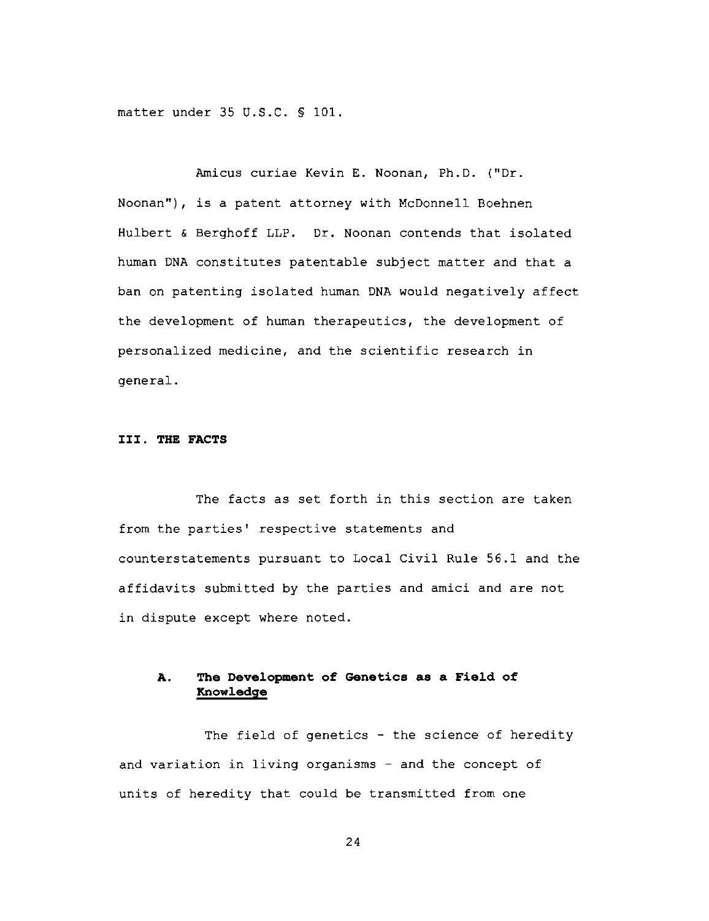matter under 35 U.S.C. § 101.

Amicus curiae Kevin E. Noonan, Ph.D. ("Dr. Noonan"), is a patent attorney with McDonnell Boehnen Hulbert & Berghoff LLP. Dr. Noonan contends that isolated human DNA constitutes patentable subject matter and that a ban on patenting isolated human DNA would negatively affect the development of human therapeutics, the development of personalized medicine, and the scientific research in qeneral.

### III. THE FACTS

The facts as set forth in this section are taken from the parties' respective statements and counterstatements pursuant to Local Civil Rule 56.1 and the affidavits submitted by the parties and amici and are not in dispute except where noted.

### The Development of Genetics as a Field of A. Knowledge

The field of genetics - the science of heredity and variation in living organisms - and the concept of units of heredity that could be transmitted from one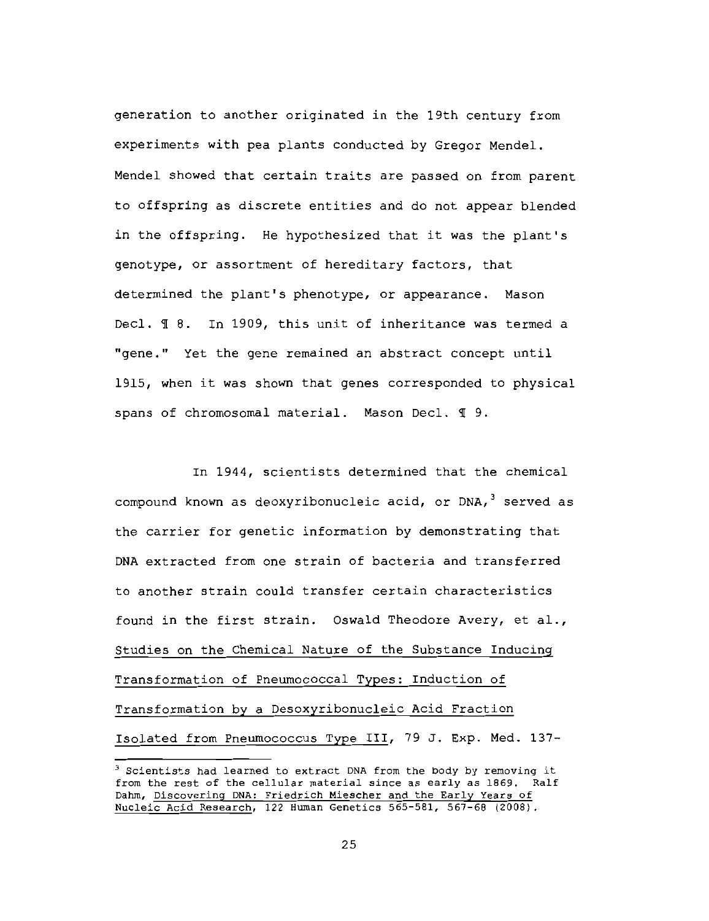generation to another originated in the 19th century from experiments with pea plants conducted by Gregor Mendel. Mendel showed that certain traits are passed on from parent to offspring as discrete entities and do not appear blended in the offspring. He hypothesized that it was the plant's genotype, or assortment of hereditary factors, that determined the plant's phenotype, or appearance. Mason Decl. ¶ 8. In 1909, this unit of inheritance was termed a "gene." Yet the gene remained an abstract concept until 1915, when it was shown that genes corresponded to physical spans of chromosomal material. Mason Decl. 19.

In 1944, scientists determined that the chemical compound known as deoxyribonucleic acid, or DNA,<sup>3</sup> served as the carrier for genetic information by demonstrating that DNA extracted from one strain of bacteria and transferred to another strain could transfer certain characteristics found in the first strain. Oswald Theodore Avery, et al., Studies on the Chemical Nature of the Substance Inducing Transformation of Pneumococcal Types: Induction of Transformation by a Desoxyribonucleic Acid Fraction Isolated from Pneumococcus Type III, 79 J. Exp. Med. 137-

<sup>&</sup>lt;sup>3</sup> Scientists had learned to extract DNA from the body by removing it from the rest of the cellular material since as early as 1869. Ralf Dahm, Discovering DNA: Friedrich Miescher and the Early Years of Nucleic Acid Research, 122 Human Genetics 565-581, 567-68 (2008).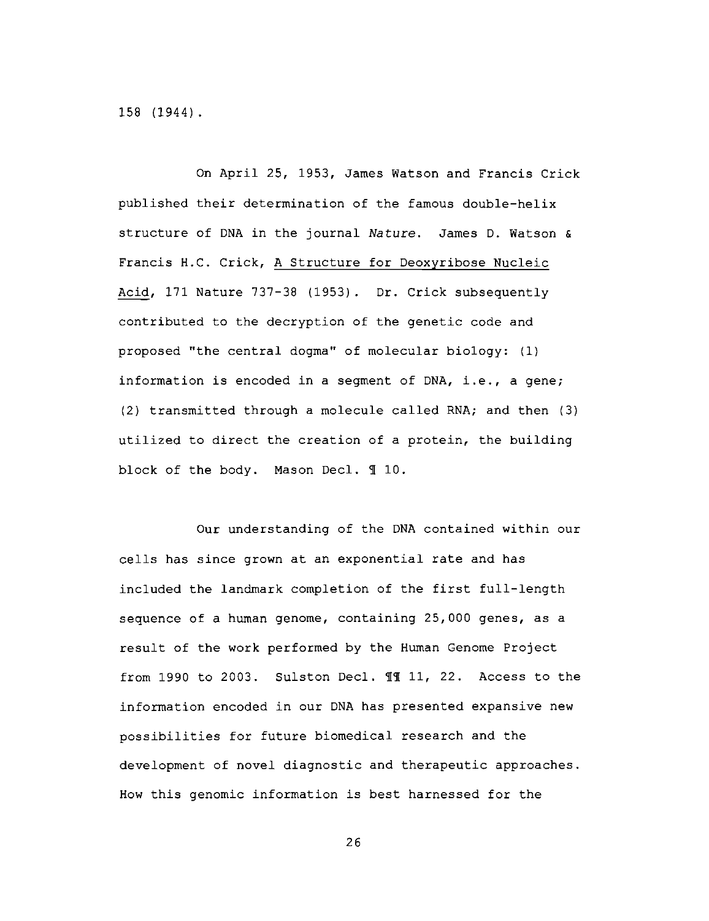158 (1944).

On April 25, 1953, James Watson and Francis Crick published their determination of the famous double-helix structure of DNA in the journal Nature. James D. Watson & Francis H.C. Crick, A Structure for Deoxyribose Nucleic Acid, 171 Nature 737-38 (1953). Dr. Crick subsequently contributed to the decryption of the genetic code and proposed "the central dogma" of molecular biology: (1) information is encoded in a segment of DNA, i.e., a gene; (2) transmitted through a molecule called RNA; and then (3) utilized to direct the creation of a protein, the building block of the body. Mason Decl. 110.

Our understanding of the DNA contained within our cells has since grown at an exponential rate and has included the landmark completion of the first full-length sequence of a human genome, containing 25,000 genes, as a result of the work performed by the Human Genome Project from 1990 to 2003. Sulston Decl. II 11, 22. Access to the information encoded in our DNA has presented expansive new possibilities for future biomedical research and the development of novel diagnostic and therapeutic approaches. How this genomic information is best harnessed for the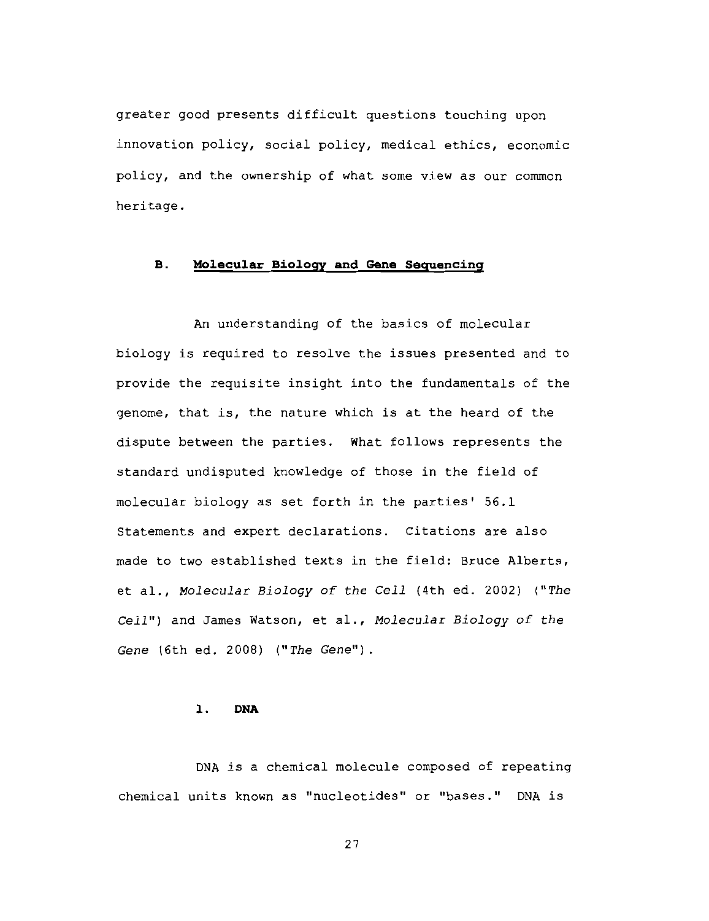greater good presents difficult questions touching upon innovation policy, social policy, medical ethics, economic policy, and the ownership of what some view as our common heritage.

### Molecular Biology and Gene Sequencing **B.**

An understanding of the basics of molecular biology is required to resolve the issues presented and to provide the requisite insight into the fundamentals of the genome, that is, the nature which is at the heard of the dispute between the parties. What follows represents the standard undisputed knowledge of those in the field of molecular biology as set forth in the parties' 56.1 Statements and expert declarations. Citations are also made to two established texts in the field: Bruce Alberts, et al., Molecular Biology of the Cell (4th ed. 2002) ("The Cell") and James Watson, et al., Molecular Biology of the Gene (6th ed. 2008) ("The Gene").

### **DNA** ı.

DNA is a chemical molecule composed of repeating chemical units known as "nucleotides" or "bases." DNA is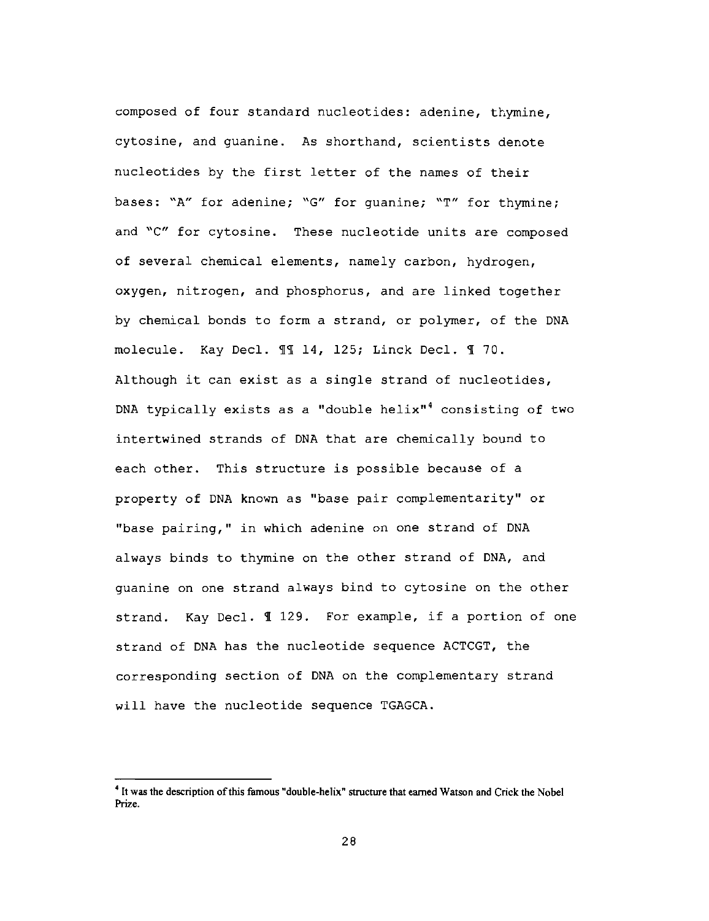composed of four standard nucleotides: adenine, thymine, cytosine, and quanine. As shorthand, scientists denote nucleotides by the first letter of the names of their bases: "A" for adenine; "G" for quanine; "T" for thymine; and "C" for cytosine. These nucleotide units are composed of several chemical elements, namely carbon, hydrogen, oxygen, nitrogen, and phosphorus, and are linked together by chemical bonds to form a strand, or polymer, of the DNA molecule. Kay Decl. 11 14, 125; Linck Decl. 1 70. Although it can exist as a single strand of nucleotides, DNA typically exists as a "double helix"<sup>4</sup> consisting of two intertwined strands of DNA that are chemically bound to each other. This structure is possible because of a property of DNA known as "base pair complementarity" or "base pairing," in which adenine on one strand of DNA always binds to thymine on the other strand of DNA, and quanine on one strand always bind to cytosine on the other strand. Kay Decl. 1 129. For example, if a portion of one strand of DNA has the nucleotide sequence ACTCGT, the corresponding section of DNA on the complementary strand will have the nucleotide sequence TGAGCA.

<sup>&</sup>lt;sup>4</sup> It was the description of this famous "double-helix" structure that earned Watson and Crick the Nobel Prize.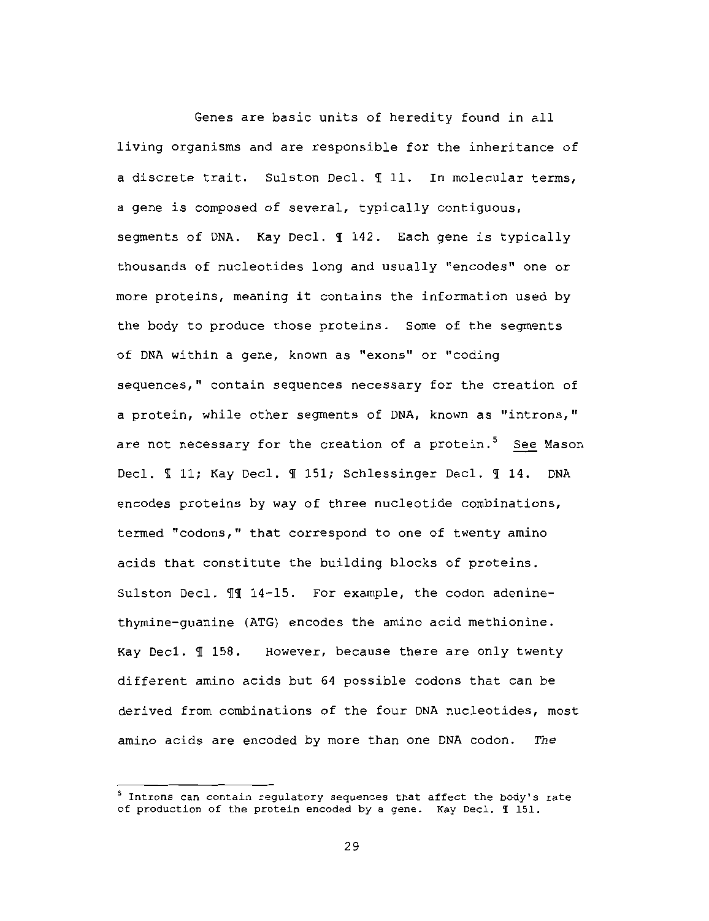Genes are basic units of heredity found in all living organisms and are responsible for the inheritance of a discrete trait. Sulston Decl. I 11. In molecular terms, a gene is composed of several, typically contiguous, segments of DNA. Kay Decl. 1 142. Each gene is typically thousands of nucleotides long and usually "encodes" one or more proteins, meaning it contains the information used by the body to produce those proteins. Some of the segments of DNA within a gene, known as "exons" or "coding sequences," contain sequences necessary for the creation of a protein, while other segments of DNA, known as "introns," are not necessary for the creation of a protein.<sup>5</sup> See Mason Decl. 11; Kay Decl. 1151; Schlessinger Decl. 114. **DNA** encodes proteins by way of three nucleotide combinations, termed "codons," that correspond to one of twenty amino acids that constitute the building blocks of proteins. Sulston Decl. II 14-15. For example, the codon adeninethymine-quanine (ATG) encodes the amino acid methionine. Kay Decl. II 158. However, because there are only twenty different amino acids but 64 possible codons that can be derived from combinations of the four DNA nucleotides, most amino acids are encoded by more than one DNA codon. The

<sup>&</sup>lt;sup>5</sup> Introns can contain regulatory sequences that affect the body's rate of production of the protein encoded by a gene. Kay Decl. 1 151.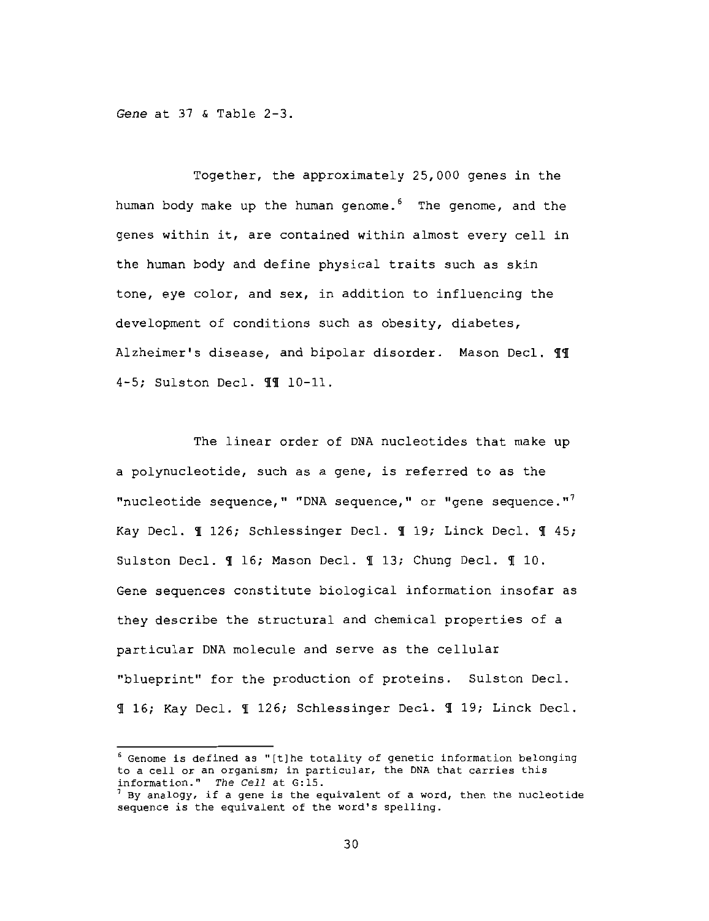Gene at 37 & Table 2-3.

Together, the approximately 25,000 genes in the human body make up the human genome.<sup>6</sup> The genome, and the genes within it, are contained within almost every cell in the human body and define physical traits such as skin tone, eye color, and sex, in addition to influencing the development of conditions such as obesity, diabetes, Alzheimer's disease, and bipolar disorder. Mason Decl. 11 4-5; Sulston Decl. II 10-11.

The linear order of DNA nucleotides that make up a polynucleotide, such as a gene, is referred to as the "nucleotide sequence," "DNA sequence," or "gene sequence."<sup>7</sup> Kay Decl. 1 126; Schlessinger Decl. 1 19; Linck Decl. 1 45; Sulston Decl. 1 16; Mason Decl. 1 13; Chung Decl. 1 10. Gene sequences constitute biological information insofar as they describe the structural and chemical properties of a particular DNA molecule and serve as the cellular "blueprint" for the production of proteins. Sulston Decl. I 16; Kay Decl. I 126; Schlessinger Decl. I 19; Linck Decl.

 $6$  Genome is defined as "[t]he totality of genetic information belonging to a cell or an organism; in particular, the DNA that carries this information." The Cell at G:15.

 $^7$  By analogy, if a gene is the equivalent of a word, then the nucleotide sequence is the equivalent of the word's spelling.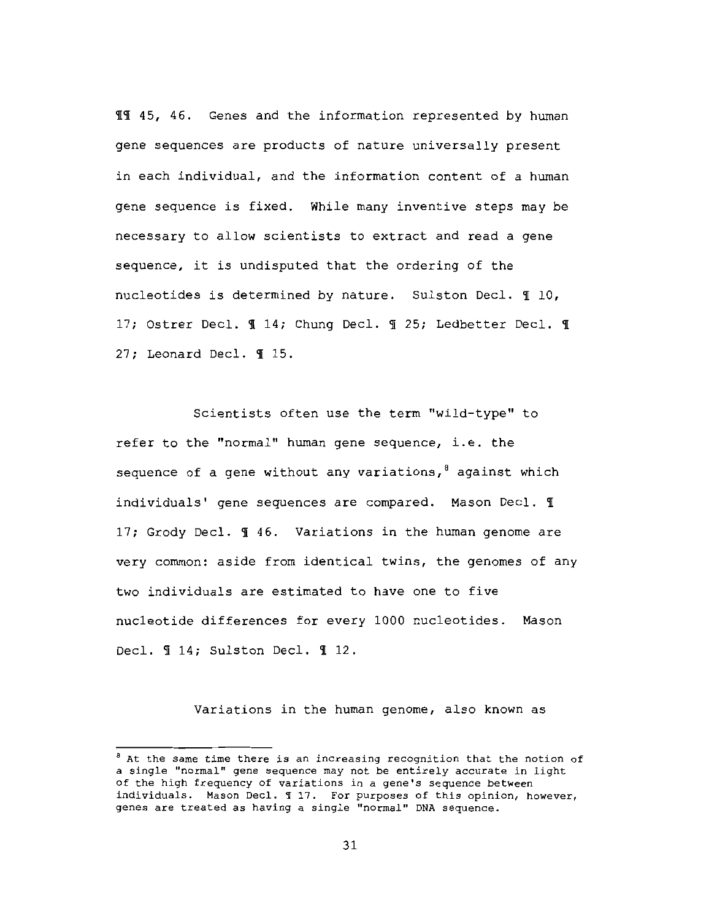II 45, 46. Genes and the information represented by human gene sequences are products of nature universally present in each individual, and the information content of a human gene sequence is fixed. While many inventive steps may be necessary to allow scientists to extract and read a gene sequence, it is undisputed that the ordering of the nucleotides is determined by nature. Sulston Decl. 110, 17; Ostrer Decl. ¶ 14; Chung Decl. ¶ 25; Ledbetter Decl. ¶ 27; Leonard Decl. ¶ 15.

Scientists often use the term "wild-type" to refer to the "normal" human gene sequence, i.e. the sequence of a gene without any variations,  $\delta$  against which individuals' gene sequences are compared. Mason Decl. 1 17; Grody Decl. I 46. Variations in the human genome are very common: aside from identical twins, the genomes of any two individuals are estimated to have one to five nucleotide differences for every 1000 nucleotides. Mason Decl. ¶ 14; Sulston Decl. ¶ 12.

Variations in the human genome, also known as

<sup>&</sup>lt;sup>8</sup> At the same time there is an increasing recognition that the notion of a single "normal" gene sequence may not be entirely accurate in light of the high frequency of variations in a gene's sequence between individuals. Mason Decl. 117. For purposes of this opinion, however, genes are treated as having a single "normal" DNA sequence.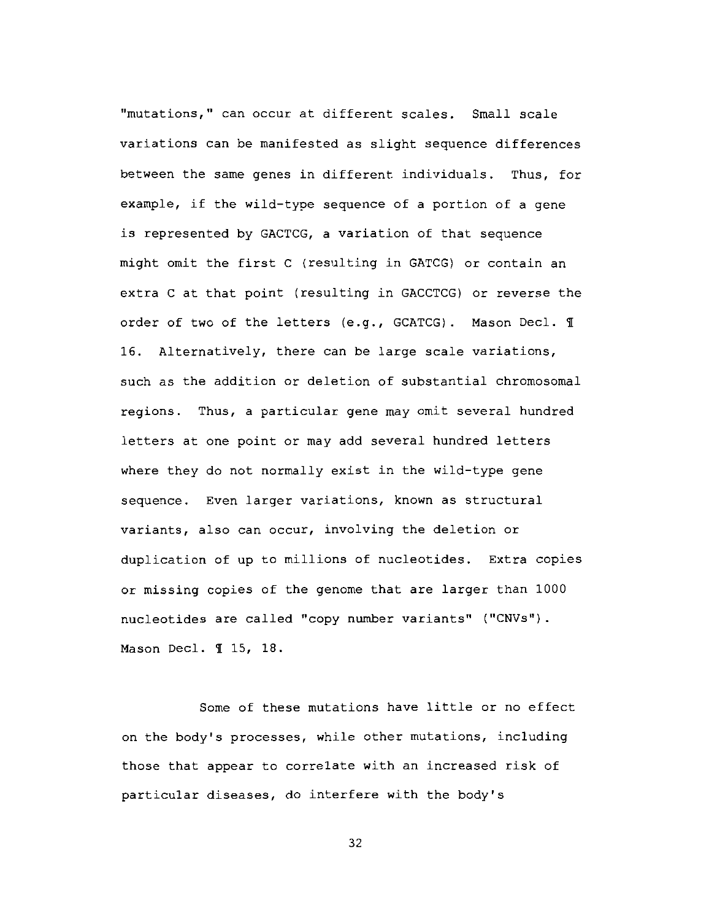"mutations," can occur at different scales. Small scale variations can be manifested as slight sequence differences between the same genes in different individuals. Thus, for example, if the wild-type sequence of a portion of a gene is represented by GACTCG, a variation of that sequence might omit the first C (resulting in GATCG) or contain an extra C at that point (resulting in GACCTCG) or reverse the order of two of the letters (e.g., GCATCG). Mason Decl. I 16. Alternatively, there can be large scale variations, such as the addition or deletion of substantial chromosomal regions. Thus, a particular gene may omit several hundred letters at one point or may add several hundred letters where they do not normally exist in the wild-type gene sequence. Even larger variations, known as structural variants, also can occur, involving the deletion or duplication of up to millions of nucleotides. Extra copies or missing copies of the genome that are larger than 1000 nucleotides are called "copy number variants" ("CNVs"). Mason Decl. 1 15, 18.

Some of these mutations have little or no effect on the body's processes, while other mutations, including those that appear to correlate with an increased risk of particular diseases, do interfere with the body's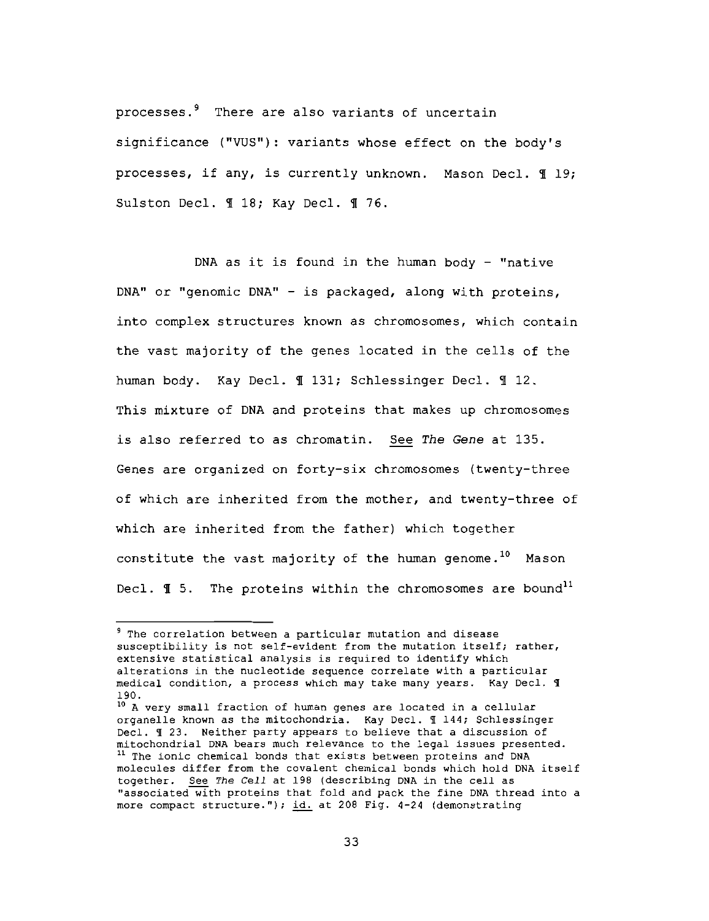processes.<sup>9</sup> There are also variants of uncertain significance ("VUS"): variants whose effect on the body's processes, if any, is currently unknown. Mason Decl. 119; Sulston Decl. 1 18; Kay Decl. 1 76.

DNA as it is found in the human body - "native DNA" or "genomic DNA" - is packaged, along with proteins, into complex structures known as chromosomes, which contain the vast majority of the genes located in the cells of the human body. Kay Decl. 1 131; Schlessinger Decl. 1 12. This mixture of DNA and proteins that makes up chromosomes is also referred to as chromatin. See The Gene at 135. Genes are organized on forty-six chromosomes (twenty-three of which are inherited from the mother, and twenty-three of which are inherited from the father) which together constitute the vast majority of the human genome.<sup>10</sup> Mason Decl.  $\P$  5. The proteins within the chromosomes are bound<sup>11</sup>

<sup>&</sup>lt;sup>9</sup> The correlation between a particular mutation and disease susceptibility is not self-evident from the mutation itself; rather, extensive statistical analysis is required to identify which alterations in the nucleotide sequence correlate with a particular medical condition, a process which may take many years. Kay Decl. 9 190.

<sup>&</sup>lt;sup>10</sup> A very small fraction of human genes are located in a cellular organelle known as the mitochondria. Kay Decl. I 144; Schlessinger Decl. 1 23. Neither party appears to believe that a discussion of mitochondrial DNA bears much relevance to the legal issues presented. <sup>11</sup> The ionic chemical bonds that exists between proteins and DNA molecules differ from the covalent chemical bonds which hold DNA itself together. See The Cell at 198 (describing DNA in the cell as "associated with proteins that fold and pack the fine DNA thread into a more compact structure."); id. at 208 Fig. 4-24 (demonstrating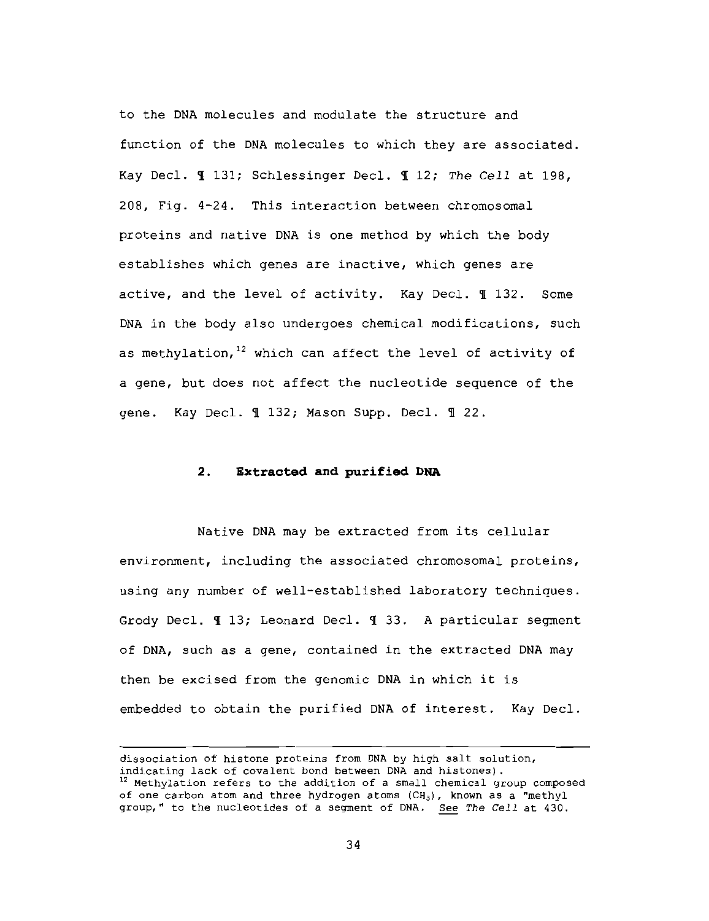to the DNA molecules and modulate the structure and function of the DNA molecules to which they are associated. Kay Decl. 1 131; Schlessinger Decl. 1 12; The Cell at 198. 208, Fig. 4-24. This interaction between chromosomal proteins and native DNA is one method by which the body establishes which genes are inactive, which genes are active, and the level of activity. Kay Decl. 1132. Some DNA in the body also undergoes chemical modifications, such as methylation,<sup>12</sup> which can affect the level of activity of a gene, but does not affect the nucleotide sequence of the gene. Kay Decl. 1 132; Mason Supp. Decl. 1 22.

# 2. Extracted and purified DNA

Native DNA may be extracted from its cellular environment, including the associated chromosomal proteins, using any number of well-established laboratory techniques. Grody Decl. 113; Leonard Decl. 133. A particular segment of DNA, such as a gene, contained in the extracted DNA may then be excised from the genomic DNA in which it is embedded to obtain the purified DNA of interest. Kay Decl.

dissociation of histone proteins from DNA by high salt solution, indicating lack of covalent bond between DNA and histones). <sup>12</sup> Methylation refers to the addition of a small chemical group composed of one carbon atom and three hydrogen atoms (CH<sub>3</sub>), known as a "methyl group," to the nucleotides of a segment of DNA. See The Cell at 430.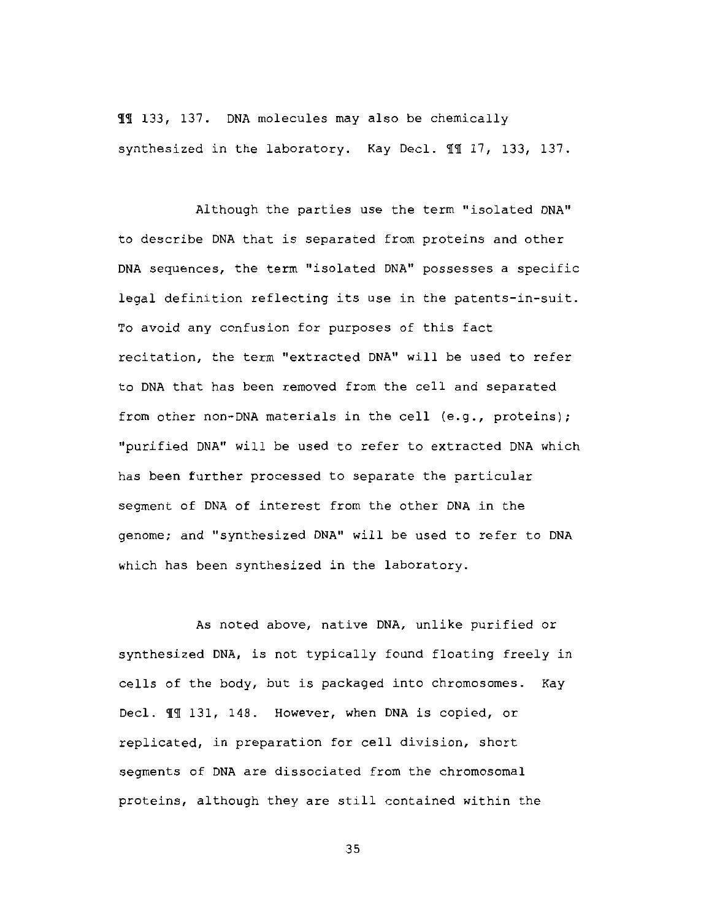II 133, 137. DNA molecules may also be chemically synthesized in the laboratory. Kay Decl. 11 17, 133, 137.

Although the parties use the term "isolated DNA" to describe DNA that is separated from proteins and other DNA sequences, the term "isolated DNA" possesses a specific legal definition reflecting its use in the patents-in-suit. To avoid any confusion for purposes of this fact recitation, the term "extracted DNA" will be used to refer to DNA that has been removed from the cell and separated from other non-DNA materials in the cell (e.g., proteins); "purified DNA" will be used to refer to extracted DNA which has been further processed to separate the particular segment of DNA of interest from the other DNA in the genome; and "synthesized DNA" will be used to refer to DNA which has been synthesized in the laboratory.

As noted above, native DNA, unlike purified or synthesized DNA, is not typically found floating freely in cells of the body, but is packaged into chromosomes. Kay Decl. 11 131, 148. However, when DNA is copied, or replicated, in preparation for cell division, short segments of DNA are dissociated from the chromosomal proteins, although they are still contained within the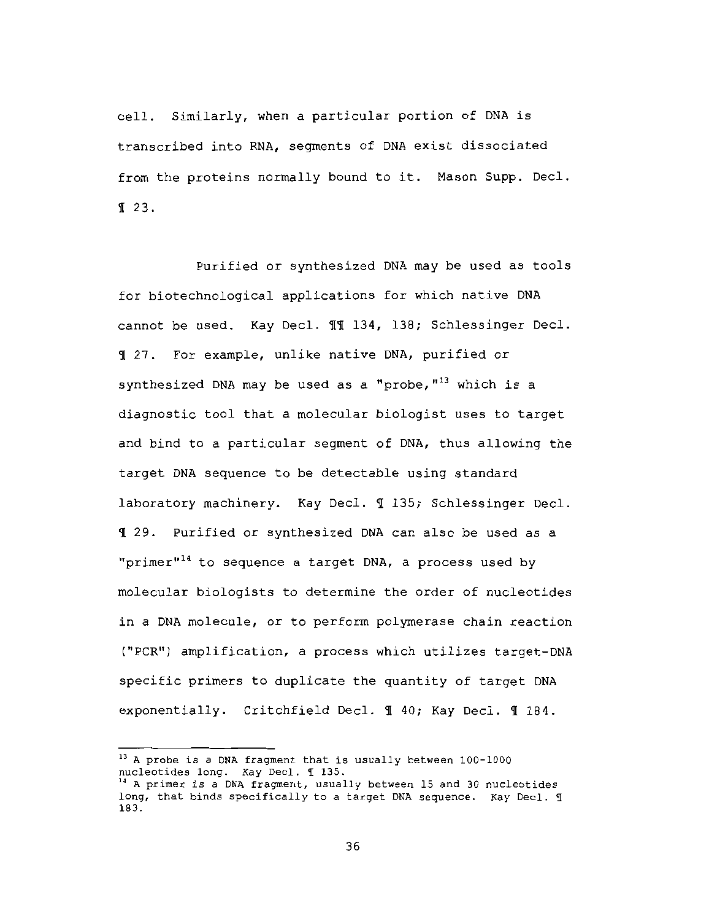cell. Similarly, when a particular portion of DNA is transcribed into RNA, seqments of DNA exist dissociated from the proteins normally bound to it. Mason Supp. Decl.  $\P$  23.

Purified or synthesized DNA may be used as tools for biotechnological applications for which native DNA cannot be used. Kay Decl. 11 134, 138; Schlessinger Decl. 1 27. For example, unlike native DNA, purified or synthesized DNA may be used as a "probe, "<sup>13</sup> which is a diagnostic tool that a molecular biologist uses to target and bind to a particular seqment of DNA, thus allowing the target DNA sequence to be detectable using standard laboratory machinery. Kay Decl. 1 135; Schlessinger Decl. I 29. Purified or synthesized DNA can also be used as a "primer"<sup>14</sup> to sequence a target DNA, a process used by molecular biologists to determine the order of nucleotides in a DNA molecule, or to perform polymerase chain reaction ("PCR") amplification, a process which utilizes target-DNA specific primers to duplicate the quantity of target DNA exponentially. Critchfield Decl. 1 40; Kay Decl. 1 184.

<sup>13</sup> A probe is a DNA fragment that is usually between 100-1000 nucleotides long. Kay Decl. 1 135.

<sup>&</sup>lt;sup>14</sup> A primer is a DNA fragment, usually between 15 and 30 nucleotides long, that binds specifically to a target DNA sequence. Kay Decl. I 183.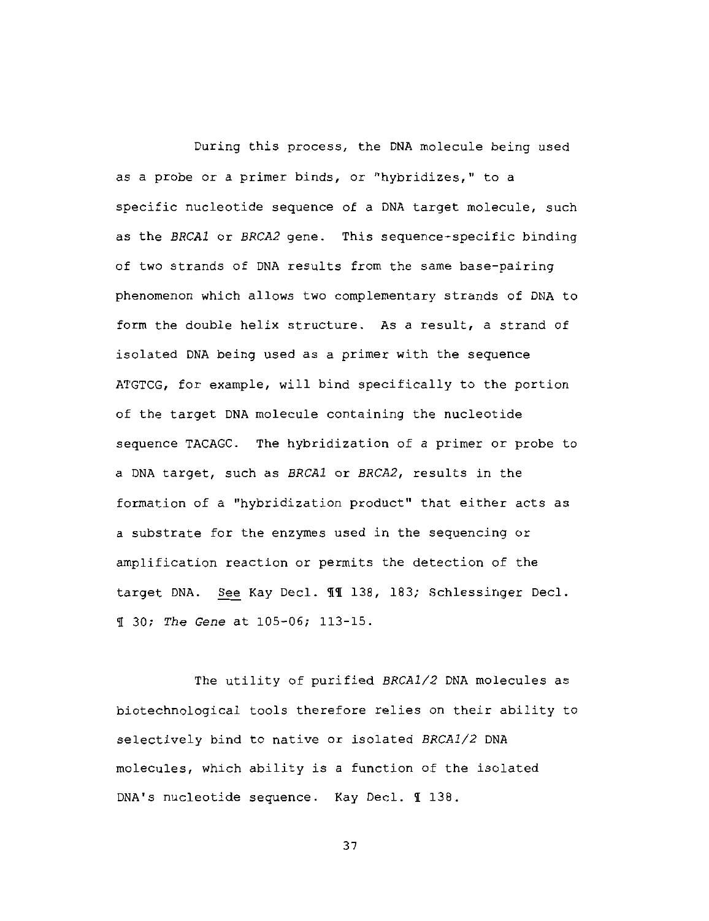During this process, the DNA molecule being used as a probe or a primer binds, or "hybridizes," to a specific nucleotide sequence of a DNA target molecule, such as the BRCA1 or BRCA2 gene. This sequence-specific binding of two strands of DNA results from the same base-pairing phenomenon which allows two complementary strands of DNA to form the double helix structure. As a result, a strand of isolated DNA being used as a primer with the sequence ATGTCG, for example, will bind specifically to the portion of the target DNA molecule containing the nucleotide sequence TACAGC. The hybridization of a primer or probe to a DNA target, such as BRCA1 or BRCA2, results in the formation of a "hybridization product" that either acts as a substrate for the enzymes used in the sequencing or amplification reaction or permits the detection of the target DNA. See Kay Decl. II 138, 183; Schlessinger Decl. I 30; The Gene at 105-06; 113-15.

The utility of purified BRCA1/2 DNA molecules as biotechnological tools therefore relies on their ability to selectively bind to native or isolated BRCA1/2 DNA molecules, which ability is a function of the isolated DNA's nucleotide sequence. Kay Decl. 1 138.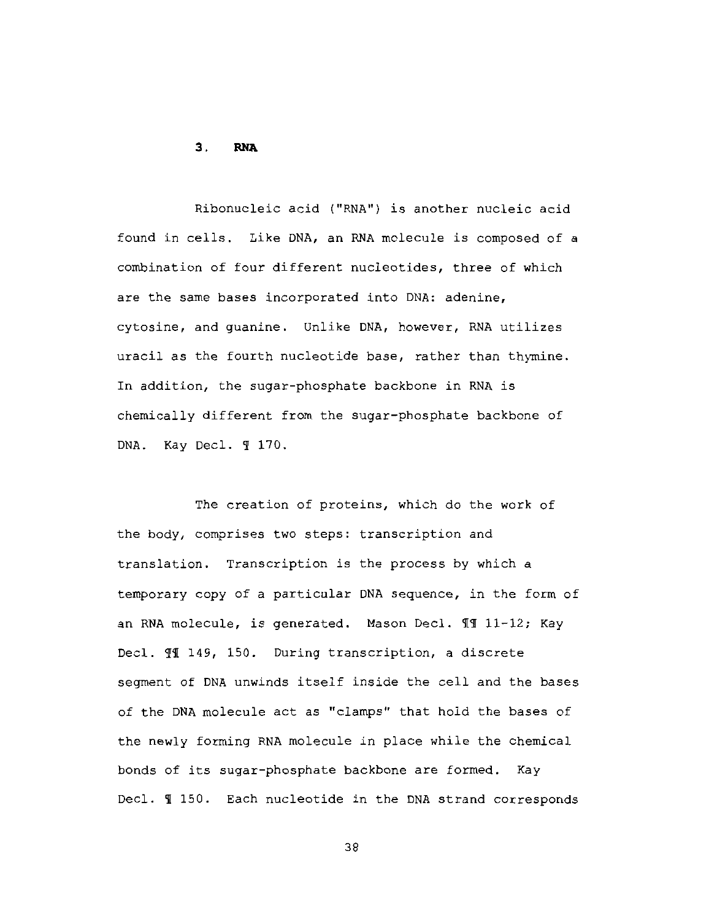#### $3.$ **RNA**

Ribonucleic acid ("RNA") is another nucleic acid found in cells. Like DNA, an RNA molecule is composed of a combination of four different nucleotides, three of which are the same bases incorporated into DNA: adenine, cytosine, and guanine. Unlike DNA, however, RNA utilizes uracil as the fourth nucleotide base, rather than thymine. In addition, the sugar-phosphate backbone in RNA is chemically different from the sugar-phosphate backbone of DNA. Kay Decl. 1 170.

The creation of proteins, which do the work of the body, comprises two steps: transcription and translation. Transcription is the process by which a temporary copy of a particular DNA sequence, in the form of an RNA molecule, is generated. Mason Decl. II 11-12; Kay Decl. 11 149, 150. During transcription, a discrete segment of DNA unwinds itself inside the cell and the bases of the DNA molecule act as "clamps" that hold the bases of the newly forming RNA molecule in place while the chemical bonds of its sugar-phosphate backbone are formed. Kay Decl. 1 150. Each nucleotide in the DNA strand corresponds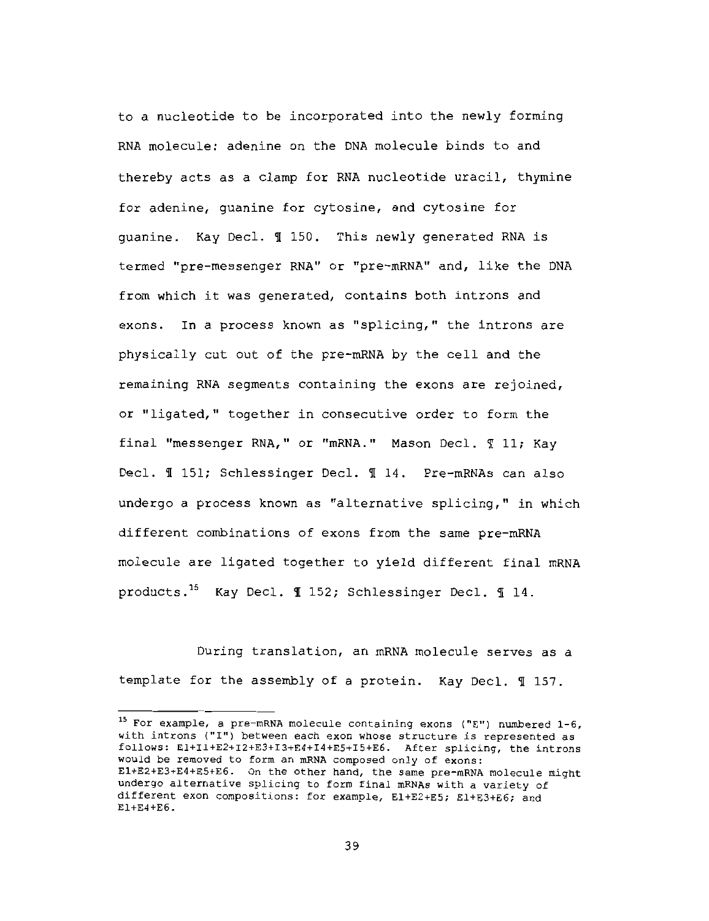to a nucleotide to be incorporated into the newly forming RNA molecule: adenine on the DNA molecule binds to and thereby acts as a clamp for RNA nucleotide uracil, thymine for adenine, quanine for cytosine, and cytosine for quanine. Kay Decl. 1 150. This newly generated RNA is termed "pre-messenger RNA" or "pre-mRNA" and, like the DNA from which it was generated, contains both introns and exons. In a process known as "splicing," the introns are physically cut out of the pre-mRNA by the cell and the remaining RNA segments containing the exons are rejoined, or "ligated," together in consecutive order to form the final "messenger RNA," or "mRNA." Mason Decl. 11; Kay Decl. 1 151; Schlessinger Decl. 1 14. Pre-mRNAs can also undergo a process known as "alternative splicing," in which different combinations of exons from the same pre-mRNA molecule are ligated together to yield different final mRNA products.<sup>15</sup> Kay Decl. 1 152; Schlessinger Decl. 1 14.

During translation, an mRNA molecule serves as a template for the assembly of a protein. Kay Decl. 1 157.

<sup>&</sup>lt;sup>15</sup> For example, a pre-mRNA molecule containing exons ("E") numbered 1-6, with introns ("I") between each exon whose structure is represented as follows: El+Il+E2+I2+E3+I3+E4+I4+E5+I5+E6. After splicing, the introns would be removed to form an mRNA composed only of exons: E1+E2+E3+E4+E5+E6. On the other hand, the same pre-mRNA molecule might undergo alternative splicing to form final mRNAs with a variety of different exon compositions: for example, E1+E2+E5; E1+E3+E6; and  $E1+E4+E6$ .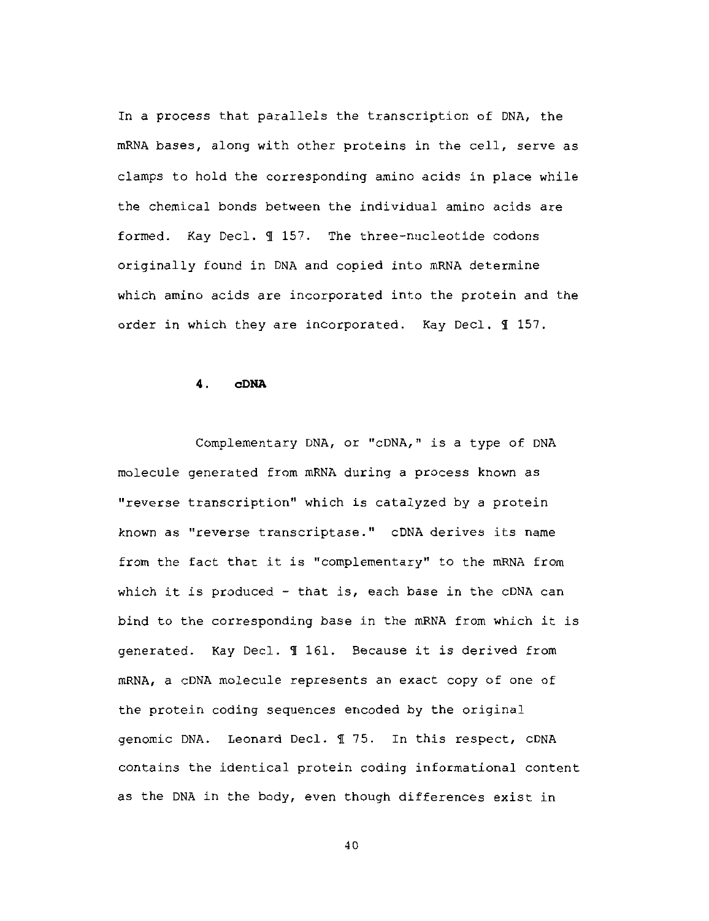In a process that parallels the transcription of DNA, the mRNA bases, along with other proteins in the cell, serve as clamps to hold the corresponding amino acids in place while the chemical bonds between the individual amino acids are formed. Kay Decl. 1 157. The three-nucleotide codons originally found in DNA and copied into mRNA determine which amino acids are incorporated into the protein and the order in which they are incorporated. Kay Decl. 1 157.

#### 4. **CDNA**

Complementary DNA, or "cDNA," is a type of DNA molecule generated from mRNA during a process known as "reverse transcription" which is catalyzed by a protein known as "reverse transcriptase." cDNA derives its name from the fact that it is "complementary" to the mRNA from which it is produced - that is, each base in the cDNA can bind to the corresponding base in the mRNA from which it is generated. Kay Decl. 1 161. Because it is derived from mRNA, a cDNA molecule represents an exact copy of one of the protein coding sequences encoded by the original genomic DNA. Leonard Decl. 1 75. In this respect, cDNA contains the identical protein coding informational content as the DNA in the body, even though differences exist in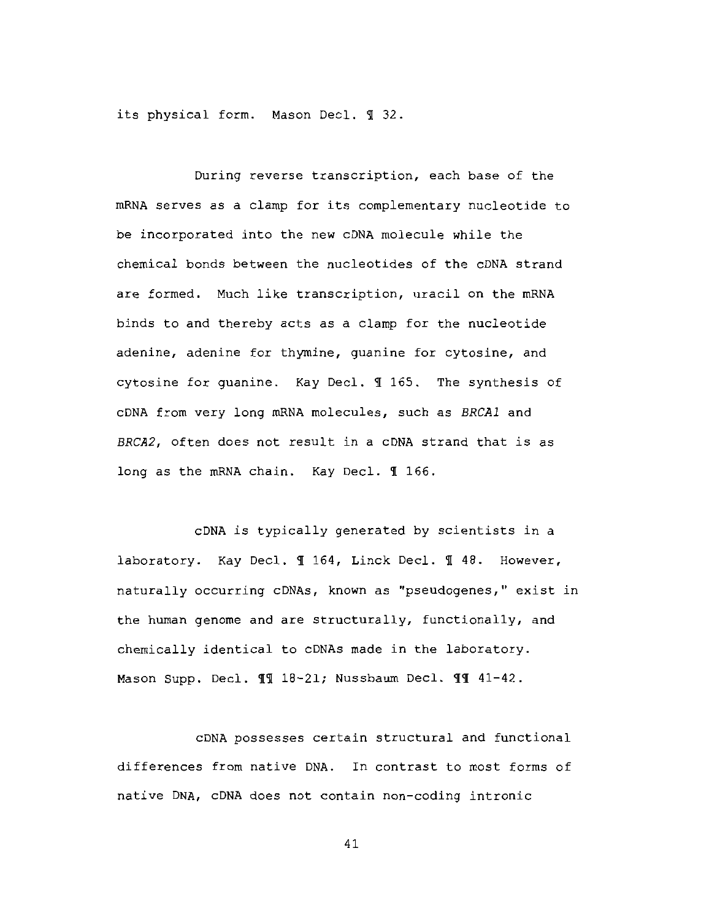its physical form. Mason Decl. 1 32.

During reverse transcription, each base of the mRNA serves as a clamp for its complementary nucleotide to be incorporated into the new cDNA molecule while the chemical bonds between the nucleotides of the cDNA strand are formed. Much like transcription, uracil on the mRNA binds to and thereby acts as a clamp for the nucleotide adenine, adenine for thymine, guanine for cytosine, and cytosine for guanine. Kay Decl. 1 165. The synthesis of cDNA from very long mRNA molecules, such as BRCA1 and BRCA2, often does not result in a cDNA strand that is as long as the mRNA chain. Kay Decl. 1 166.

cDNA is typically generated by scientists in a laboratory. Kay Decl. 1 164, Linck Decl. 1 48. However, naturally occurring cDNAs, known as "pseudogenes," exist in the human genome and are structurally, functionally, and chemically identical to cDNAs made in the laboratory. Mason Supp. Decl. 11 18-21; Nussbaum Decl. 11 41-42.

CDNA possesses certain structural and functional differences from native DNA. In contrast to most forms of native DNA, cDNA does not contain non-coding intronic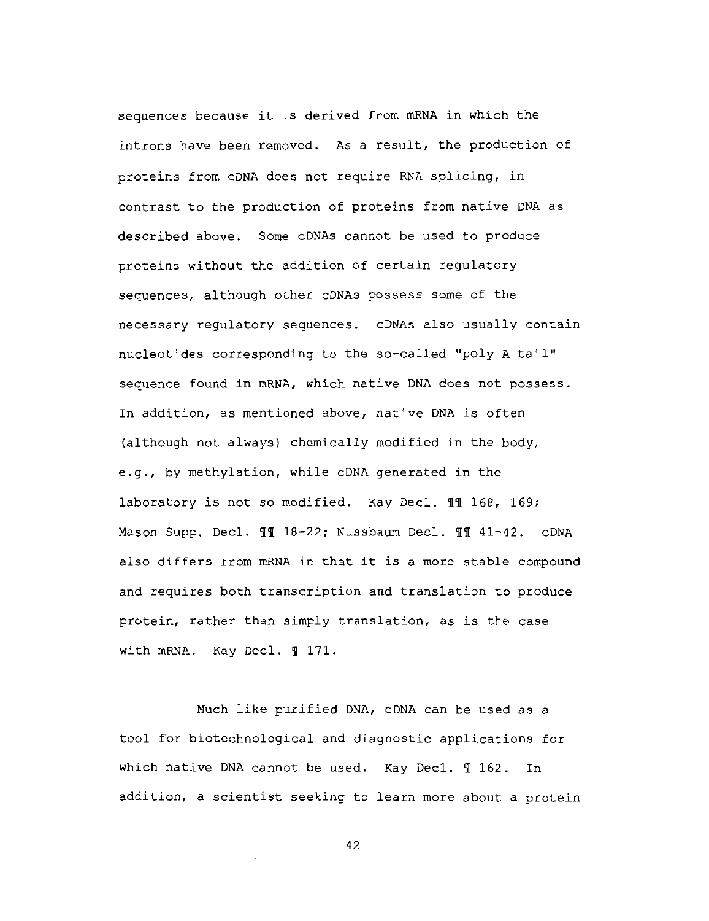sequences because it is derived from mRNA in which the introns have been removed. As a result, the production of proteins from CDNA does not require RNA splicing, in contrast to the production of proteins from native DNA as described above. Some cDNAs cannot be used to produce proteins without the addition of certain regulatory sequences, although other cDNAs possess some of the necessary requlatory sequences. cDNAs also usually contain nucleotides corresponding to the so-called "poly A tail" sequence found in mRNA, which native DNA does not possess. In addition, as mentioned above, native DNA is often (although not always) chemically modified in the body, e.g., by methylation, while cDNA generated in the laboratory is not so modified. Kay Decl. 11 168, 169; Mason Supp. Decl. II 18-22; Nussbaum Decl. II 41-42. cDNA also differs from mRNA in that it is a more stable compound and requires both transcription and translation to produce protein, rather than simply translation, as is the case with mRNA. Kay Decl. 1 171.

Much like purified DNA, cDNA can be used as a tool for biotechnological and diagnostic applications for which native DNA cannot be used. Kay Decl. 1 162. In addition, a scientist seeking to learn more about a protein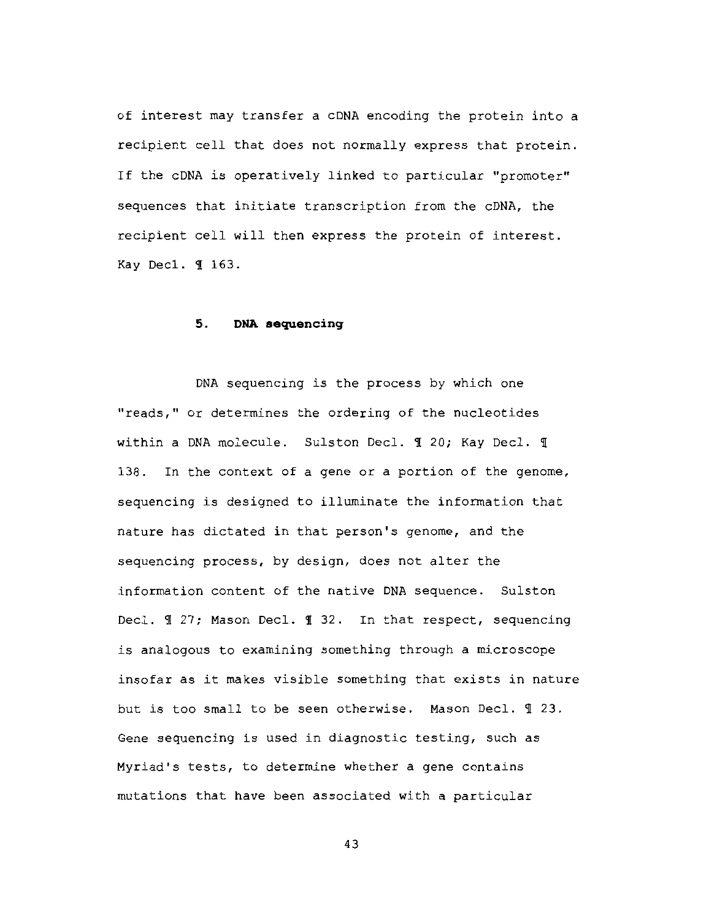of interest may transfer a cDNA encoding the protein into a recipient cell that does not normally express that protein. If the CDNA is operatively linked to particular "promoter" sequences that initiate transcription from the cDNA, the recipient cell will then express the protein of interest. Kay Dec1. 1 163.

#### 5. DNA sequencing

DNA sequencing is the process by which one "reads," or determines the ordering of the nucleotides within a DNA molecule. Sulston Decl. 1 20; Kay Decl. 1 138. In the context of a gene or a portion of the genome, sequencing is designed to illuminate the information that nature has dictated in that person's genome, and the sequencing process, by design, does not alter the information content of the native DNA sequence. Sulston Decl. 1 27; Mason Decl. 1 32. In that respect, sequencing is analogous to examining something through a microscope insofar as it makes visible something that exists in nature but is too small to be seen otherwise. Mason Decl. 1 23. Gene sequencing is used in diagnostic testing, such as Myriad's tests, to determine whether a gene contains mutations that have been associated with a particular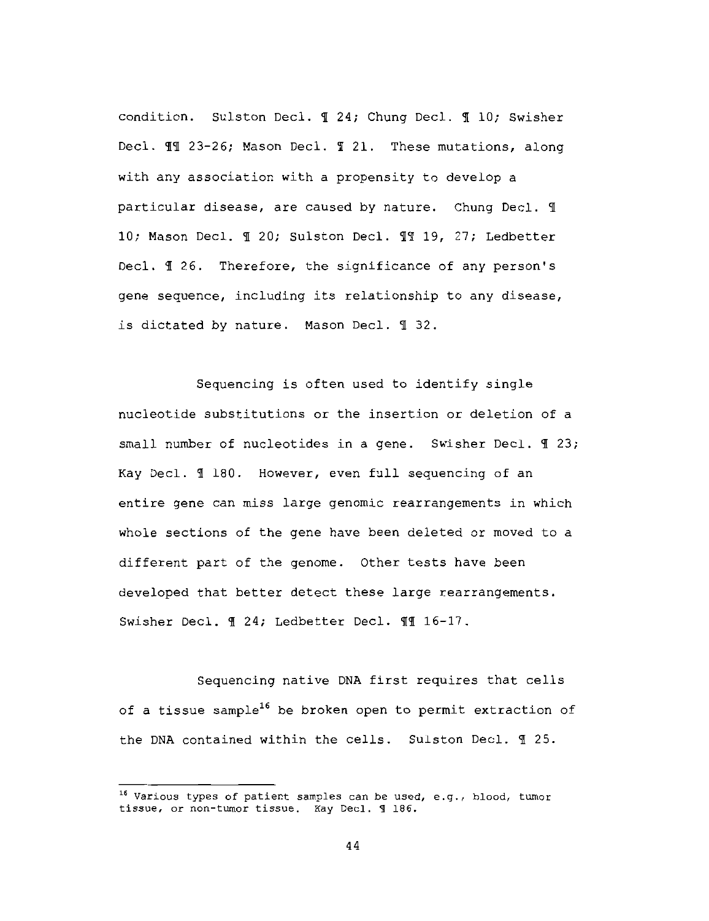condition. Sulston Decl. 1 24; Chung Decl. 1 10; Swisher Decl. II 23-26; Mason Decl. I 21. These mutations, along with any association with a propensity to develop a particular disease, are caused by nature. Chung Decl. 1 10; Mason Decl. 1 20; Sulston Decl. 11 19, 27; Ledbetter Decl. 1 26. Therefore, the significance of any person's gene sequence, including its relationship to any disease, is dictated by nature. Mason Decl. 1 32.

Sequencing is often used to identify single nucleotide substitutions or the insertion or deletion of a small number of nucleotides in a gene. Swisher Decl. II 23; Kay Decl. 1 180. However, even full sequencing of an entire gene can miss large genomic rearrangements in which whole sections of the gene have been deleted or moved to a different part of the genome. Other tests have been developed that better detect these large rearrangements. Swisher Decl. 1 24; Ledbetter Decl. 11 16-17.

Sequencing native DNA first requires that cells of a tissue sample<sup>16</sup> be broken open to permit extraction of the DNA contained within the cells. Sulston Decl. 1 25.

<sup>&</sup>lt;sup>16</sup> Various types of patient samples can be used, e.g., blood, tumor tissue, or non-tumor tissue. Kay Decl. 1 186.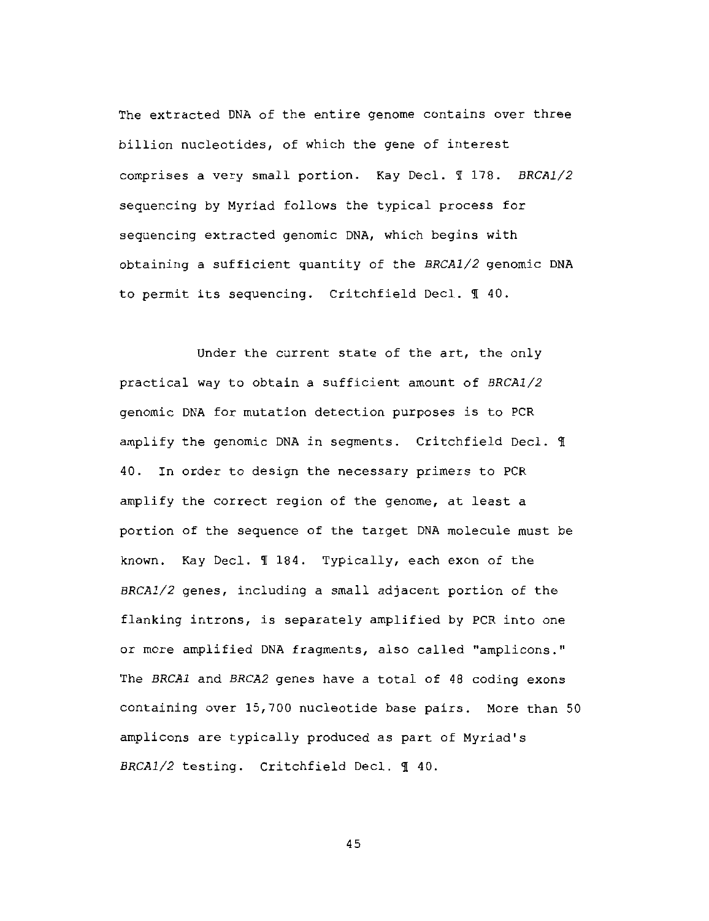The extracted DNA of the entire genome contains over three billion nucleotides, of which the gene of interest comprises a very small portion. Kay Decl. 1 178. BRCA1/2 sequencing by Myriad follows the typical process for sequencing extracted genomic DNA, which begins with obtaining a sufficient quantity of the BRCA1/2 genomic DNA to permit its sequencing. Critchfield Decl. 1 40.

Under the current state of the art, the only practical way to obtain a sufficient amount of BRCA1/2 genomic DNA for mutation detection purposes is to PCR amplify the genomic DNA in segments. Critchfield Decl. 1 40. In order to design the necessary primers to PCR amplify the correct region of the genome, at least a portion of the sequence of the target DNA molecule must be known. Kay Decl. 1 184. Typically, each exon of the BRCA1/2 genes, including a small adjacent portion of the flanking introns, is separately amplified by PCR into one or more amplified DNA fragments, also called "amplicons." The BRCA1 and BRCA2 genes have a total of 48 coding exons containing over 15,700 nucleotide base pairs. More than 50 amplicons are typically produced as part of Myriad's BRCA1/2 testing. Critchfield Decl. 1 40.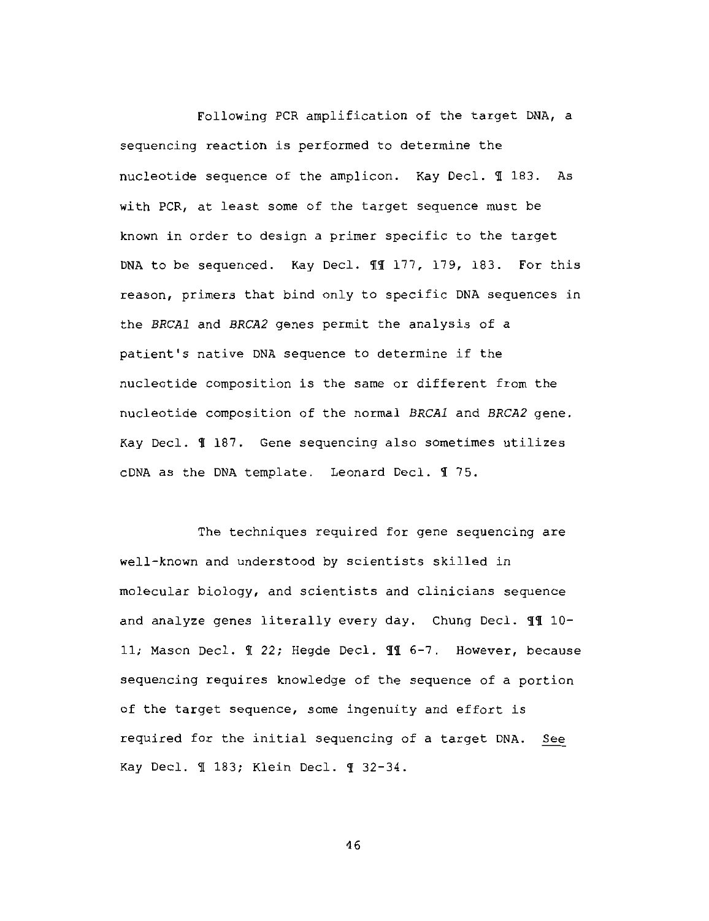Following PCR amplification of the target DNA, a sequencing reaction is performed to determine the nucleotide sequence of the amplicon. Kay Decl. 1 183. As with PCR, at least some of the target sequence must be known in order to design a primer specific to the target DNA to be sequenced. Kay Decl. II 177, 179, 183. For this reason, primers that bind only to specific DNA sequences in the BRCA1 and BRCA2 genes permit the analysis of a patient's native DNA sequence to determine if the nucleotide composition is the same or different from the nucleotide composition of the normal BRCA1 and BRCA2 gene. Kay Decl. 1 187. Gene sequencing also sometimes utilizes cDNA as the DNA template. Leonard Decl. 175.

The techniques required for gene sequencing are well-known and understood by scientists skilled in molecular biology, and scientists and clinicians sequence and analyze genes literally every day. Chung Decl. 11 10-11; Mason Decl. ¶ 22; Hegde Decl. ¶ 6-7. However, because sequencing requires knowledge of the sequence of a portion of the target sequence, some ingenuity and effort is required for the initial sequencing of a target DNA. See Kay Decl. 1 183; Klein Decl. 1 32-34.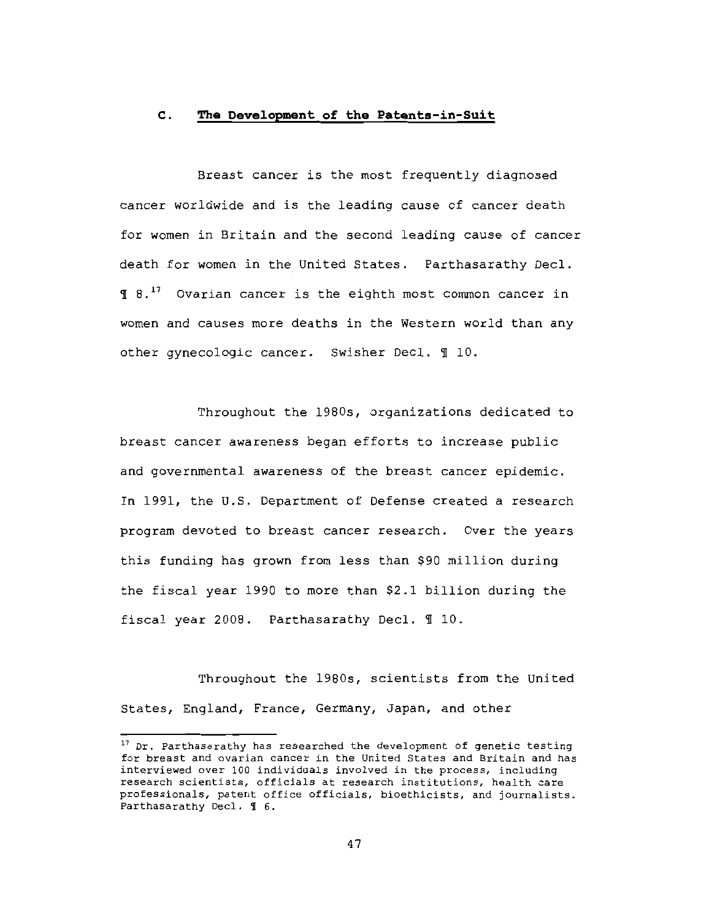#### $\mathbf{c}$ . The Development of the Patents-in-Suit

Breast cancer is the most frequently diagnosed cancer worldwide and is the leading cause of cancer death for women in Britain and the second leading cause of cancer death for women in the United States. Parthasarathy Decl. 1 8.<sup>17</sup> Ovarian cancer is the eighth most common cancer in women and causes more deaths in the Western world than any other gynecologic cancer. Swisher Decl. 110.

Throughout the 1980s, organizations dedicated to breast cancer awareness began efforts to increase public and governmental awareness of the breast cancer epidemic. In 1991, the U.S. Department of Defense created a research program devoted to breast cancer research. Over the years this funding has grown from less than \$90 million during the fiscal year 1990 to more than \$2.1 billion during the fiscal year 2008. Parthasarathy Decl. 110.

Throughout the 1980s, scientists from the United States, England, France, Germany, Japan, and other

<sup>&</sup>lt;sup>17</sup> Dr. Parthasarathy has researched the development of genetic testing for breast and ovarian cancer in the United States and Britain and has interviewed over 100 individuals involved in the process, including research scientists, officials at research institutions, health care professionals, patent office officials, bioethicists, and journalists. Parthasarathy Decl. 1 6.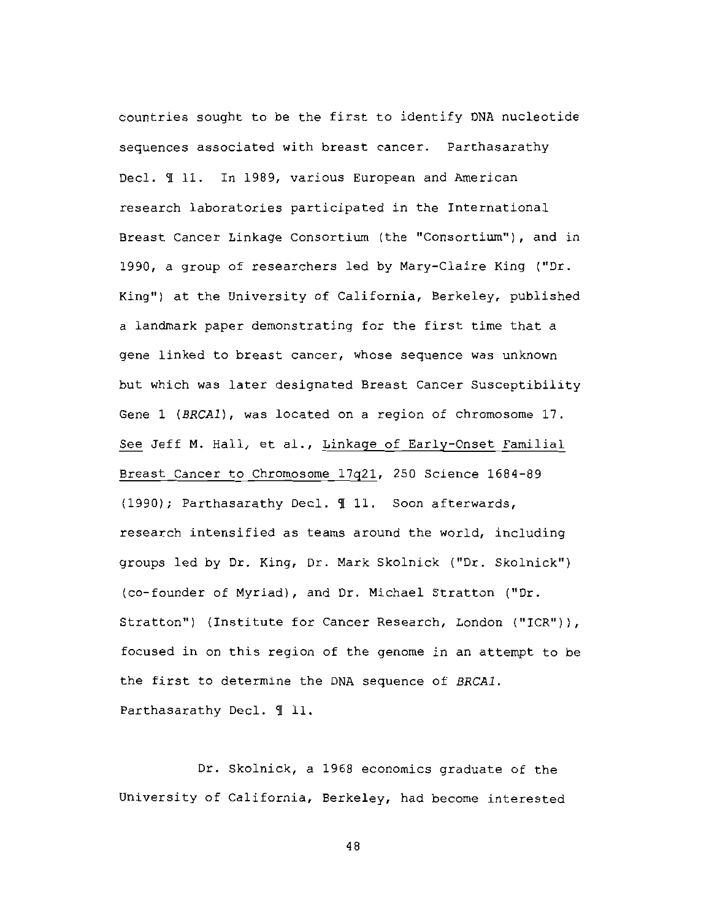countries sought to be the first to identify DNA nucleotide sequences associated with breast cancer. Parthasarathy Decl. I 11. In 1989, various European and American research laboratories participated in the International Breast Cancer Linkage Consortium (the "Consortium"), and in 1990, a group of researchers led by Mary-Claire King ("Dr. King") at the University of California, Berkeley, published a landmark paper demonstrating for the first time that a gene linked to breast cancer, whose sequence was unknown but which was later designated Breast Cancer Susceptibility Gene 1 (BRCA1), was located on a region of chromosome 17. See Jeff M. Hall, et al., Linkage of Early-Onset Familial Breast Cancer to Chromosome 17q21, 250 Science 1684-89 (1990); Parthasarathy Decl. 11. Soon afterwards, research intensified as teams around the world, including groups led by Dr. King, Dr. Mark Skolnick ("Dr. Skolnick") (co-founder of Myriad), and Dr. Michael Stratton ("Dr. Stratton") (Institute for Cancer Research, London ("ICR")), focused in on this region of the genome in an attempt to be the first to determine the DNA sequence of BRCA1. Parthasarathy Decl. 1 11.

Dr. Skolnick, a 1968 economics graduate of the University of California, Berkeley, had become interested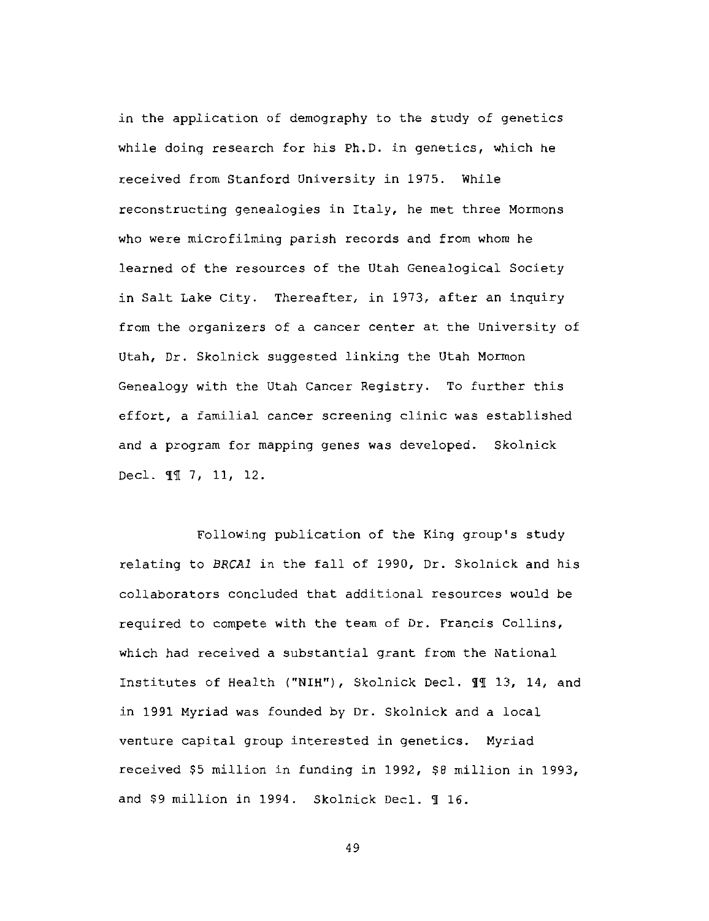in the application of demography to the study of genetics while doing research for his Ph.D. in genetics, which he received from Stanford University in 1975. While reconstructing genealogies in Italy, he met three Mormons who were microfilming parish records and from whom he learned of the resources of the Utah Genealogical Society in Salt Lake City. Thereafter, in 1973, after an inquiry from the organizers of a cancer center at the University of Utah, Dr. Skolnick suggested linking the Utah Mormon Genealogy with the Utah Cancer Registry. To further this effort, a familial cancer screening clinic was established and a program for mapping genes was developed. Skolnick Decl. 11 7, 11, 12.

Following publication of the King group's study relating to BRCA1 in the fall of 1990, Dr. Skolnick and his collaborators concluded that additional resources would be required to compete with the team of Dr. Francis Collins, which had received a substantial grant from the National Institutes of Health ("NIH"), Skolnick Decl. II 13, 14, and in 1991 Myriad was founded by Dr. Skolnick and a local venture capital group interested in genetics. Myriad received \$5 million in funding in 1992, \$8 million in 1993, and \$9 million in 1994. Skolnick Decl. ¶ 16.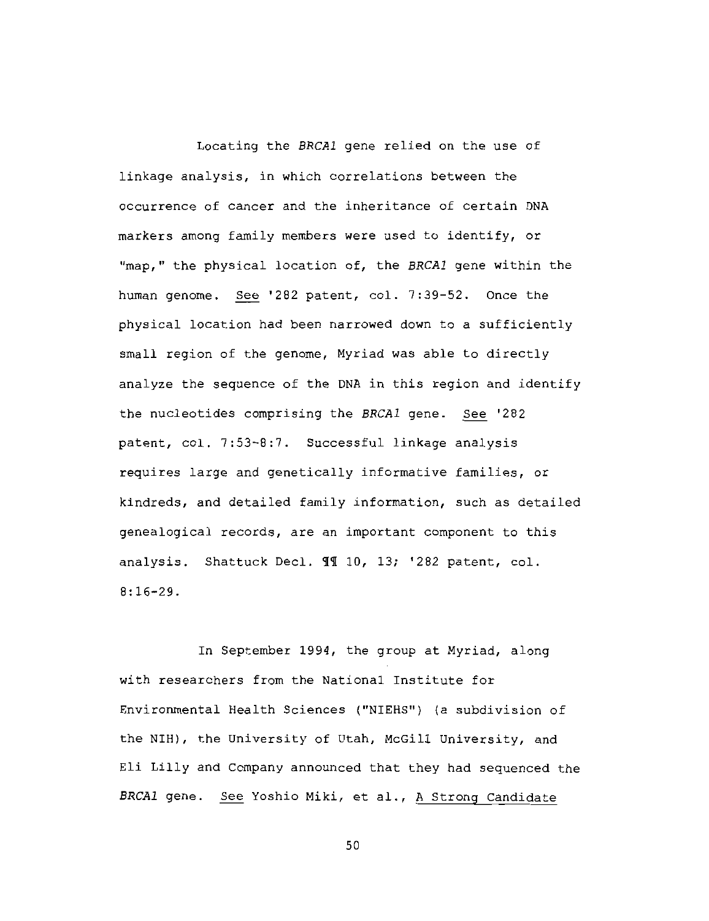Locating the BRCA1 gene relied on the use of linkage analysis, in which correlations between the occurrence of cancer and the inheritance of certain DNA markers among family members were used to identify, or "map," the physical location of, the BRCA1 gene within the human genome. See '282 patent, col. 7:39-52. Once the physical location had been narrowed down to a sufficiently small region of the genome, Myriad was able to directly analyze the sequence of the DNA in this region and identify the nucleotides comprising the BRCA1 gene. See '282 patent, col. 7:53-8:7. Successful linkage analysis requires large and genetically informative families, or kindreds, and detailed family information, such as detailed genealogical records, are an important component to this analysis. Shattuck Decl. 11 10, 13; '282 patent, col.  $8:16 - 29.$ 

In September 1994, the group at Myriad, along with researchers from the National Institute for Environmental Health Sciences ("NIEHS") (a subdivision of the NIH), the University of Utah, McGill University, and Eli Lilly and Company announced that they had sequenced the BRCAl gene. See Yoshio Miki, et al., A Strong Candidate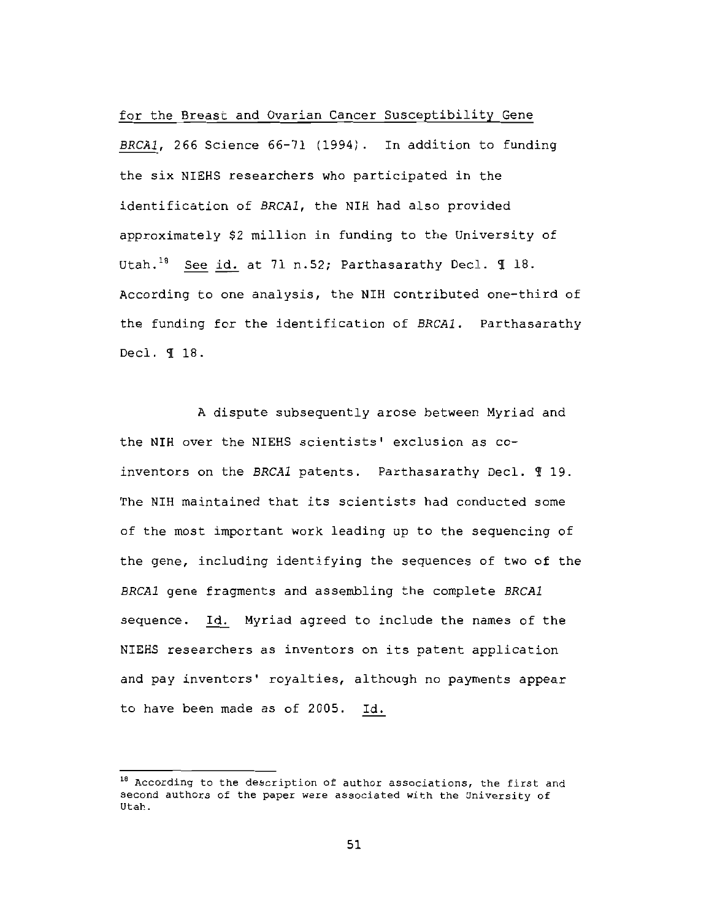for the Breast and Ovarian Cancer Susceptibility Gene

BRCA1, 266 Science 66-71 (1994). In addition to funding the six NIEHS researchers who participated in the identification of BRCA1, the NIH had also provided approximately \$2 million in funding to the University of Utah.<sup>18</sup> See id. at 71 n.52; Parthasarathy Decl. 1 18. According to one analysis, the NIH contributed one-third of the funding for the identification of BRCA1. Parthasarathy Decl. 1 18.

A dispute subsequently arose between Myriad and the NIH over the NIEHS scientists' exclusion as coinventors on the BRCA1 patents. Parthasarathy Decl. 119. The NIH maintained that its scientists had conducted some of the most important work leading up to the sequencing of the gene, including identifying the sequences of two of the BRCA1 gene fragments and assembling the complete BRCA1 sequence. Id. Myriad agreed to include the names of the NIEHS researchers as inventors on its patent application and pay inventors' royalties, although no payments appear to have been made as of 2005. Id.

<sup>&</sup>lt;sup>18</sup> According to the description of author associations, the first and second authors of the paper were associated with the University of Utah.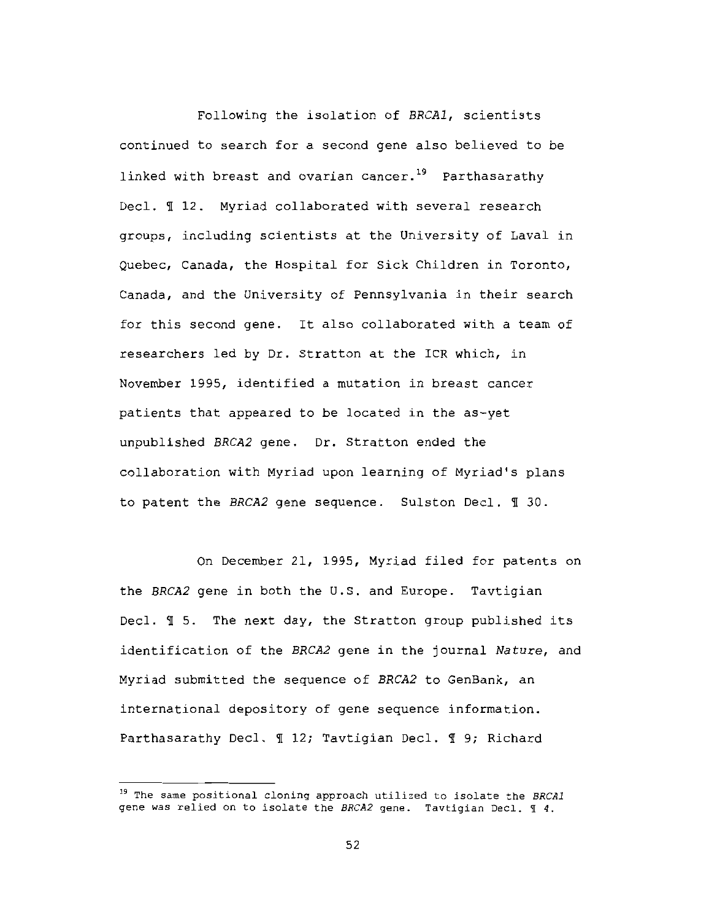Following the isolation of BRCA1, scientists continued to search for a second gene also believed to be linked with breast and ovarian cancer.<sup>19</sup> Parthasarathy Decl. 112. Myriad collaborated with several research groups, including scientists at the University of Laval in Quebec, Canada, the Hospital for Sick Children in Toronto, Canada, and the University of Pennsylvania in their search for this second gene. It also collaborated with a team of researchers led by Dr. Stratton at the ICR which, in November 1995, identified a mutation in breast cancer patients that appeared to be located in the as-yet unpublished BRCA2 gene. Dr. Stratton ended the collaboration with Myriad upon learning of Myriad's plans to patent the BRCA2 gene sequence. Sulston Decl. 1 30.

On December 21, 1995, Myriad filed for patents on the BRCA2 gene in both the U.S. and Europe. Tavtigian Decl.  $\mathbb I$  5. The next day, the Stratton group published its identification of the BRCA2 gene in the journal Nature, and Myriad submitted the sequence of BRCA2 to GenBank, an international depository of gene sequence information. Parthasarathy Decl. 1 12; Tavtigian Decl. 1 9; Richard

<sup>&</sup>lt;sup>19</sup> The same positional cloning approach utilized to isolate the BRCAI gene was relied on to isolate the BRCA2 gene. Tavtigian Decl. I 4.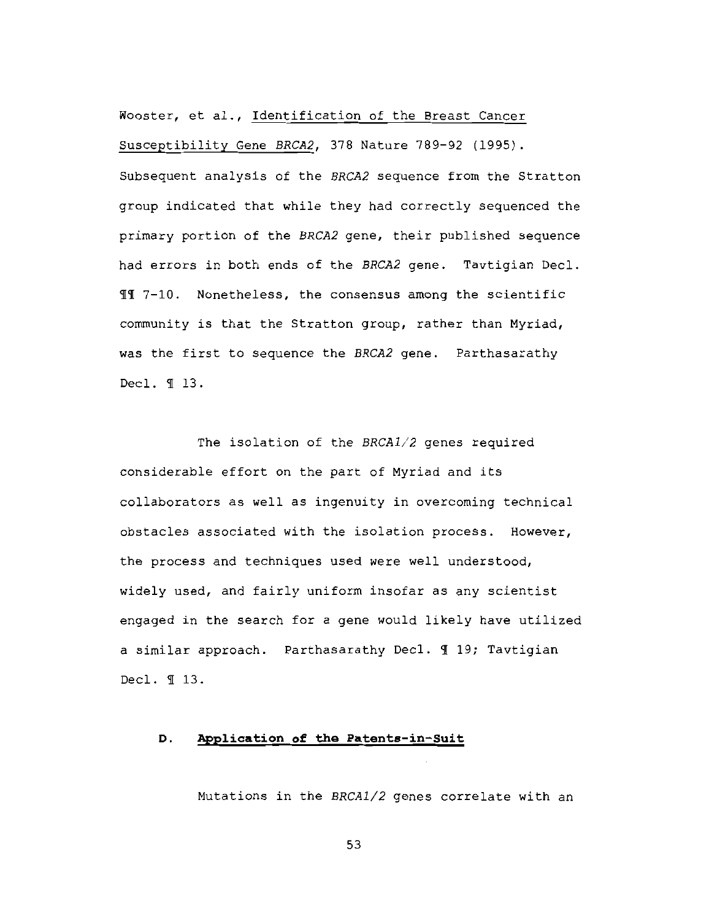Wooster, et al., Identification of the Breast Cancer Susceptibility Gene BRCA2, 378 Nature 789-92 (1995). Subsequent analysis of the BRCA2 sequence from the Stratton group indicated that while they had correctly sequenced the primary portion of the BRCA2 gene, their published sequence had errors in both ends of the BRCA2 gene. Tavtigian Decl. II 7-10. Nonetheless, the consensus among the scientific community is that the Stratton group, rather than Myriad, was the first to sequence the BRCA2 gene. Parthasarathy Decl. 1 13.

The isolation of the BRCA1/2 genes required considerable effort on the part of Myriad and its collaborators as well as ingenuity in overcoming technical obstacles associated with the isolation process. However, the process and techniques used were well understood, widely used, and fairly uniform insofar as any scientist engaged in the search for a gene would likely have utilized a similar approach. Parthasarathy Decl. 1 19; Tavtigian Decl. 1 13.

#### Application of the Patents-in-Suit D.

Mutations in the BRCA1/2 genes correlate with an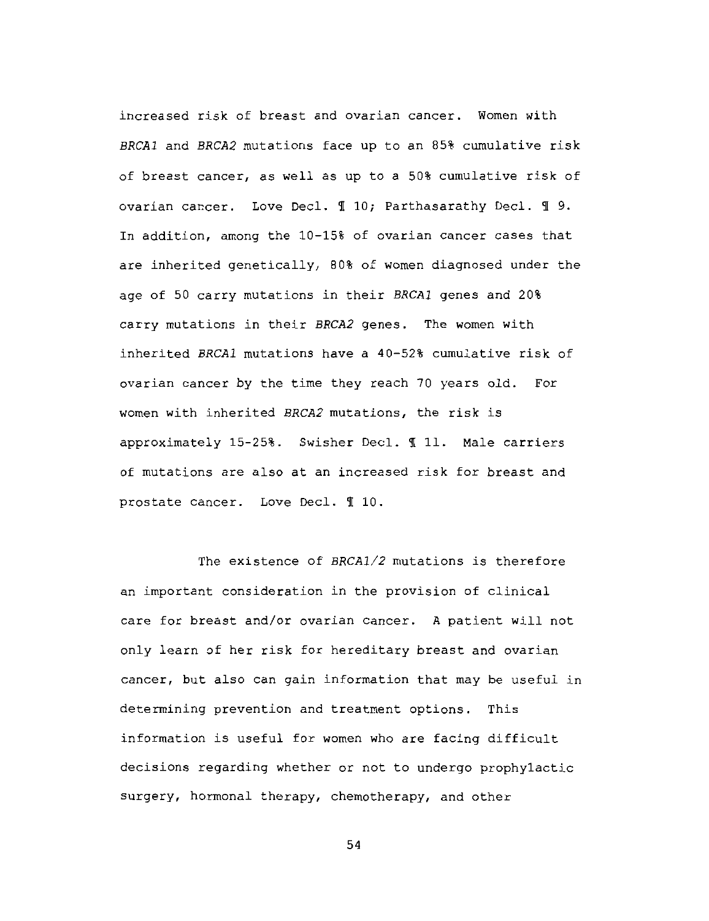increased risk of breast and ovarian cancer. Women with BRCA1 and BRCA2 mutations face up to an 85% cumulative risk of breast cancer, as well as up to a 50% cumulative risk of ovarian cancer. Love Decl. 1 10; Parthasarathy Decl. 19. In addition, among the 10-15% of ovarian cancer cases that are inherited genetically, 80% of women diagnosed under the age of 50 carry mutations in their BRCA1 genes and 20% carry mutations in their BRCA2 genes. The women with inherited BRCA1 mutations have a 40-52% cumulative risk of ovarian cancer by the time they reach 70 years old. For women with inherited BRCA2 mutations, the risk is approximately 15-25%. Swisher Decl. 1 11. Male carriers of mutations are also at an increased risk for breast and prostate cancer. Love Decl. 110.

The existence of BRCA1/2 mutations is therefore an important consideration in the provision of clinical care for breast and/or ovarian cancer. A patient will not only learn of her risk for hereditary breast and ovarian cancer, but also can gain information that may be useful in determining prevention and treatment options. This information is useful for women who are facing difficult decisions regarding whether or not to undergo prophylactic surgery, hormonal therapy, chemotherapy, and other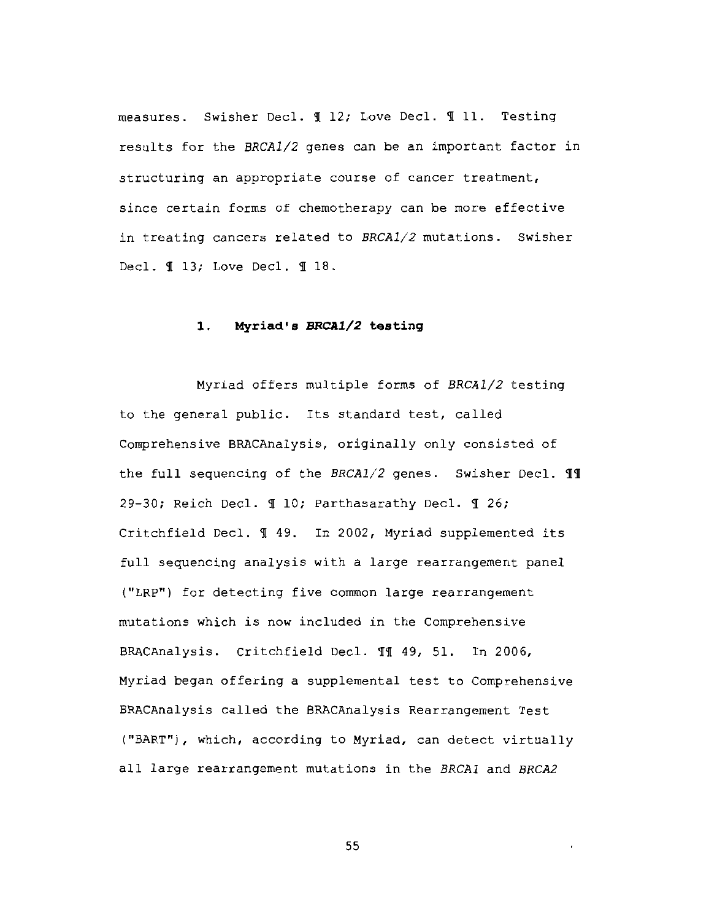measures. Swisher Decl. 112; Love Decl. 111. Testing results for the BRCA1/2 genes can be an important factor in structuring an appropriate course of cancer treatment, since certain forms of chemotherapy can be more effective in treating cancers related to BRCA1/2 mutations. Swisher Decl. ¶ 13; Love Decl. ¶ 18.

#### $1.$ Myriad's BRCA1/2 testing

Myriad offers multiple forms of BRCA1/2 testing to the general public. Its standard test, called Comprehensive BRACAnalysis, originally only consisted of the full sequencing of the BRCA1/2 genes. Swisher Decl. 11 29-30; Reich Decl. 1 10; Parthasarathy Decl. 1 26; Critchfield Decl. 149. In 2002, Myriad supplemented its full sequencing analysis with a large rearrangement panel ("LRP") for detecting five common large rearrangement mutations which is now included in the Comprehensive BRACAnalysis. Critchfield Decl. 11 49, 51. In 2006, Myriad began offering a supplemental test to Comprehensive BRACAnalysis called the BRACAnalysis Rearrangement Test ("BART"), which, according to Myriad, can detect virtually all large rearrangement mutations in the BRCA1 and BRCA2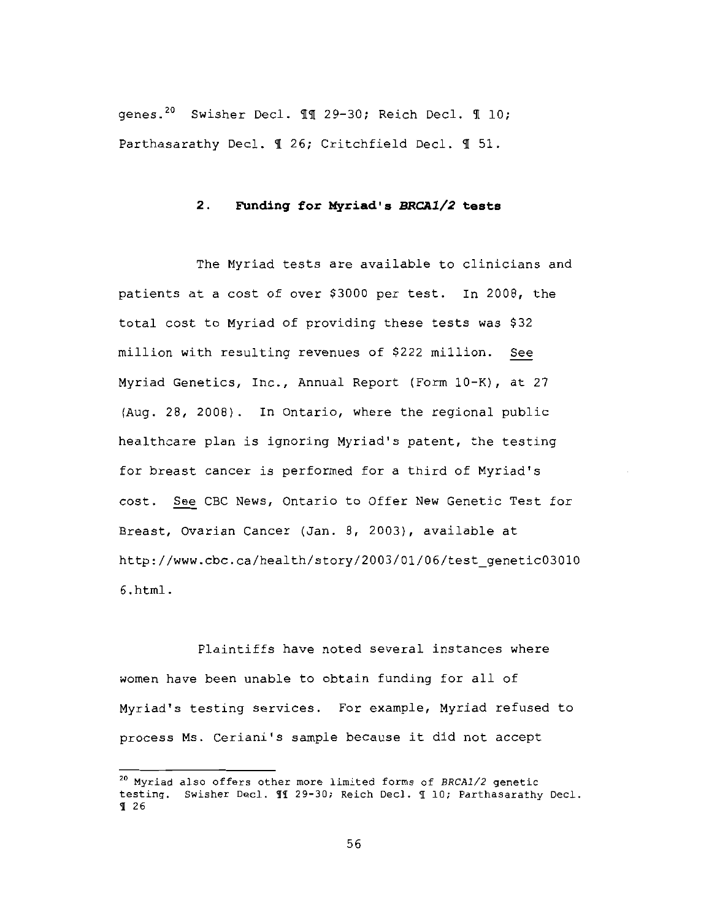genes.<sup>20</sup> Swisher Decl. 11 29-30; Reich Decl. 1 10; Parthasarathy Decl. 1 26; Critchfield Decl. 1 51.

#### $2.$ Funding for Myriad's BRCA1/2 tests

The Myriad tests are available to clinicians and patients at a cost of over \$3000 per test. In 2008, the total cost to Myriad of providing these tests was \$32 million with resulting revenues of \$222 million. See Myriad Genetics, Inc., Annual Report (Form 10-K), at 27 (Aug. 28, 2008). In Ontario, where the regional public healthcare plan is ignoring Myriad's patent, the testing for breast cancer is performed for a third of Myriad's cost. See CBC News, Ontario to Offer New Genetic Test for Breast, Ovarian Cancer (Jan. 8, 2003), available at http://www.cbc.ca/health/story/2003/01/06/test genetic03010  $6.html.$ 

Plaintiffs have noted several instances where women have been unable to obtain funding for all of Myriad's testing services. For example, Myriad refused to process Ms. Ceriani's sample because it did not accept

<sup>&</sup>lt;sup>20</sup> Myriad also offers other more limited forms of BRCA1/2 genetic testing. Swisher Decl. 11 29-30; Reich Decl. 1 10; Parthasarathy Decl.  $926$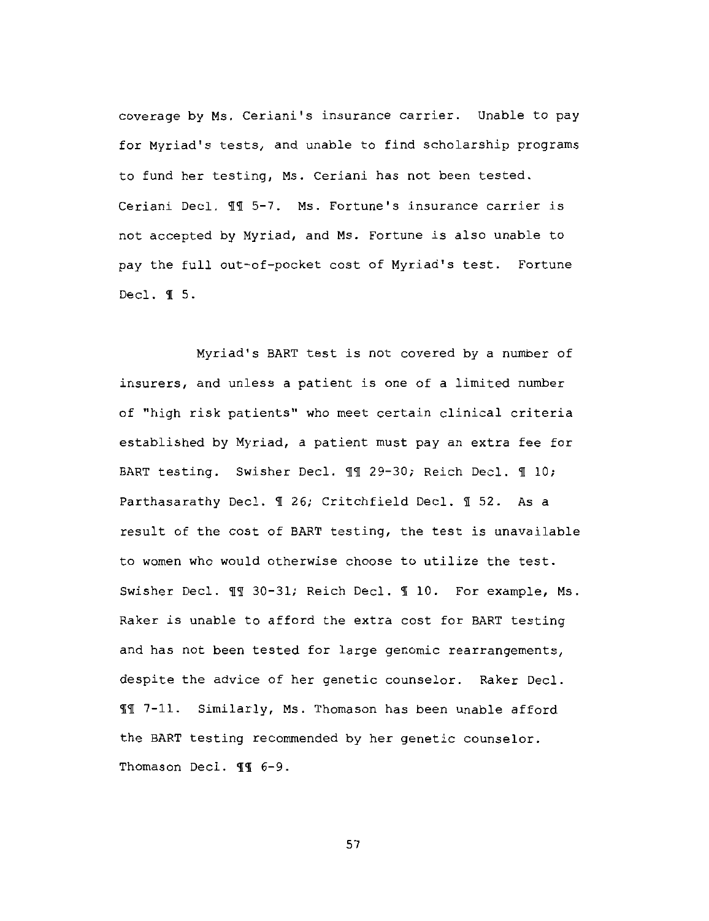coverage by Ms. Ceriani's insurance carrier. Unable to pay for Myriad's tests, and unable to find scholarship programs to fund her testing, Ms. Ceriani has not been tested. Ceriani Decl. ¶ 5-7. Ms. Fortune's insurance carrier is not accepted by Myriad, and Ms. Fortune is also unable to pay the full out-of-pocket cost of Myriad's test. Fortune Decl.  $\P$  5.

Myriad's BART test is not covered by a number of insurers, and unless a patient is one of a limited number of "high risk patients" who meet certain clinical criteria established by Myriad, a patient must pay an extra fee for BART testing. Swisher Decl. II 29-30; Reich Decl. II 0; Parthasarathy Decl. 1 26; Critchfield Decl. 1 52. As a result of the cost of BART testing, the test is unavailable to women who would otherwise choose to utilize the test. Swisher Decl. 11 30-31; Reich Decl. 1 10. For example, Ms. Raker is unable to afford the extra cost for BART testing and has not been tested for large genomic rearrangements, despite the advice of her genetic counselor. Raker Decl. II 7-11. Similarly, Ms. Thomason has been unable afford the BART testing recommended by her genetic counselor. Thomason Decl. II 6-9.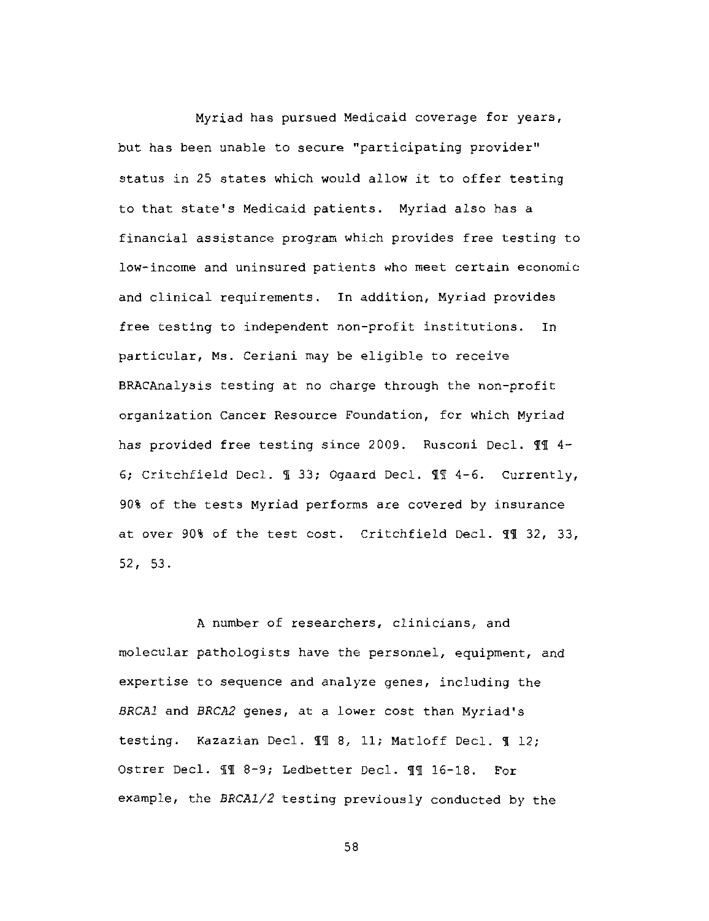Myriad has pursued Medicaid coverage for years, but has been unable to secure "participating provider" status in 25 states which would allow it to offer testing to that state's Medicaid patients. Myriad also has a financial assistance program which provides free testing to low-income and uninsured patients who meet certain economic and clinical requirements. In addition, Myriad provides free testing to independent non-profit institutions. **In** particular, Ms. Ceriani may be eligible to receive BRACAnalysis testing at no charge through the non-profit organization Cancer Resource Foundation, for which Myriad has provided free testing since 2009. Rusconi Decl. II 4-6; Critchfield Decl. 1 33; Ogaard Decl. 11 4-6. Currently, 90% of the tests Myriad performs are covered by insurance at over 90% of the test cost. Critchfield Decl. II 32, 33,  $52, 53.$ 

A number of researchers, clinicians, and molecular pathologists have the personnel, equipment, and expertise to sequence and analyze genes, including the BRCAl and BRCA2 genes, at a lower cost than Myriad's testing. Kazazian Decl. II 8, 11; Matloff Decl. II 12; Ostrer Decl. 11 8-9; Ledbetter Decl. 11 16-18. For example, the BRCA1/2 testing previously conducted by the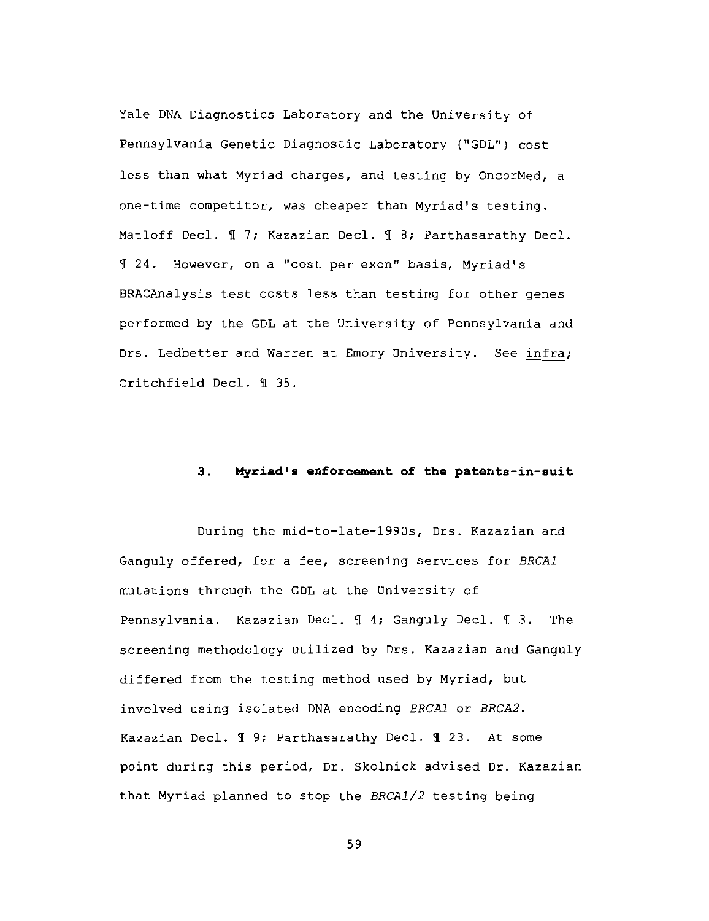Yale DNA Diagnostics Laboratory and the University of Pennsylvania Genetic Diagnostic Laboratory ("GDL") cost less than what Myriad charges, and testing by OncorMed, a one-time competitor, was cheaper than Myriad's testing. Matloff Decl. 17; Kazazian Decl. 18; Parthasarathy Decl. 124. However, on a "cost per exon" basis, Myriad's BRACAnalysis test costs less than testing for other genes performed by the GDL at the University of Pennsylvania and Drs. Ledbetter and Warren at Emory University. See infra; Critchfield Decl. ¶ 35.

#### $3.$ Myriad's enforcement of the patents-in-suit

During the mid-to-late-1990s, Drs. Kazazian and Ganguly offered, for a fee, screening services for BRCAl mutations through the GDL at the University of Pennsylvania. Kazazian Decl. 1 4; Ganguly Decl. 1 3. The screening methodology utilized by Drs. Kazazian and Ganguly differed from the testing method used by Myriad, but involved using isolated DNA encoding BRCA1 or BRCA2. Kazazian Decl. ¶ 9; Parthasarathy Decl. ¶ 23. At some point during this period, Dr. Skolnick advised Dr. Kazazian that Myriad planned to stop the BRCA1/2 testing being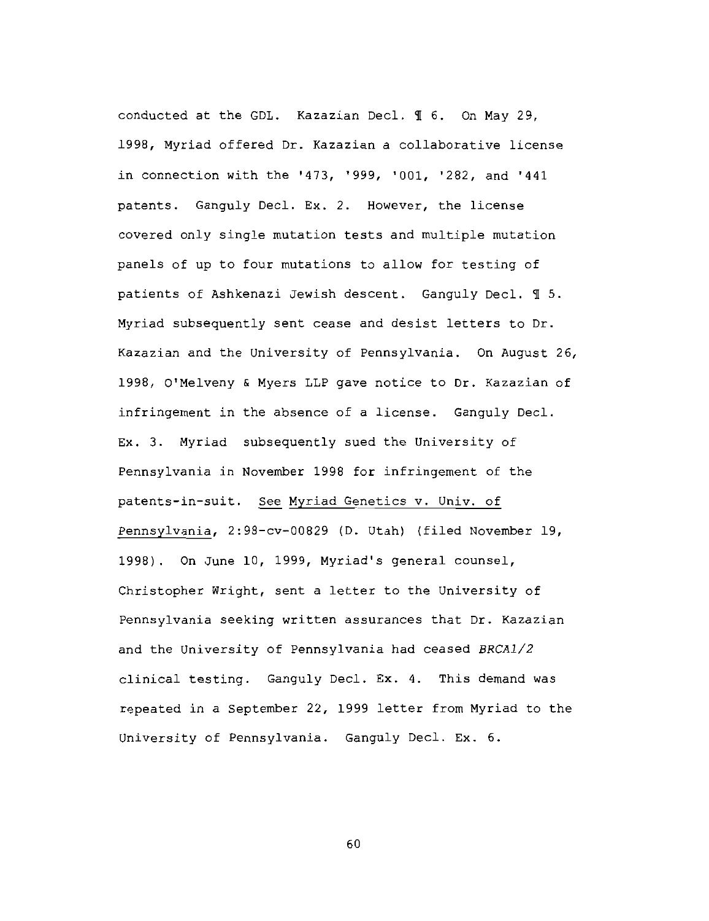conducted at the GDL. Kazazian Decl. 1 6. On May 29, 1998, Myriad offered Dr. Kazazian a collaborative license in connection with the '473, '999, '001, '282, and '441 patents. Ganguly Decl. Ex. 2. However, the license covered only single mutation tests and multiple mutation panels of up to four mutations to allow for testing of patients of Ashkenazi Jewish descent. Ganguly Decl. 1 5. Myriad subsequently sent cease and desist letters to Dr. Kazazian and the University of Pennsylvania. On August 26, 1998, O'Melveny & Myers LLP gave notice to Dr. Kazazian of infringement in the absence of a license. Ganguly Decl. Ex. 3. Myriad subsequently sued the University of Pennsylvania in November 1998 for infringement of the patents-in-suit. See Myriad Genetics v. Univ. of Pennsylvania, 2:98-cv-00829 (D. Utah) (filed November 19, 1998). On June 10, 1999, Myriad's general counsel, Christopher Wright, sent a letter to the University of Pennsylvania seeking written assurances that Dr. Kazazian and the University of Pennsylvania had ceased BRCA1/2 clinical testing. Ganguly Decl. Ex. 4. This demand was repeated in a September 22, 1999 letter from Myriad to the University of Pennsylvania. Ganguly Decl. Ex. 6.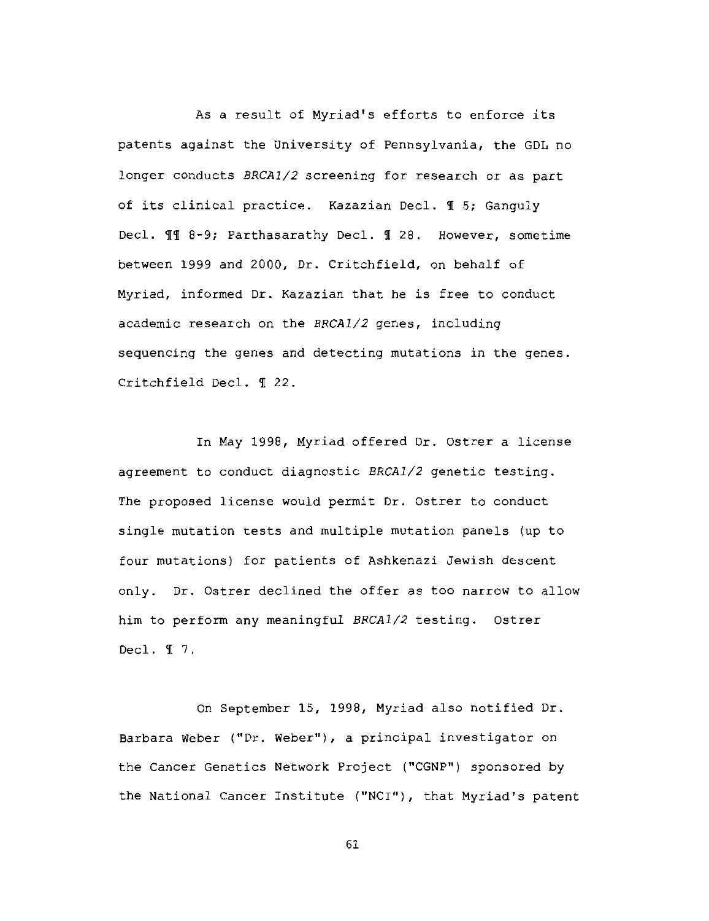As a result of Myriad's efforts to enforce its patents against the University of Pennsylvania, the GDL no longer conducts BRCA1/2 screening for research or as part of its clinical practice. Kazazian Decl. 1 5; Ganguly Decl. II 8-9; Parthasarathy Decl. I 28. However, sometime between 1999 and 2000, Dr. Critchfield, on behalf of Myriad, informed Dr. Kazazian that he is free to conduct academic research on the BRCA1/2 genes, including sequencing the genes and detecting mutations in the genes. Critchfield Decl. ¶ 22.

In May 1998, Myriad offered Dr. Ostrer a license agreement to conduct diagnostic BRCA1/2 genetic testing. The proposed license would permit Dr. Ostrer to conduct single mutation tests and multiple mutation panels (up to four mutations) for patients of Ashkenazi Jewish descent only. Dr. Ostrer declined the offer as too narrow to allow him to perform any meaningful BRCA1/2 testing. Ostrer Decl.  $\P$  7.

On September 15, 1998, Myriad also notified Dr. Barbara Weber ("Dr. Weber"), a principal investigator on the Cancer Genetics Network Project ("CGNP") sponsored by the National Cancer Institute ("NCI"), that Myriad's patent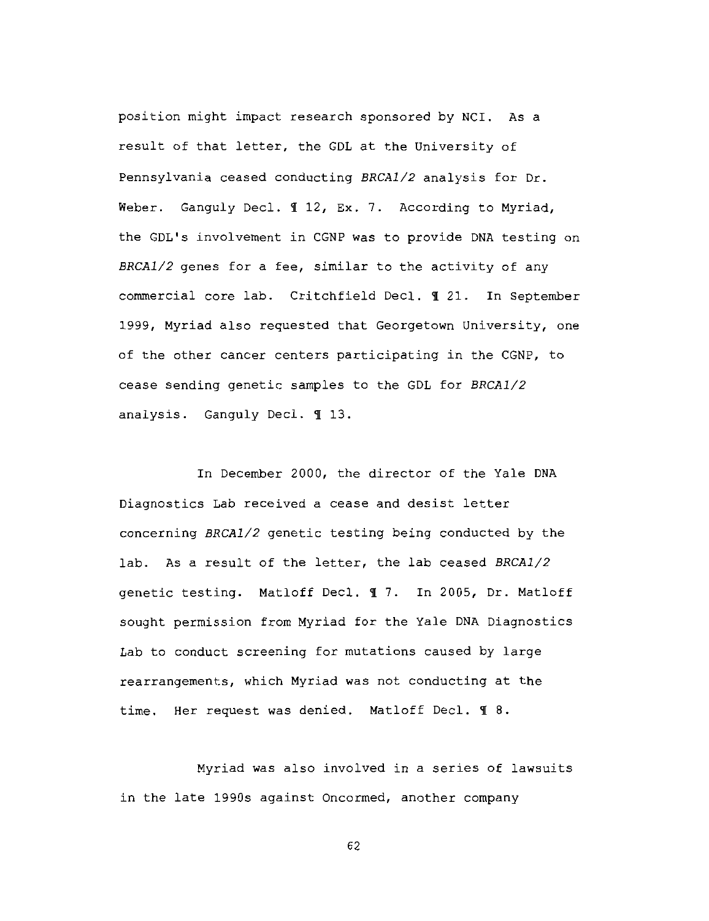position might impact research sponsored by NCI. As a result of that letter, the GDL at the University of Pennsylvania ceased conducting BRCA1/2 analysis for Dr. Weber. Ganguly Decl. 112, Ex. 7. According to Myriad, the GDL's involvement in CGNP was to provide DNA testing on BRCA1/2 genes for a fee, similar to the activity of any commercial core lab. Critchfield Decl. 1 21. In September 1999, Myriad also requested that Georgetown University, one of the other cancer centers participating in the CGNP, to cease sending genetic samples to the GDL for BRCA1/2 analysis. Ganguly Decl. 113.

In December 2000, the director of the Yale DNA Diagnostics Lab received a cease and desist letter concerning BRCA1/2 genetic testing being conducted by the lab. As a result of the letter, the lab ceased BRCA1/2 genetic testing. Matloff Decl. 17. In 2005, Dr. Matloff sought permission from Myriad for the Yale DNA Diagnostics Lab to conduct screening for mutations caused by large rearrangements, which Myriad was not conducting at the time. Her request was denied. Matloff Decl. 1 8.

Myriad was also involved in a series of lawsuits in the late 1990s against Oncormed, another company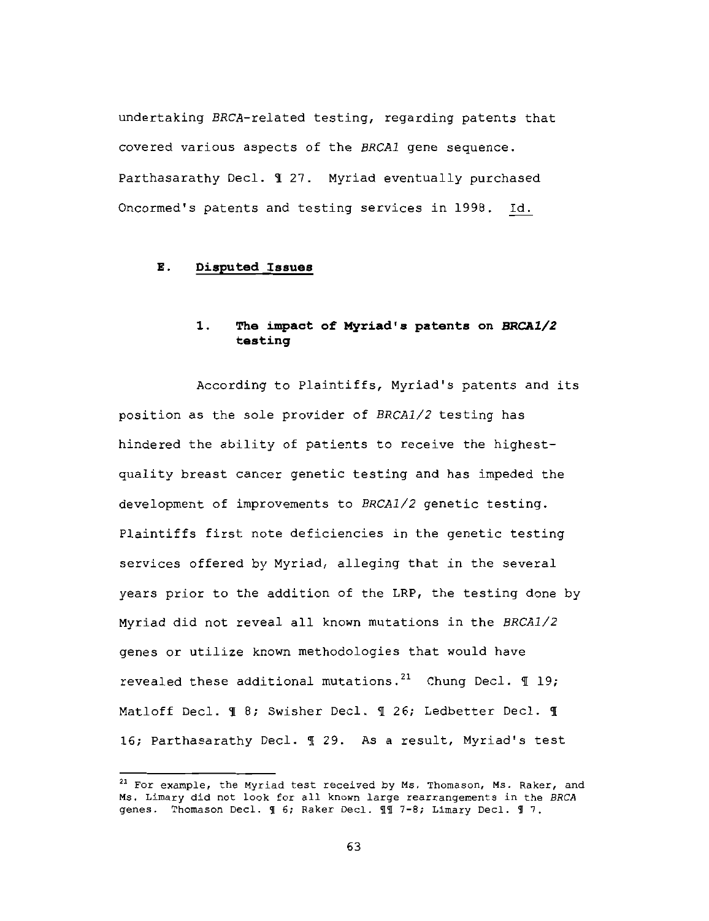undertaking BRCA-related testing, regarding patents that covered various aspects of the BRCA1 gene sequence. Parthasarathy Decl. 1 27. Myriad eventually purchased Oncormed's patents and testing services in 1998. Id.

#### Ε. Disputed Issues

### $1.$ The impact of Myriad's patents on BRCA1/2 testing

According to Plaintiffs, Myriad's patents and its position as the sole provider of BRCA1/2 testing has hindered the ability of patients to receive the highestquality breast cancer genetic testing and has impeded the development of improvements to BRCA1/2 genetic testing. Plaintiffs first note deficiencies in the genetic testing services offered by Myriad, alleging that in the several years prior to the addition of the LRP, the testing done by Myriad did not reveal all known mutations in the BRCA1/2 genes or utilize known methodologies that would have revealed these additional mutations.<sup>21</sup> Chung Decl.  $\P$  19; Matloff Decl. I 8; Swisher Decl. I 26; Ledbetter Decl. I 16; Parthasarathy Decl. 1 29. As a result, Myriad's test

<sup>&</sup>lt;sup>21</sup> For example, the Myriad test received by Ms. Thomason, Ms. Raker, and Ms. Limary did not look for all known large rearrangements in the BRCA genes. Thomason Decl. 1 6; Raker Decl. 11 7-8; Limary Decl. 1 7.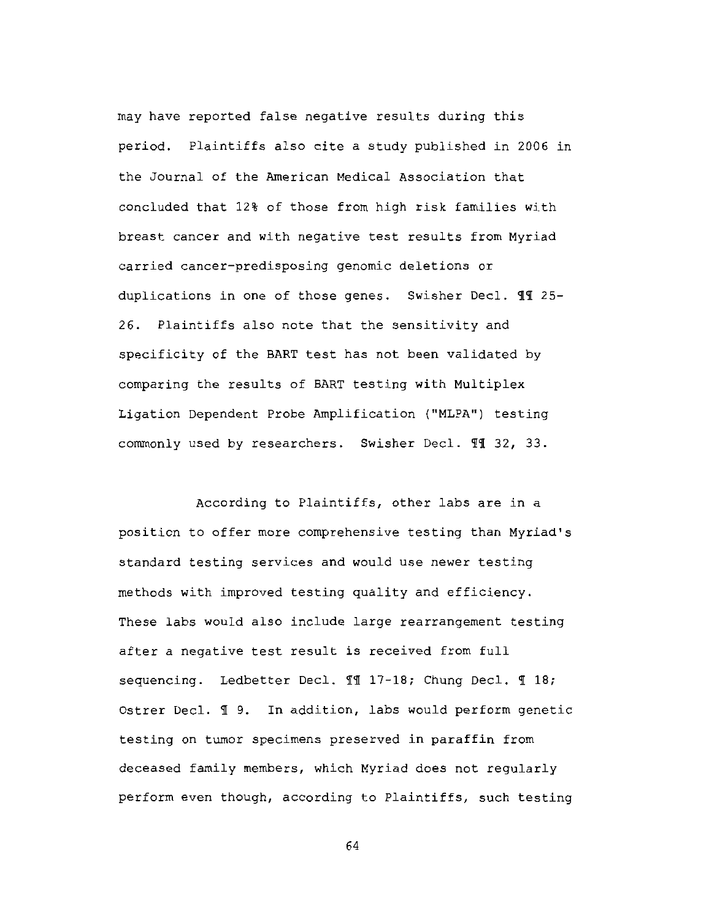may have reported false negative results during this period. Plaintiffs also cite a study published in 2006 in the Journal of the American Medical Association that concluded that 12% of those from high risk families with breast cancer and with negative test results from Myriad carried cancer-predisposing genomic deletions or duplications in one of those genes. Swisher Decl. 11 25-26. Plaintiffs also note that the sensitivity and specificity of the BART test has not been validated by comparing the results of BART testing with Multiplex Ligation Dependent Probe Amplification ("MLPA") testing commonly used by researchers. Swisher Decl. II 32, 33.

According to Plaintiffs, other labs are in a position to offer more comprehensive testing than Myriad's standard testing services and would use newer testing methods with improved testing quality and efficiency. These labs would also include large rearrangement testing after a negative test result is received from full sequencing. Ledbetter Decl. 11 17-18; Chung Decl. 1 18; Ostrer Decl. 19. In addition, labs would perform genetic testing on tumor specimens preserved in paraffin from deceased family members, which Myriad does not reqularly perform even though, according to Plaintiffs, such testing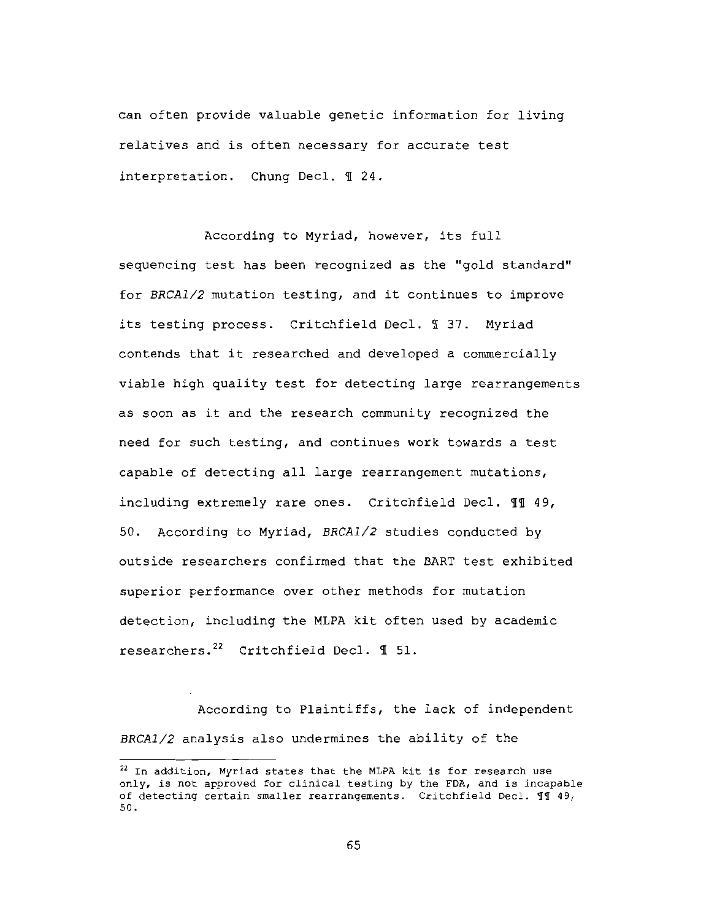can often provide valuable genetic information for living relatives and is often necessary for accurate test interpretation. Chung Decl. 1 24.

According to Myriad, however, its full sequencing test has been recognized as the "gold standard" for BRCA1/2 mutation testing, and it continues to improve its testing process. Critchfield Decl. 1 37. Myriad contends that it researched and developed a commercially viable high quality test for detecting large rearrangements as soon as it and the research community recognized the need for such testing, and continues work towards a test capable of detecting all large rearrangement mutations, including extremely rare ones. Critchfield Decl. 11 49, According to Myriad, BRCA1/2 studies conducted by 50. outside researchers confirmed that the BART test exhibited superior performance over other methods for mutation detection, including the MLPA kit often used by academic researchers.<sup>22</sup> Critchfield Decl. 1 51.

According to Plaintiffs, the lack of independent BRCA1/2 analysis also undermines the ability of the

<sup>&</sup>lt;sup>22</sup> In addition, Myriad states that the MLPA kit is for research use only, is not approved for clinical testing by the FDA, and is incapable of detecting certain smaller rearrangements. Critchfield Decl. 11 49, 50.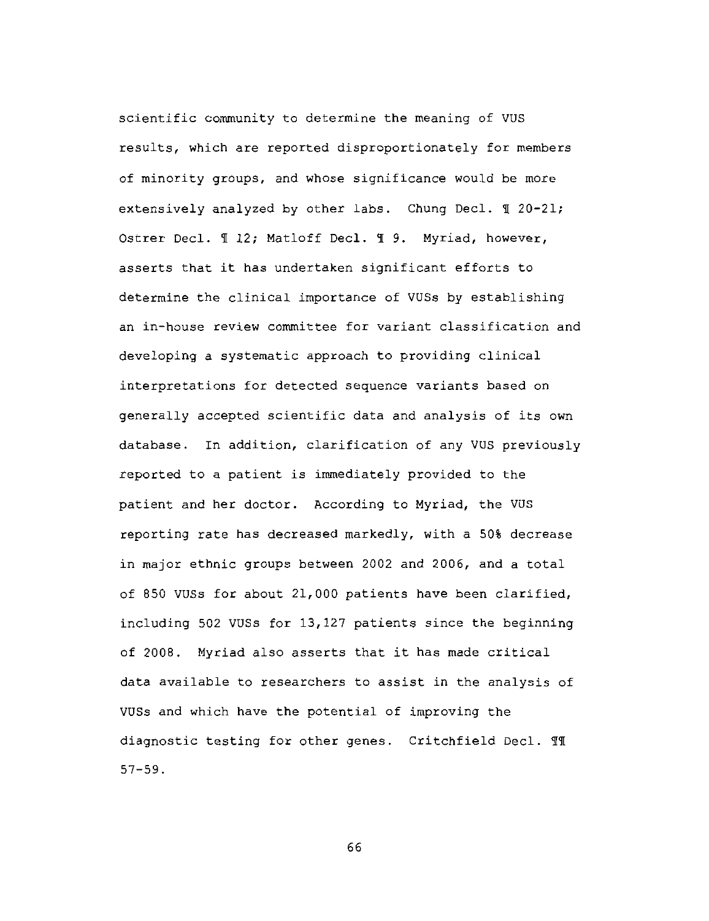scientific community to determine the meaning of VUS results, which are reported disproportionately for members of minority groups, and whose significance would be more extensively analyzed by other labs. Chung Decl. 1 20-21; Ostrer Decl. 1 12; Matloff Decl. 1 9. Myriad, however, asserts that it has undertaken significant efforts to determine the clinical importance of VUSs by establishing an in-house review committee for variant classification and developing a systematic approach to providing clinical interpretations for detected sequence variants based on generally accepted scientific data and analysis of its own database. In addition, clarification of any VUS previously reported to a patient is immediately provided to the patient and her doctor. According to Myriad, the VUS reporting rate has decreased markedly, with a 50% decrease in major ethnic groups between 2002 and 2006, and a total of 850 VUSs for about 21,000 patients have been clarified, including 502 VUSs for 13,127 patients since the beginning of 2008. Myriad also asserts that it has made critical data available to researchers to assist in the analysis of VUSs and which have the potential of improving the diagnostic testing for other genes. Critchfield Decl. 11  $57 - 59.$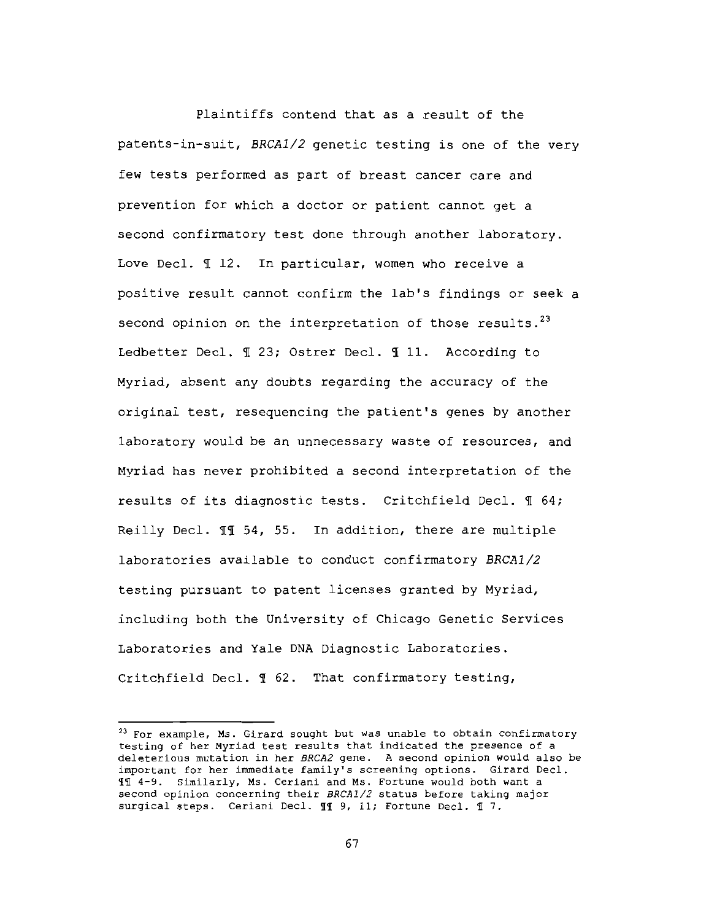Plaintiffs contend that as a result of the patents-in-suit, BRCA1/2 genetic testing is one of the very few tests performed as part of breast cancer care and prevention for which a doctor or patient cannot get a second confirmatory test done through another laboratory. Love Decl. 1 12. In particular, women who receive a positive result cannot confirm the lab's findings or seek a second opinion on the interpretation of those results.<sup>23</sup> Ledbetter Decl. 1 23; Ostrer Decl. 1 11. According to Myriad, absent any doubts regarding the accuracy of the original test, resequencing the patient's genes by another laboratory would be an unnecessary waste of resources, and Myriad has never prohibited a second interpretation of the results of its diagnostic tests. Critchfield Decl. I 64; Reilly Decl. II 54, 55. In addition, there are multiple laboratories available to conduct confirmatory BRCA1/2 testing pursuant to patent licenses granted by Myriad, including both the University of Chicago Genetic Services Laboratories and Yale DNA Diagnostic Laboratories. Critchfield Decl. 1 62. That confirmatory testing,

<sup>&</sup>lt;sup>23</sup> For example, Ms. Girard sought but was unable to obtain confirmatory testing of her Myriad test results that indicated the presence of a deleterious mutation in her BRCA2 gene. A second opinion would also be important for her immediate family's screening options. Girard Decl. 11 4-9. Similarly, Ms. Ceriani and Ms. Fortune would both want a second opinion concerning their BRCA1/2 status before taking major surgical steps. Ceriani Decl. 11 9, 11; Fortune Decl. 1 7.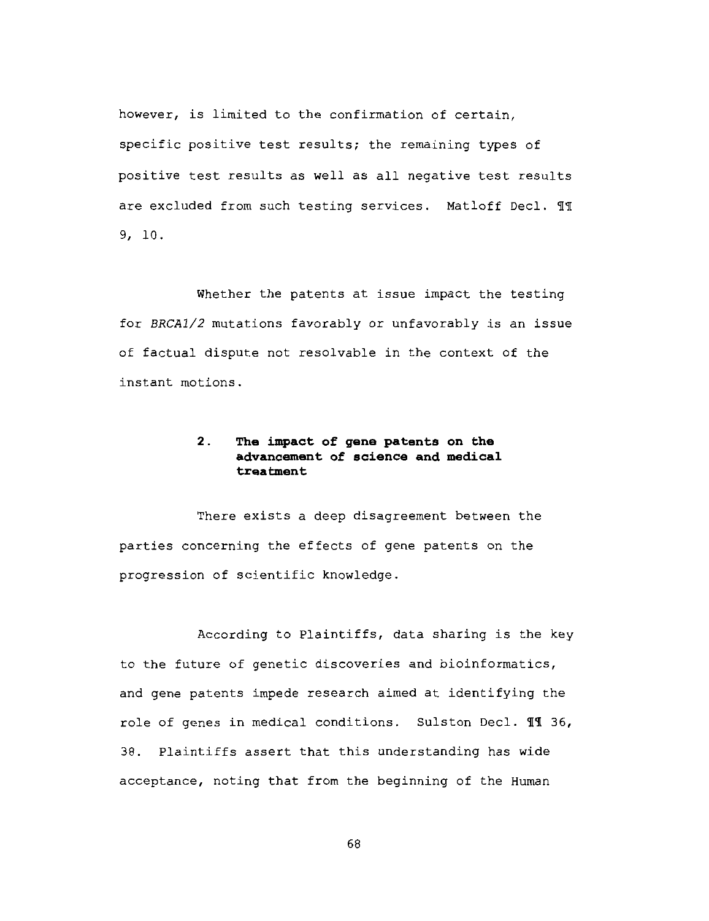however, is limited to the confirmation of certain, specific positive test results; the remaining types of positive test results as well as all negative test results are excluded from such testing services. Matloff Decl. 11  $9, 10.$ 

Whether the patents at issue impact the testing for BRCA1/2 mutations favorably or unfavorably is an issue of factual dispute not resolvable in the context of the instant motions.

## $2.$ The impact of gene patents on the advancement of science and medical treatment

There exists a deep disagreement between the parties concerning the effects of gene patents on the progression of scientific knowledge.

According to Plaintiffs, data sharing is the key to the future of genetic discoveries and bioinformatics, and gene patents impede research aimed at identifying the role of genes in medical conditions. Sulston Decl. II 36, Plaintiffs assert that this understanding has wide 38. acceptance, noting that from the beginning of the Human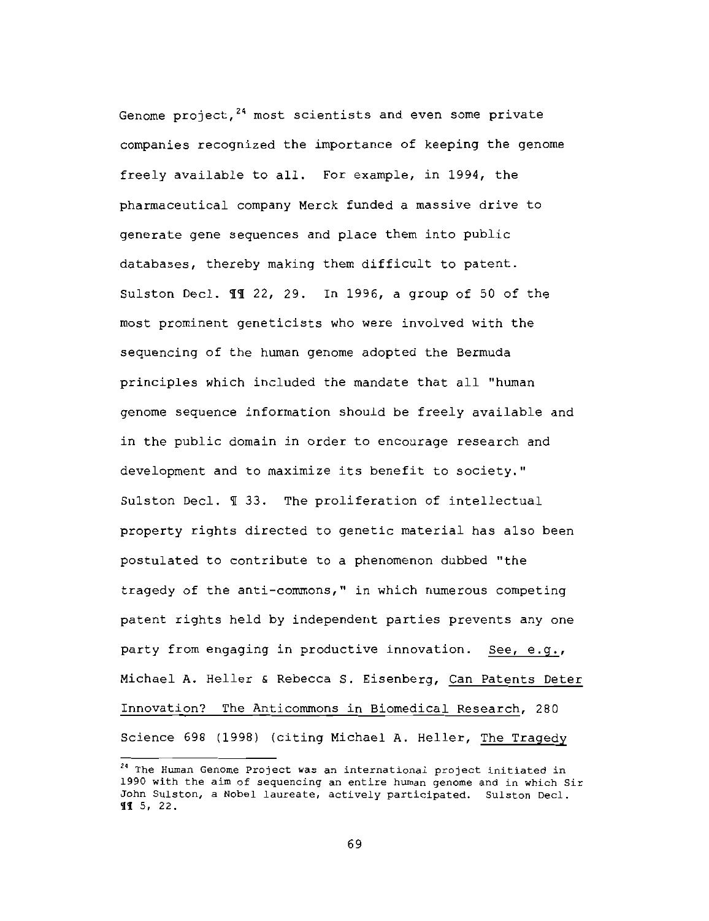Genome project,<sup>24</sup> most scientists and even some private companies recognized the importance of keeping the genome freely available to all. For example, in 1994, the pharmaceutical company Merck funded a massive drive to generate gene sequences and place them into public databases, thereby making them difficult to patent. Sulston Decl. 11 22, 29. In 1996, a group of 50 of the most prominent geneticists who were involved with the sequencing of the human genome adopted the Bermuda principles which included the mandate that all "human genome sequence information should be freely available and in the public domain in order to encourage research and development and to maximize its benefit to society." Sulston Decl. ¶ 33. The proliferation of intellectual property rights directed to genetic material has also been postulated to contribute to a phenomenon dubbed "the tragedy of the anti-commons," in which numerous competing patent rights held by independent parties prevents any one party from engaging in productive innovation. See, e.g., Michael A. Heller & Rebecca S. Eisenberg, Can Patents Deter Innovation? The Anticommons in Biomedical Research, 280 Science 698 (1998) (citing Michael A. Heller, The Tragedy

<sup>&</sup>lt;sup>24</sup> The Human Genome Project was an international project initiated in 1990 with the aim of sequencing an entire human genome and in which Sir John Sulston, a Nobel laureate, actively participated. Sulston Decl. II 5, 22.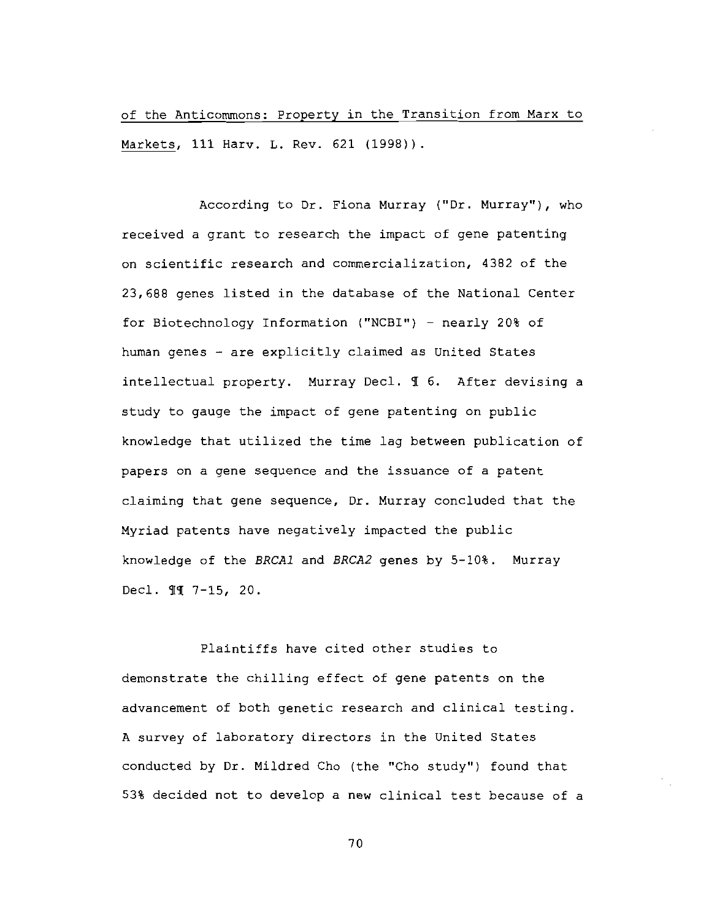of the Anticommons: Property in the Transition from Marx to Markets, 111 Harv. L. Rev. 621 (1998)).

According to Dr. Fiona Murray ("Dr. Murray"), who received a grant to research the impact of gene patenting on scientific research and commercialization, 4382 of the 23,688 genes listed in the database of the National Center for Biotechnology Information ("NCBI") - nearly 20% of human genes - are explicitly claimed as United States intellectual property. Murray Decl. 1 6. After devising a study to gauge the impact of gene patenting on public knowledge that utilized the time lag between publication of papers on a gene sequence and the issuance of a patent claiming that gene sequence, Dr. Murray concluded that the Myriad patents have negatively impacted the public knowledge of the BRCA1 and BRCA2 genes by 5-10%. Murray Decl. 11 7-15, 20.

Plaintiffs have cited other studies to demonstrate the chilling effect of gene patents on the advancement of both genetic research and clinical testing. A survey of laboratory directors in the United States conducted by Dr. Mildred Cho (the "Cho study") found that 53% decided not to develop a new clinical test because of a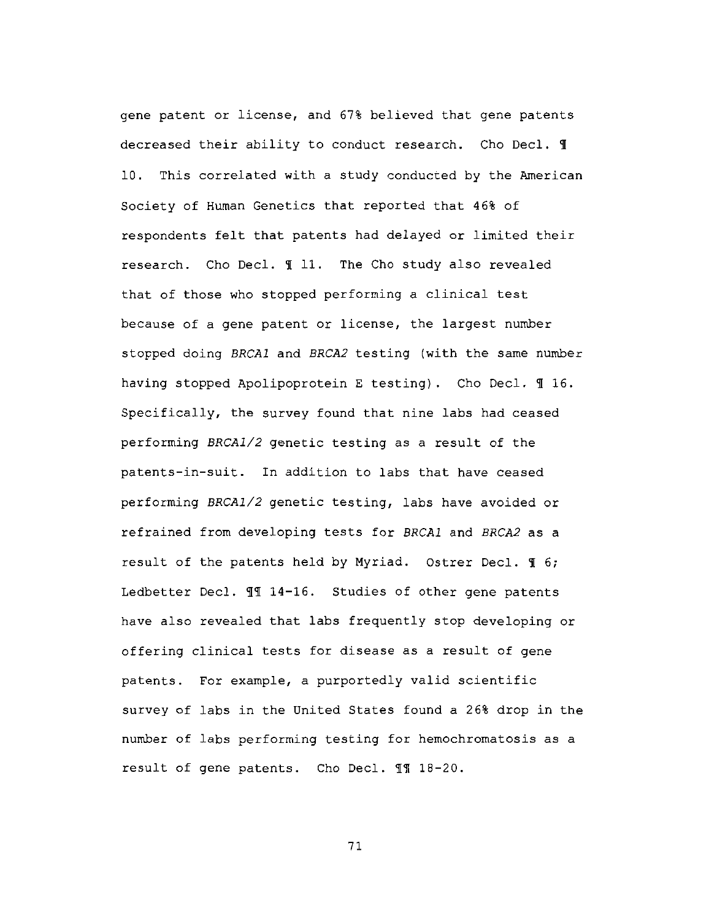gene patent or license, and 67% believed that gene patents decreased their ability to conduct research. Cho Decl. I 10. This correlated with a study conducted by the American Society of Human Genetics that reported that 46% of respondents felt that patents had delayed or limited their research. Cho Decl. 1 11. The Cho study also revealed that of those who stopped performing a clinical test because of a gene patent or license, the largest number stopped doing BRCA1 and BRCA2 testing (with the same number having stopped Apolipoprotein E testing). Cho Decl. 116. Specifically, the survey found that nine labs had ceased performing BRCA1/2 genetic testing as a result of the patents-in-suit. In addition to labs that have ceased performing BRCA1/2 genetic testing, labs have avoided or refrained from developing tests for BRCA1 and BRCA2 as a result of the patents held by Myriad. Ostrer Decl. If 6; Ledbetter Decl. II 14-16. Studies of other gene patents have also revealed that labs frequently stop developing or offering clinical tests for disease as a result of gene patents. For example, a purportedly valid scientific survey of labs in the United States found a 26% drop in the number of labs performing testing for hemochromatosis as a result of gene patents. Cho Decl. 11 18-20.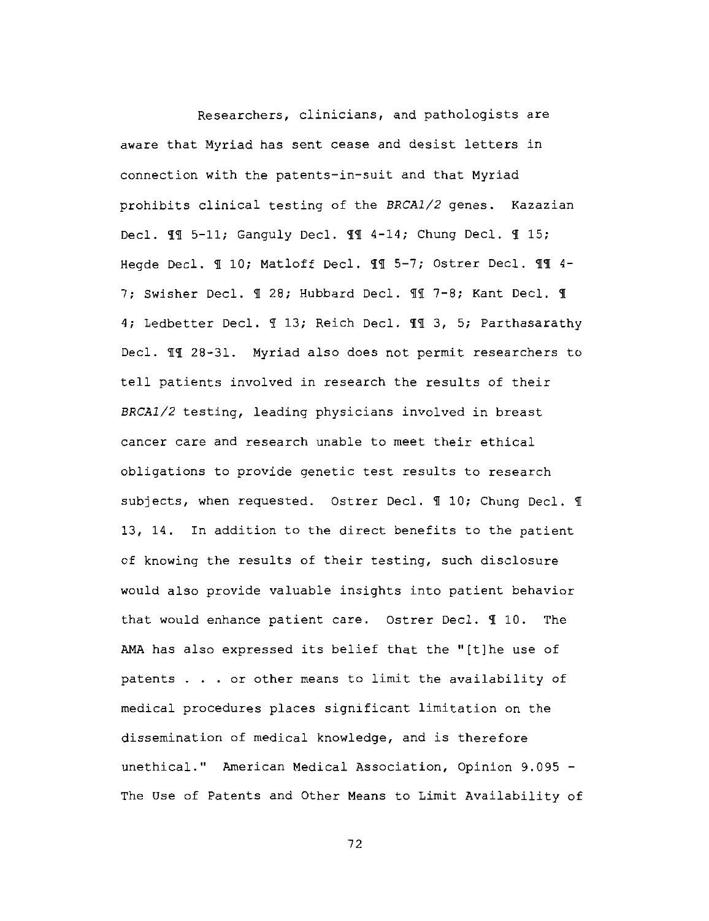Researchers, clinicians, and pathologists are aware that Myriad has sent cease and desist letters in connection with the patents-in-suit and that Myriad prohibits clinical testing of the BRCA1/2 genes. Kazazian Decl. II 5-11; Ganguly Decl. II 4-14; Chung Decl. I 15; Hegde Decl. 1 10; Matloff Decl. 11 5-7; Ostrer Decl. 11 4-7; Swisher Decl. 1 28; Hubbard Decl. 11 7-8; Kant Decl. 1 4; Ledbetter Decl. 1 13; Reich Decl. 11 3, 5; Parthasarathy Decl. II 28-31. Myriad also does not permit researchers to tell patients involved in research the results of their BRCA1/2 testing, leading physicians involved in breast cancer care and research unable to meet their ethical obligations to provide genetic test results to research subjects, when requested. Ostrer Decl. 1 10; Chung Decl. 1 13, 14. In addition to the direct benefits to the patient of knowing the results of their testing, such disclosure would also provide valuable insights into patient behavior that would enhance patient care. Ostrer Decl. 110. The AMA has also expressed its belief that the "[t]he use of patents . . . or other means to limit the availability of medical procedures places significant limitation on the dissemination of medical knowledge, and is therefore unethical." American Medical Association, Opinion 9.095 -The Use of Patents and Other Means to Limit Availability of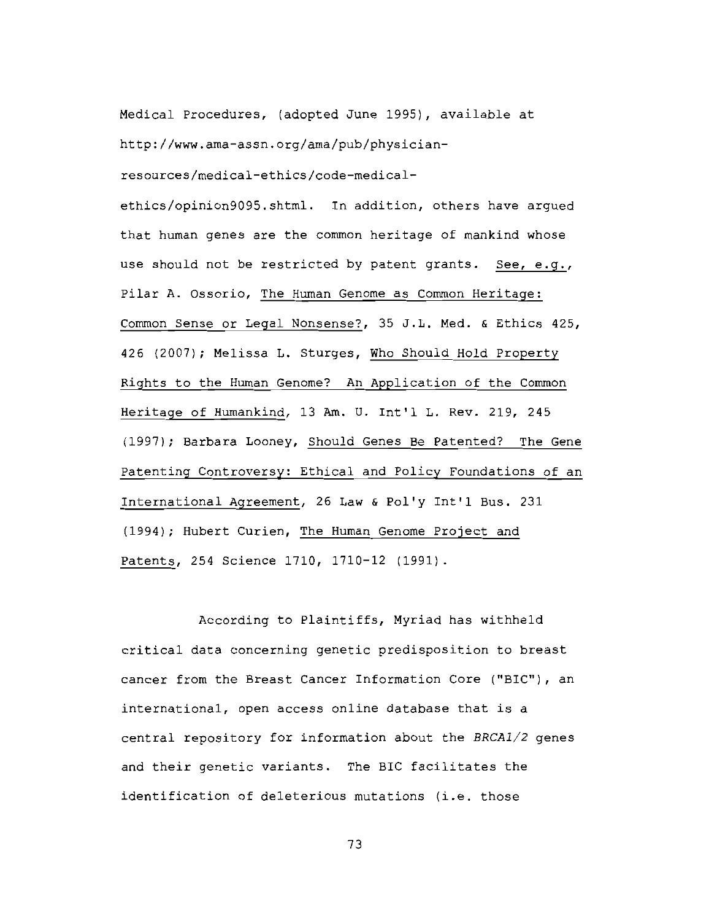Medical Procedures, (adopted June 1995), available at http://www.ama-assn.org/ama/pub/physician-

resources/medical-ethics/code-medical-

ethics/opinion9095.shtml. In addition, others have argued that human genes are the common heritage of mankind whose use should not be restricted by patent grants. See, e.g., Pilar A. Ossorio, The Human Genome as Common Heritage: Common Sense or Legal Nonsense?, 35 J.L. Med. & Ethics 425, 426 (2007); Melissa L. Sturges, Who Should Hold Property Rights to the Human Genome? An Application of the Common Heritage of Humankind, 13 Am. U. Int'l L. Rev. 219, 245 (1997); Barbara Looney, Should Genes Be Patented? The Gene Patenting Controversy: Ethical and Policy Foundations of an International Agreement, 26 Law & Pol'y Int'l Bus. 231 (1994); Hubert Curien, The Human Genome Project and Patents, 254 Science 1710, 1710-12 (1991).

According to Plaintiffs, Myriad has withheld critical data concerning genetic predisposition to breast cancer from the Breast Cancer Information Core ("BIC"), an international, open access online database that is a central repository for information about the BRCA1/2 genes and their genetic variants. The BIC facilitates the identification of deleterious mutations (i.e. those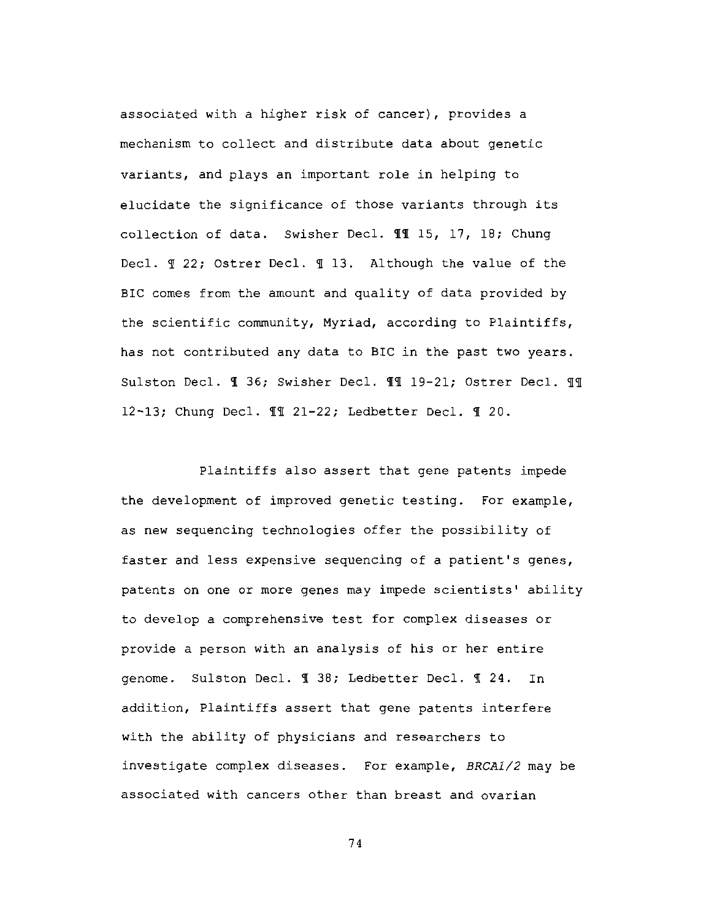associated with a higher risk of cancer), provides a mechanism to collect and distribute data about genetic variants, and plays an important role in helping to elucidate the significance of those variants through its collection of data. Swisher Decl. 11 15, 17, 18; Chung Decl. 1 22; Ostrer Decl. 1 13. Although the value of the BIC comes from the amount and quality of data provided by the scientific community, Myriad, according to Plaintiffs, has not contributed any data to BIC in the past two years. Sulston Decl. 1 36; Swisher Decl. 11 19-21; Ostrer Decl. 11 12-13; Chung Decl. II 21-22; Ledbetter Decl. I 20.

Plaintiffs also assert that gene patents impede the development of improved genetic testing. For example, as new sequencing technologies offer the possibility of faster and less expensive sequencing of a patient's genes, patents on one or more genes may impede scientists' ability to develop a comprehensive test for complex diseases or provide a person with an analysis of his or her entire genome. Sulston Decl. ¶ 38; Ledbetter Decl. ¶ 24. In addition, Plaintiffs assert that gene patents interfere with the ability of physicians and researchers to investigate complex diseases. For example, BRCA1/2 may be associated with cancers other than breast and ovarian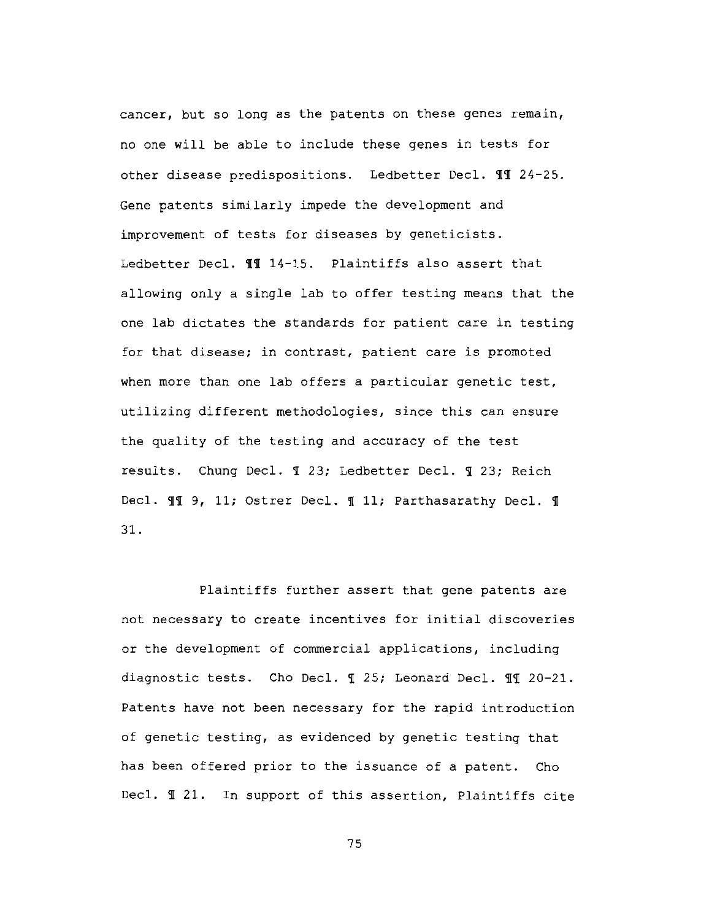cancer, but so long as the patents on these genes remain, no one will be able to include these genes in tests for other disease predispositions. Ledbetter Decl. TT 24-25. Gene patents similarly impede the development and improvement of tests for diseases by geneticists. Ledbetter Decl. 11 14-15. Plaintiffs also assert that allowing only a single lab to offer testing means that the one lab dictates the standards for patient care in testing for that disease; in contrast, patient care is promoted when more than one lab offers a particular genetic test, utilizing different methodologies, since this can ensure the quality of the testing and accuracy of the test results. Chung Decl. 1 23; Ledbetter Decl. 1 23; Reich Decl. II 9, 11; Ostrer Decl. I 11; Parthasarathy Decl. I 31.

Plaintiffs further assert that gene patents are not necessary to create incentives for initial discoveries or the development of commercial applications, including diagnostic tests. Cho Decl. 1 25; Leonard Decl. 11 20-21. Patents have not been necessary for the rapid introduction of genetic testing, as evidenced by genetic testing that has been offered prior to the issuance of a patent. Cho Decl. I 21. In support of this assertion, Plaintiffs cite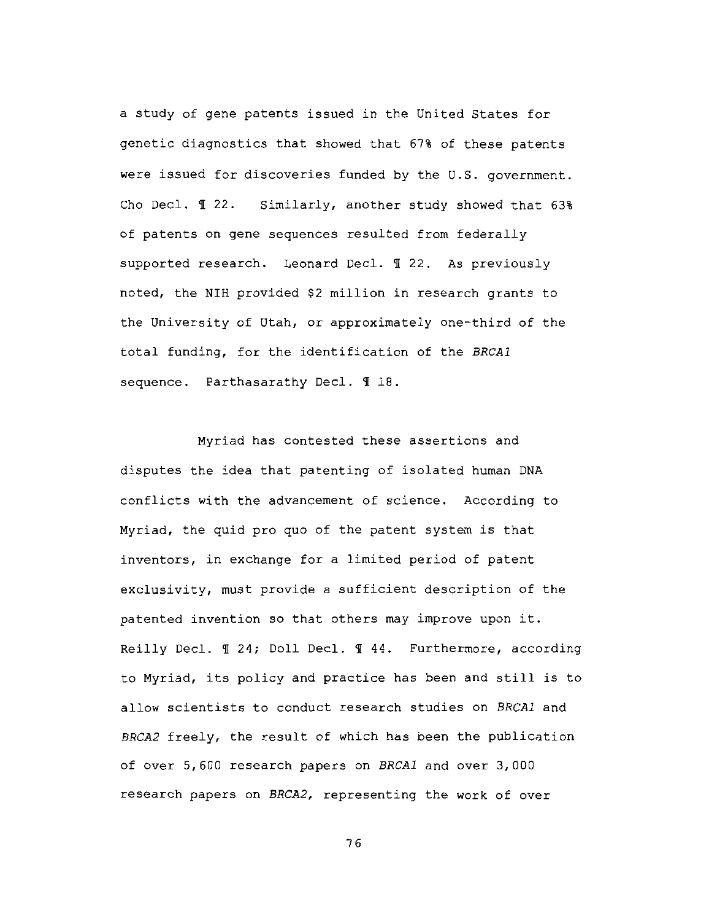a study of gene patents issued in the United States for genetic diagnostics that showed that 67% of these patents were issued for discoveries funded by the U.S. government. Cho Decl. ¶ 22. Similarly, another study showed that 63% of patents on gene sequences resulted from federally supported research. Leonard Decl. 1 22. As previously noted, the NIH provided \$2 million in research grants to the University of Utah, or approximately one-third of the total funding, for the identification of the BRCA1 sequence. Parthasarathy Decl. 1 18.

Myriad has contested these assertions and disputes the idea that patenting of isolated human DNA conflicts with the advancement of science. According to Myriad, the quid pro quo of the patent system is that inventors, in exchange for a limited period of patent exclusivity, must provide a sufficient description of the patented invention so that others may improve upon it. Reilly Decl. 1 24; Doll Decl. 1 44. Furthermore, according to Myriad, its policy and practice has been and still is to allow scientists to conduct research studies on BRCA1 and BRCA2 freely, the result of which has been the publication of over 5,600 research papers on BRCA1 and over 3,000 research papers on BRCA2, representing the work of over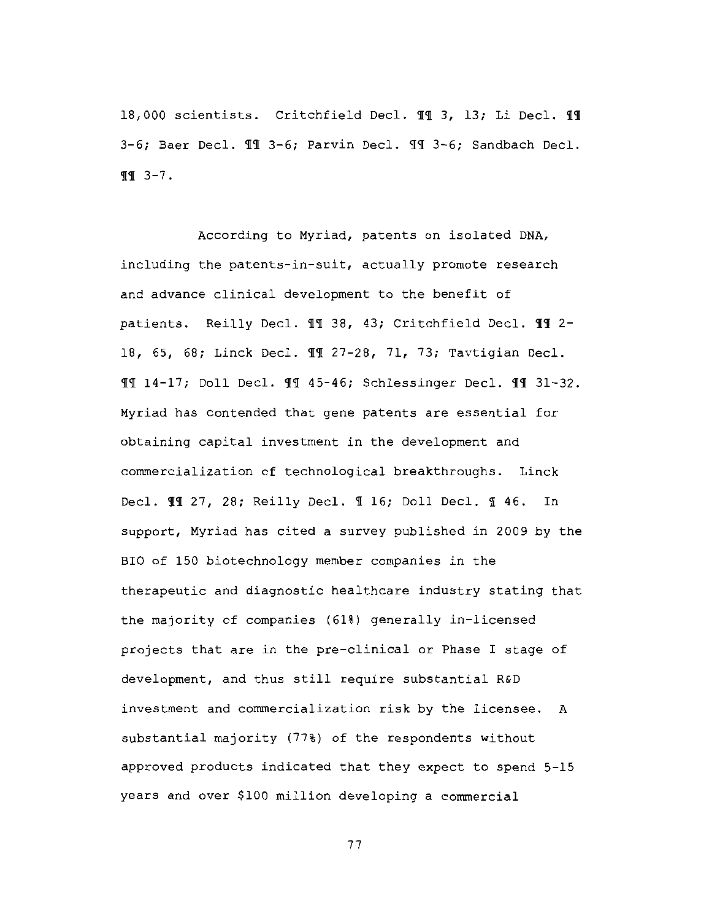18,000 scientists. Critchfield Decl. 11 3, 13; Li Decl. 11 3-6; Baer Decl. II 3-6; Parvin Decl. II 3-6; Sandbach Decl.  $\P\P$  3-7.

According to Myriad, patents on isolated DNA, including the patents-in-suit, actually promote research and advance clinical development to the benefit of patients. Reilly Decl. II 38, 43; Critchfield Decl. II 2-18, 65, 68; Linck Decl. 11 27-28, 71, 73; Tavtigian Decl. II 14-17; Doll Decl. II 45-46; Schlessinger Decl. II 31-32. Myriad has contended that gene patents are essential for obtaining capital investment in the development and commercialization of technological breakthroughs. Linck Decl. 11 27, 28; Reilly Decl. 1 16; Doll Decl. 1 46. In support, Myriad has cited a survey published in 2009 by the BIO of 150 biotechnology member companies in the therapeutic and diagnostic healthcare industry stating that the majority of companies (61%) generally in-licensed projects that are in the pre-clinical or Phase I stage of development, and thus still require substantial R&D investment and commercialization risk by the licensee. A substantial majority (77%) of the respondents without approved products indicated that they expect to spend 5-15 years and over \$100 million developing a commercial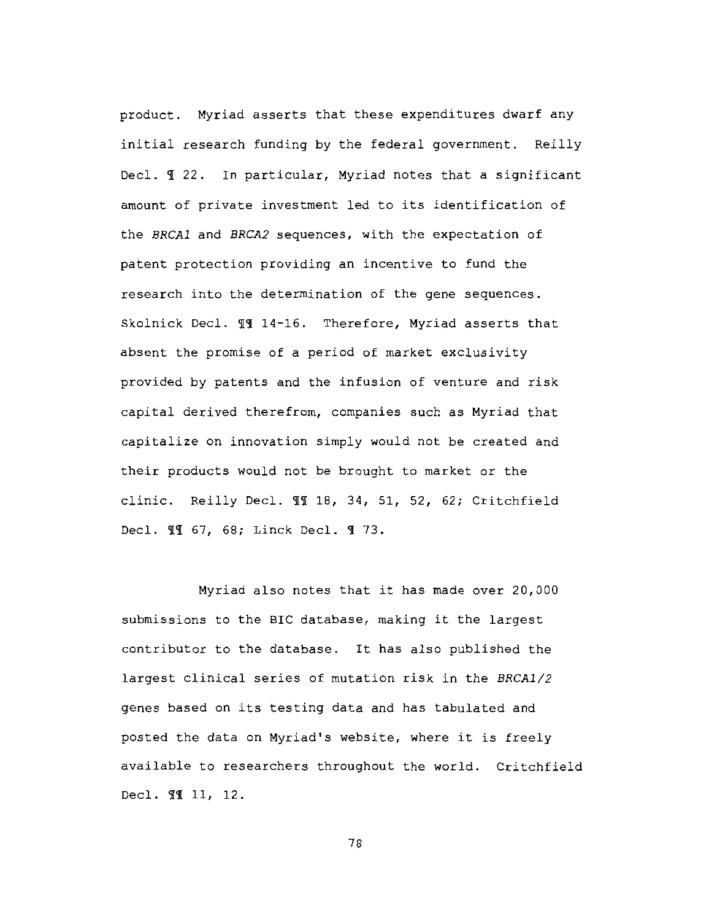product. Myriad asserts that these expenditures dwarf any initial research funding by the federal government. Reilly Decl. I 22. In particular, Myriad notes that a significant amount of private investment led to its identification of the BRCA1 and BRCA2 sequences, with the expectation of patent protection providing an incentive to fund the research into the determination of the gene sequences. Skolnick Decl. ¶¶ 14-16. Therefore, Myriad asserts that absent the promise of a period of market exclusivity provided by patents and the infusion of venture and risk capital derived therefrom, companies such as Myriad that capitalize on innovation simply would not be created and their products would not be brought to market or the clinic. Reilly Decl. 11 18, 34, 51, 52, 62; Critchfield Decl. 11 67, 68; Linck Decl. 1 73.

Myriad also notes that it has made over 20,000 submissions to the BIC database, making it the largest contributor to the database. It has also published the largest clinical series of mutation risk in the BRCA1/2 genes based on its testing data and has tabulated and posted the data on Myriad's website, where it is freely available to researchers throughout the world. Critchfield Decl. 99 11, 12.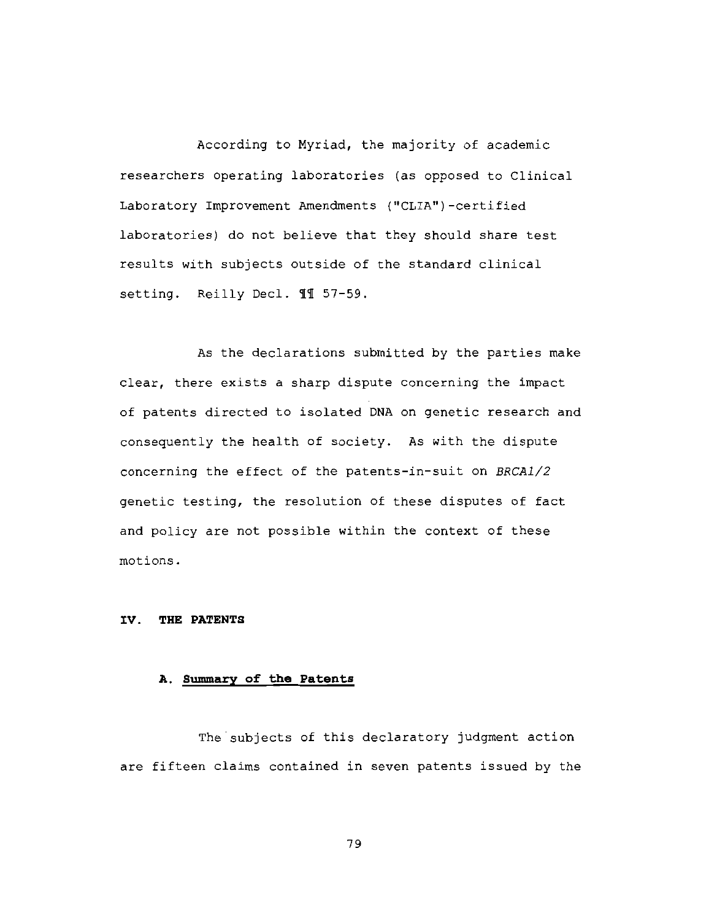According to Myriad, the majority of academic researchers operating laboratories (as opposed to Clinical Laboratory Improvement Amendments ("CLIA")-certified laboratories) do not believe that they should share test results with subjects outside of the standard clinical setting. Reilly Decl. 11 57-59.

As the declarations submitted by the parties make clear, there exists a sharp dispute concerning the impact of patents directed to isolated DNA on genetic research and consequently the health of society. As with the dispute concerning the effect of the patents-in-suit on BRCA1/2 genetic testing, the resolution of these disputes of fact and policy are not possible within the context of these motions.

## IV. THE PATENTS

# A. Summary of the Patents

The subjects of this declaratory judgment action are fifteen claims contained in seven patents issued by the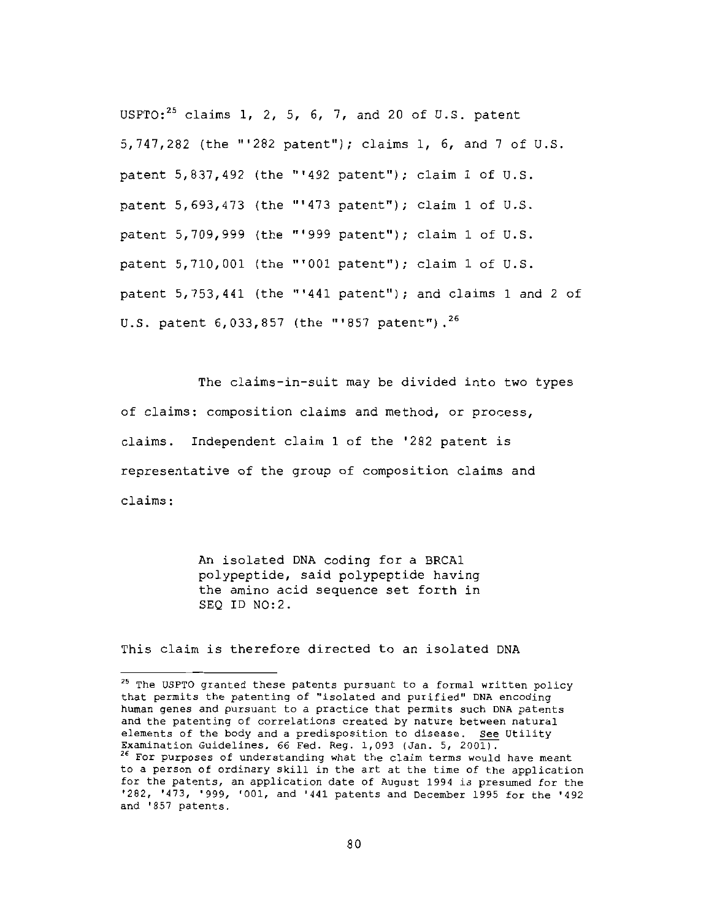USPTO:<sup>25</sup> claims 1, 2, 5, 6, 7, and 20 of U.S. patent 5,747,282 (the "'282 patent"); claims 1, 6, and 7 of U.S. patent 5,837,492 (the "'492 patent"); claim 1 of U.S. patent 5,693,473 (the "'473 patent"); claim 1 of U.S. patent 5,709,999 (the "'999 patent"); claim 1 of U.S. patent 5,710,001 (the "'001 patent"); claim 1 of U.S. patent 5,753,441 (the "'441 patent"); and claims 1 and 2 of U.S. patent  $6.033.857$  (the "'857 patent").<sup>26</sup>

The claims-in-suit may be divided into two types of claims: composition claims and method, or process, claims. Independent claim 1 of the '282 patent is representative of the group of composition claims and claims:

> An isolated DNA coding for a BRCA1 polypeptide, said polypeptide having the amino acid sequence set forth in SEO ID NO:2.

This claim is therefore directed to an isolated DNA

<sup>&</sup>lt;sup>25</sup> The USPTO granted these patents pursuant to a formal written policy that permits the patenting of "isolated and purified" DNA encoding human genes and pursuant to a practice that permits such DNA patents and the patenting of correlations created by nature between natural elements of the body and a predisposition to disease. See Utility Examination Guidelines, 66 Fed. Reg. 1,093 (Jan. 5, 2001). <sup>26</sup> For purposes of understanding what the claim terms would have meant to a person of ordinary skill in the art at the time of the application for the patents, an application date of August 1994 is presumed for the '282, '473, '999, '001, and '441 patents and December 1995 for the '492 and '857 patents.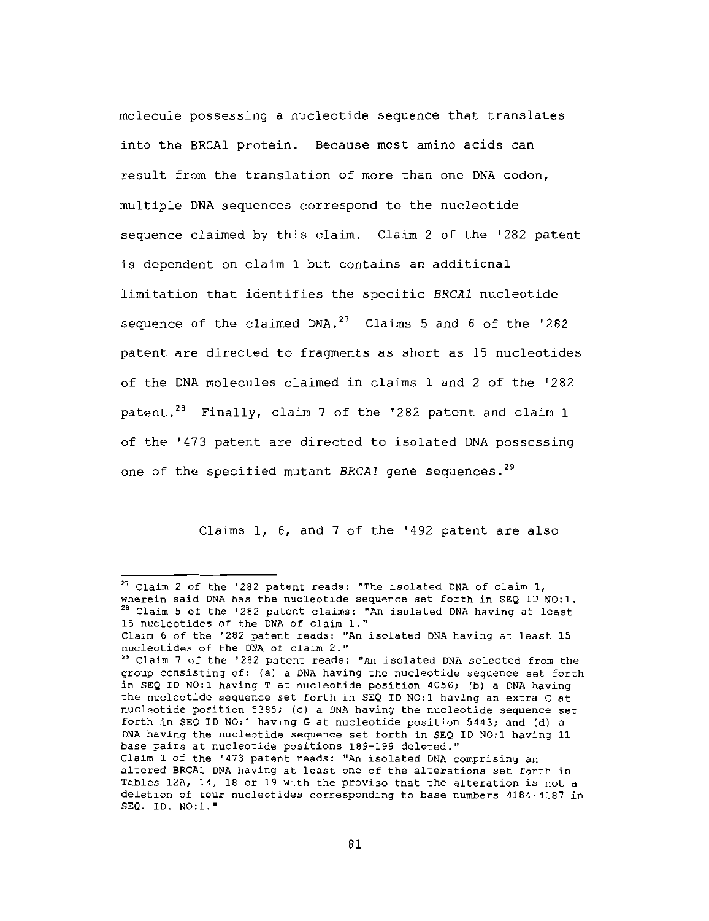molecule possessing a nucleotide sequence that translates into the BRCAl protein. Because most amino acids can result from the translation of more than one DNA codon, multiple DNA sequences correspond to the nucleotide sequence claimed by this claim. Claim 2 of the '282 patent is dependent on claim 1 but contains an additional limitation that identifies the specific BRCA1 nucleotide sequence of the claimed DNA.<sup>27</sup> Claims 5 and 6 of the '282 patent are directed to fragments as short as 15 nucleotides of the DNA molecules claimed in claims 1 and 2 of the '282 patent.<sup>28</sup> Finally, claim 7 of the '282 patent and claim 1 of the '473 patent are directed to isolated DNA possessing one of the specified mutant BRCA1 gene sequences.<sup>29</sup>

Claims 1, 6, and 7 of the '492 patent are also

<sup>&</sup>lt;sup>27</sup> Claim 2 of the '282 patent reads: "The isolated DNA of claim 1, wherein said DNA has the nucleotide sequence set forth in SEQ ID NO:1. <sup>28</sup> Claim 5 of the '282 patent claims: "An isolated DNA having at least 15 nucleotides of the DNA of claim 1."

Claim 6 of the '282 patent reads: "An isolated DNA having at least 15 nucleotides of the DNA of claim 2."

<sup>&</sup>lt;sup>29</sup> Claim 7 of the '282 patent reads: "An isolated DNA selected from the group consisting of: (a) a DNA having the nucleotide sequence set forth in SEQ ID NO:1 having T at nucleotide position 4056; (b) a DNA having the nucleotide sequence set forth in SEQ ID NO:1 having an extra C at nucleotide position 5385; (c) a DNA having the nucleotide sequence set forth in SEQ ID NO:1 having G at nucleotide position 5443; and (d) a DNA having the nucleotide sequence set forth in SEQ ID NO:1 having 11 base pairs at nucleotide positions 189-199 deleted." Claim 1 of the '473 patent reads: "An isolated DNA comprising an

altered BRCA1 DNA having at least one of the alterations set forth in Tables 12A, 14, 18 or 19 with the proviso that the alteration is not a deletion of four nucleotides corresponding to base numbers 4184-4187 in SEQ. ID. NO:1."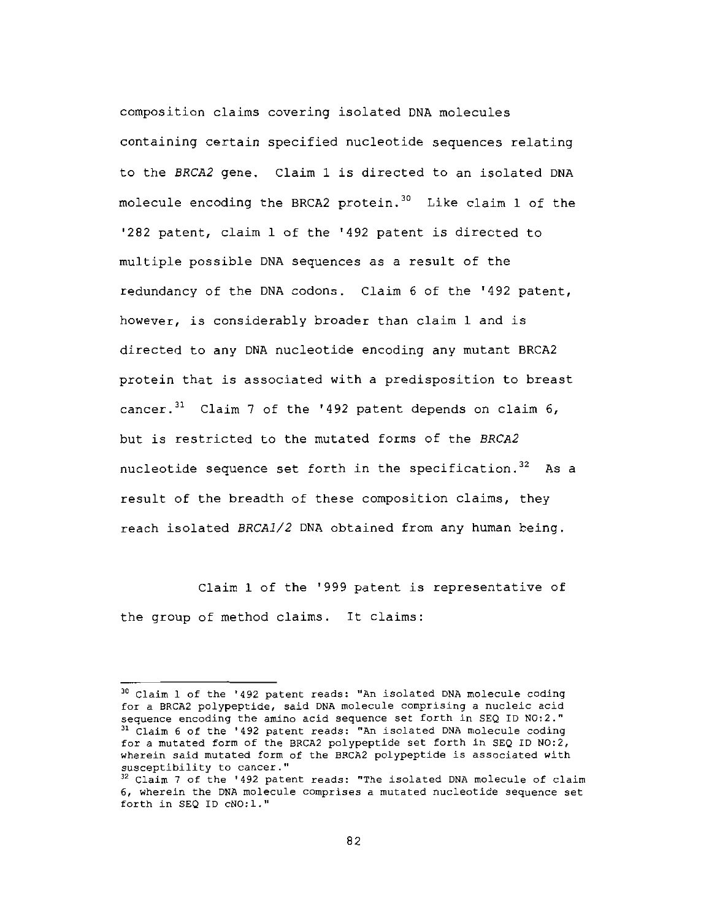composition claims covering isolated DNA molecules containing certain specified nucleotide sequences relating to the BRCA2 gene. Claim 1 is directed to an isolated DNA molecule encoding the BRCA2 protein.<sup>30</sup> Like claim 1 of the '282 patent, claim 1 of the '492 patent is directed to multiple possible DNA sequences as a result of the redundancy of the DNA codons. Claim 6 of the '492 patent, however, is considerably broader than claim 1 and is directed to any DNA nucleotide encoding any mutant BRCA2 protein that is associated with a predisposition to breast cancer.<sup>31</sup> Claim 7 of the '492 patent depends on claim 6, but is restricted to the mutated forms of the BRCA2 nucleotide sequence set forth in the specification.<sup>32</sup> As a result of the breadth of these composition claims, they reach isolated BRCA1/2 DNA obtained from any human being.

Claim 1 of the '999 patent is representative of the group of method claims. It claims:

<sup>&</sup>lt;sup>30</sup> Claim 1 of the '492 patent reads: "An isolated DNA molecule coding for a BRCA2 polypeptide, said DNA molecule comprising a nucleic acid sequence encoding the amino acid sequence set forth in SEQ ID NO:2." <sup>31</sup> Claim 6 of the '492 patent reads: "An isolated DNA molecule coding for a mutated form of the BRCA2 polypeptide set forth in SEQ ID NO:2, wherein said mutated form of the BRCA2 polypeptide is associated with susceptibility to cancer."

<sup>&</sup>lt;sup>32</sup> Claim 7 of the '492 patent reads: "The isolated DNA molecule of claim 6, wherein the DNA molecule comprises a mutated nucleotide sequence set forth in SEQ ID cNO:1."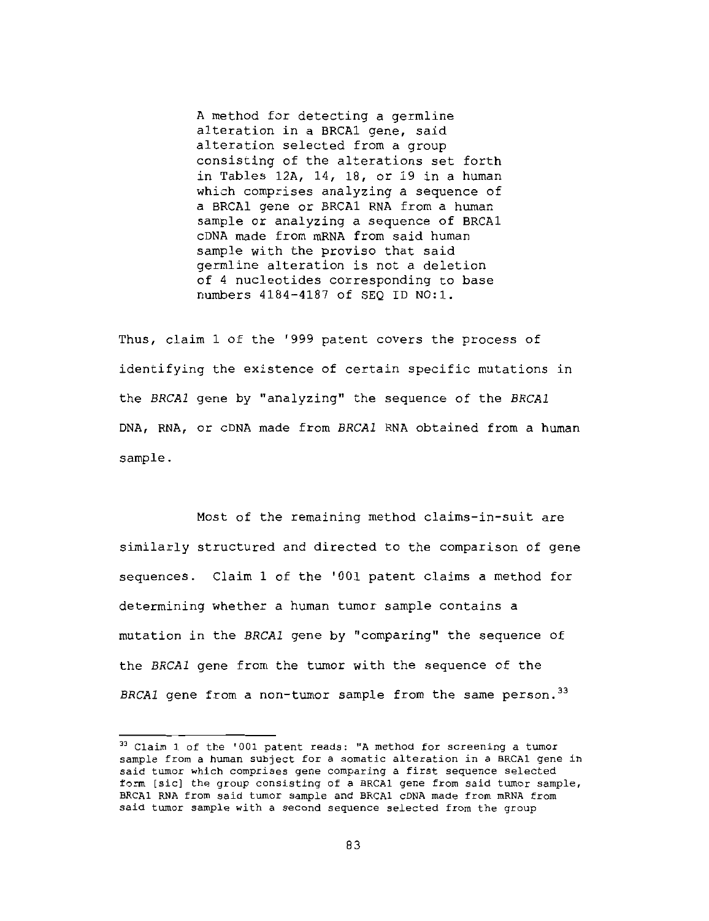A method for detecting a germline alteration in a BRCA1 gene, said alteration selected from a group consisting of the alterations set forth in Tables 12A, 14, 18, or 19 in a human which comprises analyzing a sequence of a BRCAl gene or BRCA1 RNA from a human sample or analyzing a sequence of BRCA1 CDNA made from mRNA from said human sample with the proviso that said germline alteration is not a deletion of 4 nucleotides corresponding to base numbers 4184-4187 of SEQ ID NO:1.

Thus, claim 1 of the '999 patent covers the process of identifying the existence of certain specific mutations in the BRCA1 gene by "analyzing" the sequence of the BRCA1 DNA, RNA, or cDNA made from BRCA1 RNA obtained from a human sample.

Most of the remaining method claims-in-suit are similarly structured and directed to the comparison of gene sequences. Claim 1 of the '001 patent claims a method for determining whether a human tumor sample contains a mutation in the BRCA1 gene by "comparing" the sequence of the BRCA1 gene from the tumor with the sequence of the BRCA1 gene from a non-tumor sample from the same person.<sup>33</sup>

<sup>&</sup>lt;sup>33</sup> Claim 1 of the '001 patent reads: "A method for screening a tumor sample from a human subject for a somatic alteration in a BRCA1 gene in said tumor which comprises gene comparing a first sequence selected form [sic] the group consisting of a BRCA1 gene from said tumor sample, BRCA1 RNA from said tumor sample and BRCA1 cDNA made from mRNA from said tumor sample with a second sequence selected from the group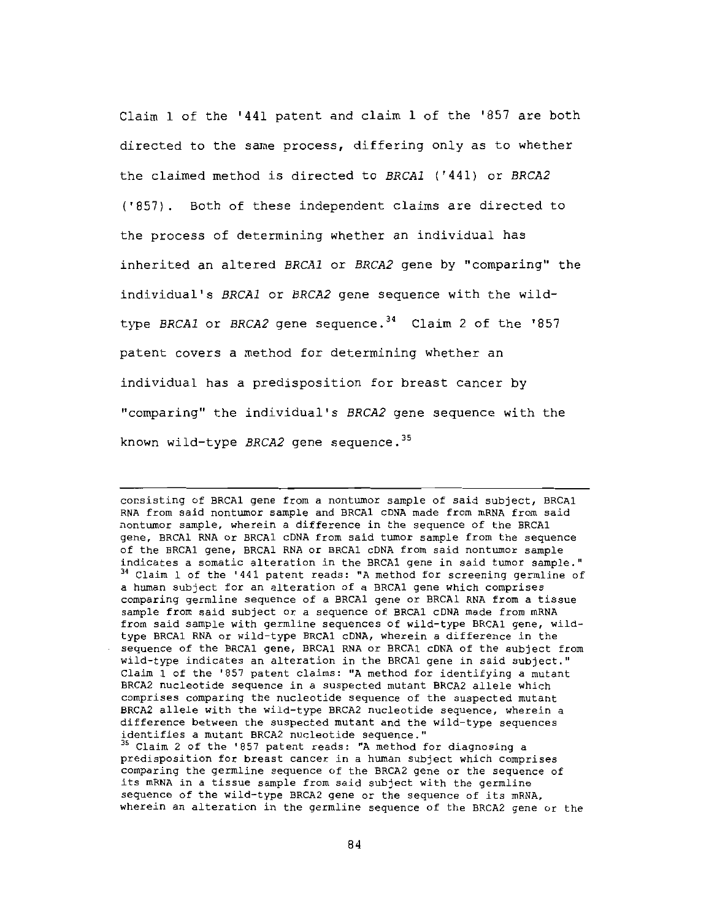Claim 1 of the '441 patent and claim 1 of the '857 are both directed to the same process, differing only as to whether the claimed method is directed to BRCA1 ('441) or BRCA2 ('857). Both of these independent claims are directed to the process of determining whether an individual has inherited an altered BRCA1 or BRCA2 gene by "comparing" the individual's BRCA1 or BRCA2 gene sequence with the wildtype BRCA1 or BRCA2 gene sequence.<sup>34</sup> Claim 2 of the '857 patent covers a method for determining whether an individual has a predisposition for breast cancer by "comparing" the individual's BRCA2 gene sequence with the known wild-type BRCA2 gene sequence. 35

consisting of BRCA1 gene from a nontumor sample of said subject, BRCA1 RNA from said nontumor sample and BRCA1 cDNA made from mRNA from said nontumor sample, wherein a difference in the sequence of the BRCA1 gene, BRCAl RNA or BRCAl cDNA from said tumor sample from the sequence of the BRCA1 gene, BRCA1 RNA or BRCA1 cDNA from said nontumor sample indicates a somatic alteration in the BRCA1 gene in said tumor sample." <sup>34</sup> Claim 1 of the '441 patent reads: "A method for screening germline of a human subject for an alteration of a BRCA1 gene which comprises comparing germline sequence of a BRCA1 gene or BRCA1 RNA from a tissue sample from said subject or a sequence of BRCA1 cDNA made from mRNA from said sample with germline sequences of wild-type BRCA1 gene, wildtype BRCA1 RNA or wild-type BRCA1 cDNA, wherein a difference in the sequence of the BRCA1 gene, BRCA1 RNA or BRCA1 cDNA of the subject from wild-type indicates an alteration in the BRCA1 gene in said subject." Claim 1 of the '857 patent claims: "A method for identifying a mutant BRCA2 nucleotide sequence in a suspected mutant BRCA2 allele which comprises comparing the nucleotide sequence of the suspected mutant BRCA2 allele with the wild-type BRCA2 nucleotide sequence, wherein a difference between the suspected mutant and the wild-type sequences identifies a mutant BRCA2 nucleotide sequence."

<sup>35</sup> Claim 2 of the '857 patent reads: "A method for diagnosing a predisposition for breast cancer in a human subject which comprises comparing the germline sequence of the BRCA2 gene or the sequence of its mRNA in a tissue sample from said subject with the germline sequence of the wild-type BRCA2 gene or the sequence of its mRNA. wherein an alteration in the germline sequence of the BRCA2 gene or the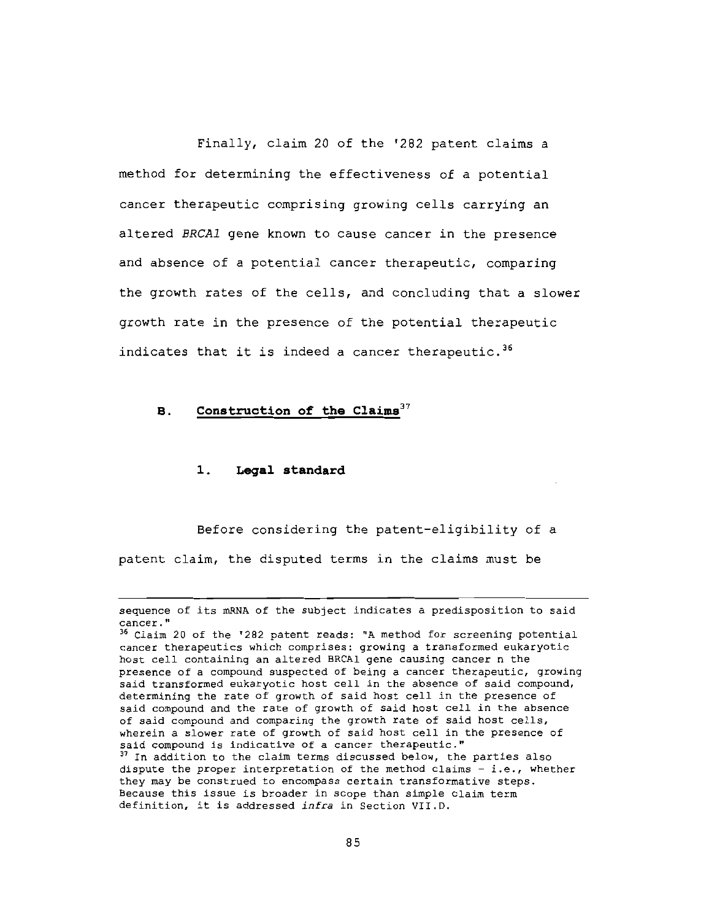Finally, claim 20 of the '282 patent claims a method for determining the effectiveness of a potential cancer therapeutic comprising growing cells carrying an altered BRCA1 gene known to cause cancer in the presence and absence of a potential cancer therapeutic, comparing the growth rates of the cells, and concluding that a slower growth rate in the presence of the potential therapeutic indicates that it is indeed a cancer therapeutic.<sup>36</sup>

#### Construction of the Claims<sup>37</sup> **B.**

#### $1.$ Legal standard

Before considering the patent-eligibility of a patent claim, the disputed terms in the claims must be

sequence of its mRNA of the subject indicates a predisposition to said cancer."

<sup>&</sup>lt;sup>36</sup> Claim 20 of the '282 patent reads: "A method for screening potential cancer therapeutics which comprises: growing a transformed eukaryotic host cell containing an altered BRCAl gene causing cancer n the presence of a compound suspected of being a cancer therapeutic, growing said transformed eukaryotic host cell in the absence of said compound, determining the rate of growth of said host cell in the presence of said compound and the rate of growth of said host cell in the absence of said compound and comparing the growth rate of said host cells, wherein a slower rate of growth of said host cell in the presence of said compound is indicative of a cancer therapeutic." 37 In addition to the claim terms discussed below, the parties also dispute the proper interpretation of the method claims - i.e., whether they may be construed to encompass certain transformative steps. Because this issue is broader in scope than simple claim term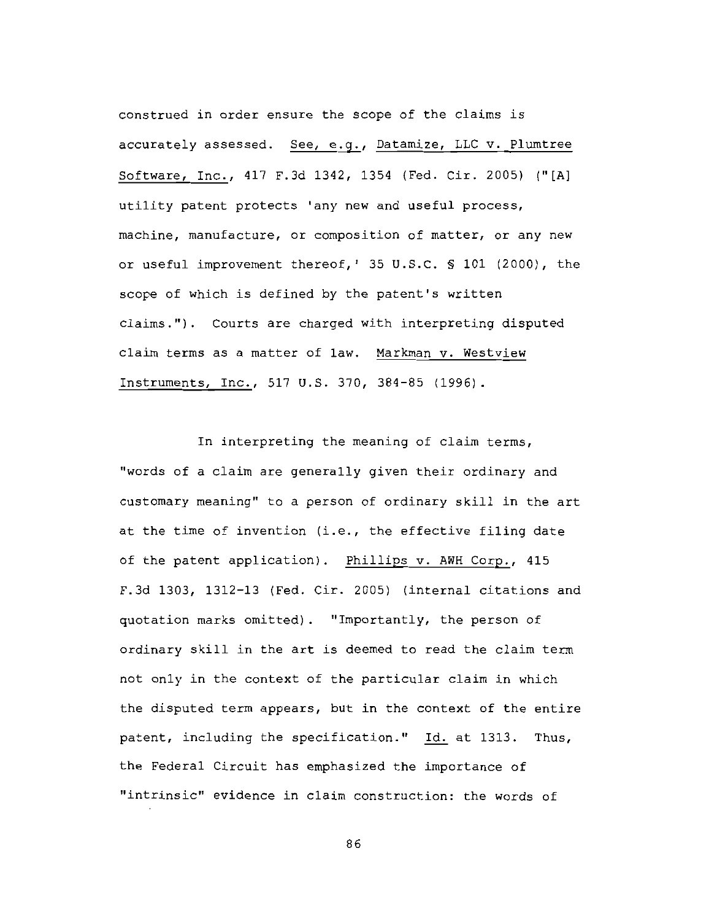construed in order ensure the scope of the claims is accurately assessed. See, e.g., Datamize, LLC v. Plumtree Software, Inc., 417 F.3d 1342, 1354 (Fed. Cir. 2005) ("[A] utility patent protects 'any new and useful process, machine, manufacture, or composition of matter, or any new or useful improvement thereof, ' 35 U.S.C. § 101 (2000), the scope of which is defined by the patent's written claims."). Courts are charged with interpreting disputed claim terms as a matter of law. Markman v. Westview Instruments, Inc., 517 U.S. 370, 384-85 (1996).

In interpreting the meaning of claim terms, "words of a claim are generally given their ordinary and customary meaning" to a person of ordinary skill in the art at the time of invention (i.e., the effective filing date of the patent application). Phillips v. AWH Corp., 415 F.3d 1303, 1312-13 (Fed. Cir. 2005) (internal citations and quotation marks omitted). "Importantly, the person of ordinary skill in the art is deemed to read the claim term not only in the context of the particular claim in which the disputed term appears, but in the context of the entire patent, including the specification." Id. at 1313. Thus, the Federal Circuit has emphasized the importance of "intrinsic" evidence in claim construction: the words of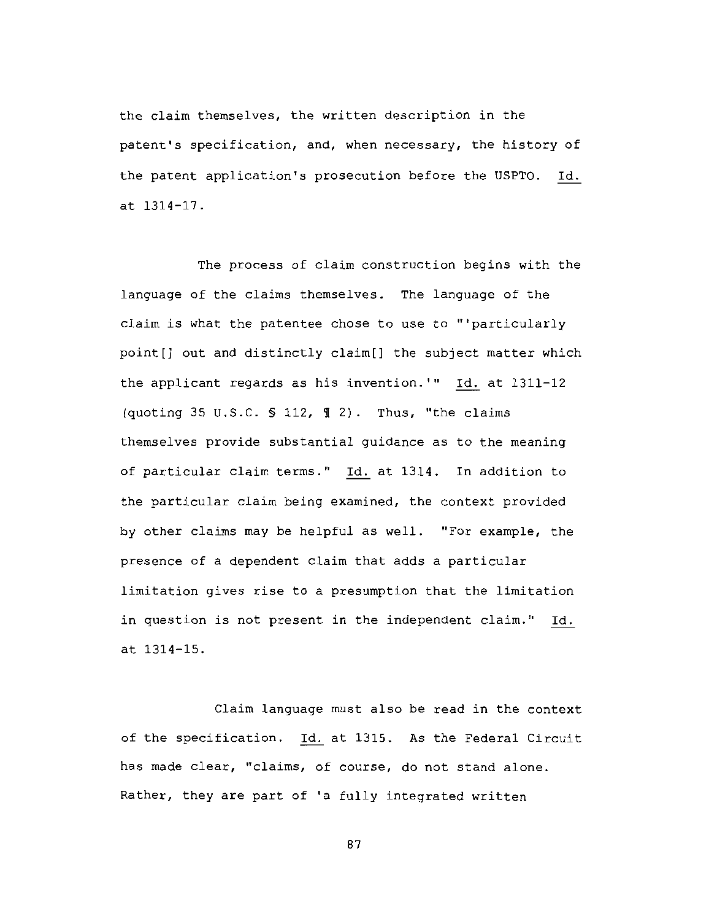the claim themselves, the written description in the patent's specification, and, when necessary, the history of the patent application's prosecution before the USPTO. Id. at 1314-17.

The process of claim construction begins with the language of the claims themselves. The language of the claim is what the patentee chose to use to "'particularly point[] out and distinctly claim[] the subject matter which the applicant regards as his invention.'" Id. at 1311-12 (quoting 35 U.S.C. § 112, ¶ 2). Thus, "the claims themselves provide substantial guidance as to the meaning of particular claim terms." Id. at 1314. In addition to the particular claim being examined, the context provided by other claims may be helpful as well. "For example, the presence of a dependent claim that adds a particular limitation gives rise to a presumption that the limitation in question is not present in the independent claim." Id. at 1314-15.

Claim language must also be read in the context of the specification. Id. at 1315. As the Federal Circuit has made clear, "claims, of course, do not stand alone. Rather, they are part of 'a fully integrated written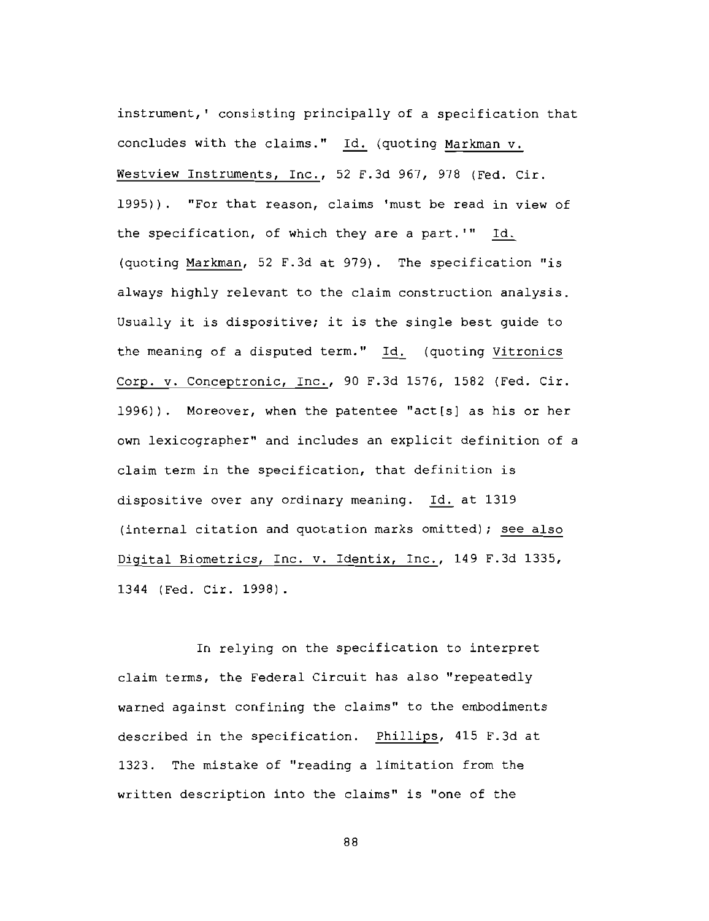instrument,' consisting principally of a specification that concludes with the claims." Id. (quoting Markman v. Westview Instruments, Inc., 52 F.3d 967, 978 (Fed. Cir. 1995)). "For that reason, claims 'must be read in view of the specification, of which they are a part."" Id. (quoting Markman, 52 F.3d at 979). The specification "is always highly relevant to the claim construction analysis. Usually it is dispositive; it is the single best quide to the meaning of a disputed term." Id. (quoting Vitronics Corp. v. Conceptronic, Inc., 90 F.3d 1576, 1582 (Fed. Cir. 1996)). Moreover, when the patentee "act[s] as his or her own lexicographer" and includes an explicit definition of a claim term in the specification, that definition is dispositive over any ordinary meaning. Id. at 1319 (internal citation and quotation marks omitted); see also Digital Biometrics, Inc. v. Identix, Inc., 149 F.3d 1335, 1344 (Fed. Cir. 1998).

In relying on the specification to interpret claim terms, the Federal Circuit has also "repeatedly warned against confining the claims" to the embodiments described in the specification. Phillips, 415 F.3d at 1323. The mistake of "reading a limitation from the written description into the claims" is "one of the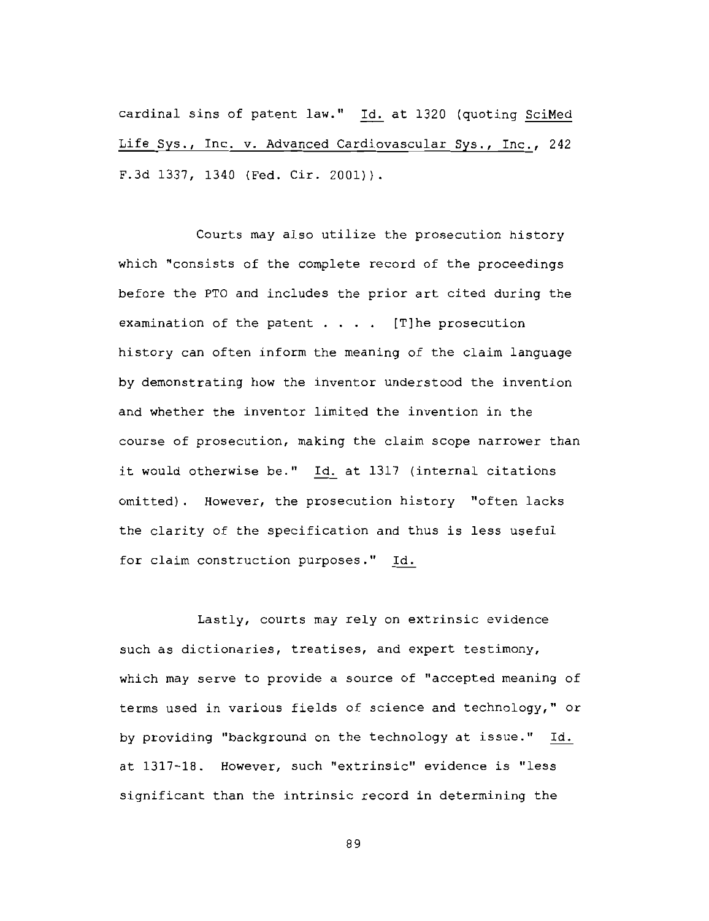cardinal sins of patent law." Id. at 1320 (quoting SciMed Life Sys., Inc. v. Advanced Cardiovascular Sys., Inc., 242 F.3d 1337, 1340 (Fed. Cir. 2001)).

Courts may also utilize the prosecution history which "consists of the complete record of the proceedings before the PTO and includes the prior art cited during the examination of the patent  $\ldots$  . [T]he prosecution history can often inform the meaning of the claim language by demonstrating how the inventor understood the invention and whether the inventor limited the invention in the course of prosecution, making the claim scope narrower than it would otherwise be." Id. at 1317 (internal citations omitted). However, the prosecution history "often lacks the clarity of the specification and thus is less useful for claim construction purposes." Id.

Lastly, courts may rely on extrinsic evidence such as dictionaries, treatises, and expert testimony, which may serve to provide a source of "accepted meaning of terms used in various fields of science and technology," or by providing "background on the technology at issue." Id. at 1317-18. However, such "extrinsic" evidence is "less significant than the intrinsic record in determining the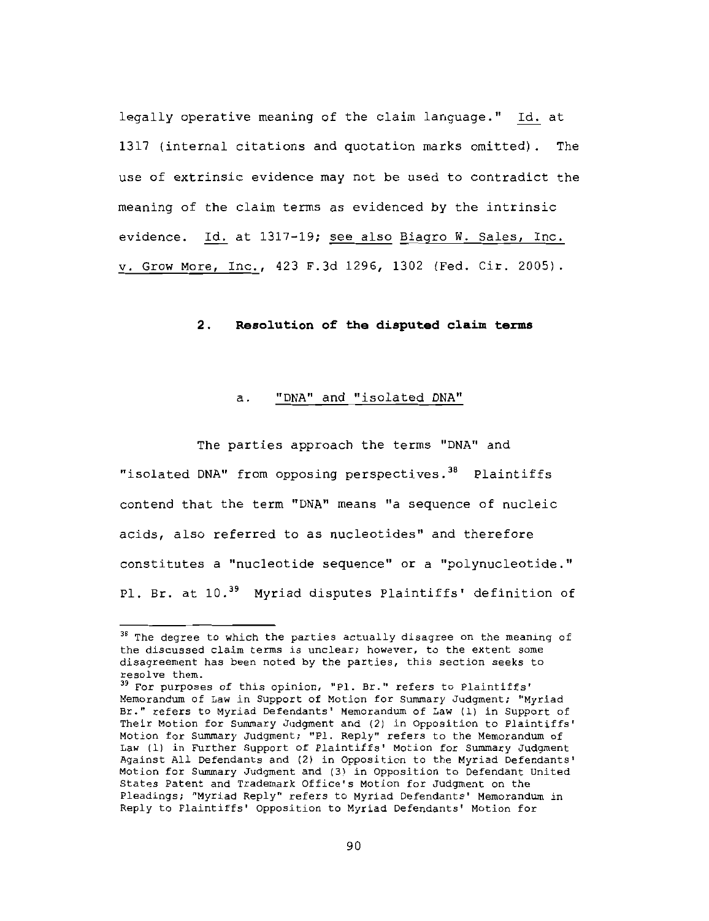legally operative meaning of the claim language." Id. at 1317 (internal citations and quotation marks omitted). The use of extrinsic evidence may not be used to contradict the meaning of the claim terms as evidenced by the intrinsic evidence. Id. at 1317-19; see also Biagro W. Sales, Inc. v. Grow More, Inc., 423 F.3d 1296, 1302 (Fed. Cir. 2005).

#### $2.$ Resolution of the disputed claim terms

#### a. "DNA" and "isolated DNA"

The parties approach the terms "DNA" and "isolated DNA" from opposing perspectives.<sup>38</sup> Plaintiffs contend that the term "DNA" means "a sequence of nucleic acids, also referred to as nucleotides" and therefore constitutes a "nucleotide sequence" or a "polynucleotide." Pl. Br. at 10.<sup>39</sup> Myriad disputes Plaintiffs' definition of

<sup>&</sup>lt;sup>38</sup> The degree to which the parties actually disagree on the meaning of the discussed claim terms is unclear; however, to the extent some disagreement has been noted by the parties, this section seeks to resolve them.

<sup>&</sup>lt;sup>39</sup> For purposes of this opinion, "Pl. Br." refers to Plaintiffs' Memorandum of Law in Support of Motion for Summary Judgment; "Myriad Br." refers to Myriad Defendants' Memorandum of Law (1) in Support of Their Motion for Summary Judgment and (2) in Opposition to Plaintiffs' Motion for Summary Judgment; "Pl. Reply" refers to the Memorandum of Law (1) in Further Support of Plaintiffs' Motion for Summary Judgment Against All Defendants and (2) in Opposition to the Myriad Defendants' Motion for Summary Judgment and (3) in Opposition to Defendant United States Patent and Trademark Office's Motion for Judgment on the Pleadings; "Myriad Reply" refers to Myriad Defendants' Memorandum in Reply to Plaintiffs' Opposition to Myriad Defendants' Motion for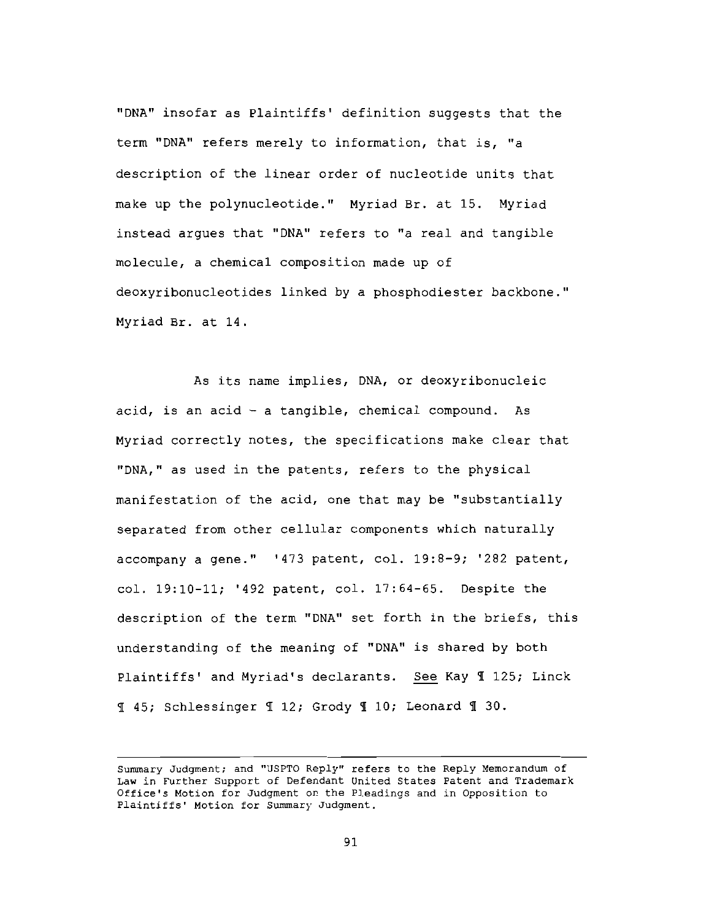"DNA" insofar as Plaintiffs' definition suggests that the term "DNA" refers merely to information, that is, "a description of the linear order of nucleotide units that make up the polynucleotide." Myriad Br. at 15. Myriad instead argues that "DNA" refers to "a real and tangible molecule, a chemical composition made up of deoxyribonucleotides linked by a phosphodiester backbone." Myriad Br. at 14.

As its name implies, DNA, or deoxyribonucleic acid, is an acid - a tangible, chemical compound. As Myriad correctly notes, the specifications make clear that "DNA," as used in the patents, refers to the physical manifestation of the acid, one that may be "substantially separated from other cellular components which naturally accompany a gene." '473 patent, col. 19:8-9; '282 patent, col. 19:10-11; '492 patent, col. 17:64-65. Despite the description of the term "DNA" set forth in the briefs, this understanding of the meaning of "DNA" is shared by both Plaintiffs' and Myriad's declarants. See Kay 1125; Linck I 45; Schlessinger I 12; Grody I 10; Leonard I 30.

Summary Judgment; and "USPTO Reply" refers to the Reply Memorandum of Law in Further Support of Defendant United States Patent and Trademark Office's Motion for Judgment on the Pleadings and in Opposition to Plaintiffs' Motion for Summary Judgment.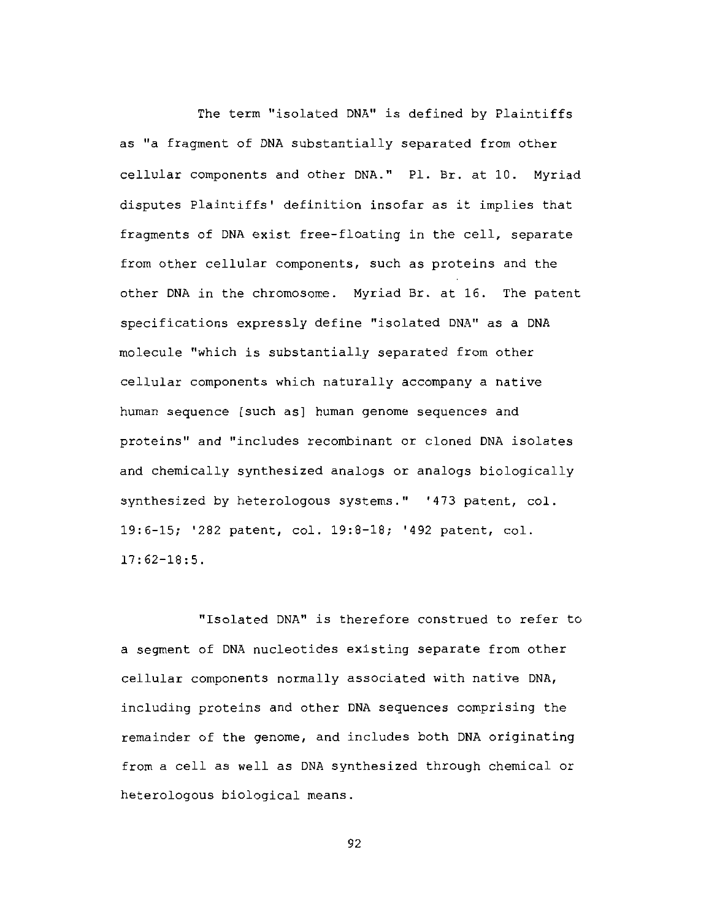The term "isolated DNA" is defined by Plaintiffs as "a fragment of DNA substantially separated from other cellular components and other DNA." Pl. Br. at 10. Myriad disputes Plaintiffs' definition insofar as it implies that fragments of DNA exist free-floating in the cell, separate from other cellular components, such as proteins and the other DNA in the chromosome. Myriad Br. at 16. The patent specifications expressly define "isolated DNA" as a DNA molecule "which is substantially separated from other cellular components which naturally accompany a native human sequence [such as] human genome sequences and proteins" and "includes recombinant or cloned DNA isolates and chemically synthesized analogs or analogs biologically synthesized by heterologous systems." '473 patent, col. 19:6-15; '282 patent, col. 19:8-18; '492 patent, col.  $17:62 - 18:5$ .

"Isolated DNA" is therefore construed to refer to a segment of DNA nucleotides existing separate from other cellular components normally associated with native DNA, including proteins and other DNA sequences comprising the remainder of the genome, and includes both DNA originating from a cell as well as DNA synthesized through chemical or heterologous biological means.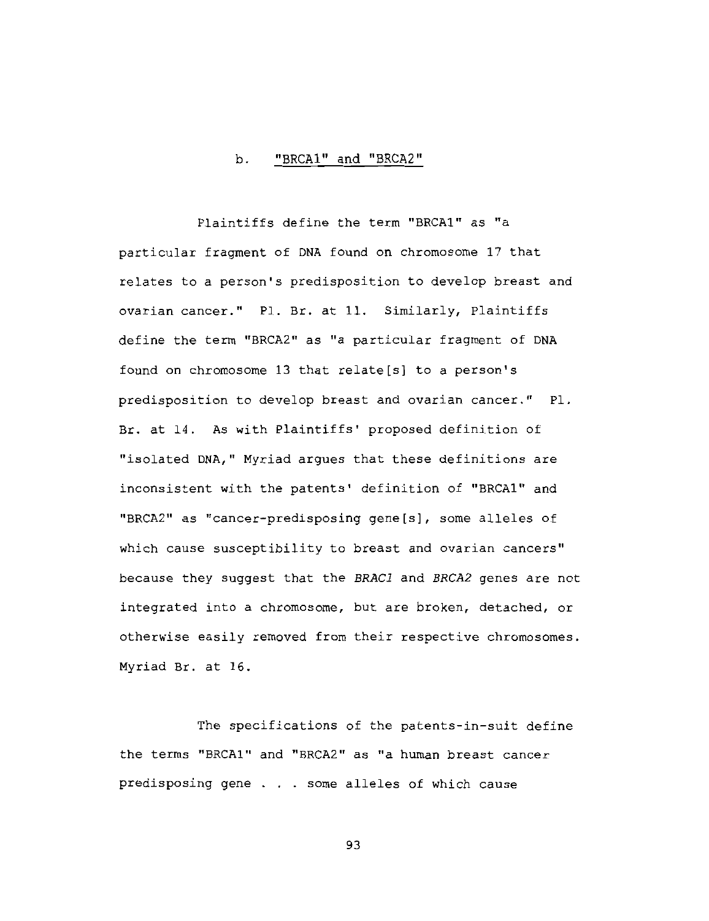#### "BRCA1" and "BRCA2" b.

Plaintiffs define the term "BRCA1" as "a particular fragment of DNA found on chromosome 17 that relates to a person's predisposition to develop breast and ovarian cancer." Pl. Br. at 11. Similarly, Plaintiffs define the term "BRCA2" as "a particular fragment of DNA found on chromosome 13 that relate[s] to a person's predisposition to develop breast and ovarian cancer." Pl. Br. at 14. As with Plaintiffs' proposed definition of "isolated DNA," Myriad argues that these definitions are inconsistent with the patents' definition of "BRCA1" and "BRCA2" as "cancer-predisposing gene[s], some alleles of which cause susceptibility to breast and ovarian cancers" because they suggest that the BRAC1 and BRCA2 genes are not integrated into a chromosome, but are broken, detached, or otherwise easily removed from their respective chromosomes. Myriad Br. at 16.

The specifications of the patents-in-suit define the terms "BRCA1" and "BRCA2" as "a human breast cancer predisposing gene . . . some alleles of which cause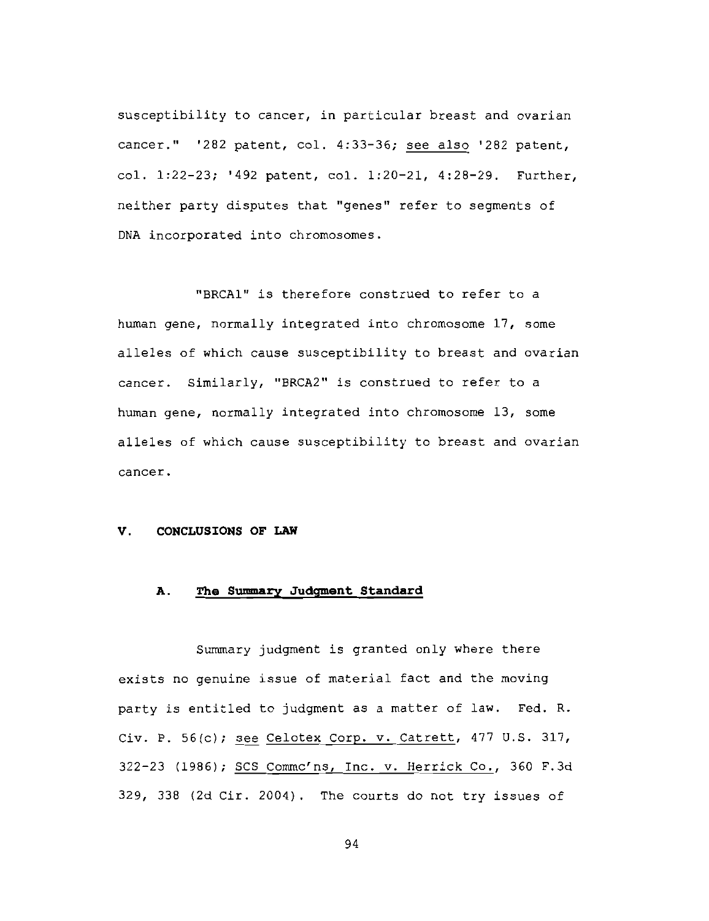susceptibility to cancer, in particular breast and ovarian cancer." '282 patent, col. 4:33-36; see also '282 patent, col. 1:22-23; '492 patent, col. 1:20-21, 4:28-29. Further, neither party disputes that "genes" refer to segments of DNA incorporated into chromosomes.

"BRCA1" is therefore construed to refer to a human gene, normally integrated into chromosome 17, some alleles of which cause susceptibility to breast and ovarian cancer. Similarly, "BRCA2" is construed to refer to a human gene, normally integrated into chromosome 13, some alleles of which cause susceptibility to breast and ovarian cancer.

#### V. CONCLUSIONS OF LAW

#### The Summary Judgment Standard Α.

Summary judgment is granted only where there exists no genuine issue of material fact and the moving party is entitled to judgment as a matter of law. Fed. R. Civ. P. 56(c); see Celotex Corp. v. Catrett, 477 U.S. 317, 322-23 (1986); SCS Commc'ns, Inc. v. Herrick Co., 360 F.3d 329, 338 (2d Cir. 2004). The courts do not try issues of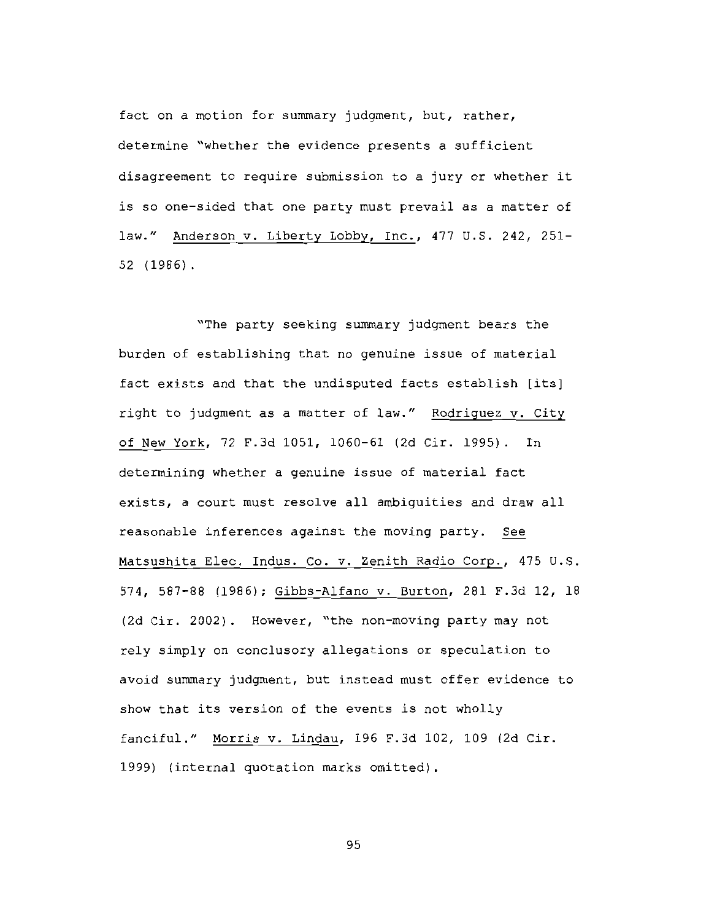fact on a motion for summary judgment, but, rather, determine "whether the evidence presents a sufficient disagreement to require submission to a jury or whether it is so one-sided that one party must prevail as a matter of law." Anderson v. Liberty Lobby, Inc., 477 U.S. 242, 251- $52(1986)$ .

"The party seeking summary judgment bears the burden of establishing that no genuine issue of material fact exists and that the undisputed facts establish [its] right to judgment as a matter of law." Rodriguez v. City of New York, 72 F.3d 1051, 1060-61 (2d Cir. 1995). In determining whether a genuine issue of material fact exists, a court must resolve all ambiquities and draw all reasonable inferences against the moving party. See Matsushita Elec. Indus. Co. v. Zenith Radio Corp., 475 U.S. 574, 587-88 (1986); Gibbs-Alfano v. Burton, 281 F.3d 12, 18 (2d Cir. 2002). However, "the non-moving party may not rely simply on conclusory allegations or speculation to avoid summary judqment, but instead must offer evidence to show that its version of the events is not wholly fanciful." Morris v. Lindau, 196 F.3d 102, 109 (2d Cir. 1999) (internal quotation marks omitted).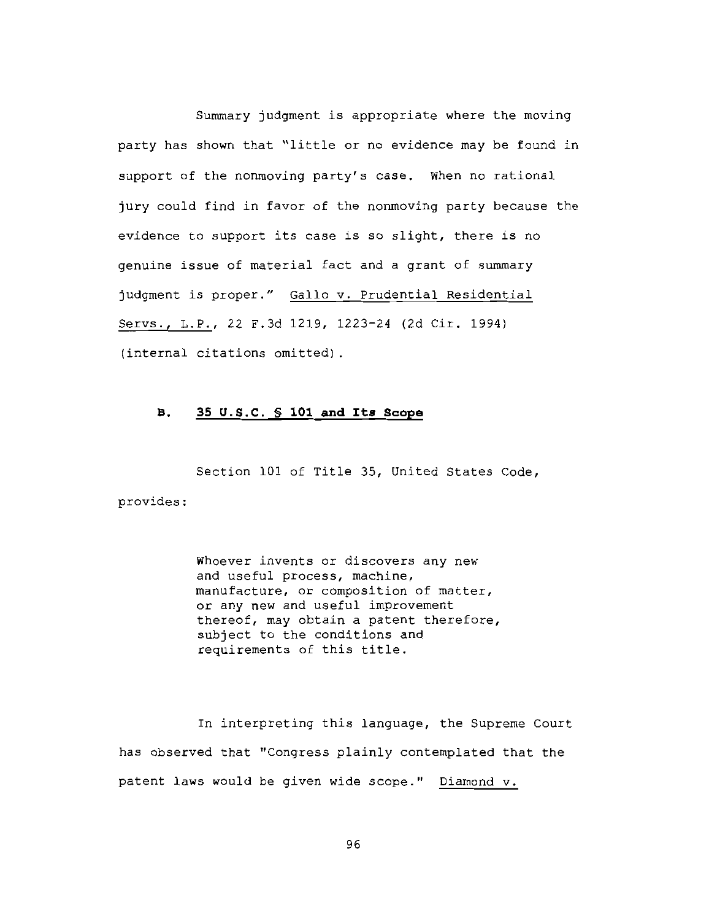Summary judgment is appropriate where the moving party has shown that "little or no evidence may be found in support of the nonmoving party's case. When no rational jury could find in favor of the nonmoving party because the evidence to support its case is so slight, there is no genuine issue of material fact and a grant of summary judgment is proper." Gallo v. Prudential Residential Servs., L.P., 22 F.3d 1219, 1223-24 (2d Cir. 1994) (internal citations omitted).

#### $\mathbf{B}$ . 35 U.S.C. § 101 and Its Scope

Section 101 of Title 35, United States Code, provides:

> Whoever invents or discovers any new and useful process, machine, manufacture, or composition of matter, or any new and useful improvement thereof, may obtain a patent therefore, subject to the conditions and requirements of this title.

In interpreting this language, the Supreme Court has observed that "Congress plainly contemplated that the patent laws would be given wide scope." Diamond v.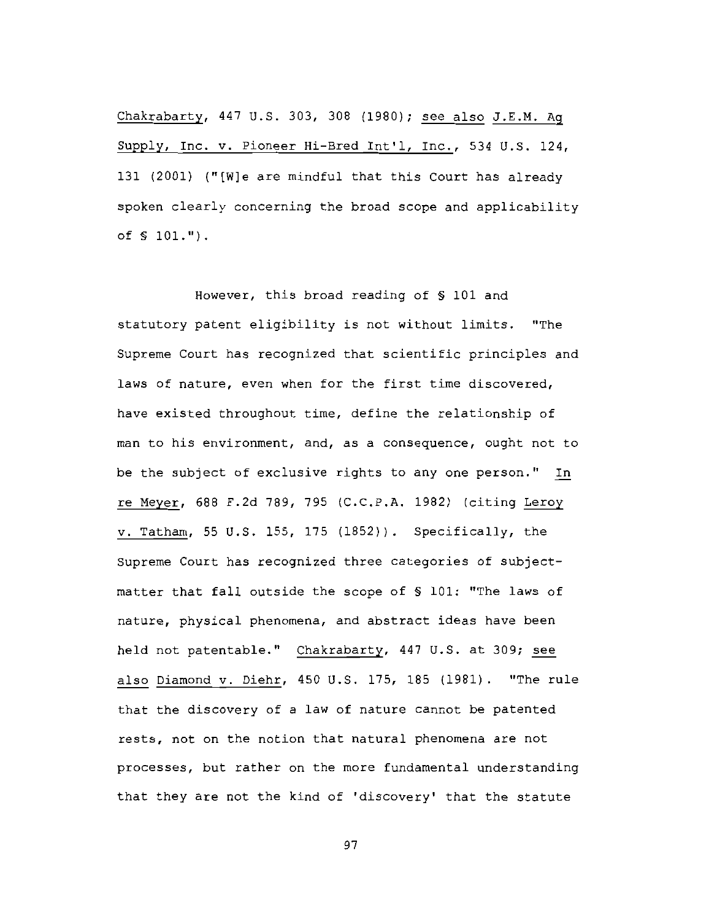Chakrabarty, 447 U.S. 303, 308 (1980); see also J.E.M. Ag Supply, Inc. v. Pioneer Hi-Bred Int'l, Inc., 534 U.S. 124, 131 (2001) ("[W]e are mindful that this Court has already spoken clearly concerning the broad scope and applicability of § 101.").

However, this broad reading of § 101 and statutory patent eligibility is not without limits. "The Supreme Court has recognized that scientific principles and laws of nature, even when for the first time discovered, have existed throughout time, define the relationship of man to his environment, and, as a consequence, ought not to be the subject of exclusive rights to any one person." In re Meyer, 688 F.2d 789, 795 (C.C.P.A. 1982) (citing Leroy v. Tatham, 55 U.S. 155, 175 (1852)). Specifically, the Supreme Court has recognized three categories of subjectmatter that fall outside the scope of § 101: "The laws of nature, physical phenomena, and abstract ideas have been held not patentable." Chakrabarty, 447 U.S. at 309; see also Diamond v. Diehr, 450 U.S. 175, 185 (1981). "The rule that the discovery of a law of nature cannot be patented rests, not on the notion that natural phenomena are not processes, but rather on the more fundamental understanding that they are not the kind of 'discovery' that the statute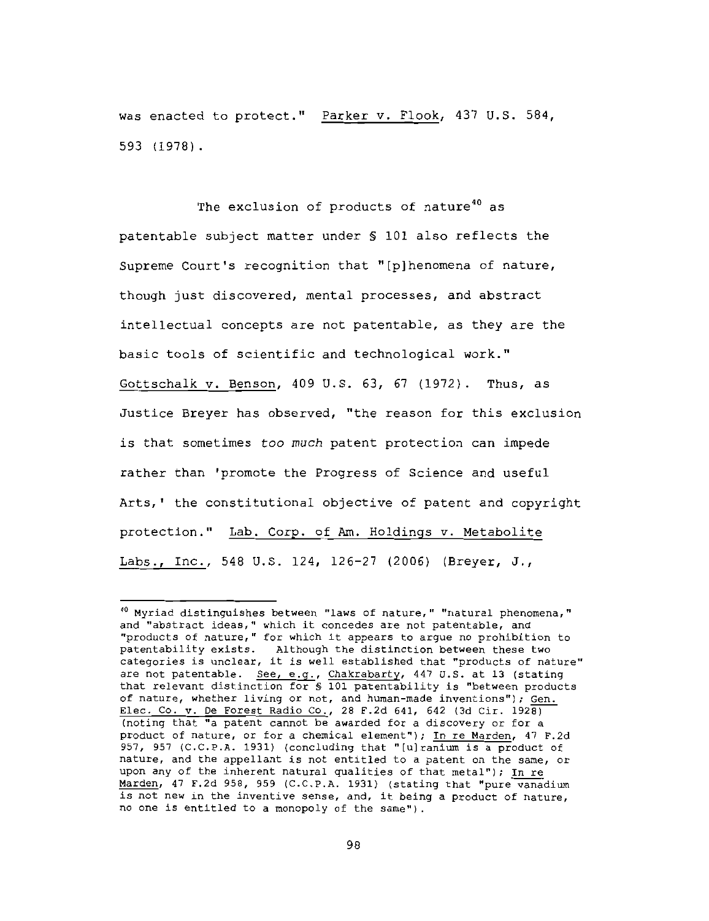was enacted to protect." Parker v. Flook, 437 U.S. 584, 593 (1978).

The exclusion of products of nature<sup>40</sup> as patentable subject matter under § 101 also reflects the Supreme Court's recognition that "[p] henomena of nature, though just discovered, mental processes, and abstract intellectual concepts are not patentable, as they are the basic tools of scientific and technological work." Gottschalk v. Benson, 409 U.S. 63, 67 (1972). Thus, as Justice Breyer has observed, "the reason for this exclusion is that sometimes too much patent protection can impede rather than 'promote the Progress of Science and useful Arts,' the constitutional objective of patent and copyright protection." Lab. Corp. of Am. Holdings v. Metabolite Labs., Inc., 548 U.S. 124, 126-27 (2006) (Breyer, J.,

<sup>&</sup>lt;sup>40</sup> Myriad distinguishes between "laws of nature," "natural phenomena," and "abstract ideas," which it concedes are not patentable, and "products of nature," for which it appears to argue no prohibition to patentability exists. Although the distinction between these two categories is unclear, it is well established that "products of nature" are not patentable. See, e.g., Chakrabarty, 447 U.S. at 13 (stating that relevant distinction for \$ 101 patentability is "between products of nature, whether living or not, and human-made inventions"); Gen. Elec. Co. v. De Forest Radio Co., 28 F.2d 641, 642 (3d Cir. 1928) (noting that "a patent cannot be awarded for a discovery or for a product of nature, or for a chemical element"); In re Marden, 47 F.2d 957, 957 (C.C.P.A. 1931) (concluding that "[u]ranium is a product of nature, and the appellant is not entitled to a patent on the same, or upon any of the inherent natural qualities of that metal"); In re Marden, 47 F.2d 958, 959 (C.C.P.A. 1931) (stating that "pure vanadium is not new in the inventive sense, and, it being a product of nature, no one is entitled to a monopoly of the same").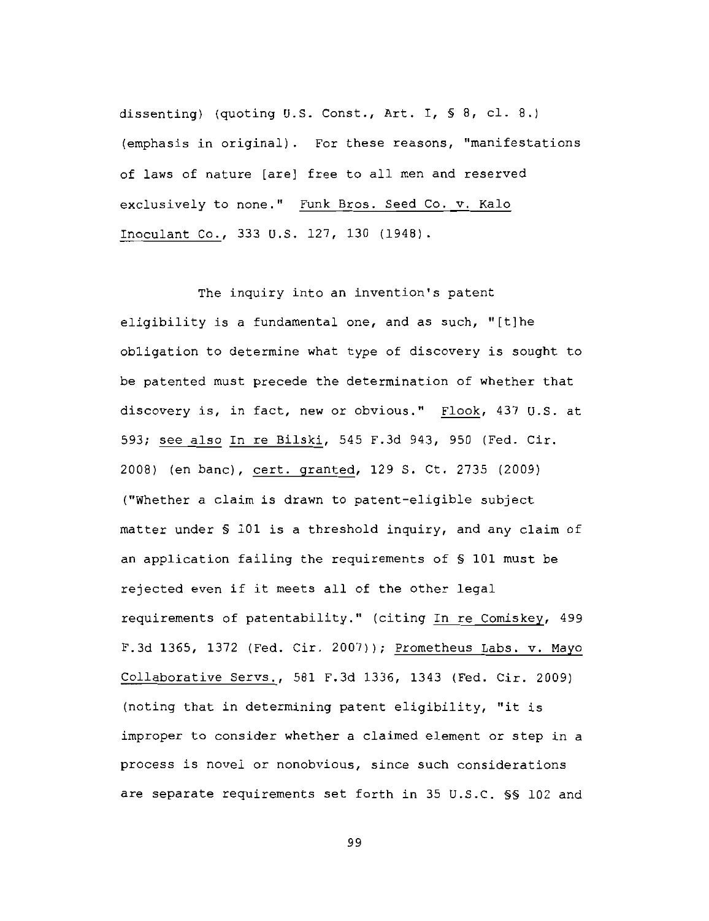dissenting) (quoting U.S. Const., Art. I, § 8, cl. 8.) (emphasis in original). For these reasons, "manifestations of laws of nature [are] free to all men and reserved exclusively to none." Funk Bros. Seed Co. v. Kalo Inoculant Co., 333 U.S. 127, 130 (1948).

The inquiry into an invention's patent eligibility is a fundamental one, and as such, "[t]he obligation to determine what type of discovery is sought to be patented must precede the determination of whether that discovery is, in fact, new or obvious." Flook, 437 U.S. at 593; see also In re Bilski, 545 F.3d 943, 950 (Fed. Cir. 2008) (en banc), cert. granted, 129 S. Ct. 2735 (2009) ("Whether a claim is drawn to patent-eligible subject matter under § 101 is a threshold inquiry, and any claim of an application failing the requirements of \$ 101 must be rejected even if it meets all of the other legal requirements of patentability." (citing In re Comiskey, 499 F.3d 1365, 1372 (Fed. Cir. 2007)); Prometheus Labs. v. Mayo Collaborative Servs., 581 F.3d 1336, 1343 (Fed. Cir. 2009) (noting that in determining patent eligibility, "it is improper to consider whether a claimed element or step in a process is novel or nonobvious, since such considerations are separate requirements set forth in 35 U.S.C. SS 102 and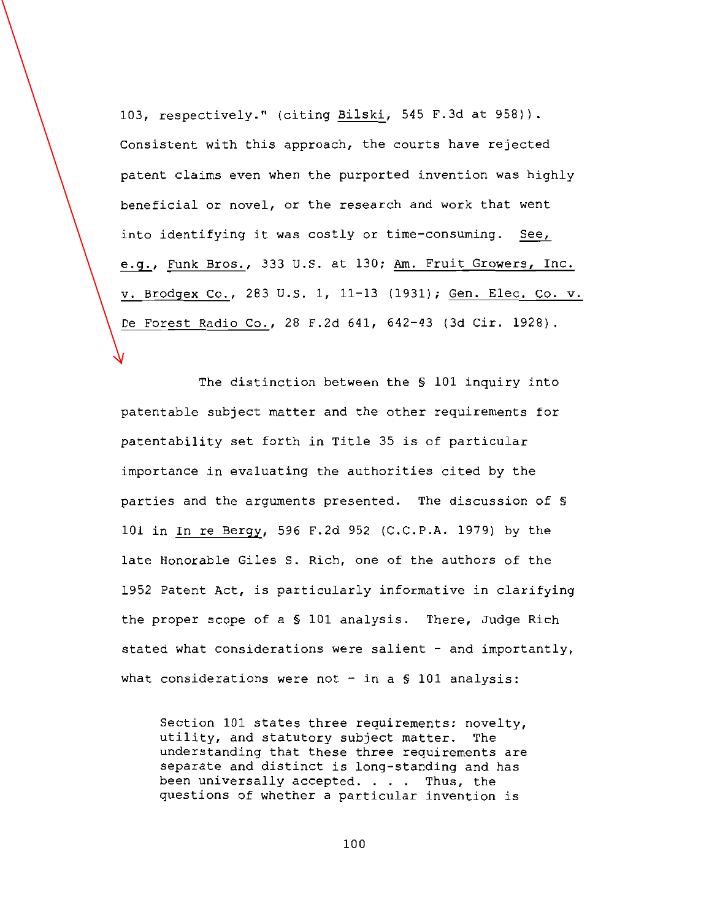103, respectively." (citing Bilski, 545 F.3d at 958)). Consistent with this approach, the courts have rejected patent claims even when the purported invention was highly beneficial or novel, or the research and work that went into identifying it was costly or time-consuming. See, e.g., Funk Bros., 333 U.S. at 130; Am. Fruit Growers, Inc. v. Brodgex Co., 283 U.S. 1, 11-13 (1931); Gen. Elec. Co. v. De Forest Radio Co., 28 F.2d 641, 642-43 (3d Cir. 1928).

The distinction between the § 101 inquiry into patentable subject matter and the other requirements for patentability set forth in Title 35 is of particular importance in evaluating the authorities cited by the parties and the arguments presented. The discussion of § 101 in In re Bergy, 596 F.2d 952 (C.C.P.A. 1979) by the late Honorable Giles S. Rich, one of the authors of the 1952 Patent Act, is particularly informative in clarifying the proper scope of a § 101 analysis. There, Judge Rich stated what considerations were salient - and importantly, what considerations were not - in a  $\S$  101 analysis:

Section 101 states three requirements: novelty, utility, and statutory subject matter. The understanding that these three requirements are separate and distinct is long-standing and has been universally accepted. . . . Thus, the questions of whether a particular invention is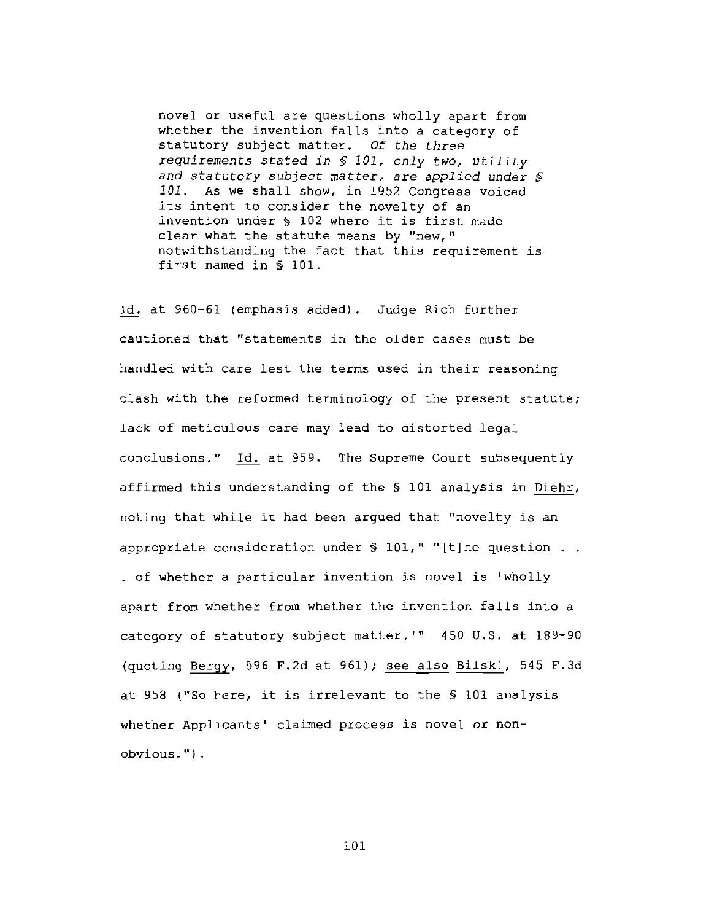novel or useful are questions wholly apart from whether the invention falls into a category of statutory subject matter. Of the three requirements stated in \$ 101, only two, utility and statutory subject matter, are applied under § 101. As we shall show, in 1952 Congress voiced its intent to consider the novelty of an invention under § 102 where it is first made clear what the statute means by "new," notwithstanding the fact that this requirement is first named in § 101.

Id. at 960-61 (emphasis added). Judge Rich further cautioned that "statements in the older cases must be handled with care lest the terms used in their reasoning clash with the reformed terminology of the present statute; lack of meticulous care may lead to distorted legal conclusions." Id. at 959. The Supreme Court subsequently affirmed this understanding of the \$ 101 analysis in Diehr, noting that while it had been arqued that "novelty is an appropriate consideration under  $\S$  101," "[t]he question . . . of whether a particular invention is novel is 'wholly apart from whether from whether the invention falls into a category of statutory subject matter.'" 450 U.S. at 189-90 (quoting Bergy, 596 F.2d at 961); see also Bilski, 545 F.3d at 958 ("So here, it is irrelevant to the § 101 analysis whether Applicants' claimed process is novel or nonobvious.").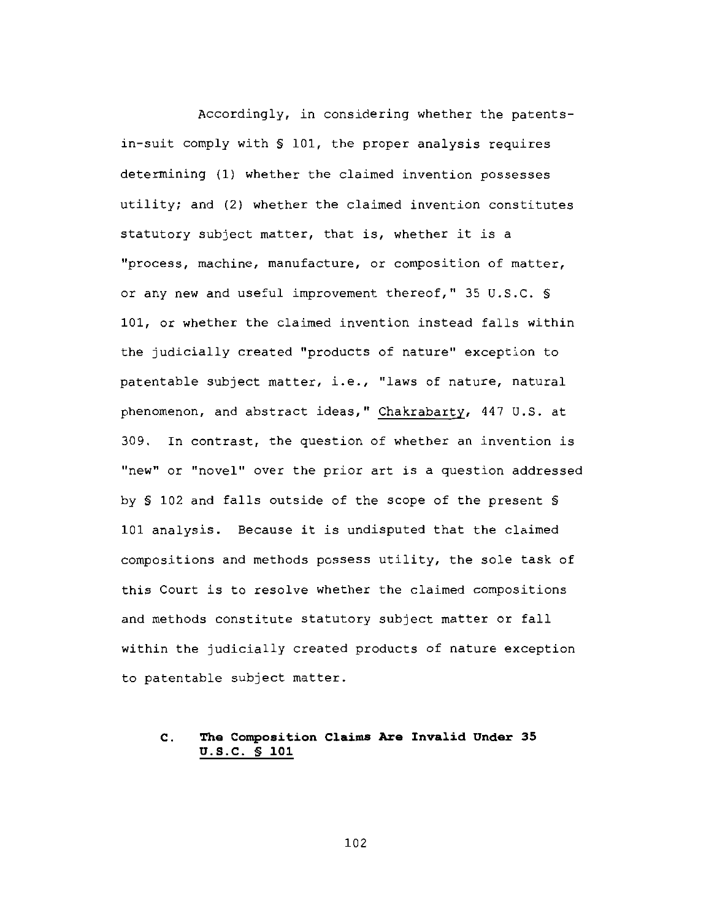Accordingly, in considering whether the patentsin-suit comply with \$ 101, the proper analysis requires determining (1) whether the claimed invention possesses utility; and (2) whether the claimed invention constitutes statutory subject matter, that is, whether it is a "process, machine, manufacture, or composition of matter, or any new and useful improvement thereof," 35 U.S.C. \$ 101, or whether the claimed invention instead falls within the judicially created "products of nature" exception to patentable subject matter, i.e., "laws of nature, natural phenomenon, and abstract ideas," Chakrabarty, 447 U.S. at 309. In contrast, the question of whether an invention is "new" or "novel" over the prior art is a question addressed by \$ 102 and falls outside of the scope of the present \$ 101 analysis. Because it is undisputed that the claimed compositions and methods possess utility, the sole task of this Court is to resolve whether the claimed compositions and methods constitute statutory subject matter or fall within the judicially created products of nature exception to patentable subject matter.

## The Composition Claims Are Invalid Under 35  $\mathbf{c}$ . U.S.C. § 101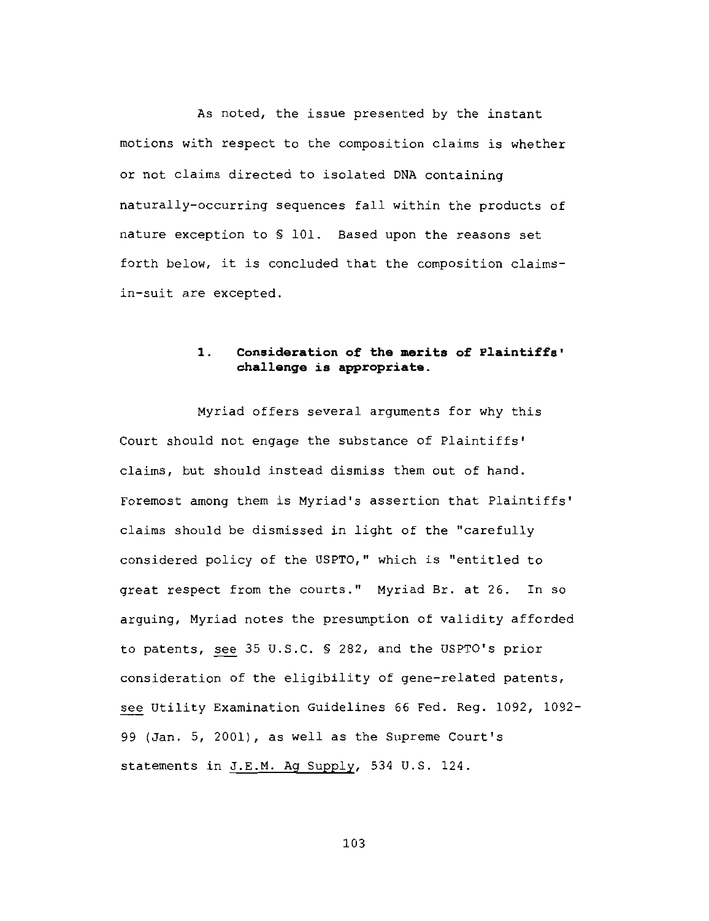As noted, the issue presented by the instant motions with respect to the composition claims is whether or not claims directed to isolated DNA containing naturally-occurring sequences fall within the products of nature exception to \$ 101. Based upon the reasons set forth below, it is concluded that the composition claimsin-suit are excepted.

## $\mathbf{1}$ . Consideration of the merits of Plaintiffs' challenge is appropriate.

Myriad offers several arguments for why this Court should not engage the substance of Plaintiffs' claims, but should instead dismiss them out of hand. Foremost among them is Myriad's assertion that Plaintiffs' claims should be dismissed in light of the "carefully considered policy of the USPTO," which is "entitled to great respect from the courts." Myriad Br. at 26. In so arguing, Myriad notes the presumption of validity afforded to patents, see 35 U.S.C. § 282, and the USPTO's prior consideration of the eligibility of gene-related patents, see Utility Examination Guidelines 66 Fed. Req. 1092, 1092-99 (Jan. 5, 2001), as well as the Supreme Court's statements in J.E.M. Ag Supply, 534 U.S. 124.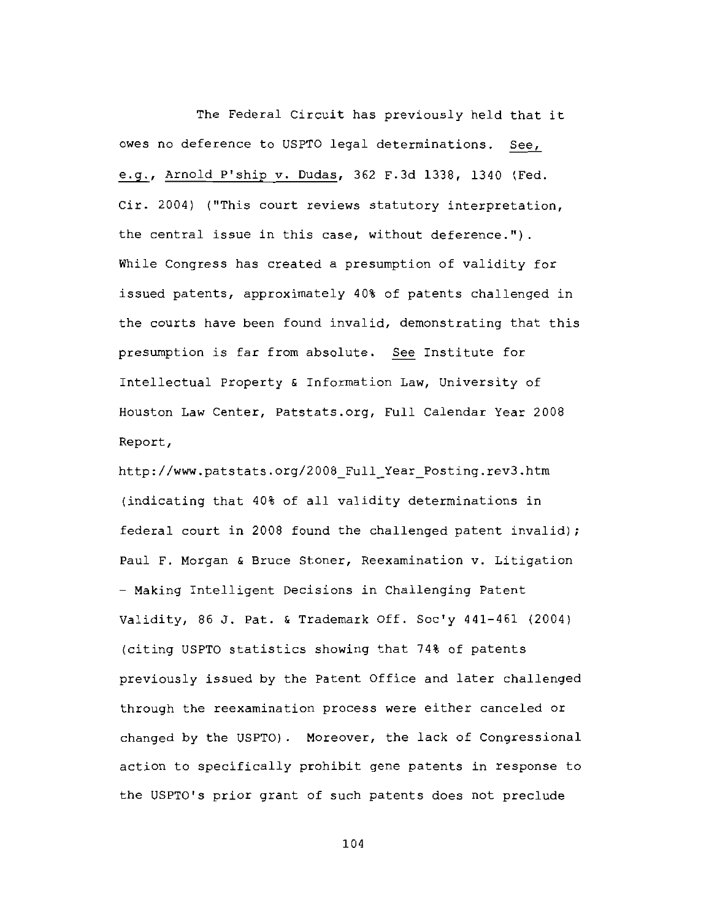The Federal Circuit has previously held that it owes no deference to USPTO legal determinations. See, e.g., Arnold P'ship v. Dudas, 362 F.3d 1338, 1340 (Fed. Cir. 2004) ("This court reviews statutory interpretation, the central issue in this case, without deference."). While Congress has created a presumption of validity for issued patents, approximately 40% of patents challenged in the courts have been found invalid, demonstrating that this presumption is far from absolute. See Institute for Intellectual Property & Information Law, University of Houston Law Center, Patstats.org, Full Calendar Year 2008 Report,

http://www.patstats.org/2008 Full Year Posting.rev3.htm (indicating that 40% of all validity determinations in federal court in 2008 found the challenged patent invalid); Paul F. Morgan & Bruce Stoner, Reexamination v. Litigation - Making Intelligent Decisions in Challenging Patent Validity, 86 J. Pat. & Trademark Off. Soc'y 441-461 (2004) (citing USPTO statistics showing that 74% of patents previously issued by the Patent Office and later challenged through the reexamination process were either canceled or changed by the USPTO). Moreover, the lack of Congressional action to specifically prohibit gene patents in response to the USPTO's prior grant of such patents does not preclude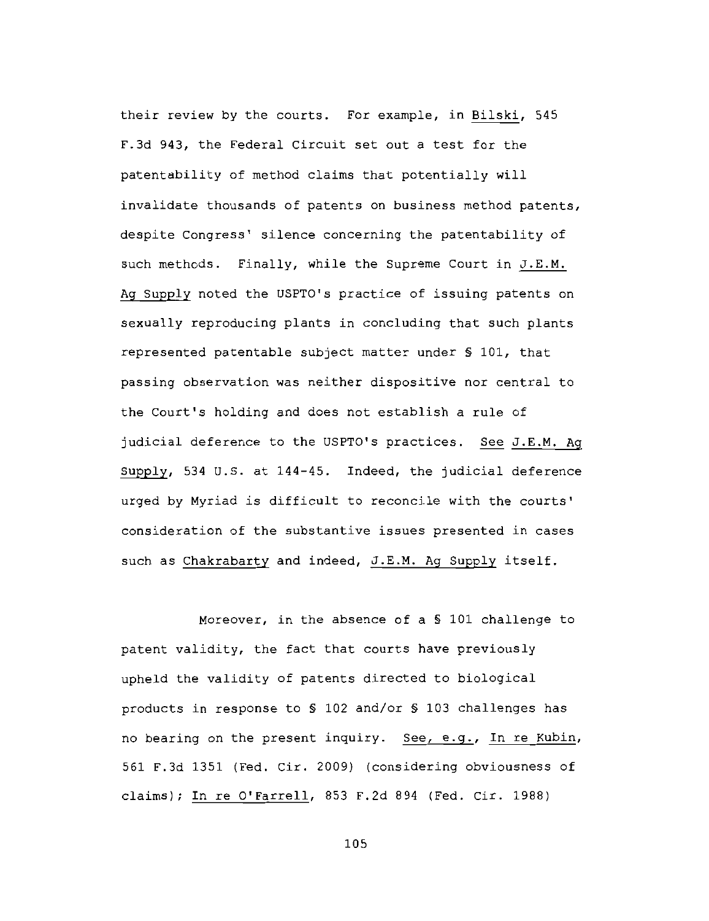their review by the courts. For example, in Bilski, 545 F.3d 943, the Federal Circuit set out a test for the patentability of method claims that potentially will invalidate thousands of patents on business method patents, despite Congress' silence concerning the patentability of such methods. Finally, while the Supreme Court in J.E.M. Ag Supply noted the USPTO's practice of issuing patents on sexually reproducing plants in concluding that such plants represented patentable subject matter under § 101, that passing observation was neither dispositive nor central to the Court's holding and does not establish a rule of judicial deference to the USPTO's practices. See J.E.M. Ag Supply, 534 U.S. at 144-45. Indeed, the judicial deference urged by Myriad is difficult to reconcile with the courts' consideration of the substantive issues presented in cases such as Chakrabarty and indeed, J.E.M. Ag Supply itself.

Moreover, in the absence of a \$ 101 challenge to patent validity, the fact that courts have previously upheld the validity of patents directed to biological products in response to \$ 102 and/or \$ 103 challenges has no bearing on the present inquiry. See, e.g., In re Kubin, 561 F.3d 1351 (Fed. Cir. 2009) (considering obviousness of claims); In re O'Farrell, 853 F.2d 894 (Fed. Cir. 1988)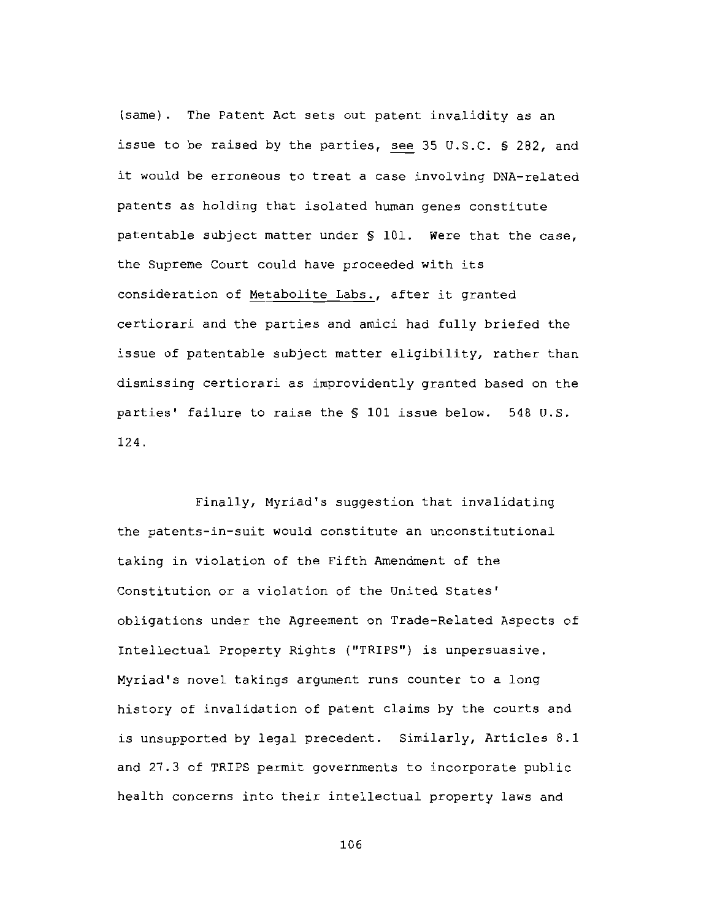(same). The Patent Act sets out patent invalidity as an issue to be raised by the parties, see 35 U.S.C. \$ 282, and it would be erroneous to treat a case involving DNA-related patents as holding that isolated human genes constitute patentable subject matter under § 101. Were that the case, the Supreme Court could have proceeded with its consideration of Metabolite Labs., after it granted certiorari and the parties and amici had fully briefed the issue of patentable subject matter eligibility, rather than dismissing certiorari as improvidently granted based on the parties' failure to raise the \$ 101 issue below. 548 U.S. 124.

Finally, Myriad's suggestion that invalidating the patents-in-suit would constitute an unconstitutional taking in violation of the Fifth Amendment of the Constitution or a violation of the United States' obligations under the Agreement on Trade-Related Aspects of Intellectual Property Rights ("TRIPS") is unpersuasive. Myriad's novel takings argument runs counter to a long history of invalidation of patent claims by the courts and is unsupported by legal precedent. Similarly, Articles 8.1 and 27.3 of TRIPS permit governments to incorporate public health concerns into their intellectual property laws and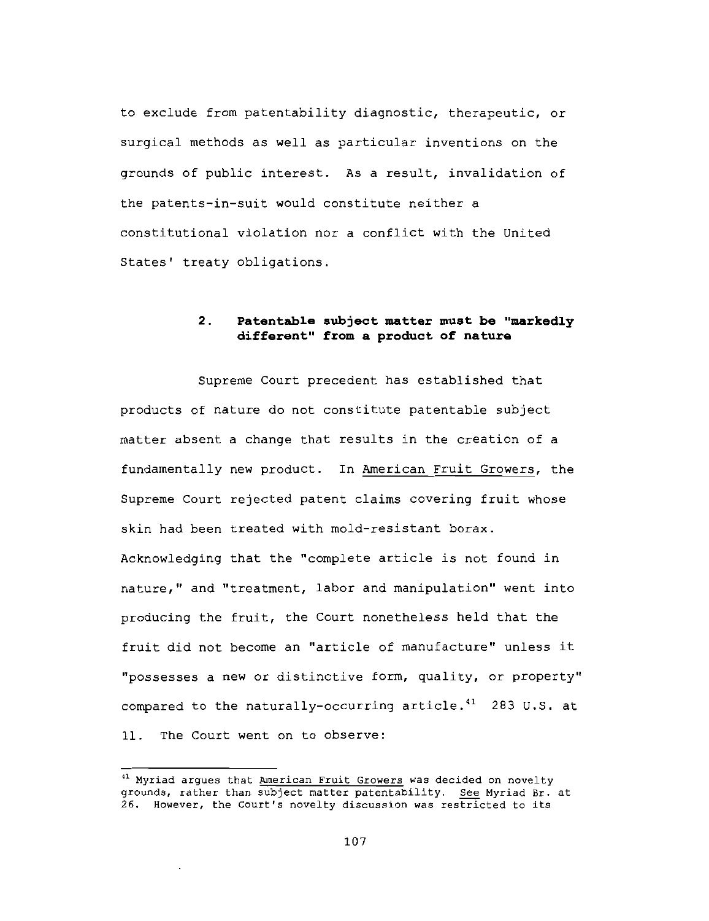to exclude from patentability diagnostic, therapeutic, or surgical methods as well as particular inventions on the grounds of public interest. As a result, invalidation of the patents-in-suit would constitute neither a constitutional violation nor a conflict with the United States' treaty obligations.

## $2<sub>1</sub>$ Patentable subject matter must be "markedly different" from a product of nature

Supreme Court precedent has established that products of nature do not constitute patentable subject matter absent a change that results in the creation of a fundamentally new product. In American Fruit Growers, the Supreme Court rejected patent claims covering fruit whose skin had been treated with mold-resistant borax. Acknowledging that the "complete article is not found in nature," and "treatment, labor and manipulation" went into producing the fruit, the Court nonetheless held that the fruit did not become an "article of manufacture" unless it "possesses a new or distinctive form, quality, or property" compared to the naturally-occurring article.<sup>41</sup> 283 U.S. at 11. The Court went on to observe:

<sup>&</sup>lt;sup>41</sup> Myriad argues that American Fruit Growers was decided on novelty grounds, rather than subject matter patentability. See Myriad Br. at 26. However, the Court's novelty discussion was restricted to its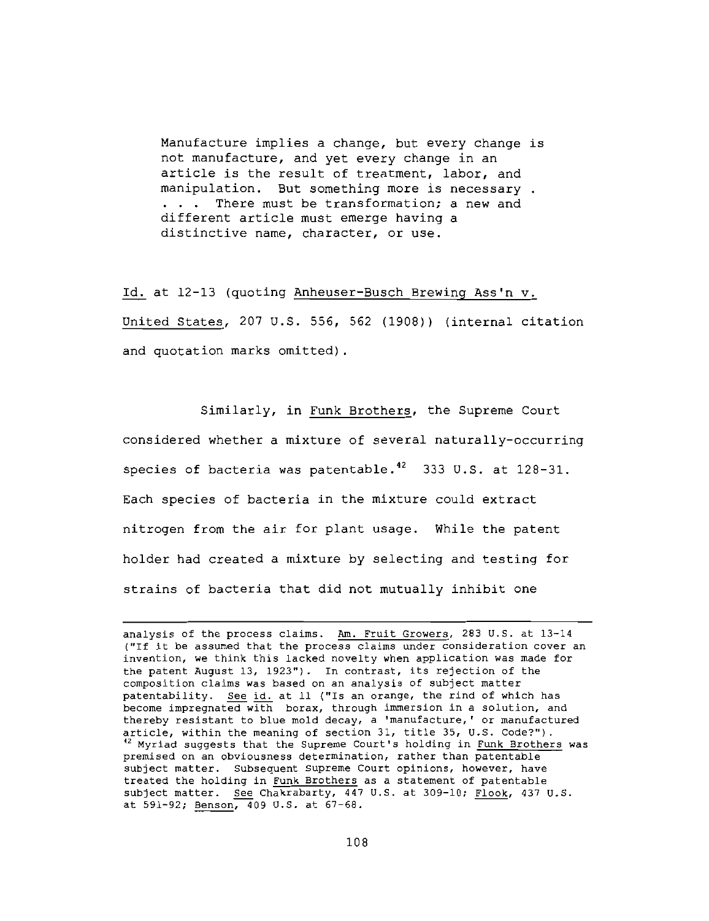Manufacture implies a change, but every change is not manufacture, and yet every change in an article is the result of treatment, labor, and manipulation. But something more is necessary. ... There must be transformation; a new and different article must emerge having a distinctive name, character, or use.

Id. at 12-13 (quoting Anheuser-Busch Brewing Ass'n v. United States, 207 U.S. 556, 562 (1908)) (internal citation and quotation marks omitted).

Similarly, in Funk Brothers, the Supreme Court

considered whether a mixture of several naturally-occurring species of bacteria was patentable.<sup>42</sup> 333 U.S. at 128-31. Each species of bacteria in the mixture could extract nitrogen from the air for plant usage. While the patent holder had created a mixture by selecting and testing for strains of bacteria that did not mutually inhibit one

analysis of the process claims. Am. Fruit Growers, 283 U.S. at 13-14 ("If it be assumed that the process claims under consideration cover an invention, we think this lacked novelty when application was made for the patent August 13, 1923"). In contrast, its rejection of the composition claims was based on an analysis of subject matter patentability. See id. at 11 ("Is an orange, the rind of which has become impregnated with borax, through immersion in a solution, and thereby resistant to blue mold decay, a 'manufacture,' or manufactured article, within the meaning of section 31, title 35, U.S. Code?"). <sup>42</sup> Myriad suggests that the Supreme Court's holding in Funk Brothers was premised on an obviousness determination, rather than patentable subject matter. Subsequent Supreme Court opinions, however, have treated the holding in Funk Brothers as a statement of patentable subject matter. See Chakrabarty, 447 U.S. at 309-10; Flook, 437 U.S. at 591-92; Benson, 409 U.S. at 67-68.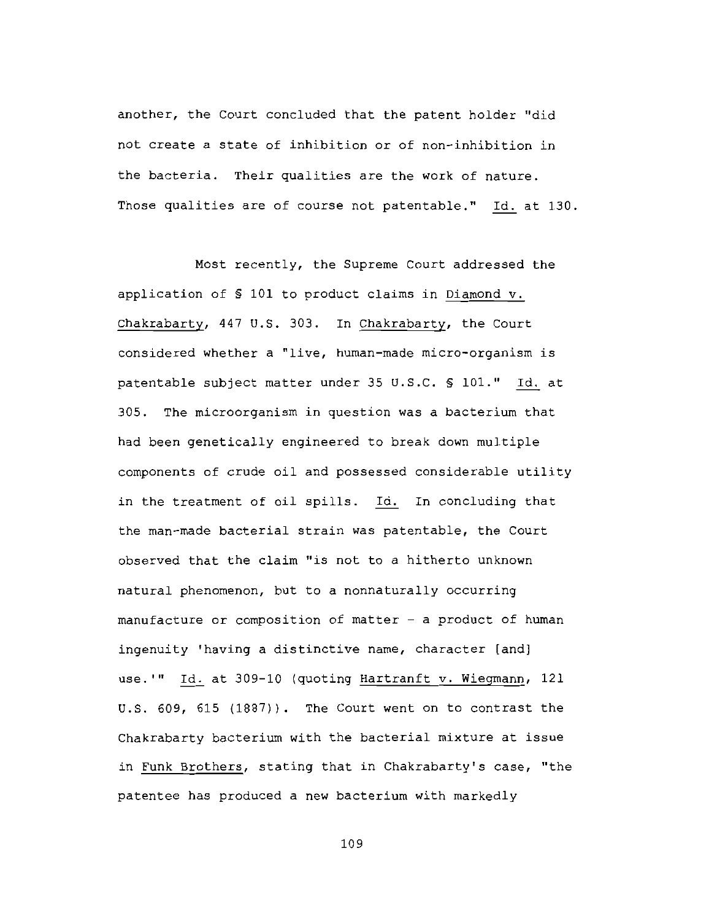another, the Court concluded that the patent holder "did not create a state of inhibition or of non-inhibition in the bacteria. Their qualities are the work of nature. Those qualities are of course not patentable." Id. at 130.

Most recently, the Supreme Court addressed the application of § 101 to product claims in Diamond v. Chakrabarty, 447 U.S. 303. In Chakrabarty, the Court considered whether a "live, human-made micro-organism is patentable subject matter under 35 U.S.C. § 101." Id. at 305. The microorganism in question was a bacterium that had been genetically engineered to break down multiple components of crude oil and possessed considerable utility in the treatment of oil spills. Id. In concluding that the man-made bacterial strain was patentable, the Court observed that the claim "is not to a hitherto unknown natural phenomenon, but to a nonnaturally occurring manufacture or composition of matter - a product of human ingenuity 'having a distinctive name, character [and] use.'" Id. at 309-10 (quoting Hartranft v. Wiegmann, 121 U.S. 609, 615 (1887)). The Court went on to contrast the Chakrabarty bacterium with the bacterial mixture at issue in Funk Brothers, stating that in Chakrabarty's case, "the patentee has produced a new bacterium with markedly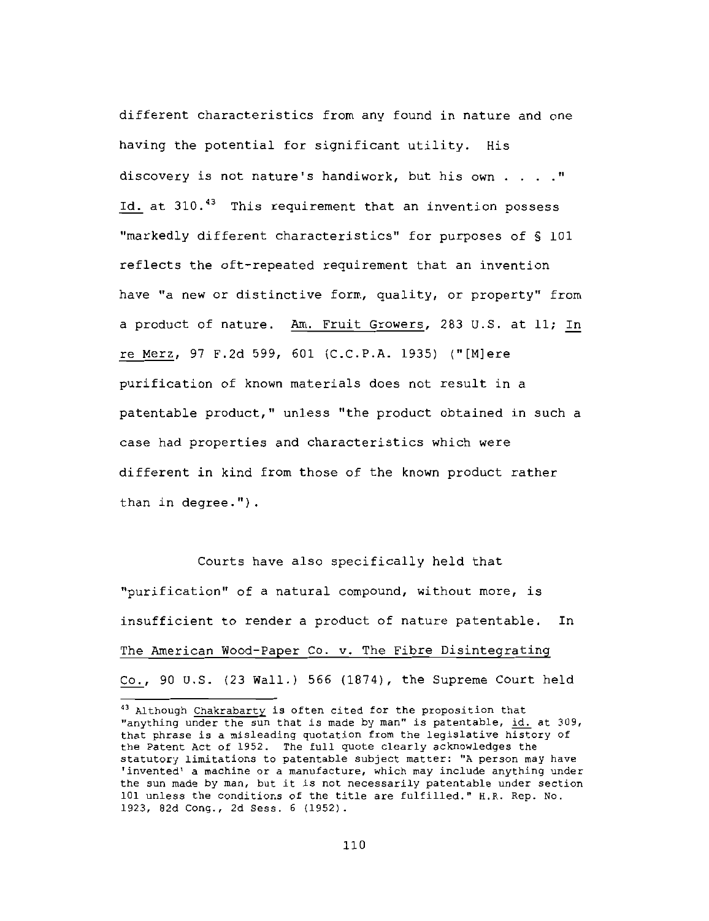different characteristics from any found in nature and one having the potential for significant utility. His discovery is not nature's handiwork, but his own . . . . " Id. at 310.<sup>43</sup> This requirement that an invention possess "markedly different characteristics" for purposes of \$ 101 reflects the oft-repeated requirement that an invention have "a new or distinctive form, quality, or property" from a product of nature. Am. Fruit Growers, 283 U.S. at 11; In re Merz, 97 F.2d 599, 601 (C.C.P.A. 1935) ("[M]ere purification of known materials does not result in a patentable product," unless "the product obtained in such a case had properties and characteristics which were different in kind from those of the known product rather than in degree.").

Courts have also specifically held that "purification" of a natural compound, without more, is insufficient to render a product of nature patentable. In The American Wood-Paper Co. v. The Fibre Disintegrating Co., 90 U.S.  $(23$  Wall.) 566  $(1874)$ , the Supreme Court held

<sup>&</sup>lt;sup>43</sup> Although Chakrabarty is often cited for the proposition that "anything under the sun that is made by man" is patentable, id. at 309, that phrase is a misleading quotation from the legislative history of the Patent Act of 1952. The full quote clearly acknowledges the statutory limitations to patentable subject matter: "A person may have 'invented' a machine or a manufacture, which may include anything under the sun made by man, but it is not necessarily patentable under section 101 unless the conditions of the title are fulfilled." H.R. Rep. No. 1923, 82d Cong., 2d Sess. 6 (1952).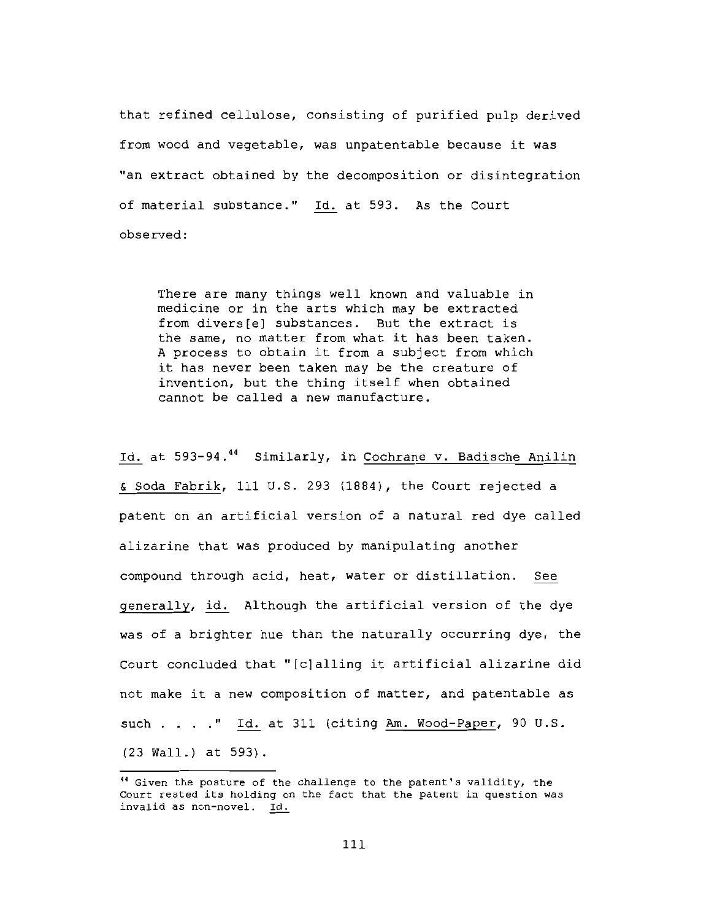that refined cellulose, consisting of purified pulp derived from wood and vegetable, was unpatentable because it was "an extract obtained by the decomposition or disintegration of material substance." Id. at 593. As the Court observed:

There are many things well known and valuable in medicine or in the arts which may be extracted from divers[e] substances. But the extract is the same, no matter from what it has been taken. A process to obtain it from a subject from which it has never been taken may be the creature of invention, but the thing itself when obtained cannot be called a new manufacture.

Id. at 593-94.<sup>44</sup> Similarly, in Cochrane v. Badische Anilin & Soda Fabrik, 111 U.S. 293 (1884), the Court rejected a patent on an artificial version of a natural red dye called alizarine that was produced by manipulating another compound through acid, heat, water or distillation. See generally, id. Although the artificial version of the dye was of a brighter hue than the naturally occurring dye, the Court concluded that "[c]alling it artificial alizarine did not make it a new composition of matter, and patentable as such . . . . " Id. at 311 (citing Am. Wood-Paper, 90 U.S. (23 Wall.) at 593).

<sup>&</sup>lt;sup>44</sup> Given the posture of the challenge to the patent's validity, the Court rested its holding on the fact that the patent in question was invalid as non-novel. Id.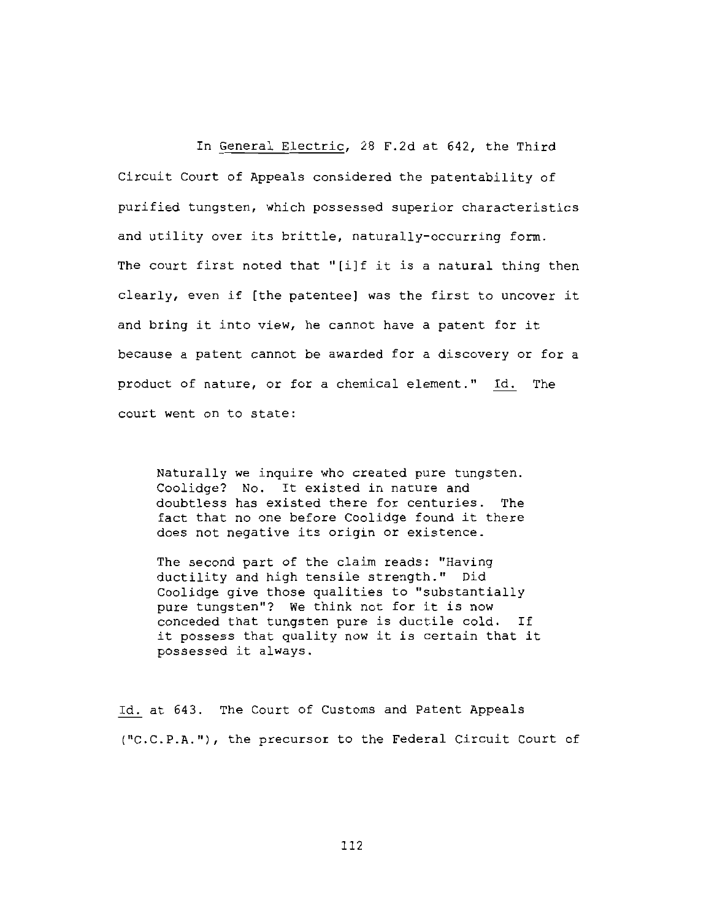In General Electric, 28 F.2d at 642, the Third Circuit Court of Appeals considered the patentability of purified tungsten, which possessed superior characteristics and utility over its brittle, naturally-occurring form. The court first noted that "[i]f it is a natural thing then clearly, even if [the patentee] was the first to uncover it and bring it into view, he cannot have a patent for it because a patent cannot be awarded for a discovery or for a product of nature, or for a chemical element." Id. The court went on to state:

Naturally we inquire who created pure tungsten. Coolidge? No. It existed in nature and doubtless has existed there for centuries. The fact that no one before Coolidge found it there does not negative its origin or existence.

The second part of the claim reads: "Having ductility and high tensile strength." Did Coolidge give those qualities to "substantially pure tungsten"? We think not for it is now conceded that tungsten pure is ductile cold. If it possess that quality now it is certain that it possessed it always.

Id. at 643. The Court of Customs and Patent Appeals ("C.C.P.A."), the precursor to the Federal Circuit Court of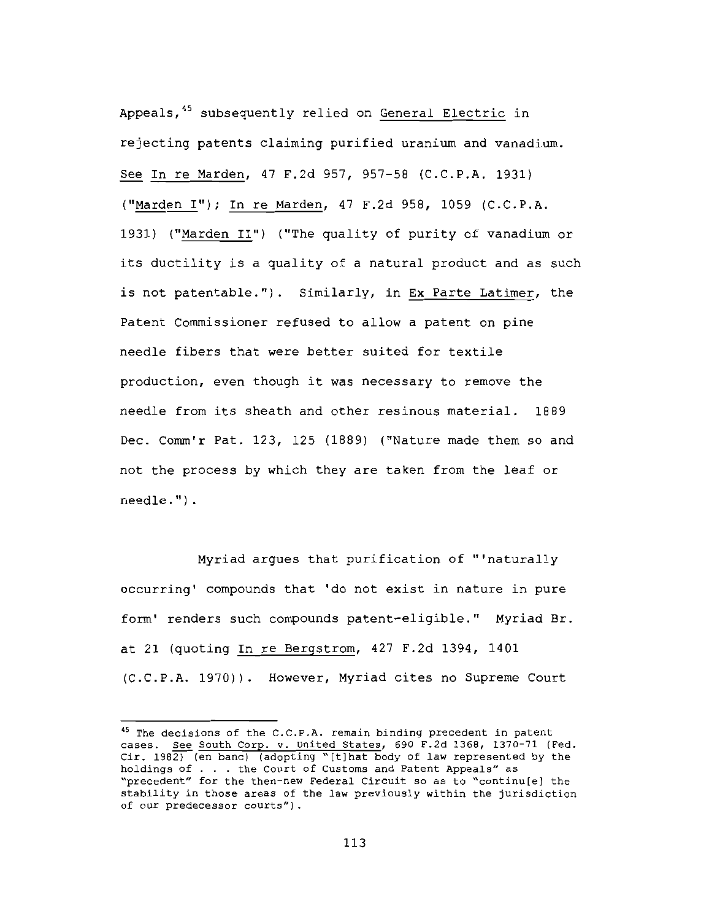Appeals, 45 subsequently relied on General Electric in rejecting patents claiming purified uranium and vanadium. See In re Marden, 47 F.2d 957, 957-58 (C.C.P.A. 1931) ("Marden I"); In re Marden, 47 F.2d 958, 1059 (C.C.P.A. 1931) ("Marden II") ("The quality of purity of vanadium or its ductility is a quality of a natural product and as such is not patentable."). Similarly, in Ex Parte Latimer, the Patent Commissioner refused to allow a patent on pine needle fibers that were better suited for textile production, even though it was necessary to remove the needle from its sheath and other resinous material. 1889 Dec. Comm'r Pat. 123, 125 (1889) ("Nature made them so and not the process by which they are taken from the leaf or needle.").

Myriad argues that purification of "'naturally occurring' compounds that 'do not exist in nature in pure form' renders such compounds patent-eligible." Myriad Br. at 21 (quoting In re Bergstrom, 427 F.2d 1394, 1401 (C.C.P.A. 1970)). However, Myriad cites no Supreme Court

<sup>&</sup>lt;sup>45</sup> The decisions of the C.C.P.A. remain binding precedent in patent cases. See South Corp. v. United States, 690 F.2d 1368, 1370-71 (Fed. Cir. 1982) (en banc) (adopting "[t] hat body of law represented by the holdings of . . . the Court of Customs and Patent Appeals" as "precedent" for the then-new Federal Circuit so as to "continu[e] the stability in those areas of the law previously within the jurisdiction of our predecessor courts").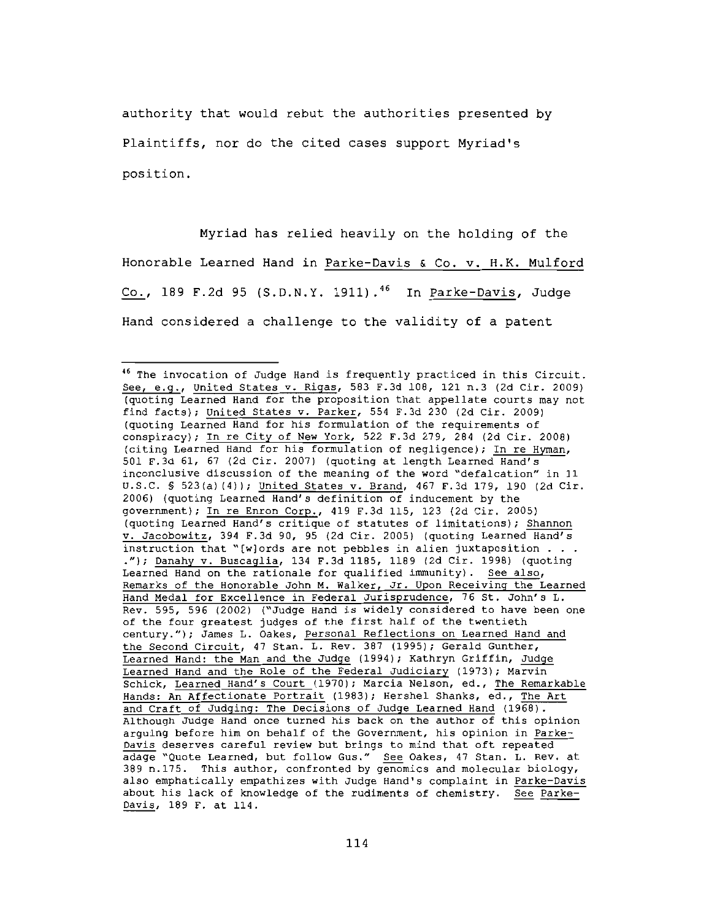authority that would rebut the authorities presented by Plaintiffs, nor do the cited cases support Myriad's position.

Myriad has relied heavily on the holding of the Honorable Learned Hand in Parke-Davis & Co. v. H.K. Mulford Co., 189 F.2d 95 (S.D.N.Y. 1911).<sup>46</sup> In Parke-Davis, Judge Hand considered a challenge to the validity of a patent

<sup>&</sup>lt;sup>46</sup> The invocation of Judge Hand is frequently practiced in this Circuit. See, e.g., United States v. Rigas, 583 F.3d 108, 121 n.3 (2d Cir. 2009) (quoting Learned Hand for the proposition that appellate courts may not find facts); United States v. Parker, 554 F.3d 230 (2d Cir. 2009) (quoting Learned Hand for his formulation of the requirements of conspiracy); In re City of New York, 522 F.3d 279, 284 (2d Cir. 2008) (citing Learned Hand for his formulation of negligence); In re Hyman, 501 F.3d 61, 67 (2d Cir. 2007) (quoting at length Learned Hand's inconclusive discussion of the meaning of the word "defalcation" in 11 U.S.C. § 523(a)(4)); United States v. Brand, 467 F.3d 179, 190 (2d Cir. 2006) (quoting Learned Hand's definition of inducement by the government); In re Enron Corp., 419 F.3d 115, 123 (2d Cir. 2005) (quoting Learned Hand's critique of statutes of limitations); Shannon v. Jacobowitz, 394 F.3d 90, 95 (2d Cir. 2005) (quoting Learned Hand's instruction that "[w]ords are not pebbles in alien juxtaposition . . . ."); Danahy v. Buscaglia, 134 F.3d 1185, 1189 (2d Cir. 1998) (quoting Learned Hand on the rationale for qualified immunity). See also, Remarks of the Honorable John M. Walker, Jr. Upon Receiving the Learned Hand Medal for Excellence in Federal Jurisprudence, 76 St. John's L. Rev. 595, 596 (2002) ("Judge Hand is widely considered to have been one of the four greatest judges of the first half of the twentieth century."); James L. Oakes, Personal Reflections on Learned Hand and the Second Circuit, 47 Stan. L. Rev. 387 (1995); Gerald Gunther, Learned Hand: the Man and the Judge (1994); Kathryn Griffin, Judge Learned Hand and the Role of the Federal Judiciary (1973); Marvin Schick, Learned Hand's Court (1970); Marcia Nelson, ed., The Remarkable Hands: An Affectionate Portrait (1983); Hershel Shanks, ed., The Art and Craft of Judging: The Decisions of Judge Learned Hand (1968). Although Judge Hand once turned his back on the author of this opinion arguing before him on behalf of the Government, his opinion in Parke-Davis deserves careful review but brings to mind that oft repeated adage "Quote Learned, but follow Gus." See Oakes, 47 Stan. L. Rev. at 389 n.175. This author, confronted by genomics and molecular biology, also emphatically empathizes with Judge Hand's complaint in Parke-Davis about his lack of knowledge of the rudiments of chemistry. See Parke-Davis, 189 F. at 114.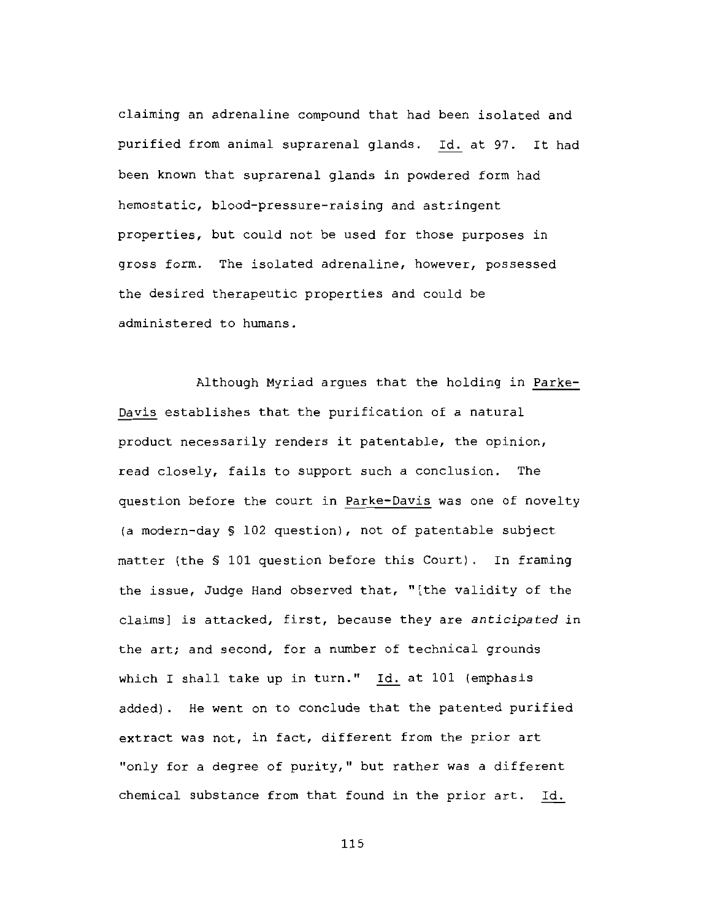claiming an adrenaline compound that had been isolated and purified from animal suprarenal glands. Id. at 97. It had been known that suprarenal glands in powdered form had hemostatic, blood-pressure-raising and astringent properties, but could not be used for those purposes in gross form. The isolated adrenaline, however, possessed the desired therapeutic properties and could be administered to humans.

Although Myriad argues that the holding in Parke-Davis establishes that the purification of a natural product necessarily renders it patentable, the opinion, read closely, fails to support such a conclusion. The question before the court in Parke-Davis was one of novelty (a modern-day § 102 question), not of patentable subject matter (the \$ 101 question before this Court). In framing the issue, Judge Hand observed that, "[the validity of the claims] is attacked, first, because they are anticipated in the art; and second, for a number of technical grounds which I shall take up in turn." Id. at 101 (emphasis added). He went on to conclude that the patented purified extract was not, in fact, different from the prior art "only for a degree of purity," but rather was a different chemical substance from that found in the prior art. Id.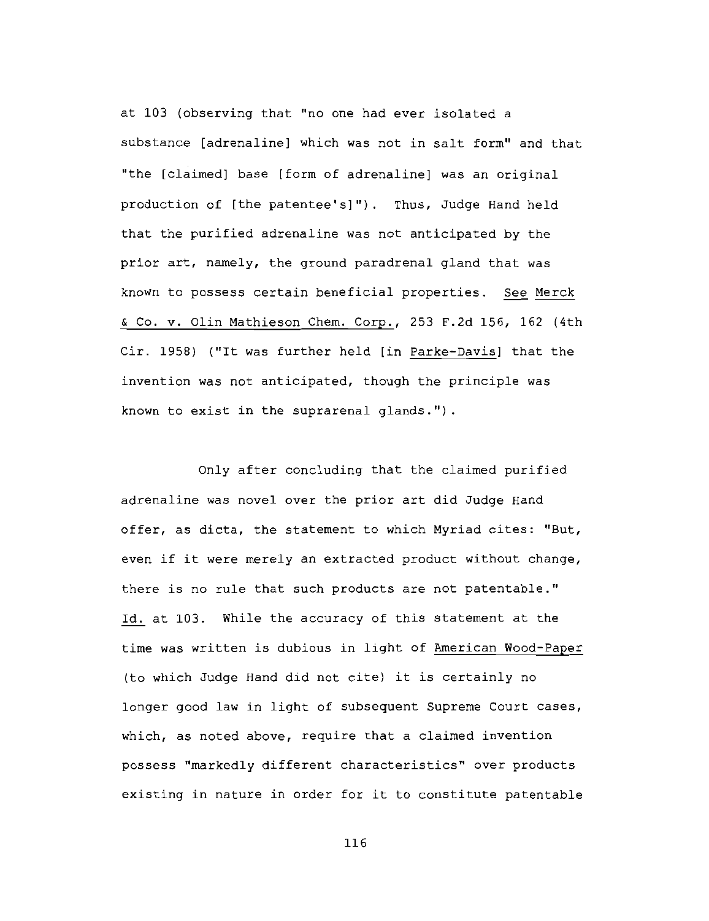at 103 (observing that "no one had ever isolated a substance [adrenaline] which was not in salt form" and that "the [claimed] base [form of adrenaline] was an original production of [the patentee's]"). Thus, Judge Hand held that the purified adrenaline was not anticipated by the prior art, namely, the ground paradrenal gland that was known to possess certain beneficial properties. See Merck & Co. v. Olin Mathieson Chem. Corp., 253 F.2d 156, 162 (4th Cir. 1958) ("It was further held [in Parke-Davis] that the invention was not anticipated, though the principle was known to exist in the suprarenal glands.").

Only after concluding that the claimed purified adrenaline was novel over the prior art did Judge Hand offer, as dicta, the statement to which Myriad cites: "But, even if it were merely an extracted product without change, there is no rule that such products are not patentable." Id. at 103. While the accuracy of this statement at the time was written is dubious in light of American Wood-Paper (to which Judge Hand did not cite) it is certainly no longer good law in light of subsequent Supreme Court cases, which, as noted above, require that a claimed invention possess "markedly different characteristics" over products existing in nature in order for it to constitute patentable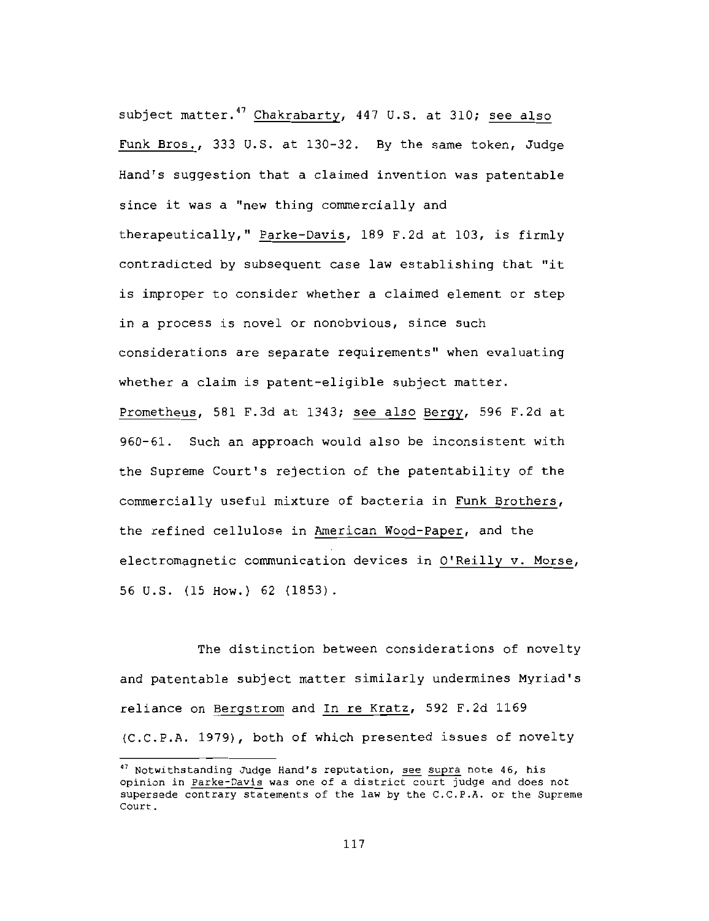subject matter.<sup>47</sup> Chakrabarty, 447 U.S. at 310; see also Funk Bros., 333 U.S. at 130-32. By the same token, Judge Hand's suggestion that a claimed invention was patentable since it was a "new thing commercially and therapeutically," Parke-Davis, 189 F.2d at 103, is firmly contradicted by subsequent case law establishing that "it is improper to consider whether a claimed element or step in a process is novel or nonobvious, since such considerations are separate requirements" when evaluating whether a claim is patent-eligible subject matter. Prometheus, 581 F.3d at 1343; see also Bergy, 596 F.2d at 960-61. Such an approach would also be inconsistent with the Supreme Court's rejection of the patentability of the commercially useful mixture of bacteria in Funk Brothers, the refined cellulose in American Wood-Paper, and the electromagnetic communication devices in O'Reilly v. Morse, 56 U.S. (15 How.) 62 (1853).

The distinction between considerations of novelty and patentable subject matter similarly undermines Myriad's reliance on Bergstrom and In re Kratz, 592 F.2d 1169 (C.C.P.A. 1979), both of which presented issues of novelty

<sup>&</sup>lt;sup>47</sup> Notwithstanding Judge Hand's reputation, see supra note 46, his opinion in Parke-Davis was one of a district court judge and does not supersede contrary statements of the law by the C.C.P.A. or the Supreme Court.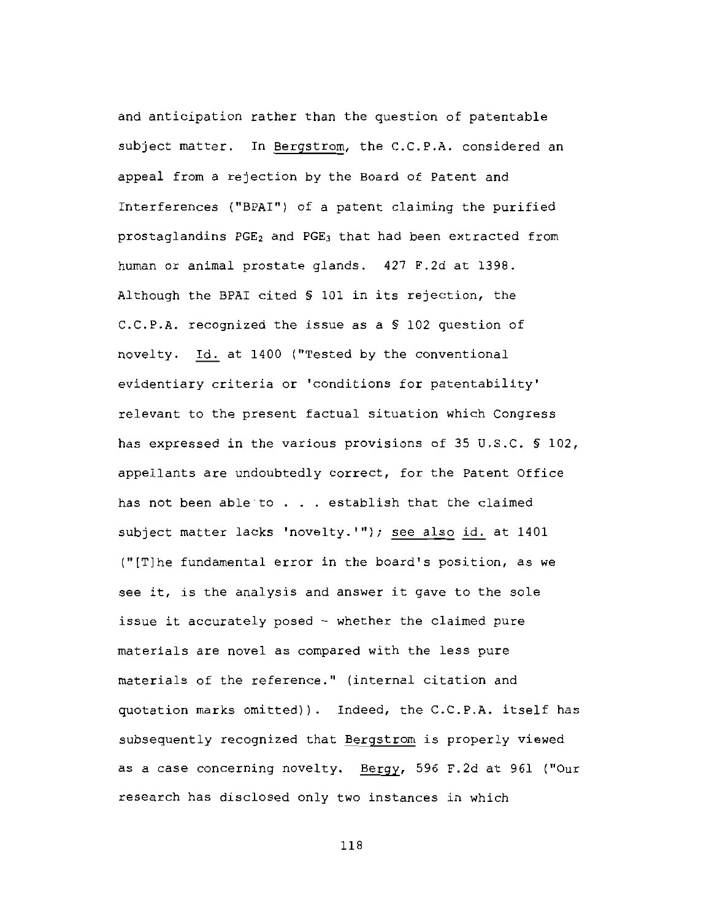and anticipation rather than the question of patentable subject matter. In Bergstrom, the C.C.P.A. considered an appeal from a rejection by the Board of Patent and Interferences ("BPAI") of a patent claiming the purified prostaglandins PGE<sub>2</sub> and PGE<sub>3</sub> that had been extracted from human or animal prostate glands. 427 F.2d at 1398. Although the BPAI cited § 101 in its rejection, the C.C.P.A. recognized the issue as a § 102 question of novelty. Id. at 1400 ("Tested by the conventional evidentiary criteria or 'conditions for patentability' relevant to the present factual situation which Congress has expressed in the various provisions of 35 U.S.C. § 102, appellants are undoubtedly correct, for the Patent Office has not been able to . . . establish that the claimed subject matter lacks 'novelty.'"); see also id. at 1401 ("[T]he fundamental error in the board's position, as we see it, is the analysis and answer it gave to the sole issue it accurately posed - whether the claimed pure materials are novel as compared with the less pure materials of the reference." (internal citation and quotation marks omitted)). Indeed, the C.C.P.A. itself has subsequently recognized that Bergstrom is properly viewed as a case concerning novelty. Bergy, 596 F.2d at 961 ("Our research has disclosed only two instances in which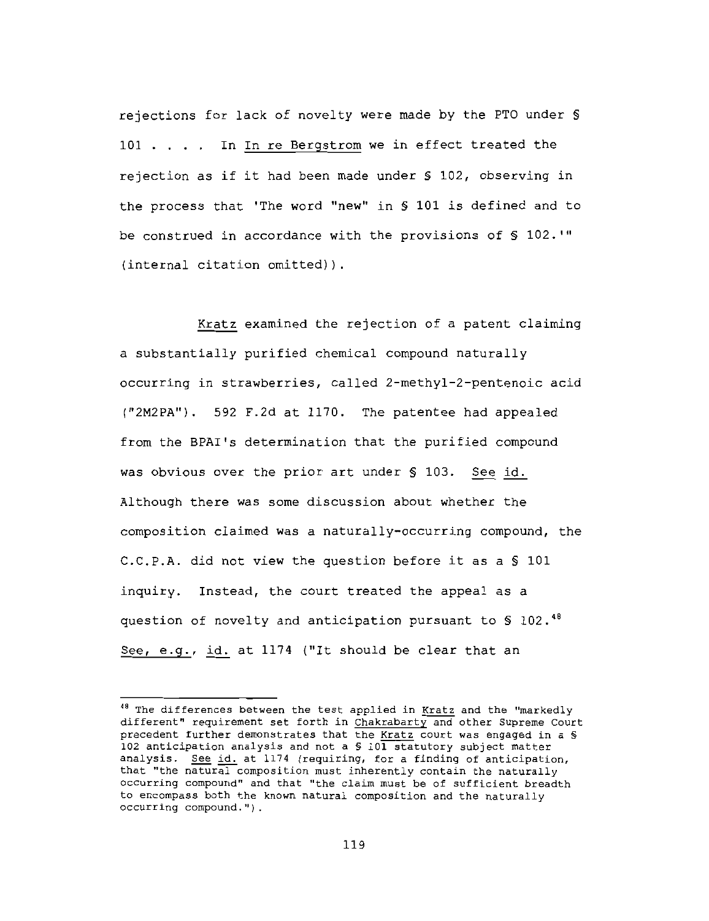rejections for lack of novelty were made by the PTO under § 101 . . . . In In re Bergstrom we in effect treated the rejection as if it had been made under § 102, observing in the process that 'The word "new" in § 101 is defined and to be construed in accordance with the provisions of § 102.'" (internal citation omitted)).

Kratz examined the rejection of a patent claiming a substantially purified chemical compound naturally occurring in strawberries, called 2-methyl-2-pentenoic acid ("2M2PA"). 592 F.2d at 1170. The patentee had appealed from the BPAI's determination that the purified compound was obvious over the prior art under § 103. See id. Although there was some discussion about whether the composition claimed was a naturally-occurring compound, the C.C.P.A. did not view the question before it as a § 101 inquiry. Instead, the court treated the appeal as a question of novelty and anticipation pursuant to  $\text{\$ 102.}^{\text{48}}$ See, e.g., id. at 1174 ("It should be clear that an

<sup>&</sup>lt;sup>48</sup> The differences between the test applied in Kratz and the "markedly different" requirement set forth in Chakrabarty and other Supreme Court precedent further demonstrates that the Kratz court was engaged in a § 102 anticipation analysis and not a \$ 101 statutory subject matter analysis. See id. at 1174 (requiring, for a finding of anticipation, that "the natural composition must inherently contain the naturally occurring compound" and that "the claim must be of sufficient breadth to encompass both the known natural composition and the naturally occurring compound.").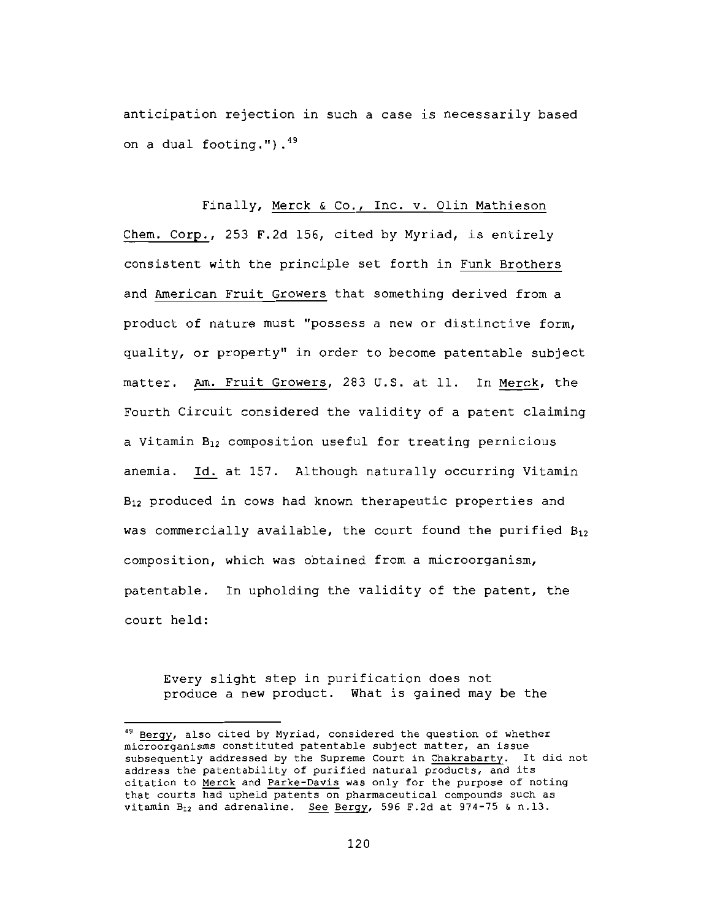anticipation rejection in such a case is necessarily based on a dual footing.").<sup>49</sup>

# Finally, Merck & Co., Inc. v. Olin Mathieson

Chem. Corp., 253 F.2d 156, cited by Myriad, is entirely consistent with the principle set forth in Funk Brothers and American Fruit Growers that something derived from a product of nature must "possess a new or distinctive form, quality, or property" in order to become patentable subject matter. Am. Fruit Growers, 283 U.S. at 11. In Merck, the Fourth Circuit considered the validity of a patent claiming a Vitamin B<sub>12</sub> composition useful for treating pernicious anemia. Id. at 157. Although naturally occurring Vitamin B<sub>12</sub> produced in cows had known therapeutic properties and was commercially available, the court found the purified  $B_{12}$ composition, which was obtained from a microorganism, patentable. In upholding the validity of the patent, the court held:

Every slight step in purification does not produce a new product. What is gained may be the

<sup>&</sup>lt;sup>49</sup> Bergy, also cited by Myriad, considered the question of whether microorganisms constituted patentable subject matter, an issue subsequently addressed by the Supreme Court in Chakrabarty. It did not address the patentability of purified natural products, and its citation to Merck and Parke-Davis was only for the purpose of noting that courts had upheld patents on pharmaceutical compounds such as vitamin  $B_{12}$  and adrenaline. See Bergy, 596 F.2d at 974-75 & n.13.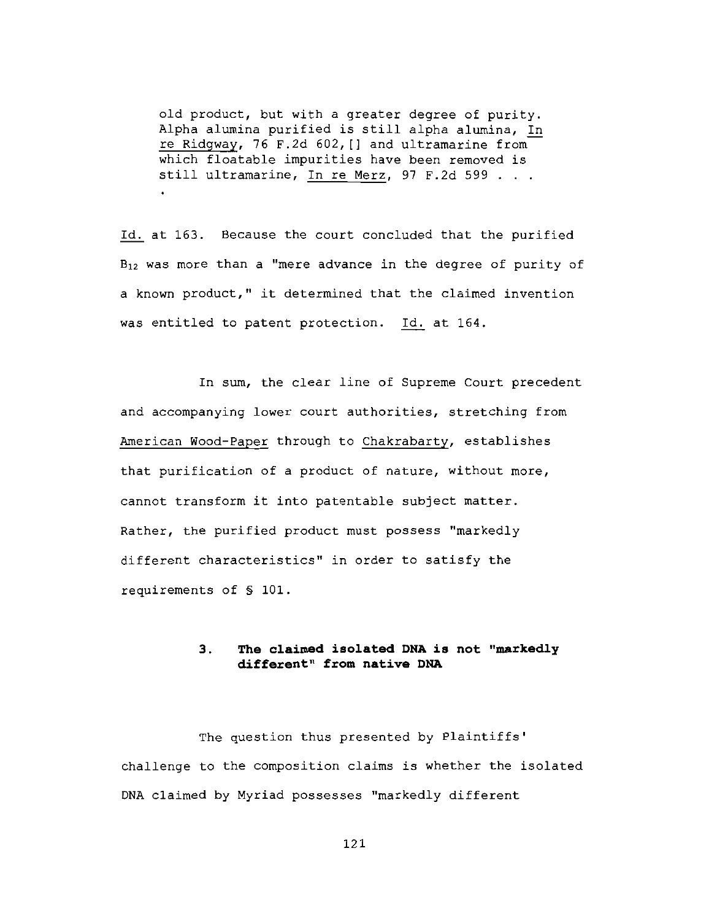old product, but with a greater degree of purity. Alpha alumina purified is still alpha alumina, In re Ridgway, 76 F.2d 602, [] and ultramarine from which floatable impurities have been removed is still ultramarine, In re Merz, 97 F.2d 599 . . .

Id. at 163. Because the court concluded that the purified  $B_{12}$  was more than a "mere advance in the degree of purity of a known product," it determined that the claimed invention was entitled to patent protection. Id. at 164.

In sum, the clear line of Supreme Court precedent and accompanying lower court authorities, stretching from American Wood-Paper through to Chakrabarty, establishes that purification of a product of nature, without more, cannot transform it into patentable subject matter. Rather, the purified product must possess "markedly different characteristics" in order to satisfy the requirements of § 101.

#### $3.$ The claimed isolated DNA is not "markedly different" from native DNA

The question thus presented by Plaintiffs' challenge to the composition claims is whether the isolated DNA claimed by Myriad possesses "markedly different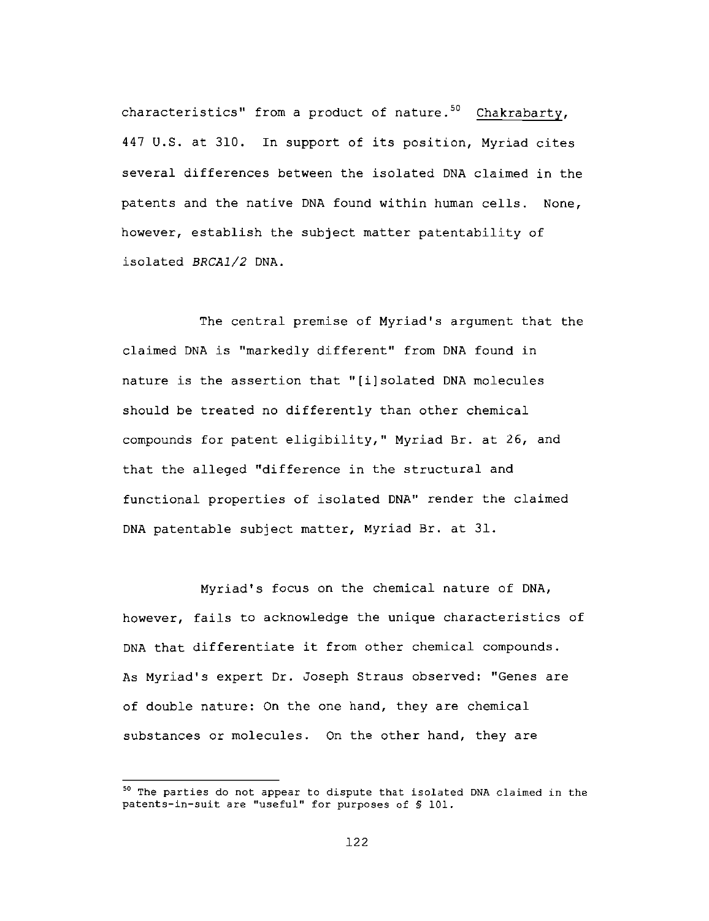characteristics" from a product of nature.<sup>50</sup> Chakrabarty, 447 U.S. at 310. In support of its position, Myriad cites several differences between the isolated DNA claimed in the patents and the native DNA found within human cells. None, however, establish the subject matter patentability of isolated BRCA1/2 DNA.

The central premise of Myriad's argument that the claimed DNA is "markedly different" from DNA found in nature is the assertion that "[i]solated DNA molecules should be treated no differently than other chemical compounds for patent eligibility," Myriad Br. at 26, and that the alleged "difference in the structural and functional properties of isolated DNA" render the claimed DNA patentable subject matter, Myriad Br. at 31.

Myriad's focus on the chemical nature of DNA, however, fails to acknowledge the unique characteristics of DNA that differentiate it from other chemical compounds. As Myriad's expert Dr. Joseph Straus observed: "Genes are of double nature: On the one hand, they are chemical substances or molecules. On the other hand, they are

<sup>&</sup>lt;sup>50</sup> The parties do not appear to dispute that isolated DNA claimed in the patents-in-suit are "useful" for purposes of \$ 101.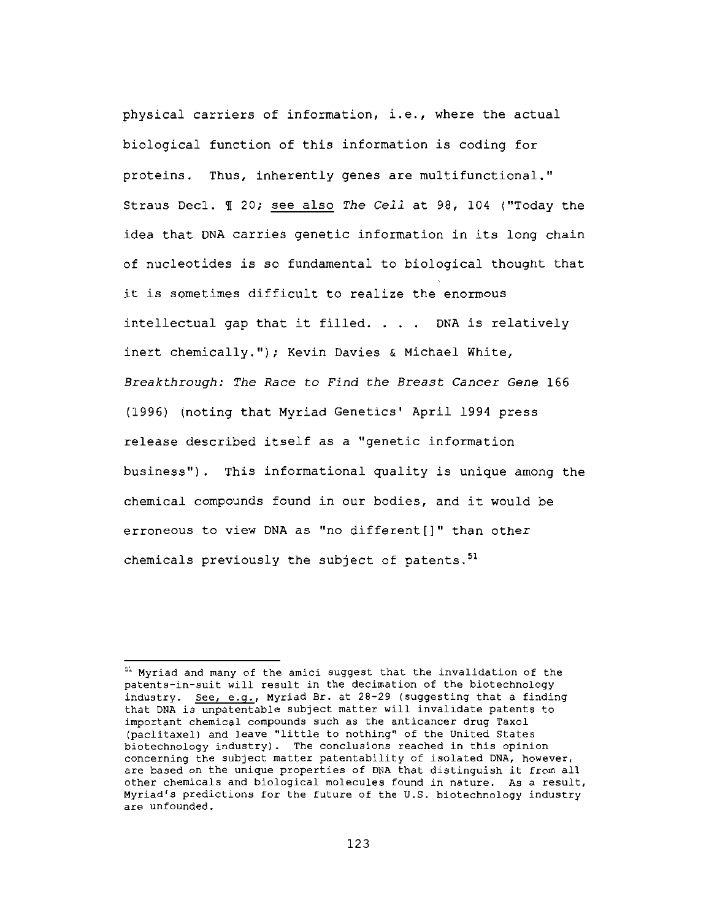physical carriers of information, i.e., where the actual biological function of this information is coding for proteins. Thus, inherently genes are multifunctional." Straus Decl. I 20; see also The Cell at 98, 104 ("Today the idea that DNA carries genetic information in its long chain of nucleotides is so fundamental to biological thought that it is sometimes difficult to realize the enormous intellectual gap that it filled. . . . DNA is relatively inert chemically."); Kevin Davies & Michael White, Breakthrough: The Race to Find the Breast Cancer Gene 166 (1996) (noting that Myriad Genetics' April 1994 press release described itself as a "genetic information business"). This informational quality is unique among the chemical compounds found in our bodies, and it would be erroneous to view DNA as "no different[]" than other chemicals previously the subject of patents.<sup>51</sup>

<sup>&</sup>lt;sup>51</sup> Myriad and many of the amici suggest that the invalidation of the patents-in-suit will result in the decimation of the biotechnology industry. See, e.g., Myriad Br. at 28-29 (suggesting that a finding that DNA is unpatentable subject matter will invalidate patents to important chemical compounds such as the anticancer drug Taxol (paclitaxel) and leave "little to nothing" of the United States biotechnology industry). The conclusions reached in this opinion concerning the subject matter patentability of isolated DNA, however, are based on the unique properties of DNA that distinguish it from all other chemicals and biological molecules found in nature. As a result, Myriad's predictions for the future of the U.S. biotechnology industry are unfounded.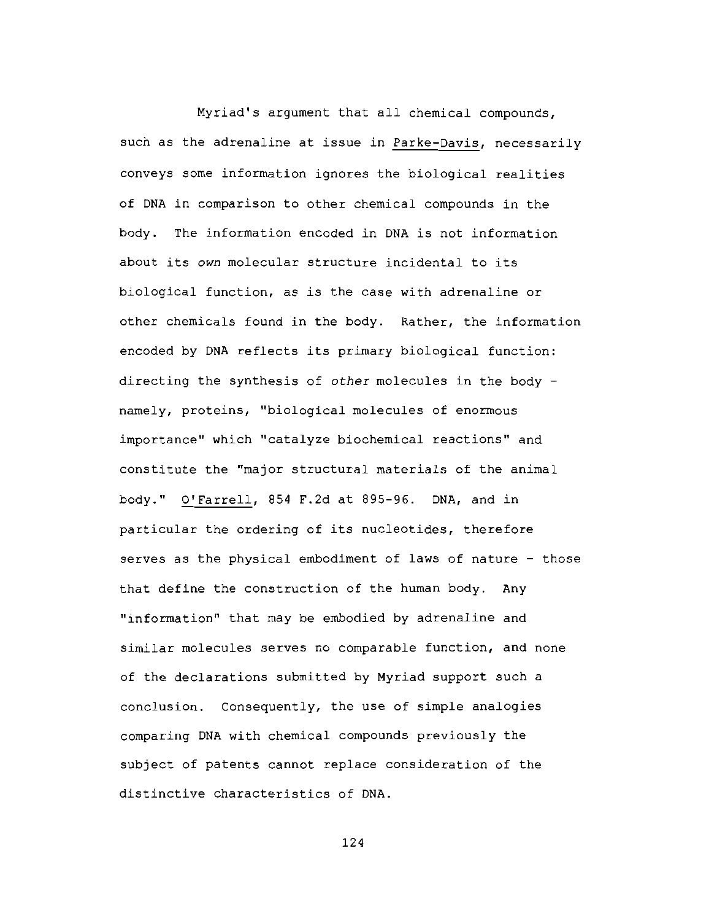Myriad's argument that all chemical compounds, such as the adrenaline at issue in Parke-Davis, necessarily conveys some information ignores the biological realities of DNA in comparison to other chemical compounds in the bodv. The information encoded in DNA is not information about its own molecular structure incidental to its biological function, as is the case with adrenaline or other chemicals found in the body. Rather, the information encoded by DNA reflects its primary biological function: directing the synthesis of other molecules in the body namely, proteins, "biological molecules of enormous importance" which "catalyze biochemical reactions" and constitute the "major structural materials of the animal body." O'Farrell, 854 F.2d at 895-96. DNA, and in particular the ordering of its nucleotides, therefore serves as the physical embodiment of laws of nature - those that define the construction of the human body. Any "information" that may be embodied by adrenaline and similar molecules serves no comparable function, and none of the declarations submitted by Myriad support such a conclusion. Consequently, the use of simple analogies comparing DNA with chemical compounds previously the subject of patents cannot replace consideration of the distinctive characteristics of DNA.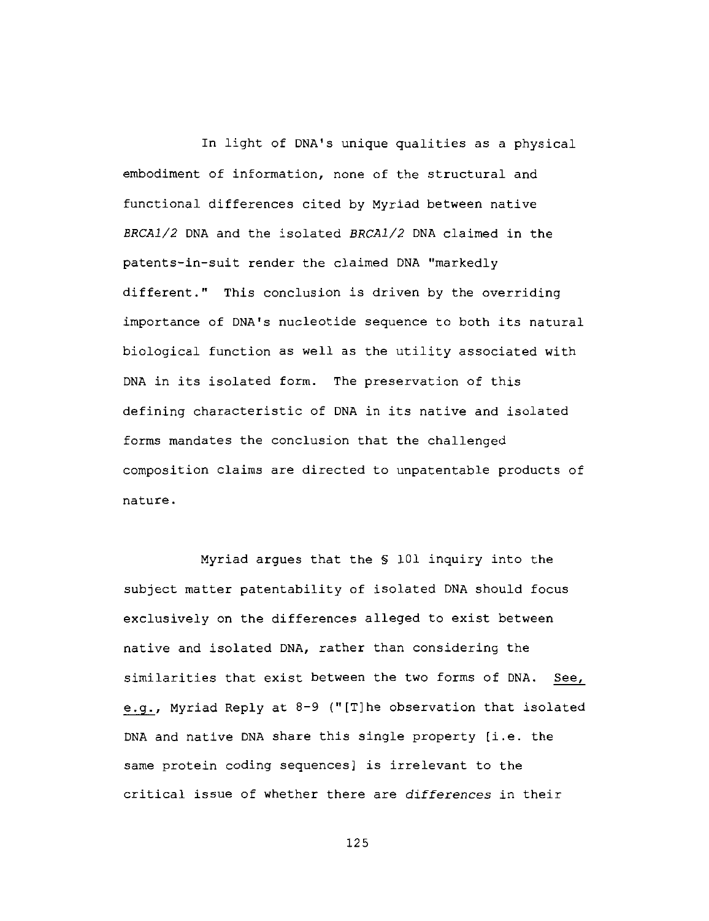In light of DNA's unique qualities as a physical embodiment of information, none of the structural and functional differences cited by Myriad between native BRCA1/2 DNA and the isolated BRCA1/2 DNA claimed in the patents-in-suit render the claimed DNA "markedly different." This conclusion is driven by the overriding importance of DNA's nucleotide sequence to both its natural biological function as well as the utility associated with DNA in its isolated form. The preservation of this defining characteristic of DNA in its native and isolated forms mandates the conclusion that the challenged composition claims are directed to unpatentable products of nature.

Myriad argues that the \$ 101 inquiry into the subject matter patentability of isolated DNA should focus exclusively on the differences alleged to exist between native and isolated DNA, rather than considering the similarities that exist between the two forms of DNA. See, e.g., Myriad Reply at 8-9 ("[T]he observation that isolated DNA and native DNA share this single property [i.e. the same protein coding sequences] is irrelevant to the critical issue of whether there are differences in their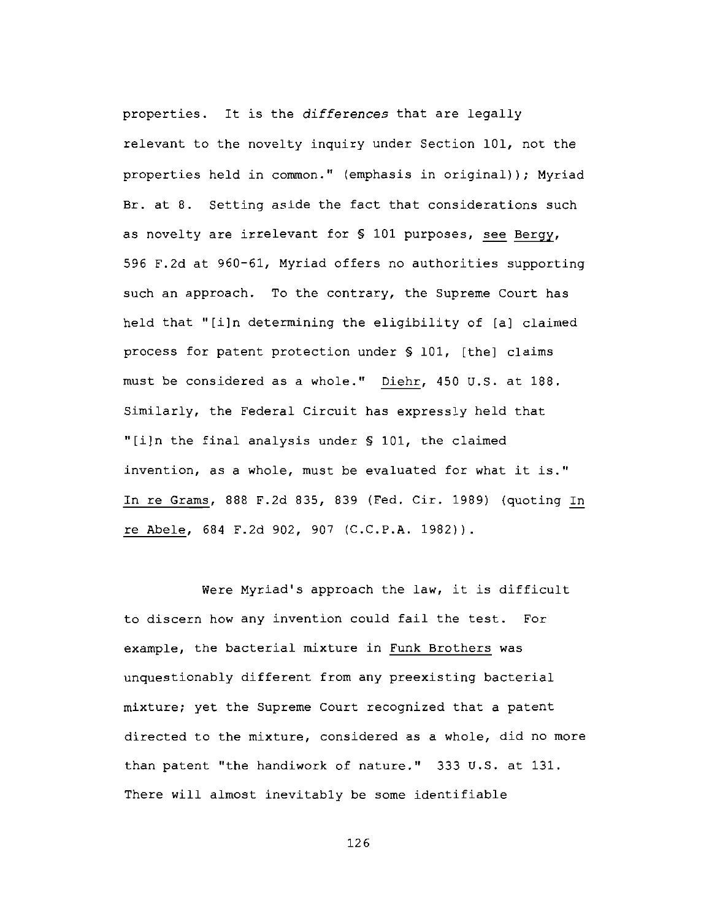properties. It is the differences that are legally relevant to the novelty inquiry under Section 101, not the properties held in common." (emphasis in original)); Myriad Br. at 8. Setting aside the fact that considerations such as novelty are irrelevant for \$ 101 purposes, see Bergy, 596 F.2d at 960-61, Myriad offers no authorities supporting such an approach. To the contrary, the Supreme Court has held that "[i]n determining the eligibility of [a] claimed process for patent protection under § 101, [the] claims must be considered as a whole." Diehr, 450 U.S. at 188. Similarly, the Federal Circuit has expressly held that "[i]n the final analysis under § 101, the claimed invention, as a whole, must be evaluated for what it is." In re Grams, 888 F.2d 835, 839 (Fed. Cir. 1989) (quoting In re Abele, 684 F.2d 902, 907 (C.C.P.A. 1982)).

Were Myriad's approach the law, it is difficult to discern how any invention could fail the test. For example, the bacterial mixture in Funk Brothers was unquestionably different from any preexisting bacterial mixture; yet the Supreme Court recognized that a patent directed to the mixture, considered as a whole, did no more than patent "the handiwork of nature." 333 U.S. at 131. There will almost inevitably be some identifiable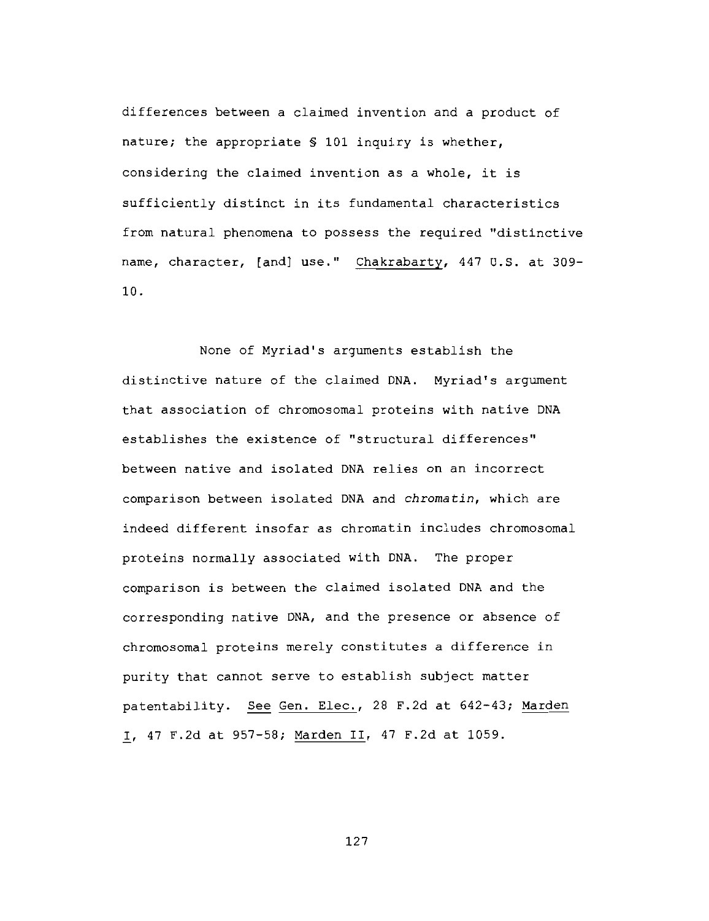differences between a claimed invention and a product of nature; the appropriate § 101 inquiry is whether, considering the claimed invention as a whole, it is sufficiently distinct in its fundamental characteristics from natural phenomena to possess the required "distinctive name, character, [and] use." Chakrabarty, 447 U.S. at 309-10.

None of Myriad's arguments establish the distinctive nature of the claimed DNA. Myriad's argument that association of chromosomal proteins with native DNA establishes the existence of "structural differences" between native and isolated DNA relies on an incorrect comparison between isolated DNA and chromatin, which are indeed different insofar as chromatin includes chromosomal proteins normally associated with DNA. The proper comparison is between the claimed isolated DNA and the corresponding native DNA, and the presence or absence of chromosomal proteins merely constitutes a difference in purity that cannot serve to establish subject matter patentability. See Gen. Elec., 28 F.2d at 642-43; Marden I, 47 F.2d at 957-58; Marden II, 47 F.2d at 1059.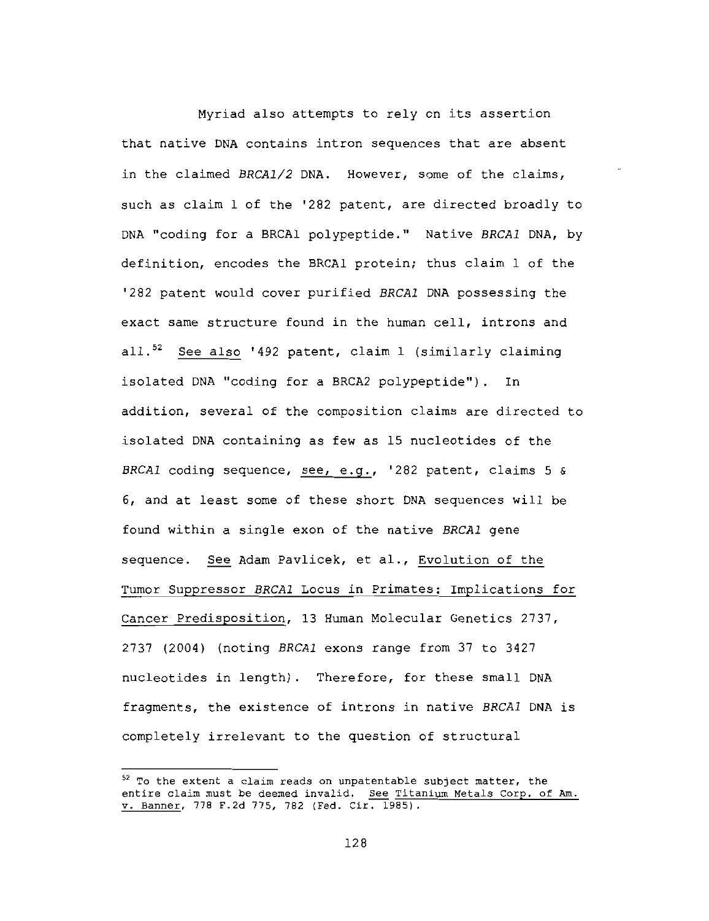Myriad also attempts to rely on its assertion that native DNA contains intron sequences that are absent in the claimed BRCA1/2 DNA. However, some of the claims, such as claim 1 of the '282 patent, are directed broadly to DNA "coding for a BRCAl polypeptide." Native BRCAl DNA, by definition, encodes the BRCAl protein; thus claim 1 of the '282 patent would cover purified BRCA1 DNA possessing the exact same structure found in the human cell, introns and all.<sup>52</sup> See also '492 patent, claim 1 (similarly claiming isolated DNA "coding for a BRCA2 polypeptide"). In addition, several of the composition claims are directed to isolated DNA containing as few as 15 nucleotides of the BRCAl coding sequence, see, e.g., '282 patent, claims 5 & 6, and at least some of these short DNA sequences will be found within a single exon of the native BRCA1 gene sequence. See Adam Pavlicek, et al., Evolution of the Tumor Suppressor BRCA1 Locus in Primates: Implications for Cancer Predisposition, 13 Human Molecular Genetics 2737, 2737 (2004) (noting BRCA1 exons range from 37 to 3427 nucleotides in length). Therefore, for these small DNA fragments, the existence of introns in native BRCA1 DNA is completely irrelevant to the question of structural

 $52$  To the extent a claim reads on unpatentable subject matter, the entire claim must be deemed invalid. See Titanium Metals Corp. of Am. v. Banner, 778 F.2d 775, 782 (Fed. Cir. 1985).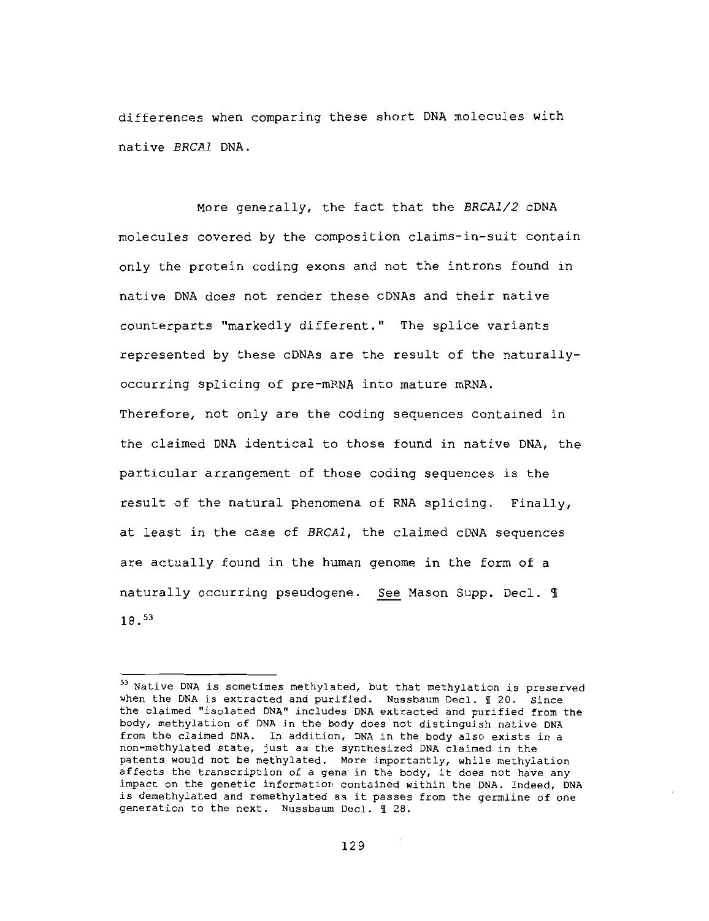differences when comparing these short DNA molecules with native BRCA1 DNA.

More generally, the fact that the BRCA1/2 CDNA molecules covered by the composition claims-in-suit contain only the protein coding exons and not the introns found in native DNA does not render these CDNAs and their native counterparts "markedly different." The splice variants represented by these cDNAs are the result of the naturallyoccurring splicing of pre-mRNA into mature mRNA. Therefore, not only are the coding sequences contained in the claimed DNA identical to those found in native DNA, the particular arrangement of those coding sequences is the result of the natural phenomena of RNA splicing. Finally, at least in the case of BRCA1, the claimed cDNA sequences are actually found in the human genome in the form of a naturally occurring pseudogene. See Mason Supp. Decl. 1  $18.53$ 

<sup>53</sup> Native DNA is sometimes methylated, but that methylation is preserved when the DNA is extracted and purified. Nussbaum Decl. 1 20. Since the claimed "isolated DNA" includes DNA extracted and purified from the body, methylation of DNA in the body does not distinguish native DNA from the claimed DNA. In addition, DNA in the body also exists in a non-methylated state, just as the synthesized DNA claimed in the patents would not be methylated. More importantly, while methylation affects the transcription of a gene in the body, it does not have any impact on the qenetic information contained within the DNA. Indeed, DNA is demethylated and remethylated as it passes from the germline of one generation to the next. Nussbaum Decl. 1 28.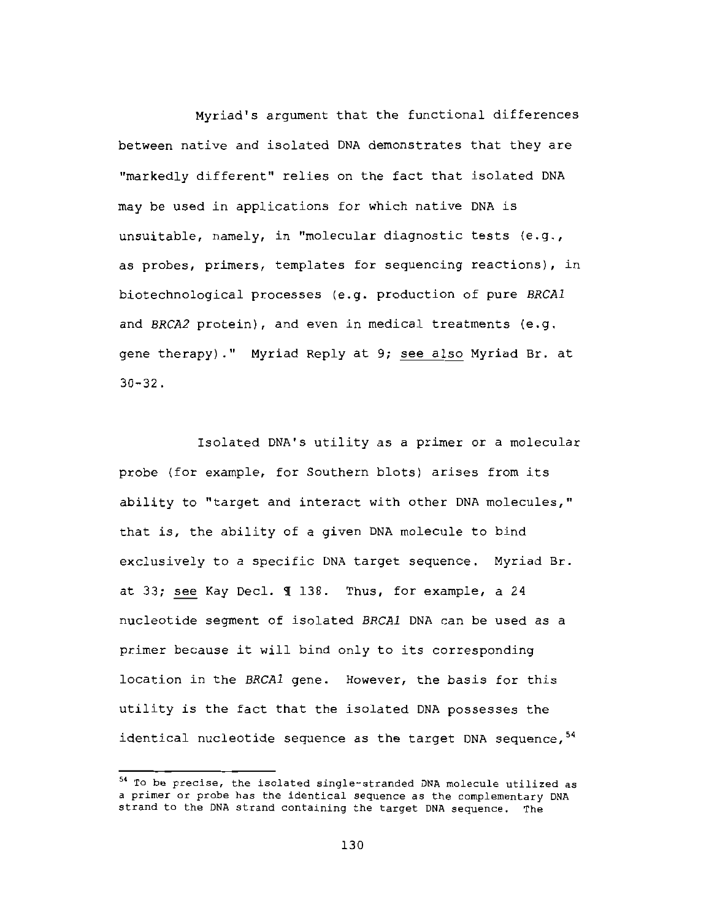Myriad's argument that the functional differences between native and isolated DNA demonstrates that they are "markedly different" relies on the fact that isolated DNA may be used in applications for which native DNA is unsuitable, namely, in "molecular diagnostic tests (e.g., as probes, primers, templates for sequencing reactions), in biotechnological processes (e.g. production of pure BRCA1 and BRCA2 protein), and even in medical treatments (e.g. gene therapy)." Myriad Reply at 9; see also Myriad Br. at  $30 - 32$ .

Isolated DNA's utility as a primer or a molecular probe (for example, for Southern blots) arises from its ability to "target and interact with other DNA molecules," that is, the ability of a given DNA molecule to bind exclusively to a specific DNA target sequence. Myriad Br. at 33; see Kay Decl. 1 138. Thus, for example, a 24 nucleotide segment of isolated BRCA1 DNA can be used as a primer because it will bind only to its corresponding location in the BRCA1 gene. However, the basis for this utility is the fact that the isolated DNA possesses the identical nucleotide sequence as the target DNA sequence, 54

<sup>54</sup> To be precise, the isolated single-stranded DNA molecule utilized as a primer or probe has the identical sequence as the complementary DNA strand to the DNA strand containing the target DNA sequence. The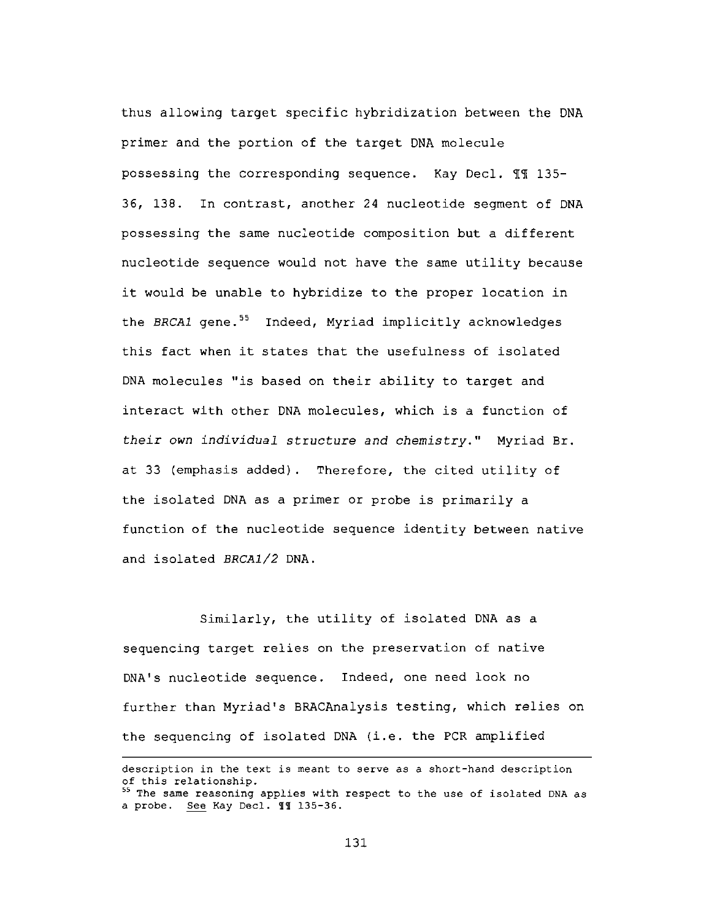thus allowing target specific hybridization between the DNA primer and the portion of the target DNA molecule possessing the corresponding sequence. Kay Decl. 11 135-36, 138. In contrast, another 24 nucleotide segment of DNA possessing the same nucleotide composition but a different nucleotide sequence would not have the same utility because it would be unable to hybridize to the proper location in the BRCA1 gene.<sup>55</sup> Indeed, Myriad implicitly acknowledges this fact when it states that the usefulness of isolated DNA molecules "is based on their ability to target and interact with other DNA molecules, which is a function of their own individual structure and chemistry." Myriad Br. at 33 (emphasis added). Therefore, the cited utility of the isolated DNA as a primer or probe is primarily a function of the nucleotide sequence identity between native and isolated BRCA1/2 DNA.

Similarly, the utility of isolated DNA as a sequencing target relies on the preservation of native DNA's nucleotide sequence. Indeed, one need look no further than Myriad's BRACAnalysis testing, which relies on the sequencing of isolated DNA (i.e. the PCR amplified

description in the text is meant to serve as a short-hand description of this relationship.

<sup>&</sup>lt;sup>55</sup> The same reasoning applies with respect to the use of isolated DNA as a probe. See Kay Decl. II 135-36.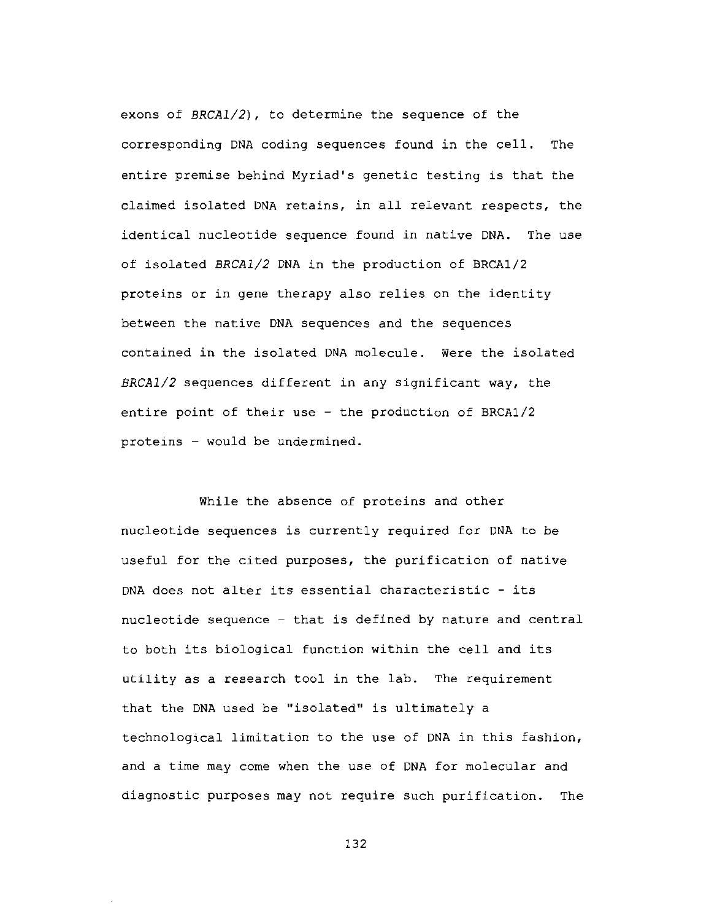exons of  $BRCA1/2$ ), to determine the sequence of the corresponding DNA coding sequences found in the cell. The entire premise behind Myriad's genetic testing is that the claimed isolated DNA retains, in all relevant respects, the identical nucleotide sequence found in native DNA. The use of isolated BRCA1/2 DNA in the production of BRCA1/2 proteins or in gene therapy also relies on the identity between the native DNA sequences and the sequences contained in the isolated DNA molecule. Were the isolated BRCA1/2 sequences different in any significant way, the entire point of their use - the production of BRCA1/2 proteins - would be undermined.

While the absence of proteins and other nucleotide sequences is currently required for DNA to be useful for the cited purposes, the purification of native DNA does not alter its essential characteristic - its nucleotide sequence - that is defined by nature and central to both its biological function within the cell and its utility as a research tool in the lab. The requirement that the DNA used be "isolated" is ultimately a technological limitation to the use of DNA in this fashion, and a time may come when the use of DNA for molecular and diagnostic purposes may not require such purification. The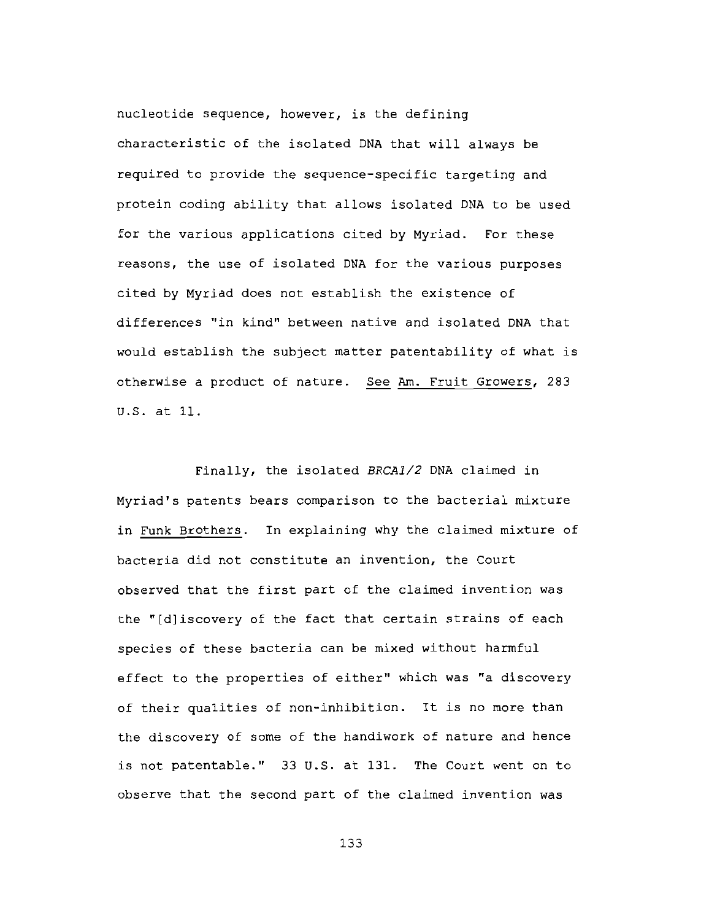nucleotide sequence, however, is the defining characteristic of the isolated DNA that will always be required to provide the sequence-specific targeting and protein coding ability that allows isolated DNA to be used for the various applications cited by Myriad. For these reasons, the use of isolated DNA for the various purposes cited by Myriad does not establish the existence of differences "in kind" between native and isolated DNA that would establish the subject matter patentability of what is otherwise a product of nature. See Am. Fruit Growers, 283 U.S. at 11.

Finally, the isolated BRCA1/2 DNA claimed in Myriad's patents bears comparison to the bacterial mixture in Funk Brothers. In explaining why the claimed mixture of bacteria did not constitute an invention, the Court observed that the first part of the claimed invention was the "[d]iscovery of the fact that certain strains of each species of these bacteria can be mixed without harmful effect to the properties of either" which was "a discovery of their qualities of non-inhibition. It is no more than the discovery of some of the handiwork of nature and hence is not patentable." 33 U.S. at 131. The Court went on to observe that the second part of the claimed invention was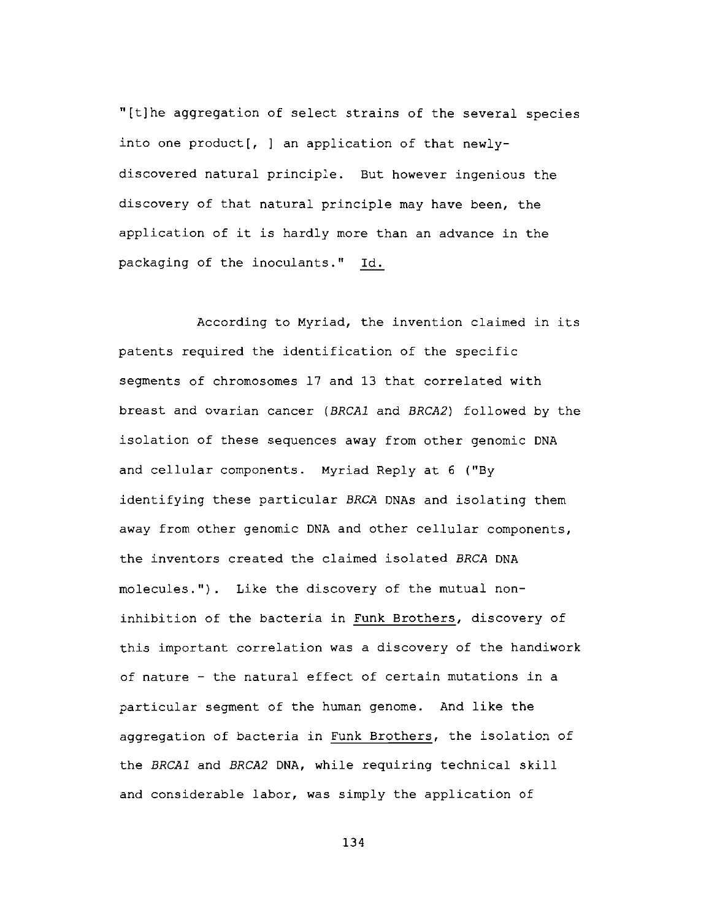"[t]he aggregation of select strains of the several species into one product[, ] an application of that newlydiscovered natural principle. But however ingenious the discovery of that natural principle may have been, the application of it is hardly more than an advance in the packaging of the inoculants." Id.

According to Myriad, the invention claimed in its patents required the identification of the specific segments of chromosomes 17 and 13 that correlated with breast and ovarian cancer (BRCA1 and BRCA2) followed by the isolation of these sequences away from other genomic DNA and cellular components. Myriad Reply at 6 ("By identifying these particular BRCA DNAs and isolating them away from other genomic DNA and other cellular components, the inventors created the claimed isolated BRCA DNA molecules."). Like the discovery of the mutual noninhibition of the bacteria in Funk Brothers, discovery of this important correlation was a discovery of the handiwork of nature - the natural effect of certain mutations in a particular segment of the human genome. And like the aggregation of bacteria in Funk Brothers, the isolation of the BRCA1 and BRCA2 DNA, while requiring technical skill and considerable labor, was simply the application of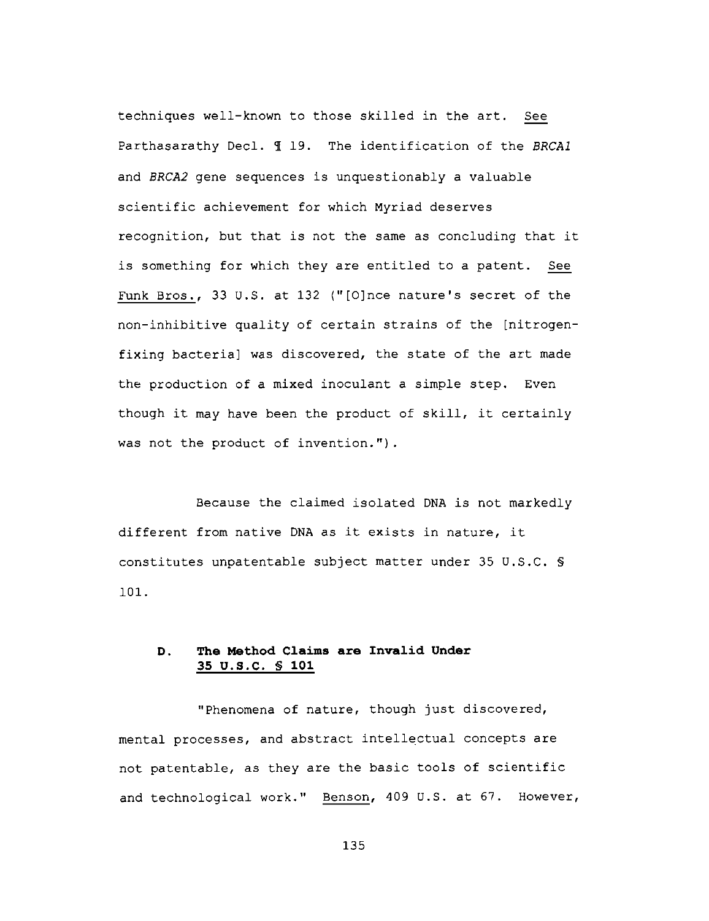techniques well-known to those skilled in the art. See Parthasarathy Decl. 1 19. The identification of the BRCAl and BRCA2 gene sequences is unquestionably a valuable scientific achievement for which Myriad deserves recognition, but that is not the same as concluding that it is something for which they are entitled to a patent. See Funk Bros., 33 U.S. at 132 ("[O]nce nature's secret of the non-inhibitive quality of certain strains of the [nitrogenfixing bacteria] was discovered, the state of the art made the production of a mixed inoculant a simple step. Even though it may have been the product of skill, it certainly was not the product of invention.").

Because the claimed isolated DNA is not markedly different from native DNA as it exists in nature, it constitutes unpatentable subject matter under 35 U.S.C. § 101.

# D. The Method Claims are Invalid Under 35 U.S.C. \$ 101

"Phenomena of nature, though just discovered, mental processes, and abstract intellectual concepts are not patentable, as they are the basic tools of scientific and technological work." Benson, 409 U.S. at 67. However,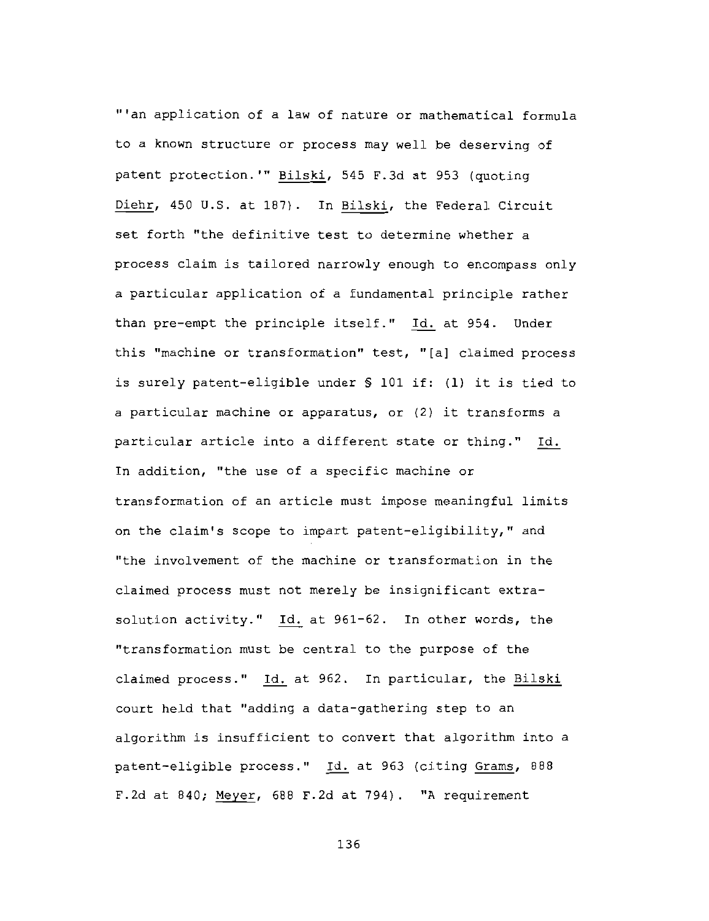"'an application of a law of nature or mathematical formula to a known structure or process may well be deserving of patent protection.'" Bilski, 545 F.3d at 953 (quoting Diehr, 450 U.S. at 187). In Bilski, the Federal Circuit set forth "the definitive test to determine whether a process claim is tailored narrowly enough to encompass only a particular application of a fundamental principle rather than pre-empt the principle itself." Id. at 954. Under this "machine or transformation" test, "[a] claimed process is surely patent-eligible under \$ 101 if: (1) it is tied to a particular machine or apparatus, or (2) it transforms a particular article into a different state or thing." Id. In addition, "the use of a specific machine or transformation of an article must impose meaningful limits on the claim's scope to impart patent-eligibility," and "the involvement of the machine or transformation in the claimed process must not merely be insignificant extrasolution activity." Id. at 961-62. In other words, the "transformation must be central to the purpose of the claimed process." Id. at 962. In particular, the Bilski court held that "adding a data-gathering step to an algorithm is insufficient to convert that algorithm into a patent-eligible process." Id. at 963 (citing Grams, 888 F.2d at 840; Meyer, 688 F.2d at 794). "A requirement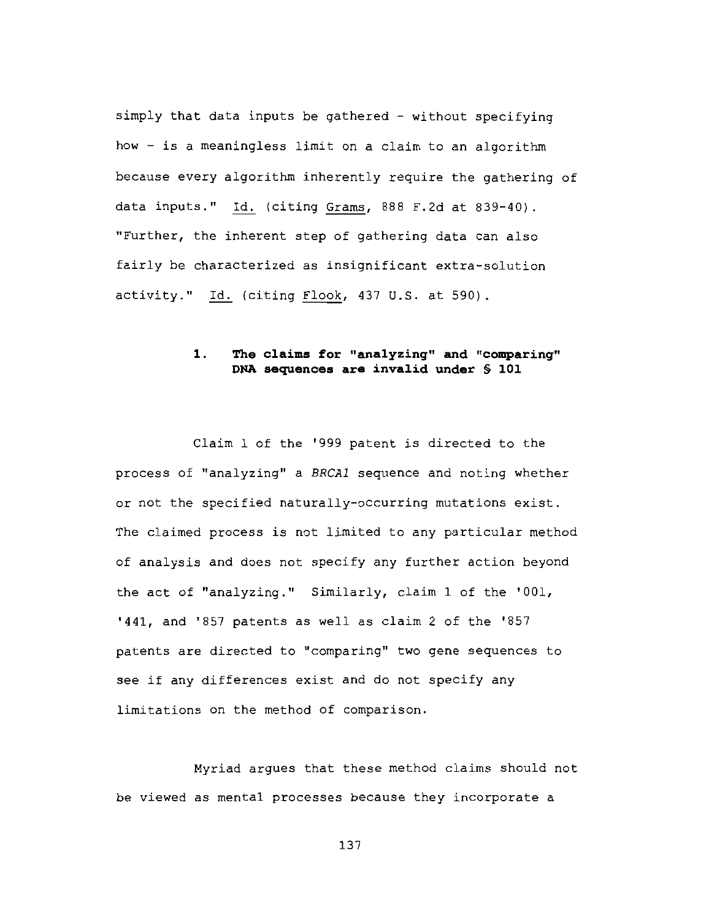simply that data inputs be gathered - without specifying how - is a meaningless limit on a claim to an algorithm because every algorithm inherently require the gathering of data inputs." Id. (citing Grams, 888 F.2d at 839-40). "Further, the inherent step of gathering data can also fairly be characterized as insignificant extra-solution activity." Id. (citing Flook, 437 U.S. at 590).

# $\mathbf{1}$ . The claims for "analyzing" and "comparing" DNA sequences are invalid under \$ 101

Claim 1 of the '999 patent is directed to the process of "analyzing" a BRCA1 sequence and noting whether or not the specified naturally-occurring mutations exist. The claimed process is not limited to any particular method of analysis and does not specify any further action beyond the act of "analyzing." Similarly, claim 1 of the '001, '441, and '857 patents as well as claim 2 of the '857 patents are directed to "comparing" two gene sequences to see if any differences exist and do not specify any limitations on the method of comparison.

Myriad argues that these method claims should not be viewed as mental processes because they incorporate a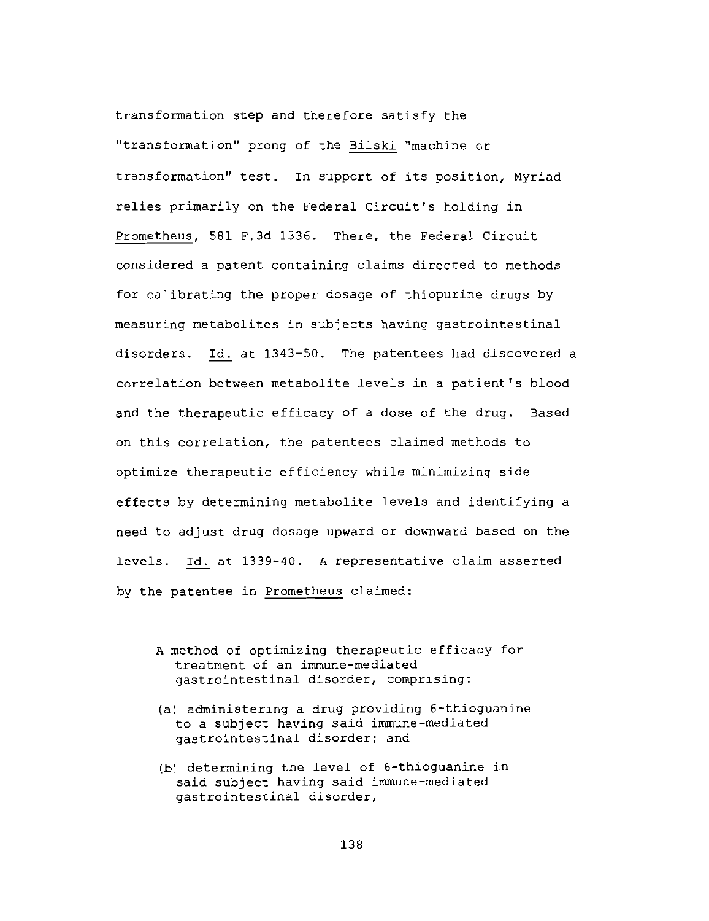transformation step and therefore satisfy the "transformation" prong of the Bilski "machine or transformation" test. In support of its position, Myriad relies primarily on the Federal Circuit's holding in Prometheus, 581 F.3d 1336. There, the Federal Circuit considered a patent containing claims directed to methods for calibrating the proper dosage of thiopurine drugs by measuring metabolites in subjects having gastrointestinal disorders. Id. at 1343-50. The patentees had discovered a correlation between metabolite levels in a patient's blood and the therapeutic efficacy of a dose of the drug. Based on this correlation, the patentees claimed methods to optimize therapeutic efficiency while minimizing side effects by determining metabolite levels and identifying a need to adjust drug dosage upward or downward based on the levels. Id. at 1339-40. A representative claim asserted by the patentee in Prometheus claimed:

- A method of optimizing therapeutic efficacy for treatment of an immune-mediated qastrointestinal disorder, comprising:
- (a) administering a drug providing 6-thioguanine to a subject having said immune-mediated gastrointestinal disorder; and
- (b) determining the level of 6-thioguanine in said subject having said immune-mediated qastrointestinal disorder,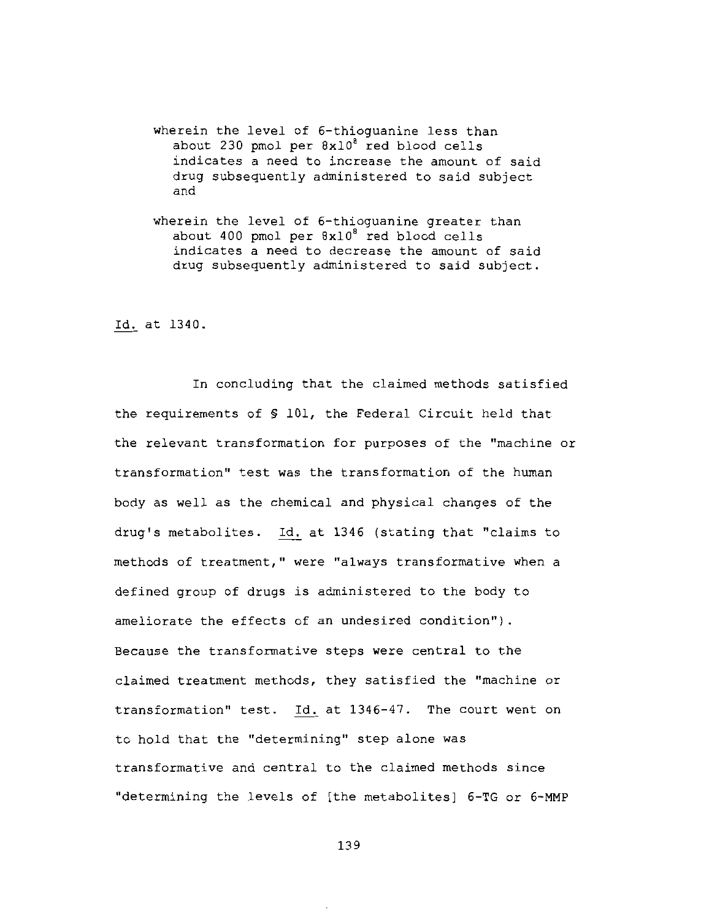- wherein the level of 6-thioquanine less than about 230 pmol per 8x10<sup>8</sup> red blood cells indicates a need to increase the amount of said drug subsequently administered to said subject and
- wherein the level of 6-thioguanine greater than about 400 pmol per 8x10<sup>8</sup> red blood cells indicates a need to decrease the amount of said drug subsequently administered to said subject.

Id. at 1340.

In concluding that the claimed methods satisfied the requirements of \$ 101, the Federal Circuit held that the relevant transformation for purposes of the "machine or transformation" test was the transformation of the human body as well as the chemical and physical changes of the drug's metabolites. Id. at 1346 (stating that "claims to methods of treatment," were "always transformative when a defined group of drugs is administered to the body to ameliorate the effects of an undesired condition"). Because the transformative steps were central to the claimed treatment methods, they satisfied the "machine or transformation" test. Id. at 1346-47. The court went on to hold that the "determining" step alone was transformative and central to the claimed methods since "determining the levels of [the metabolites] 6-TG or 6-MMP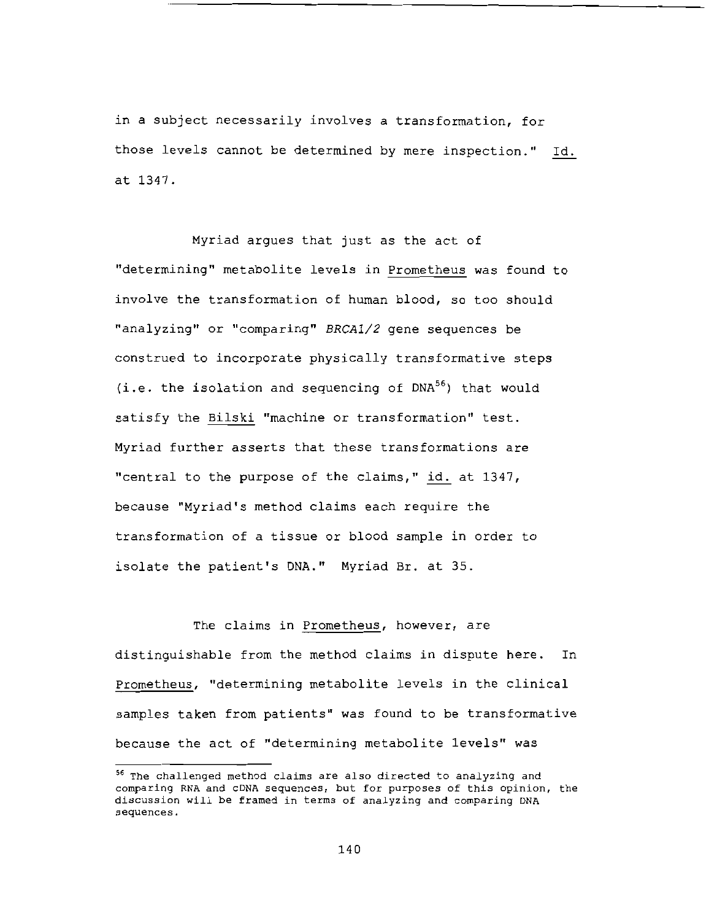in a subject necessarily involves a transformation, for those levels cannot be determined by mere inspection." Id. at 1347.

Myriad arques that just as the act of "determining" metabolite levels in Prometheus was found to involve the transformation of human blood, so too should "analyzing" or "comparing" BRCA1/2 gene sequences be construed to incorporate physically transformative steps  $(i.e. the isolation and sequencing of DNA<sup>56</sup>) that would$ satisfy the Bilski "machine or transformation" test. Myriad further asserts that these transformations are "central to the purpose of the claims," id. at 1347, because "Myriad's method claims each require the transformation of a tissue or blood sample in order to isolate the patient's DNA." Myriad Br. at 35.

The claims in Prometheus, however, are distinguishable from the method claims in dispute here. In Prometheus, "determining metabolite levels in the clinical samples taken from patients" was found to be transformative because the act of "determining metabolite levels" was

<sup>&</sup>lt;sup>56</sup> The challenged method claims are also directed to analyzing and comparing RNA and cDNA sequences, but for purposes of this opinion, the discussion will be framed in terms of analyzing and comparing DNA sequences.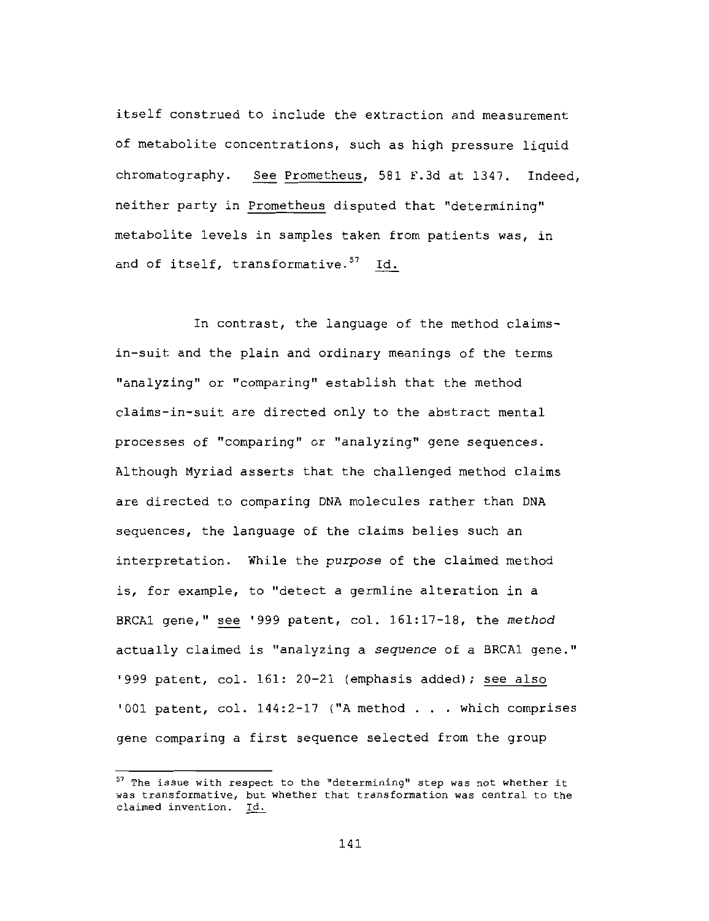itself construed to include the extraction and measurement of metabolite concentrations, such as high pressure liquid chromatography. See Prometheus, 581 F.3d at 1347. Indeed, neither party in Prometheus disputed that "determining" metabolite levels in samples taken from patients was, in and of itself, transformative.<sup>57</sup> Id.

In contrast, the language of the method claimsin-suit and the plain and ordinary meanings of the terms "analyzing" or "comparing" establish that the method claims-in-suit are directed only to the abstract mental processes of "comparing" or "analyzing" gene sequences. Although Myriad asserts that the challenged method claims are directed to comparing DNA molecules rather than DNA sequences, the language of the claims belies such an interpretation. While the purpose of the claimed method is, for example, to "detect a germline alteration in a BRCA1 gene," see '999 patent, col. 161:17-18, the method actually claimed is "analyzing a sequence of a BRCA1 gene." '999 patent, col. 161: 20-21 (emphasis added); see also '001 patent, col. 144:2-17 ("A method . . . which comprises gene comparing a first sequence selected from the group

<sup>57</sup> The issue with respect to the "determining" step was not whether it was transformative, but whether that transformation was central to the claimed invention. Id.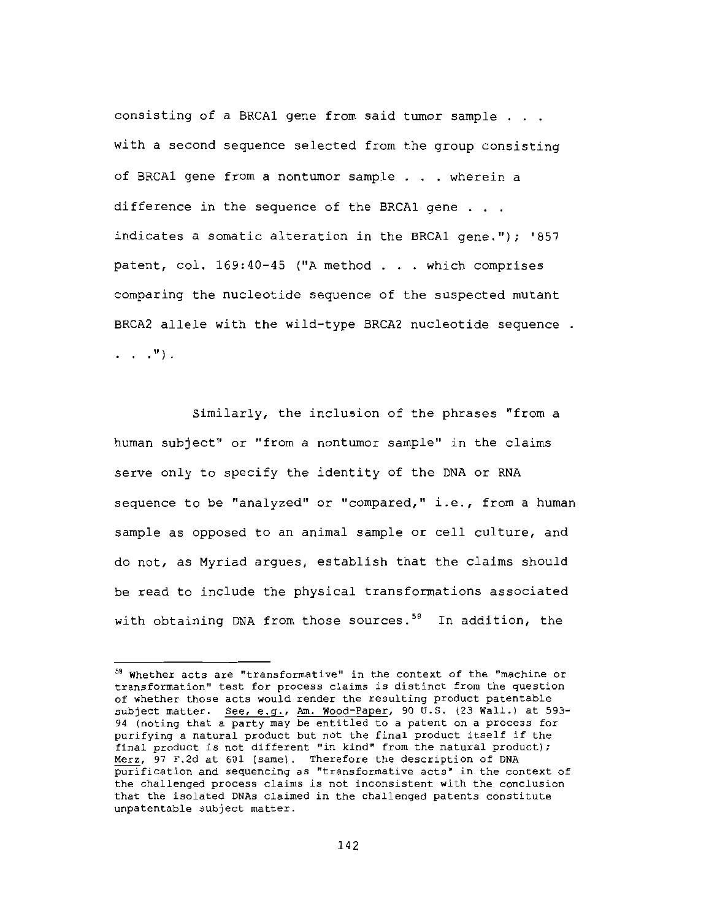consisting of a BRCA1 gene from said tumor sample . . . with a second sequence selected from the group consisting of BRCA1 gene from a nontumor sample . . . wherein a difference in the sequence of the BRCA1 gene . . . indicates a somatic alteration in the BRCA1 gene."); '857 patent, col. 169:40-45 ("A method . . . which comprises comparing the nucleotide sequence of the suspected mutant BRCA2 allele with the wild-type BRCA2 nucleotide sequence.  $\ldots$   $\ldots$   $\ldots$ 

Similarly, the inclusion of the phrases "from a human subject" or "from a nontumor sample" in the claims serve only to specify the identity of the DNA or RNA sequence to be "analyzed" or "compared," i.e., from a human sample as opposed to an animal sample or cell culture, and do not, as Myriad argues, establish that the claims should be read to include the physical transformations associated with obtaining DNA from those sources.<sup>58</sup> In addition, the

<sup>58</sup> Whether acts are "transformative" in the context of the "machine or transformation" test for process claims is distinct from the question of whether those acts would render the resulting product patentable subject matter. See, e.g., Am. Wood-Paper, 90 U.S. (23 Wall.) at 593-94 (noting that a party may be entitled to a patent on a process for purifying a natural product but not the final product itself if the final product is not different "in kind" from the natural product); Merz, 97 F.2d at 601 (same). Therefore the description of DNA purification and sequencing as "transformative acts" in the context of the challenged process claims is not inconsistent with the conclusion that the isolated DNAs claimed in the challenged patents constitute unpatentable subject matter.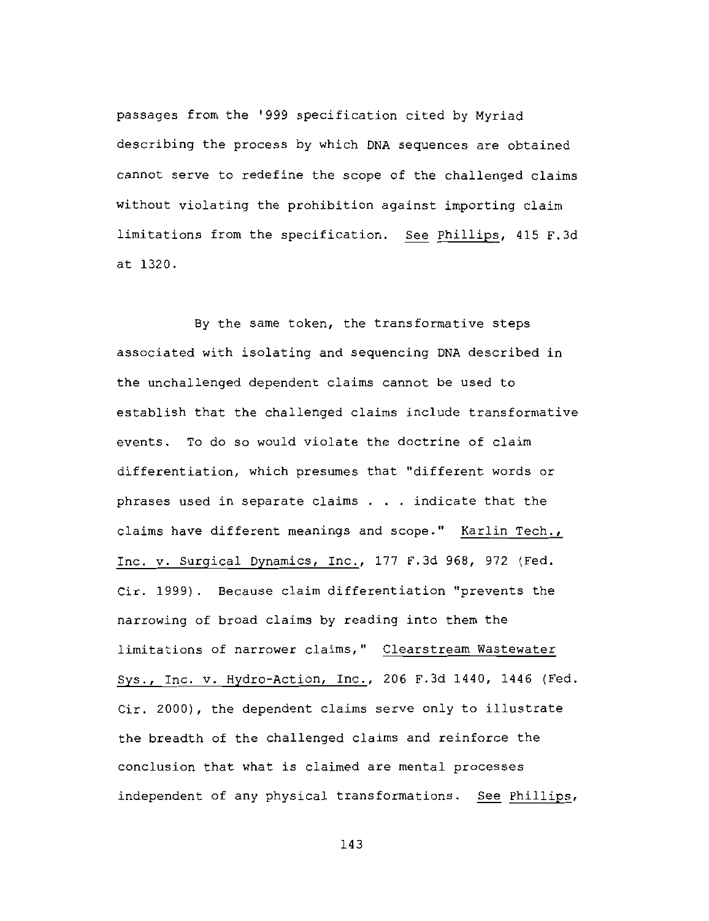passages from the '999 specification cited by Myriad describing the process by which DNA sequences are obtained cannot serve to redefine the scope of the challenged claims without violating the prohibition against importing claim limitations from the specification. See Phillips, 415 F.3d at 1320.

By the same token, the transformative steps associated with isolating and sequencing DNA described in the unchallenged dependent claims cannot be used to establish that the challenged claims include transformative events. To do so would violate the doctrine of claim differentiation, which presumes that "different words or phrases used in separate claims . . . indicate that the claims have different meanings and scope." Karlin Tech., Inc. v. Surgical Dynamics, Inc., 177 F.3d 968, 972 (Fed. Cir. 1999). Because claim differentiation "prevents the narrowing of broad claims by reading into them the limitations of narrower claims," Clearstream Wastewater Sys., Inc. v. Hydro-Action, Inc., 206 F.3d 1440, 1446 (Fed. Cir. 2000), the dependent claims serve only to illustrate the breadth of the challenged claims and reinforce the conclusion that what is claimed are mental processes independent of any physical transformations. See Phillips,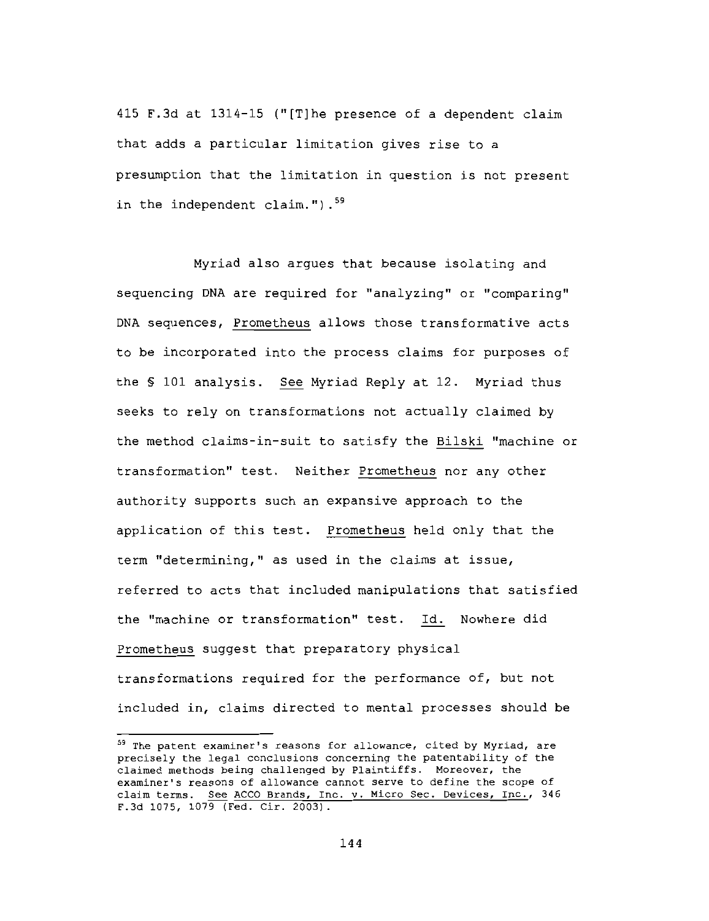415 F.3d at 1314-15 ("[T]he presence of a dependent claim that adds a particular limitation gives rise to a presumption that the limitation in question is not present in the independent claim."). $59$ 

Myriad also arques that because isolating and sequencing DNA are required for "analyzing" or "comparing" DNA sequences, Prometheus allows those transformative acts to be incorporated into the process claims for purposes of the \$ 101 analysis. See Myriad Reply at 12. Myriad thus seeks to rely on transformations not actually claimed by the method claims-in-suit to satisfy the Bilski "machine or transformation" test. Neither Prometheus nor any other authority supports such an expansive approach to the application of this test. Prometheus held only that the term "determining," as used in the claims at issue, referred to acts that included manipulations that satisfied the "machine or transformation" test. Id. Nowhere did Prometheus suggest that preparatory physical transformations required for the performance of, but not included in, claims directed to mental processes should be

<sup>&</sup>lt;sup>59</sup> The patent examiner's reasons for allowance, cited by Myriad, are precisely the legal conclusions concerning the patentability of the claimed methods being challenged by Plaintiffs. Moreover, the examiner's reasons of allowance cannot serve to define the scope of claim terms. See ACCO Brands, Inc. v. Micro Sec. Devices, Inc., 346 F.3d 1075, 1079 (Fed. Cir. 2003).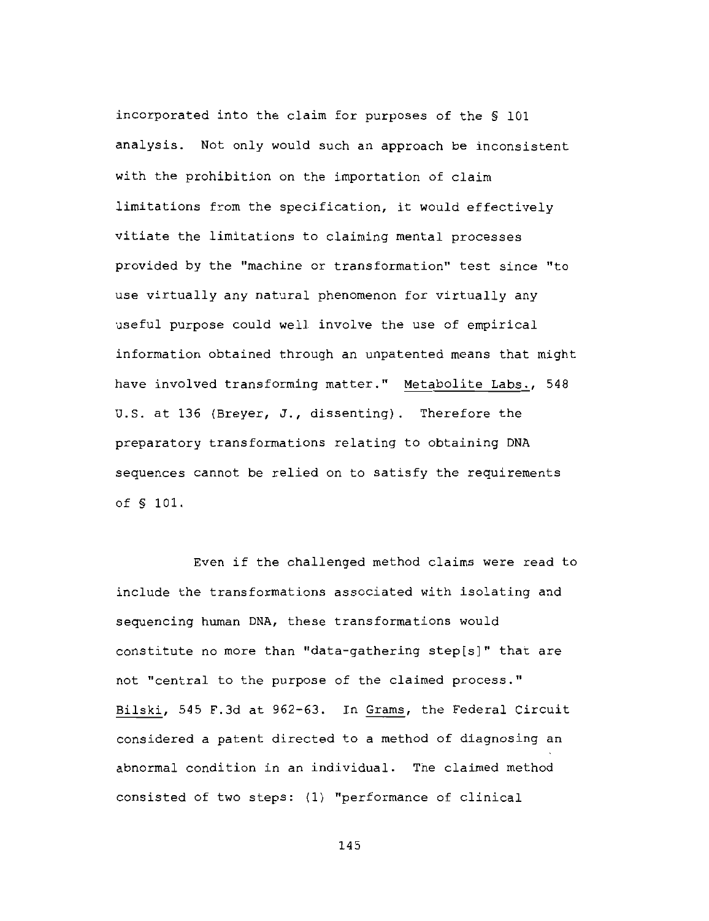incorporated into the claim for purposes of the § 101 analysis. Not only would such an approach be inconsistent with the prohibition on the importation of claim limitations from the specification, it would effectively vitiate the limitations to claiming mental processes provided by the "machine or transformation" test since "to use virtually any natural phenomenon for virtually any useful purpose could well involve the use of empirical information obtained through an unpatented means that might have involved transforming matter." Metabolite Labs., 548 U.S. at 136 (Breyer, J., dissenting). Therefore the preparatory transformations relating to obtaining DNA sequences cannot be relied on to satisfy the requirements of § 101.

Even if the challenged method claims were read to include the transformations associated with isolating and sequencing human DNA, these transformations would constitute no more than "data-gathering step[s]" that are not "central to the purpose of the claimed process." Bilski, 545 F.3d at 962-63. In Grams, the Federal Circuit considered a patent directed to a method of diagnosing an abnormal condition in an individual. The claimed method consisted of two steps: (1) "performance of clinical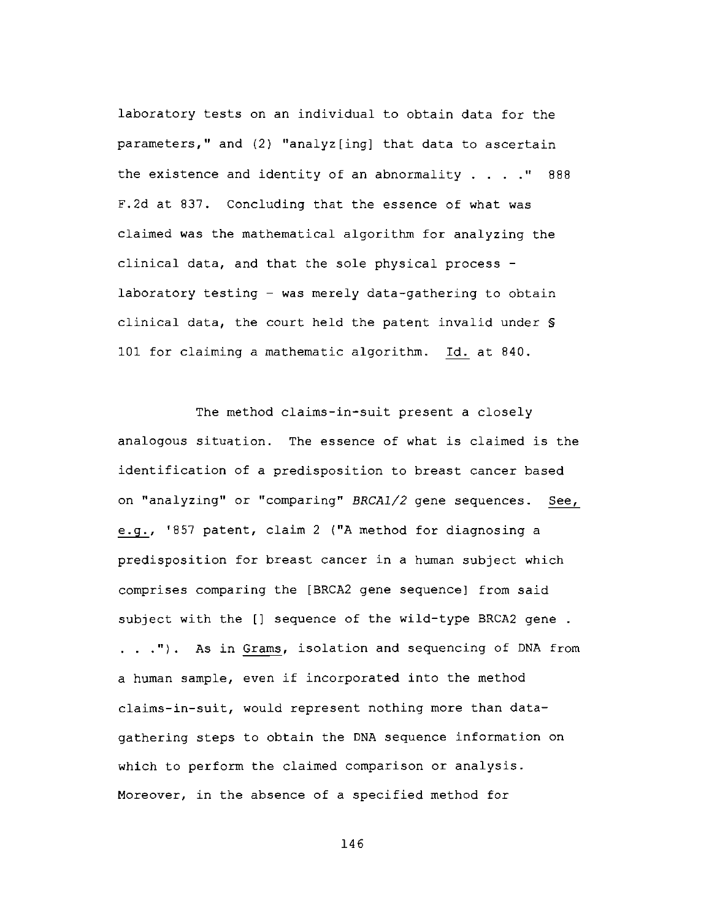laboratory tests on an individual to obtain data for the parameters," and (2) "analyz[ing] that data to ascertain the existence and identity of an abnormality  $\ldots$  . . . " 888 F.2d at 837. Concluding that the essence of what was claimed was the mathematical algorithm for analyzing the clinical data, and that the sole physical process laboratory testing - was merely data-gathering to obtain clinical data, the court held the patent invalid under \$ 101 for claiming a mathematic algorithm. Id. at 840.

The method claims-in-suit present a closely analogous situation. The essence of what is claimed is the identification of a predisposition to breast cancer based on "analyzing" or "comparing" BRCA1/2 gene sequences. See, e.g., '857 patent, claim 2 ("A method for diagnosing a predisposition for breast cancer in a human subject which comprises comparing the [BRCA2 gene sequence] from said subject with the [] sequence of the wild-type BRCA2 gene. . . ."). As in Grams, isolation and sequencing of DNA from a human sample, even if incorporated into the method claims-in-suit, would represent nothing more than datagathering steps to obtain the DNA sequence information on which to perform the claimed comparison or analysis. Moreover, in the absence of a specified method for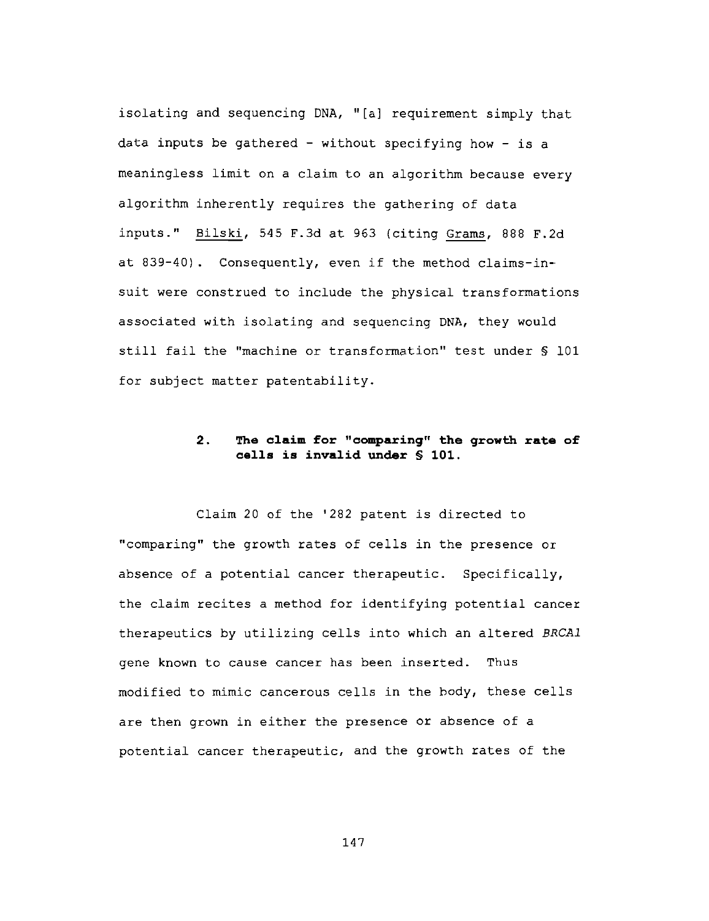isolating and sequencing DNA, "[a] requirement simply that data inputs be gathered - without specifying how - is a meaningless limit on a claim to an algorithm because every algorithm inherently requires the gathering of data inputs." Bilski, 545 F.3d at 963 (citing Grams, 888 F.2d at 839-40). Consequently, even if the method claims-insuit were construed to include the physical transformations associated with isolating and sequencing DNA, they would still fail the "machine or transformation" test under § 101 for subject matter patentability.

## $2.$ The claim for "comparing" the growth rate of cells is invalid under \$ 101.

Claim 20 of the '282 patent is directed to "comparing" the growth rates of cells in the presence or absence of a potential cancer therapeutic. Specifically, the claim recites a method for identifying potential cancer therapeutics by utilizing cells into which an altered BRCA1 gene known to cause cancer has been inserted. Thus modified to mimic cancerous cells in the body, these cells are then grown in either the presence or absence of a potential cancer therapeutic, and the growth rates of the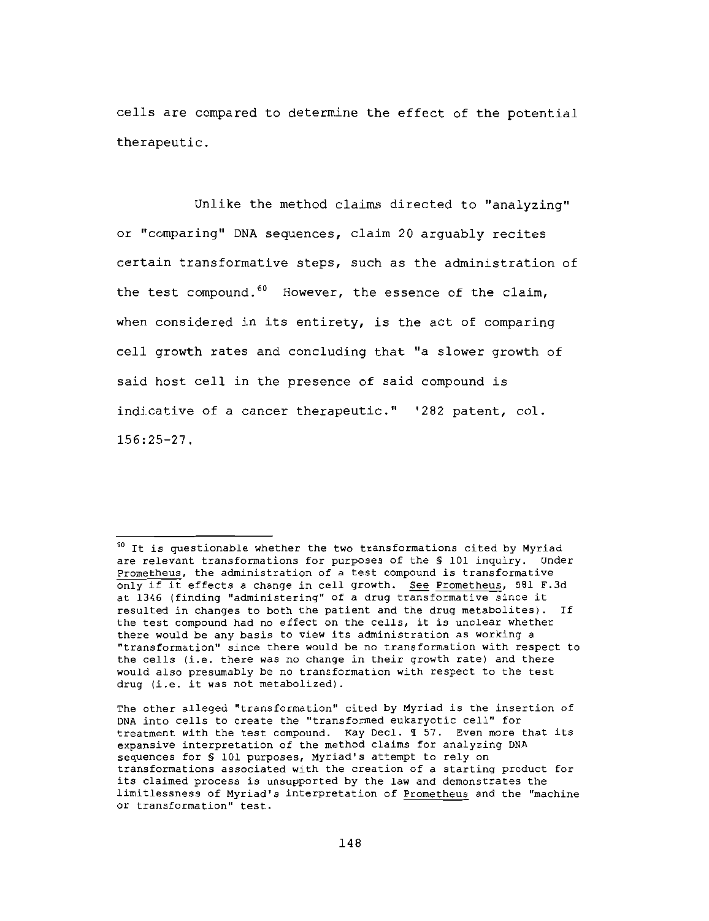cells are compared to determine the effect of the potential therapeutic.

Unlike the method claims directed to "analyzing" or "comparing" DNA sequences, claim 20 arguably recites certain transformative steps, such as the administration of the test compound.<sup>60</sup> However, the essence of the claim, when considered in its entirety, is the act of comparing cell growth rates and concluding that "a slower growth of said host cell in the presence of said compound is indicative of a cancer therapeutic." '282 patent, col.  $156:25 - 27$ .

<sup>&</sup>lt;sup>60</sup> It is questionable whether the two transformations cited by Myriad are relevant transformations for purposes of the \$ 101 inquiry. Under Prometheus, the administration of a test compound is transformative only if it effects a change in cell growth. See Prometheus, 581 F.3d at 1346 (finding "administering" of a drug transformative since it resulted in changes to both the patient and the drug metabolites). If the test compound had no effect on the cells, it is unclear whether there would be any basis to view its administration as working a "transformation" since there would be no transformation with respect to the cells (i.e. there was no change in their growth rate) and there would also presumably be no transformation with respect to the test drug (i.e. it was not metabolized).

The other alleged "transformation" cited by Myriad is the insertion of DNA into cells to create the "transformed eukaryotic cell" for treatment with the test compound. Kay Decl. 1 57. Even more that its expansive interpretation of the method claims for analyzing DNA sequences for \$ 101 purposes, Myriad's attempt to rely on transformations associated with the creation of a starting product for its claimed process is unsupported by the law and demonstrates the limitlessness of Myriad's interpretation of Prometheus and the "machine or transformation" test.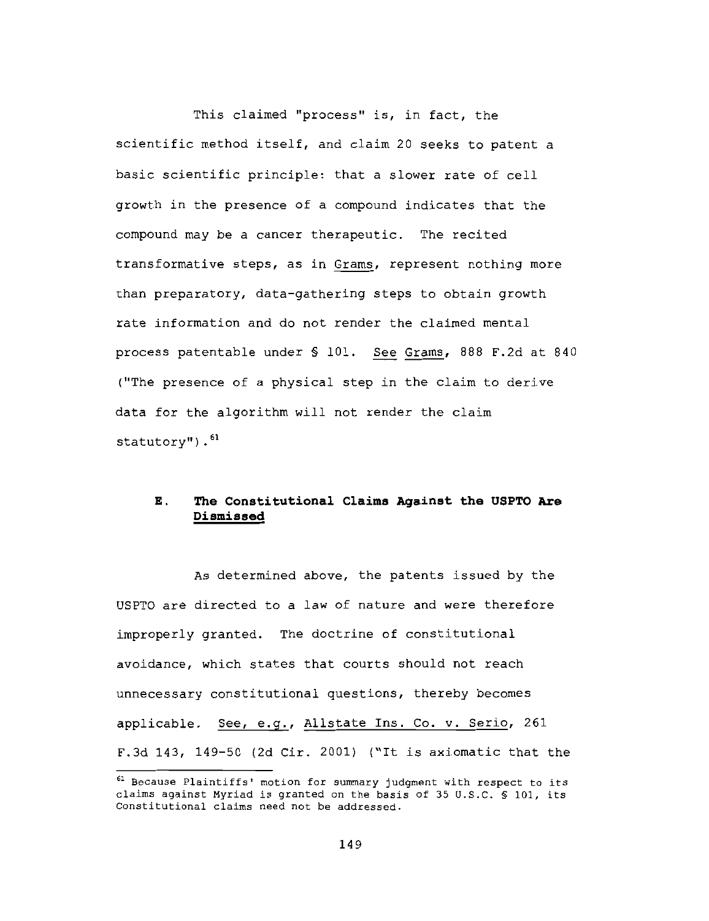This claimed "process" is, in fact, the scientific method itself, and claim 20 seeks to patent a basic scientific principle: that a slower rate of cell growth in the presence of a compound indicates that the compound may be a cancer therapeutic. The recited transformative steps, as in Grams, represent nothing more than preparatory, data-gathering steps to obtain growth rate information and do not render the claimed mental process patentable under § 101. See Grams, 888 F.2d at 840 ("The presence of a physical step in the claim to derive data for the algorithm will not render the claim statutory").  $61$ 

## The Constitutional Claims Against the USPTO Are Ε. Dismissed

As determined above, the patents issued by the USPTO are directed to a law of nature and were therefore improperly granted. The doctrine of constitutional avoidance, which states that courts should not reach unnecessary constitutional questions, thereby becomes applicable. See, e.g., Allstate Ins. Co. v. Serio, 261 F.3d 143, 149-50 (2d Cir. 2001) ("It is axiomatic that the

<sup>61</sup> Because Plaintiffs' motion for summary judgment with respect to its claims against Myriad is granted on the basis of 35 U.S.C. \$ 101, its Constitutional claims need not be addressed.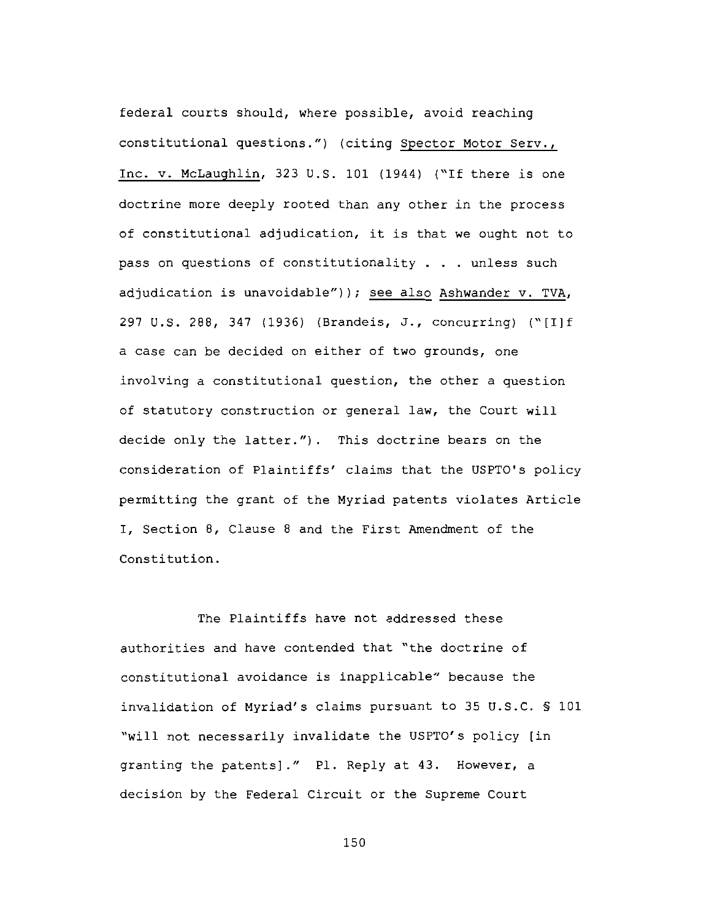federal courts should, where possible, avoid reaching constitutional questions.") (citing Spector Motor Serv., Inc. v. McLaughlin, 323 U.S. 101 (1944) ("If there is one doctrine more deeply rooted than any other in the process of constitutional adjudication, it is that we ought not to pass on questions of constitutionality . . . unless such adjudication is unavoidable")); see also Ashwander v. TVA, 297 U.S. 288, 347 (1936) (Brandeis, J., concurring) ("[I]f a case can be decided on either of two grounds, one involving a constitutional question, the other a question of statutory construction or general law, the Court will decide only the latter."). This doctrine bears on the consideration of Plaintiffs' claims that the USPTO's policy permitting the grant of the Myriad patents violates Article I, Section 8, Clause 8 and the First Amendment of the Constitution.

The Plaintiffs have not addressed these authorities and have contended that "the doctrine of constitutional avoidance is inapplicable" because the invalidation of Myriad's claims pursuant to 35 U.S.C. § 101 "will not necessarily invalidate the USPTO's policy [in granting the patents]." Pl. Reply at 43. However, a decision by the Federal Circuit or the Supreme Court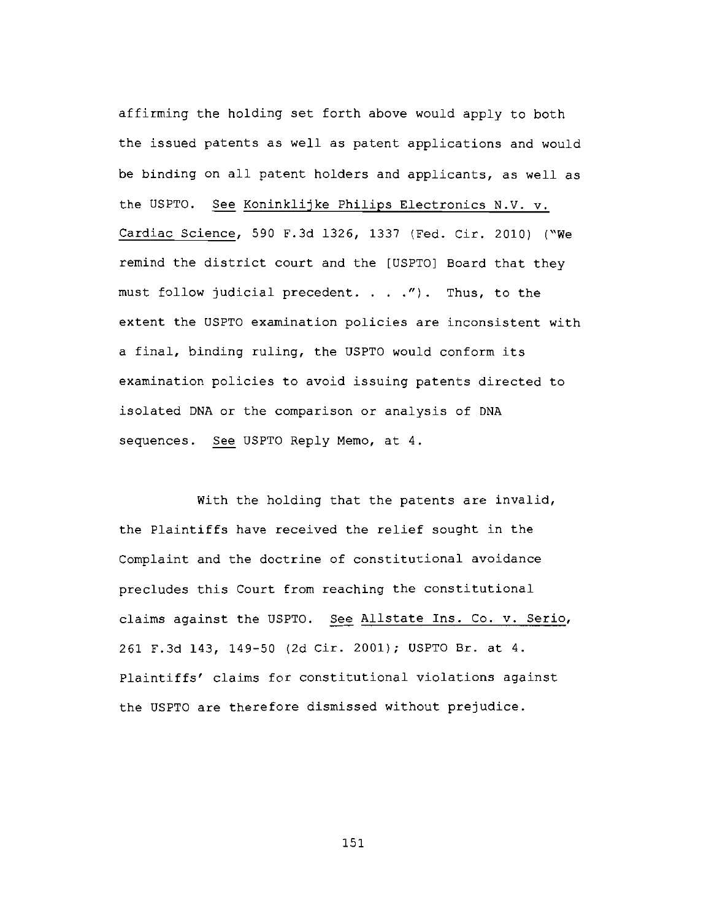affirming the holding set forth above would apply to both the issued patents as well as patent applications and would be binding on all patent holders and applicants, as well as the USPTO. See Koninklijke Philips Electronics N.V. v. Cardiac Science, 590 F.3d 1326, 1337 (Fed. Cir. 2010) ("We remind the district court and the [USPTO] Board that they must follow judicial precedent. . . ."). Thus, to the extent the USPTO examination policies are inconsistent with a final, binding ruling, the USPTO would conform its examination policies to avoid issuing patents directed to isolated DNA or the comparison or analysis of DNA sequences. See USPTO Reply Memo, at 4.

With the holding that the patents are invalid, the Plaintiffs have received the relief sought in the Complaint and the doctrine of constitutional avoidance precludes this Court from reaching the constitutional claims against the USPTO. See Allstate Ins. Co. v. Serio, 261 F.3d 143, 149-50 (2d Cir. 2001); USPTO Br. at 4. Plaintiffs' claims for constitutional violations against the USPTO are therefore dismissed without prejudice.